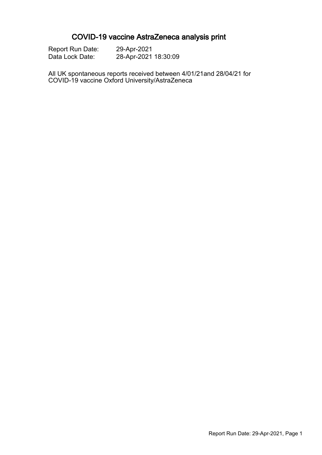# COVID-19 vaccine AstraZeneca analysis print

| <b>Report Run Date:</b> | 29-Apr-2021          |
|-------------------------|----------------------|
| Data Lock Date:         | 28-Apr-2021 18:30:09 |

All UK spontaneous reports received between 4/01/21and 28/04/21 for COVID-19 vaccine Oxford University/AstraZeneca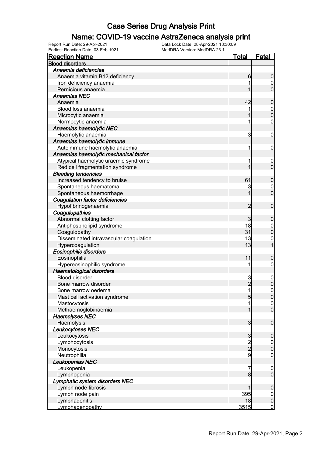#### Name: COVID-19 vaccine AstraZeneca analysis print

| <b>Total</b><br><b>Reaction Name</b><br><b>Blood disorders</b><br>Anaemia deficiencies<br>Anaemia vitamin B12 deficiency<br>6<br>Iron deficiency anaemia<br>Pernicious anaemia | <b>Fatal</b><br>$\boldsymbol{0}$<br>0<br>$\overline{0}$<br>$\mathbf 0$<br>$\boldsymbol{0}$ |
|--------------------------------------------------------------------------------------------------------------------------------------------------------------------------------|--------------------------------------------------------------------------------------------|
|                                                                                                                                                                                |                                                                                            |
|                                                                                                                                                                                |                                                                                            |
|                                                                                                                                                                                |                                                                                            |
|                                                                                                                                                                                |                                                                                            |
|                                                                                                                                                                                |                                                                                            |
| <b>Anaemias NEC</b>                                                                                                                                                            |                                                                                            |
| 42<br>Anaemia                                                                                                                                                                  |                                                                                            |
| Blood loss anaemia                                                                                                                                                             |                                                                                            |
| Microcytic anaemia                                                                                                                                                             | $\overline{0}$                                                                             |
| Normocytic anaemia                                                                                                                                                             | $\boldsymbol{0}$                                                                           |
| Anaemias haemolytic NEC                                                                                                                                                        |                                                                                            |
| 3<br>Haemolytic anaemia                                                                                                                                                        | $\mathbf 0$                                                                                |
| Anaemias haemolytic immune                                                                                                                                                     |                                                                                            |
| Autoimmune haemolytic anaemia<br>1                                                                                                                                             | $\mathbf 0$                                                                                |
| Anaemias haemolytic mechanical factor                                                                                                                                          |                                                                                            |
| Atypical haemolytic uraemic syndrome                                                                                                                                           | $\mathbf 0$                                                                                |
| Red cell fragmentation syndrome                                                                                                                                                | $\overline{0}$                                                                             |
| <b>Bleeding tendencies</b>                                                                                                                                                     |                                                                                            |
| Increased tendency to bruise<br>61                                                                                                                                             | $\mathbf 0$                                                                                |
| Spontaneous haematoma<br>3                                                                                                                                                     | 0                                                                                          |
| Spontaneous haemorrhage                                                                                                                                                        | $\overline{0}$                                                                             |
| <b>Coagulation factor deficiencies</b>                                                                                                                                         |                                                                                            |
| Hypofibrinogenaemia<br>$\overline{2}$                                                                                                                                          | $\mathbf 0$                                                                                |
| Coagulopathies                                                                                                                                                                 |                                                                                            |
| Abnormal clotting factor<br>3                                                                                                                                                  | $\mathbf 0$                                                                                |
| 18<br>Antiphospholipid syndrome                                                                                                                                                | $\mathbf 0$                                                                                |
| 31<br>Coagulopathy                                                                                                                                                             | $\mathbf 0$                                                                                |
| 13<br>Disseminated intravascular coagulation                                                                                                                                   | $\mathbf{0}$                                                                               |
| 13<br>Hypercoagulation                                                                                                                                                         | 1                                                                                          |
| Eosinophilic disorders                                                                                                                                                         |                                                                                            |
| Eosinophilia<br>11                                                                                                                                                             | $\mathbf 0$                                                                                |
| Hypereosinophilic syndrome                                                                                                                                                     | $\boldsymbol{0}$                                                                           |
| <b>Haematological disorders</b>                                                                                                                                                |                                                                                            |
| Blood disorder<br>3                                                                                                                                                            | $\boldsymbol{0}$                                                                           |
| $\overline{c}$<br>Bone marrow disorder                                                                                                                                         | $\mathbf 0$                                                                                |
| $\mathbf{1}$<br>Bone marrow oedema                                                                                                                                             | $\mathbf 0$                                                                                |
| Mast cell activation syndrome<br>$\overline{5}$                                                                                                                                | 0                                                                                          |
| Mastocytosis<br>1                                                                                                                                                              | 0                                                                                          |
| Methaemoglobinaemia<br>1                                                                                                                                                       | $\mathbf{0}$                                                                               |
| <b>Haemolyses NEC</b>                                                                                                                                                          |                                                                                            |
| Haemolysis<br>$\overline{3}$                                                                                                                                                   | $\boldsymbol{0}$                                                                           |
| Leukocytoses NEC                                                                                                                                                               |                                                                                            |
| Leukocytosis<br>$\mathbf{3}$                                                                                                                                                   | $\boldsymbol{0}$                                                                           |
| Lymphocytosis                                                                                                                                                                  | $\overline{0}$                                                                             |
| $\frac{2}{2}$<br>Monocytosis                                                                                                                                                   | $\pmb{0}$                                                                                  |
| 9<br>Neutrophilia                                                                                                                                                              | $\mathbf 0$                                                                                |
| Leukopenias NEC                                                                                                                                                                |                                                                                            |
| Leukopenia<br>7                                                                                                                                                                |                                                                                            |
| 8 <sup>1</sup><br>Lymphopenia                                                                                                                                                  | $\mathbf 0$<br>$\overline{0}$                                                              |
|                                                                                                                                                                                |                                                                                            |
| Lymphatic system disorders NEC<br>1                                                                                                                                            |                                                                                            |
| Lymph node fibrosis<br>395                                                                                                                                                     | $\boldsymbol{0}$                                                                           |
| Lymph node pain<br>Lymphadenitis<br>18                                                                                                                                         | $\overline{0}$<br>$\pmb{0}$                                                                |
| 3515<br>Lymphadenopathy                                                                                                                                                        | $\overline{0}$                                                                             |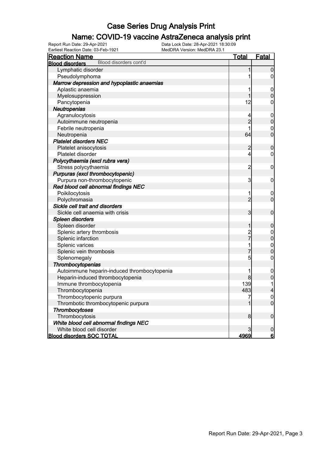#### Name: COVID-19 vaccine AstraZeneca analysis print

| <u>Reaction Name</u>                             | <u>Total</u>   | <b>Fatal</b>            |
|--------------------------------------------------|----------------|-------------------------|
| Blood disorders cont'd<br><b>Blood disorders</b> |                |                         |
| Lymphatic disorder                               | 1              | $\mathbf 0$             |
| Pseudolymphoma                                   |                | $\overline{0}$          |
| Marrow depression and hypoplastic anaemias       |                |                         |
| Aplastic anaemia                                 | 1              | $\mathbf 0$             |
| Myelosuppression                                 | 1              | $\boldsymbol{0}$        |
| Pancytopenia                                     | 12             | $\mathbf 0$             |
| Neutropenias                                     |                |                         |
| Agranulocytosis                                  | 4              | $\mathbf 0$             |
| Autoimmune neutropenia                           | $\overline{c}$ | $\pmb{0}$               |
| Febrile neutropenia                              | 1              | $\mathbf 0$             |
| Neutropenia                                      | 64             | $\overline{0}$          |
| <b>Platelet disorders NEC</b>                    |                |                         |
| Platelet anisocytosis                            | $\overline{c}$ | $\mathbf 0$             |
| Platelet disorder                                | $\overline{4}$ | $\mathbf 0$             |
| Polycythaemia (excl rubra vera)                  |                |                         |
| Stress polycythaemia                             | $\overline{2}$ | $\mathbf 0$             |
| Purpuras (excl thrombocytopenic)                 |                |                         |
| Purpura non-thrombocytopenic                     | 3              | $\mathbf 0$             |
| Red blood cell abnormal findings NEC             |                |                         |
| Poikilocytosis                                   | 1              | $\mathbf 0$             |
| Polychromasia                                    | $\overline{2}$ | $\mathbf 0$             |
| Sickle cell trait and disorders                  |                |                         |
| Sickle cell anaemia with crisis                  | 3              | $\boldsymbol{0}$        |
| Spleen disorders                                 |                |                         |
| Spleen disorder                                  | 1              | $\boldsymbol{0}$        |
| Splenic artery thrombosis                        |                | $\boldsymbol{0}$        |
| Splenic infarction                               | 2<br>7         | $\overline{0}$          |
| Splenic varices                                  | 1              |                         |
| Splenic vein thrombosis                          | 7              | $0\atop 0$              |
| Splenomegaly                                     | 5              | $\boldsymbol{0}$        |
| Thrombocytopenias                                |                |                         |
| Autoimmune heparin-induced thrombocytopenia      | 1              | $\mathbf 0$             |
| Heparin-induced thrombocytopenia                 | 8              | $\pmb{0}$               |
| Immune thrombocytopenia                          | 139            | 1                       |
| Thrombocytopenia                                 | 483            | $\overline{\mathbf{r}}$ |
| Thrombocytopenic purpura                         | 7              | $\overline{0}$          |
| Thrombotic thrombocytopenic purpura              | 1              | $\overline{0}$          |
| <b>Thrombocytoses</b>                            |                |                         |
| Thrombocytosis                                   | 8              | $\boldsymbol{0}$        |
| White blood cell abnormal findings NEC           |                |                         |
| White blood cell disorder                        | $\mathbf{3}$   | $\boldsymbol{0}$        |
| <b>Blood disorders SOC TOTAL</b>                 | 4969           | <u>6</u>                |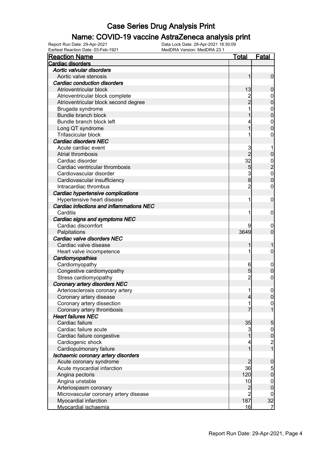#### Name: COVID-19 vaccine AstraZeneca analysis print

| <b>Reaction Name</b>                                                   | <u>Total</u>   | <b>Fatal</b>                                      |
|------------------------------------------------------------------------|----------------|---------------------------------------------------|
| Cardiac disorders                                                      |                |                                                   |
| Aortic valvular disorders                                              |                |                                                   |
| Aortic valve stenosis                                                  | 1              | $\mathbf 0$                                       |
| <b>Cardiac conduction disorders</b>                                    |                |                                                   |
| Atrioventricular block                                                 | 13             | $\boldsymbol{0}$                                  |
| Atrioventricular block complete                                        |                | $\boldsymbol{0}$                                  |
| Atrioventricular block second degree                                   | 2<br>2         | $\mathbf 0$                                       |
| Brugada syndrome                                                       |                | $\mathbf{0}$                                      |
| <b>Bundle branch block</b>                                             |                | $\mathbf 0$                                       |
| Bundle branch block left                                               |                | $\mathbf{0}$                                      |
| Long QT syndrome                                                       |                | $\overline{0}$                                    |
| Trifascicular block                                                    |                | 0                                                 |
| <b>Cardiac disorders NEC</b>                                           |                |                                                   |
| Acute cardiac event                                                    | 3              |                                                   |
| Atrial thrombosis                                                      | $\overline{2}$ | $\pmb{0}$                                         |
| Cardiac disorder                                                       | 32             |                                                   |
| Cardiac ventricular thrombosis                                         | 5              |                                                   |
| Cardiovascular disorder                                                | 3              | $\begin{array}{c} 0 \\ 2 \\ 0 \\ 0 \end{array}$   |
| Cardiovascular insufficiency                                           | 8              |                                                   |
| Intracardiac thrombus                                                  | $\overline{2}$ | $\mathbf 0$                                       |
|                                                                        |                |                                                   |
| Cardiac hypertensive complications                                     |                |                                                   |
| Hypertensive heart disease<br>Cardiac infections and inflammations NEC | 1              | $\mathbf 0$                                       |
|                                                                        |                |                                                   |
| Carditis                                                               |                | $\mathbf 0$                                       |
| Cardiac signs and symptoms NEC                                         |                |                                                   |
| Cardiac discomfort                                                     |                | $\mathbf 0$                                       |
| Palpitations                                                           | 3649           | $\mathbf 0$                                       |
| Cardiac valve disorders NEC                                            |                |                                                   |
| Cardiac valve disease                                                  |                |                                                   |
| Heart valve incompetence                                               |                | 0                                                 |
| Cardiomyopathies                                                       |                |                                                   |
| Cardiomyopathy                                                         | 6              | $\mathbf 0$                                       |
| Congestive cardiomyopathy                                              | 5              | $\boldsymbol{0}$                                  |
| Stress cardiomyopathy                                                  | $\overline{2}$ | $\boldsymbol{0}$                                  |
| Coronary artery disorders NEC                                          |                |                                                   |
| Arteriosclerosis coronary artery                                       | 11             | $\boldsymbol{0}$                                  |
| Coronary artery disease                                                | $\overline{4}$ | 0                                                 |
| Coronary artery dissection                                             | 1              | $\overline{0}$                                    |
| Coronary artery thrombosis                                             |                | $\mathbf{1}$                                      |
| <b>Heart failures NEC</b>                                              |                |                                                   |
| Cardiac failure                                                        | 35             | 5                                                 |
| Cardiac failure acute                                                  | 3              |                                                   |
| Cardiac failure congestive                                             | 1              |                                                   |
| Cardiogenic shock                                                      |                | $\begin{array}{c}\n0 \\ 0 \\ 2 \\ 1\n\end{array}$ |
| Cardiopulmonary failure                                                | 1              |                                                   |
| Ischaemic coronary artery disorders                                    |                |                                                   |
| Acute coronary syndrome                                                | $\overline{c}$ | $\boldsymbol{0}$                                  |
| Acute myocardial infarction                                            | 36             |                                                   |
| Angina pectoris                                                        | 120            | $\frac{5}{0}$                                     |
| Angina unstable                                                        | 10             | $\boldsymbol{0}$                                  |
| Arteriospasm coronary                                                  |                | $\mathbf 0$                                       |
| Microvascular coronary artery disease                                  | $\frac{2}{2}$  | $\overline{0}$                                    |
| Myocardial infarction                                                  | 187            | 32                                                |
| Myocardial ischaemia                                                   | 16             | $\overline{7}$                                    |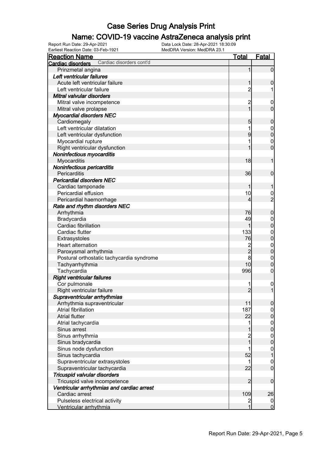#### Name: COVID-19 vaccine AstraZeneca analysis print

Earliest Reaction Date: 03-Feb-1921 MedDRA Version: MedDRA 23.1

| <b>Reaction Name</b>                          | <b>Total</b>                     | Fatal                            |
|-----------------------------------------------|----------------------------------|----------------------------------|
| Cardiac disorders cont'd<br>Cardiac disorders |                                  |                                  |
| Prinzmetal angina                             | 1                                | $\boldsymbol{0}$                 |
| Left ventricular failures                     |                                  |                                  |
| Acute left ventricular failure                | 1                                | $\boldsymbol{0}$                 |
| Left ventricular failure                      | $\overline{c}$                   |                                  |
| Mitral valvular disorders                     |                                  |                                  |
| Mitral valve incompetence                     | 2                                | $\overline{0}$                   |
| Mitral valve prolapse                         | 1                                | $\mathbf 0$                      |
| <b>Myocardial disorders NEC</b>               |                                  |                                  |
| Cardiomegaly                                  | 5                                | $\mathbf 0$                      |
| Left ventricular dilatation                   |                                  | $\boldsymbol{0}$                 |
| Left ventricular dysfunction                  | 9                                | $\mathbf 0$                      |
| Myocardial rupture                            |                                  | $\mathbf 0$                      |
| Right ventricular dysfunction                 |                                  | $\overline{0}$                   |
| Noninfectious myocarditis                     |                                  |                                  |
| Myocarditis                                   | 18                               | 1                                |
| Noninfectious pericarditis                    |                                  |                                  |
| Pericarditis                                  | 36                               | $\mathbf 0$                      |
| <b>Pericardial disorders NEC</b>              |                                  |                                  |
| Cardiac tamponade                             |                                  | 1                                |
| Pericardial effusion                          | 10                               | $\frac{0}{2}$                    |
| Pericardial haemorrhage                       | 4                                |                                  |
| Rate and rhythm disorders NEC                 |                                  |                                  |
| Arrhythmia                                    | 76                               | $\boldsymbol{0}$                 |
| Bradycardia                                   | 49                               | $\mathbf 0$                      |
| Cardiac fibrillation                          | 1                                | $\mathbf 0$                      |
| Cardiac flutter                               | 133                              | $\boldsymbol{0}$                 |
| Extrasystoles                                 | 76                               | $\mathbf 0$                      |
| Heart alternation                             | $\frac{2}{2}$                    | $\boldsymbol{0}$                 |
| Paroxysmal arrhythmia                         |                                  | $\mathbf 0$                      |
| Postural orthostatic tachycardia syndrome     | 8                                | $\mathbf 0$                      |
| Tachyarrhythmia                               | 10                               | $\mathbf 0$                      |
| Tachycardia                                   | 996                              | $\boldsymbol{0}$                 |
| <b>Right ventricular failures</b>             |                                  |                                  |
| Cor pulmonale                                 |                                  | $\mathbf{0}$                     |
| Right ventricular failure                     | $\overline{2}$                   | $\mathbf{1}$                     |
| Supraventricular arrhythmias                  |                                  |                                  |
| Arrhythmia supraventricular                   | 11                               | $\overline{0}$                   |
| Atrial fibrillation                           | 187                              | $\boldsymbol{0}$                 |
| <b>Atrial flutter</b>                         | 22                               | $\mathbf 0$                      |
| Atrial tachycardia                            | 1                                | $0\atop 0$                       |
| Sinus arrest                                  |                                  |                                  |
| Sinus arrhythmia                              | $\overline{c}$<br>$\overline{1}$ | $0\atop 0$                       |
| Sinus bradycardia                             |                                  |                                  |
| Sinus node dysfunction                        |                                  | $\mathbf{0}$                     |
| Sinus tachycardia                             | 52                               | $\overline{1}$                   |
| Supraventricular extrasystoles                | 1                                | $\mathbf{0}$                     |
| Supraventricular tachycardia                  | 22                               | $\overline{0}$                   |
| Tricuspid valvular disorders                  |                                  |                                  |
| Tricuspid valve incompetence                  | $\overline{2}$                   | $\mathbf 0$                      |
| Ventricular arrhythmias and cardiac arrest    |                                  |                                  |
| Cardiac arrest                                | 109                              | 26                               |
| Pulseless electrical activity                 | 2<br>1                           | $\overline{0}$<br>$\overline{0}$ |
| Ventricular arrhythmia                        |                                  |                                  |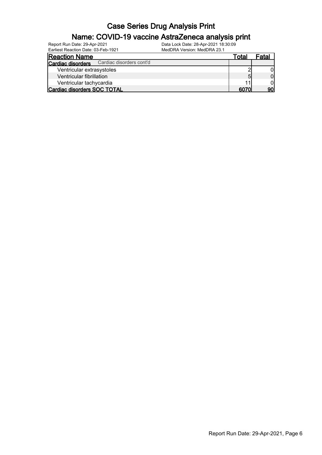#### Name: COVID-19 vaccine AstraZeneca analysis print

| <b>Reaction Name</b>                          | Total | Fatal |
|-----------------------------------------------|-------|-------|
| Cardiac disorders cont'd<br>Cardiac disorders |       |       |
| Ventricular extrasystoles                     |       |       |
| Ventricular fibrillation                      | 5     |       |
| Ventricular tachycardia                       |       |       |
| Cardiac disorders SOC TOTAL                   | 6070  |       |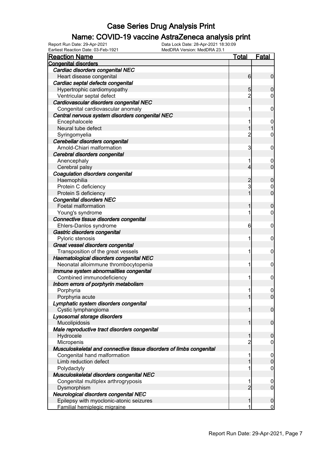#### Name: COVID-19 vaccine AstraZeneca analysis print

Earliest Reaction Date: 03-Feb-1921 MedDRA Version: MedDRA 23.1

| <b>Reaction Name</b>                                                | <b>Total</b>   | <b>Fatal</b>     |
|---------------------------------------------------------------------|----------------|------------------|
| <b>Congenital disorders</b>                                         |                |                  |
| Cardiac disorders congenital NEC                                    |                |                  |
| Heart disease congenital                                            | 6              | $\mathbf 0$      |
| Cardiac septal defects congenital                                   |                |                  |
| Hypertrophic cardiomyopathy                                         | 5              | $\mathbf 0$      |
| Ventricular septal defect                                           | $\overline{c}$ | 0                |
| Cardiovascular disorders congenital NEC                             |                |                  |
| Congenital cardiovascular anomaly                                   | 1              | 0                |
| Central nervous system disorders congenital NEC                     |                |                  |
| Encephalocele                                                       |                | $\overline{0}$   |
| Neural tube defect                                                  | 1              |                  |
| Syringomyelia                                                       | $\overline{c}$ | $\mathbf 0$      |
| Cerebellar disorders congenital                                     |                |                  |
| Arnold-Chiari malformation                                          | 3              | 0                |
| Cerebral disorders congenital                                       |                |                  |
| Anencephaly                                                         |                | $\mathbf 0$      |
| Cerebral palsy                                                      | 4              | $\mathbf 0$      |
| Coagulation disorders congenital                                    |                |                  |
| Haemophilia                                                         | $\overline{c}$ | $\boldsymbol{0}$ |
| Protein C deficiency                                                | 3              | 0                |
| Protein S deficiency                                                |                | $\overline{0}$   |
| <b>Congenital disorders NEC</b>                                     |                |                  |
| Foetal malformation                                                 | 1              | $\boldsymbol{0}$ |
| Young's syndrome                                                    | 1              | $\mathbf 0$      |
| Connective tissue disorders congenital                              |                |                  |
| Ehlers-Danlos syndrome                                              | 6              | $\mathbf 0$      |
| Gastric disorders congenital                                        |                |                  |
| Pyloric stenosis                                                    | 1              | 0                |
| Great vessel disorders congenital                                   |                |                  |
| Transposition of the great vessels                                  | 1              | 0                |
| Haematological disorders congenital NEC                             |                |                  |
| Neonatal alloimmune thrombocytopenia                                | 1              | $\mathbf 0$      |
| Immune system abnormalities congenital                              |                |                  |
| Combined immunodeficiency                                           | 1              | $\mathbf 0$      |
| Inborn errors of porphyrin metabolism                               |                |                  |
| Porphyria                                                           | 11             | 0                |
| Porphyria acute                                                     | 1              | $\overline{0}$   |
| Lymphatic system disorders congenital                               |                |                  |
| Cystic lymphangioma                                                 | 1              | $\mathbf 0$      |
| Lysosomal storage disorders                                         |                |                  |
| Mucolipidosis                                                       | 1              | $\mathbf 0$      |
| Male reproductive tract disorders congenital                        |                |                  |
| Hydrocele                                                           | 1              | $\mathbf 0$      |
| Micropenis                                                          | 2              | 0                |
| Musculoskeletal and connective tissue disorders of limbs congenital |                |                  |
| Congenital hand malformation                                        | 1              | $\overline{0}$   |
| Limb reduction defect                                               |                | $\mathbf 0$      |
| Polydactyly                                                         |                | $\boldsymbol{0}$ |
| Musculoskeletal disorders congenital NEC                            |                |                  |
| Congenital multiplex arthrogryposis                                 | 1              | $\mathbf 0$      |
| Dysmorphism                                                         | $\overline{2}$ | $\overline{0}$   |
| Neurological disorders congenital NEC                               |                |                  |
| Epilepsy with myoclonic-atonic seizures                             | 1              | $\mathbf 0$      |
| Familial hemiplegic migraine                                        | 1              | $\overline{0}$   |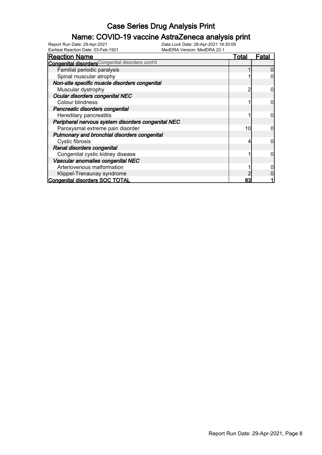#### Name: COVID-19 vaccine AstraZeneca analysis print

| Earliest Reaction Date: 03-Feb-1921                     | MedDRA Version: MedDRA 23.1 |              |
|---------------------------------------------------------|-----------------------------|--------------|
| <b>Reaction Name</b>                                    | Total                       | <u>Fatal</u> |
| <b>Congenital disorders</b> Congenital disorders cont'd |                             |              |
| Familial periodic paralysis                             |                             |              |
| Spinal muscular atrophy                                 |                             |              |
| Non-site specific muscle disorders congenital           |                             |              |
| Muscular dystrophy                                      |                             |              |
| Ocular disorders congenital NEC                         |                             |              |
| Colour blindness                                        |                             | 0            |
| Pancreatic disorders congenital                         |                             |              |
| Hereditary pancreatitis                                 |                             |              |
| Peripheral nervous system disorders congenital NEC      |                             |              |
| Paroxysmal extreme pain disorder                        | 10                          |              |
| Pulmonary and bronchial disorders congenital            |                             |              |
| Cystic fibrosis                                         |                             |              |
| Renal disorders congenital                              |                             |              |
| Congenital cystic kidney disease                        |                             | ი            |
| Vascular anomalies congenital NEC                       |                             |              |
| Arteriovenous malformation                              |                             |              |
| Klippel-Trenaunay syndrome                              |                             |              |
| <b>Congenital disorders SOC TOTAL</b>                   | 83                          |              |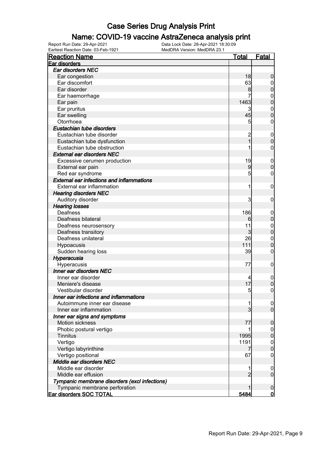#### Name: COVID-19 vaccine AstraZeneca analysis print

| <b>Reaction Name</b>                                                 | <u>Total</u>                          | <u>Fatal</u>                    |
|----------------------------------------------------------------------|---------------------------------------|---------------------------------|
| Ear disorders                                                        |                                       |                                 |
| Ear disorders NEC                                                    |                                       |                                 |
| Ear congestion                                                       | 18                                    | $\boldsymbol{0}$                |
| Ear discomfort                                                       | 63                                    | $\boldsymbol{0}$                |
| Ear disorder                                                         | 8                                     | $\mathbf 0$                     |
| Ear haemorrhage                                                      |                                       | $\mathbf{0}$                    |
| Ear pain                                                             | 1463                                  | $\overline{0}$                  |
| Ear pruritus                                                         | 3                                     | $\mathbf{0}$                    |
| Ear swelling                                                         | 45                                    | $\overline{0}$                  |
| Otorrhoea                                                            | 5                                     | $\boldsymbol{0}$                |
| Eustachian tube disorders                                            |                                       |                                 |
| Eustachian tube disorder                                             |                                       | $\boldsymbol{0}$                |
| Eustachian tube dysfunction                                          | $\begin{array}{c} 2 \\ 1 \end{array}$ | $\mathbf 0$                     |
| Eustachian tube obstruction                                          |                                       | $\boldsymbol{0}$                |
| <b>External ear disorders NEC</b>                                    |                                       |                                 |
| Excessive cerumen production                                         | 19                                    |                                 |
|                                                                      | 9                                     | $\boldsymbol{0}$<br>$\mathbf 0$ |
| External ear pain                                                    | 5                                     |                                 |
| Red ear syndrome<br><b>External ear infections and inflammations</b> |                                       | $\mathbf{0}$                    |
|                                                                      |                                       |                                 |
| External ear inflammation                                            | 1                                     | $\mathbf 0$                     |
| <b>Hearing disorders NEC</b>                                         |                                       |                                 |
| Auditory disorder                                                    | 3                                     | $\mathbf 0$                     |
| <b>Hearing losses</b>                                                |                                       |                                 |
| Deafness                                                             | 186                                   | $\boldsymbol{0}$                |
| Deafness bilateral                                                   | 6                                     | $\mathbf 0$                     |
| Deafness neurosensory                                                | 11                                    | $0\atop 0$                      |
| Deafness transitory                                                  | 3                                     |                                 |
| Deafness unilateral                                                  | 26                                    | $\mathbf{0}$                    |
| Hypoacusis                                                           | 111                                   | $\overline{0}$                  |
| Sudden hearing loss                                                  | 39                                    | 0                               |
| Hyperacusia                                                          |                                       |                                 |
| Hyperacusis                                                          | 77                                    | $\boldsymbol{0}$                |
| Inner ear disorders NEC                                              |                                       |                                 |
| Inner ear disorder                                                   | 4                                     | $\mathbf 0$                     |
| Meniere's disease                                                    | 17                                    | $\mathbf 0$                     |
| Vestibular disorder                                                  | 5                                     | $\mathbf 0$                     |
| Inner ear infections and inflammations                               |                                       |                                 |
| Autoimmune inner ear disease                                         | 1                                     | $\overline{0}$                  |
| Inner ear inflammation                                               | 3                                     | $\mathbf 0$                     |
| Inner ear signs and symptoms                                         |                                       |                                 |
| <b>Motion sickness</b>                                               | 77                                    | $\mathbf 0$                     |
| Phobic postural vertigo                                              |                                       | 0                               |
| <b>Tinnitus</b>                                                      | 1995                                  | $\boldsymbol{0}$                |
| Vertigo                                                              | 1191                                  | $\mathbf 0$                     |
| Vertigo labyrinthine                                                 |                                       | $\mathbf 0$                     |
| Vertigo positional                                                   | 67                                    | $\mathbf 0$                     |
| Middle ear disorders NEC                                             |                                       |                                 |
| Middle ear disorder                                                  | 1                                     | $\boldsymbol{0}$                |
| Middle ear effusion                                                  | $\overline{2}$                        | $\mathbf 0$                     |
| Tympanic membrane disorders (excl infections)                        |                                       |                                 |
| Tympanic membrane perforation                                        |                                       | $\boldsymbol{0}$                |
| Ear disorders SOC TOTAL                                              | 5484                                  | $\overline{0}$                  |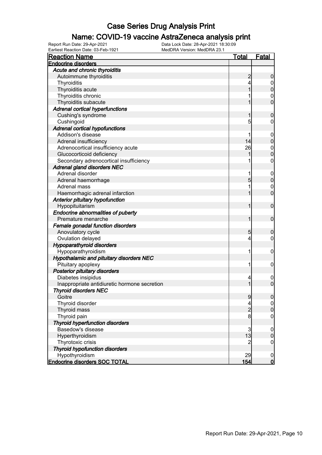#### Name: COVID-19 vaccine AstraZeneca analysis print

| <b>Reaction Name</b>                         | <u>Total</u>   | <b>Fatal</b>     |
|----------------------------------------------|----------------|------------------|
| <b>Endocrine disorders</b>                   |                |                  |
| Acute and chronic thyroiditis                |                |                  |
| Autoimmune thyroiditis                       | $\overline{a}$ | $\boldsymbol{0}$ |
| Thyroiditis                                  | 4              | 0                |
| Thyroiditis acute                            | 1              | $\mathbf 0$      |
| Thyroiditis chronic                          |                | $\mathbf 0$      |
| Thyroiditis subacute                         |                | $\overline{0}$   |
| <b>Adrenal cortical hyperfunctions</b>       |                |                  |
| Cushing's syndrome                           | 1              | $\boldsymbol{0}$ |
| Cushingoid                                   | 5              | $\mathbf 0$      |
| <b>Adrenal cortical hypofunctions</b>        |                |                  |
| Addison's disease                            |                | $\boldsymbol{0}$ |
| Adrenal insufficiency                        | 14             | $\mathbf 0$      |
| Adrenocortical insufficiency acute           | 26             | $\mathbf{0}$     |
| Glucocorticoid deficiency                    |                | $\overline{0}$   |
| Secondary adrenocortical insufficiency       |                | $\mathbf 0$      |
| <b>Adrenal gland disorders NEC</b>           |                |                  |
| Adrenal disorder                             | 1              | $\boldsymbol{0}$ |
| Adrenal haemorrhage                          | 5              | $\mathbf 0$      |
| Adrenal mass                                 |                | $\mathbf 0$      |
| Haemorrhagic adrenal infarction              | 1              | $\overline{0}$   |
| Anterior pituitary hypofunction              |                |                  |
| Hypopituitarism                              | 1              | $\mathbf 0$      |
| <b>Endocrine abnormalities of puberty</b>    |                |                  |
| Premature menarche                           | 1              | $\mathbf 0$      |
| Female gonadal function disorders            |                |                  |
| Anovulatory cycle                            | 5              | $\boldsymbol{0}$ |
| Ovulation delayed                            | 4              | $\mathbf 0$      |
| <b>Hypoparathyroid disorders</b>             |                |                  |
| Hypoparathyroidism                           | 1              | $\mathbf 0$      |
| Hypothalamic and pituitary disorders NEC     |                |                  |
| Pituitary apoplexy                           | 1              | $\mathbf 0$      |
| <b>Posterior pituitary disorders</b>         |                |                  |
| Diabetes insipidus                           | 4              | $\mathbf 0$      |
| Inappropriate antidiuretic hormone secretion | 1              | $\mathbf 0$      |
| <b>Thyroid disorders NEC</b>                 |                |                  |
| Goitre                                       | 9              | 0                |
| Thyroid disorder                             | 4              | 0                |
| Thyroid mass                                 | $\overline{2}$ | $\pmb{0}$        |
| Thyroid pain                                 | 8              | $\mathbf 0$      |
| <b>Thyroid hyperfunction disorders</b>       |                |                  |
| Basedow's disease                            | $\mathbf{3}$   | $\mathbf 0$      |
| Hyperthyroidism                              | 13             | $\pmb{0}$        |
| Thyrotoxic crisis                            | $\overline{2}$ | $\mathbf 0$      |
| <b>Thyroid hypofunction disorders</b>        |                |                  |
| Hypothyroidism                               | 29             | $\boldsymbol{0}$ |
| <b>Endocrine disorders SOC TOTAL</b>         | 154            | $\overline{0}$   |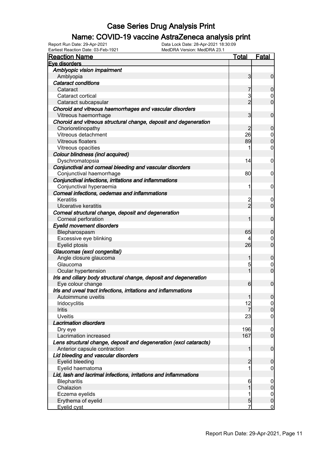#### Name: COVID-19 vaccine AstraZeneca analysis print

Earliest Reaction Date: 03-Feb-1921 MedDRA Version: MedDRA 23.1

| <b>Reaction Name</b>                                              | <u>Total</u>   | <b>Fatal</b>                     |
|-------------------------------------------------------------------|----------------|----------------------------------|
| Eye disorders                                                     |                |                                  |
| Amblyopic vision impairment                                       |                |                                  |
| Amblyopia                                                         | $\mathbf{3}$   | $\mathbf 0$                      |
| <b>Cataract conditions</b>                                        |                |                                  |
| Cataract                                                          |                | $\mathbf 0$                      |
| Cataract cortical                                                 | 3              | $\mathbf 0$                      |
| Cataract subcapsular                                              | $\overline{2}$ | $\overline{0}$                   |
| Choroid and vitreous haemorrhages and vascular disorders          |                |                                  |
| Vitreous haemorrhage                                              | 3              | $\mathbf 0$                      |
| Choroid and vitreous structural change, deposit and degeneration  |                |                                  |
| Chorioretinopathy                                                 | 2              | $\boldsymbol{0}$                 |
| Vitreous detachment                                               | 26             | $\begin{matrix}0\\0\end{matrix}$ |
| Vitreous floaters                                                 | 89             |                                  |
| Vitreous opacities                                                | 1              | $\mathbf 0$                      |
| Colour blindness (incl acquired)                                  |                |                                  |
| Dyschromatopsia                                                   | 14             | $\mathbf 0$                      |
| Conjunctival and corneal bleeding and vascular disorders          |                |                                  |
| Conjunctival haemorrhage                                          | 80             | $\mathbf 0$                      |
| Conjunctival infections, irritations and inflammations            |                |                                  |
| Conjunctival hyperaemia                                           | 1              | $\mathbf 0$                      |
| Corneal infections, oedemas and inflammations                     |                |                                  |
| Keratitis                                                         | $\overline{c}$ | $\boldsymbol{0}$                 |
| <b>Ulcerative keratitis</b>                                       | $\overline{2}$ | $\overline{0}$                   |
| Corneal structural change, deposit and degeneration               |                |                                  |
| Corneal perforation                                               | 1              | $\mathbf 0$                      |
| <b>Eyelid movement disorders</b>                                  |                |                                  |
| Blepharospasm                                                     | 65             | $\mathbf 0$                      |
| Excessive eye blinking                                            |                | $\mathbf 0$                      |
| Eyelid ptosis                                                     | 26             | $\overline{0}$                   |
| Glaucomas (excl congenital)                                       |                |                                  |
| Angle closure glaucoma                                            | 1              | $\mathbf 0$                      |
| Glaucoma                                                          | 5              | $\mathbf 0$                      |
| Ocular hypertension                                               | 1              | $\overline{0}$                   |
| Iris and ciliary body structural change, deposit and degeneration |                |                                  |
| Eye colour change                                                 | 6              | $\mathbf 0$                      |
| Iris and uveal tract infections, irritations and inflammations    |                |                                  |
| Autoimmune uveitis                                                | 1              | 0                                |
| Iridocyclitis                                                     | 12             | $\overline{0}$                   |
| Iritis                                                            | 7              | $\boldsymbol{0}$                 |
| <b>Uveitis</b>                                                    | 23             | $\boldsymbol{0}$                 |
| <b>Lacrimation disorders</b>                                      |                |                                  |
| Dry eye                                                           | 196            | $\mathbf 0$                      |
| Lacrimation increased                                             | 167            | $\overline{0}$                   |
| Lens structural change, deposit and degeneration (excl cataracts) |                |                                  |
| Anterior capsule contraction                                      | 1              | $\mathbf 0$                      |
| Lid bleeding and vascular disorders                               |                |                                  |
| Eyelid bleeding                                                   | $\overline{c}$ | $\mathbf 0$                      |
| Eyelid haematoma                                                  | 1              | $\mathbf 0$                      |
| Lid, lash and lacrimal infections, irritations and inflammations  |                |                                  |
| <b>Blepharitis</b>                                                | 6              | $\mathbf 0$                      |
| Chalazion                                                         | 1              | $\pmb{0}$                        |
| Eczema eyelids                                                    | 1              | $\mathbf 0$                      |
| Erythema of eyelid                                                | 5              | $\pmb{0}$                        |
| Eyelid cyst                                                       | 7              | $\overline{0}$                   |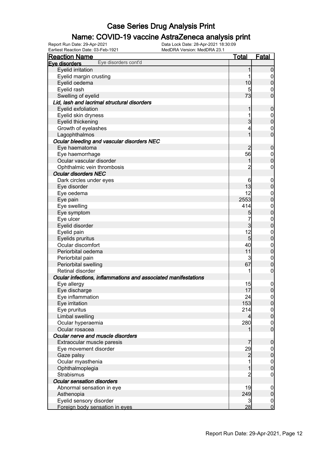#### Name: COVID-19 vaccine AstraZeneca analysis print

Earliest Reaction Date: 03-Feb-1921 MedDRA Version: MedDRA 23.1

| <u>Reaction Name</u>                                           | <u>Total</u>    | <u>Fatal</u>                         |
|----------------------------------------------------------------|-----------------|--------------------------------------|
| Eye disorders cont'd<br>Eve disorders                          |                 |                                      |
| Eyelid irritation                                              | 1               | $\mathbf 0$                          |
| Eyelid margin crusting                                         | 1               | $\overline{0}$                       |
| Eyelid oedema                                                  | 10              | $\pmb{0}$                            |
| Eyelid rash                                                    | 5               | $\overline{0}$                       |
| Swelling of eyelid                                             | 73              | $\mathbf 0$                          |
| Lid, lash and lacrimal structural disorders                    |                 |                                      |
| Eyelid exfoliation                                             | 1               | $\boldsymbol{0}$                     |
| Eyelid skin dryness                                            | 1               | $\overline{0}$                       |
| Eyelid thickening                                              | $\overline{3}$  | $\mathbf 0$                          |
| Growth of eyelashes                                            | 4               | $\overline{0}$                       |
| Lagophthalmos                                                  | 1               | $\overline{0}$                       |
| Ocular bleeding and vascular disorders NEC                     |                 |                                      |
| Eye haematoma                                                  | $\overline{c}$  | $\boldsymbol{0}$                     |
| Eye haemorrhage                                                | 56              | $\overline{0}$                       |
| Ocular vascular disorder                                       | 1               | $\mathbf 0$                          |
| Ophthalmic vein thrombosis                                     | $\overline{2}$  | $\mathbf 0$                          |
| <b>Ocular disorders NEC</b>                                    |                 |                                      |
|                                                                |                 |                                      |
| Dark circles under eyes                                        | 6               | $\mathbf 0$                          |
| Eye disorder                                                   | 13              | $\pmb{0}$                            |
| Eye oedema                                                     | 12              | $\overline{0}$                       |
| Eye pain                                                       | 2553            | $\mathbf 0$                          |
| Eye swelling                                                   | 414             | $\boldsymbol{0}$                     |
| Eye symptom                                                    | 5               | $\mathbf 0$                          |
| Eye ulcer                                                      | 7               | $\overline{0}$                       |
| Eyelid disorder                                                | $\overline{3}$  | $\mathbf 0$                          |
| Eyelid pain                                                    | 12              | $\boldsymbol{0}$                     |
| Eyelids pruritus                                               | $5\overline{)}$ | $\mathbf 0$                          |
| Ocular discomfort                                              | 40              | $\boldsymbol{0}$                     |
| Periorbital oedema                                             | 11              | $\mathbf 0$                          |
| Periorbital pain                                               | 3               | $\boldsymbol{0}$                     |
| Periorbital swelling                                           | 67              | $\pmb{0}$                            |
| Retinal disorder                                               | 1               | $\mathbf 0$                          |
| Ocular infections, inflammations and associated manifestations |                 |                                      |
| Eye allergy                                                    | 15              | $\boldsymbol{0}$                     |
| Eye discharge                                                  | 17              | $\boldsymbol{0}$                     |
| Eye inflammation                                               | 24              | 0                                    |
| Eye irritation                                                 | 153             | $\overline{0}$                       |
| Eye pruritus                                                   | 214             |                                      |
| Limbal swelling                                                | 4               | $\begin{matrix} 0 \\ 0 \end{matrix}$ |
| Ocular hyperaemia                                              | 280             | $\boldsymbol{0}$                     |
| Ocular rosacea                                                 |                 | $\overline{0}$                       |
| Ocular nerve and muscle disorders                              |                 |                                      |
| Extraocular muscle paresis                                     | 7               | $\boldsymbol{0}$                     |
| Eye movement disorder                                          | 29              | $\overline{0}$                       |
| Gaze palsy                                                     | $\overline{c}$  | $\mathbf 0$                          |
| Ocular myasthenia                                              |                 |                                      |
| Ophthalmoplegia                                                | 1               | $0$<br>0                             |
| <b>Strabismus</b>                                              | $\overline{2}$  | $\mathbf 0$                          |
| <b>Ocular sensation disorders</b>                              |                 |                                      |
| Abnormal sensation in eye                                      | 19              | $\mathbf 0$                          |
| Asthenopia                                                     | 249             | $\pmb{0}$                            |
| Eyelid sensory disorder                                        | 3               | $\boldsymbol{0}$                     |
| Foreign body sensation in eyes                                 | 28              | $\overline{0}$                       |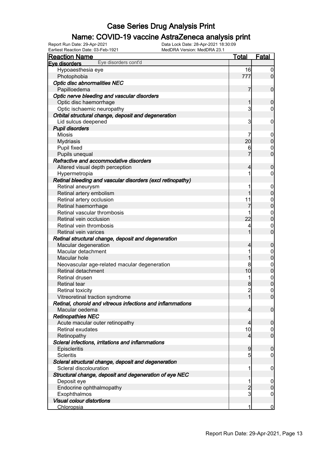#### Name: COVID-19 vaccine AstraZeneca analysis print

Earliest Reaction Date: 03-Feb-1921 MedDRA Version: MedDRA 23.1

| <b>Reaction Name</b>                                       | <u>Total</u>   | <b>Fatal</b>     |
|------------------------------------------------------------|----------------|------------------|
| Eye disorders cont'd<br>Eve disorders                      |                |                  |
| Hypoaesthesia eye                                          | 16             | $\overline{0}$   |
| Photophobia                                                | 777            | $\overline{0}$   |
| Optic disc abnormalities NEC                               |                |                  |
| Papilloedema                                               | 7              | $\boldsymbol{0}$ |
| Optic nerve bleeding and vascular disorders                |                |                  |
| Optic disc haemorrhage                                     | 1              | $\mathbf 0$      |
| Optic ischaemic neuropathy                                 | 3              | $\mathbf 0$      |
| Orbital structural change, deposit and degeneration        |                |                  |
| Lid sulcus deepened                                        | 3              | $\mathbf 0$      |
| <b>Pupil disorders</b>                                     |                |                  |
| <b>Miosis</b>                                              | 7              | $\mathbf 0$      |
| <b>Mydriasis</b>                                           | 20             | $\pmb{0}$        |
| Pupil fixed                                                | 6              | $\mathbf 0$      |
| Pupils unequal                                             | 7              | $\overline{0}$   |
| Refractive and accommodative disorders                     |                |                  |
| Altered visual depth perception                            | 4              | $\boldsymbol{0}$ |
| Hypermetropia                                              | 1              | $\mathbf 0$      |
| Retinal bleeding and vascular disorders (excl retinopathy) |                |                  |
| Retinal aneurysm                                           | 1              | $\mathbf 0$      |
| Retinal artery embolism                                    | 1              | $\pmb{0}$        |
| Retinal artery occlusion                                   | 11             | $\boldsymbol{0}$ |
| Retinal haemorrhage                                        | 7              | $\overline{0}$   |
| Retinal vascular thrombosis                                |                |                  |
| Retinal vein occlusion                                     | 22             | $0$<br>0         |
| Retinal vein thrombosis                                    | 4              | $\mathbf 0$      |
| Retinal vein varices                                       | 1              | $\overline{0}$   |
| Retinal structural change, deposit and degeneration        |                |                  |
| Macular degeneration                                       | 4              | $\boldsymbol{0}$ |
| Macular detachment                                         | 1              | $\boldsymbol{0}$ |
| Macular hole                                               | 1              | $\mathbf 0$      |
| Neovascular age-related macular degeneration               | 8              |                  |
| Retinal detachment                                         | 10             | $0$ 0            |
| Retinal drusen                                             | 1              |                  |
| <b>Retinal tear</b>                                        | 8              | $0\atop 0$       |
| <b>Retinal toxicity</b>                                    | $\overline{2}$ | $\mathbf 0$      |
| Vitreoretinal traction syndrome                            | $\mathbf{1}$   | 0                |
| Retinal, choroid and vitreous infections and inflammations |                |                  |
| Macular oedema                                             | $\overline{4}$ | $\mathbf 0$      |
| <b>Retinopathies NEC</b>                                   |                |                  |
| Acute macular outer retinopathy                            | $\overline{4}$ | $\boldsymbol{0}$ |
| Retinal exudates                                           | 10             | $\overline{0}$   |
| Retinopathy                                                | $\overline{4}$ | $\boldsymbol{0}$ |
| Scleral infections, irritations and inflammations          |                |                  |
| Episcleritis                                               | 9              | $\boldsymbol{0}$ |
| <b>Scleritis</b>                                           | 5              | $\mathbf 0$      |
| Scleral structural change, deposit and degeneration        |                |                  |
| Scleral discolouration                                     | 1              | $\mathbf 0$      |
| Structural change, deposit and degeneration of eye NEC     |                |                  |
| Deposit eye                                                | 1              | $\mathbf 0$      |
| Endocrine ophthalmopathy                                   | $\overline{c}$ | $\pmb{0}$        |
| Exophthalmos                                               | 3              | $\mathbf 0$      |
| <b>Visual colour distortions</b>                           |                |                  |
| Chloropsia                                                 | 1              | $\overline{0}$   |
|                                                            |                |                  |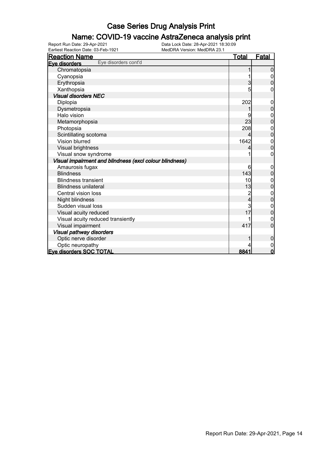#### Name: COVID-19 vaccine AstraZeneca analysis print

| <b>Reaction Name</b>                                    | <b>Total</b> | <b>Fatal</b>   |
|---------------------------------------------------------|--------------|----------------|
| Eye disorders cont'd<br>Eve disorders                   |              |                |
| Chromatopsia                                            |              | 0              |
| Cyanopsia                                               |              |                |
| Erythropsia                                             | 3            | 0              |
| Xanthopsia                                              | 5            | 0              |
| <b>Visual disorders NEC</b>                             |              |                |
| Diplopia                                                | 202          | $\overline{0}$ |
| Dysmetropsia                                            |              | $\overline{0}$ |
| Halo vision                                             |              | 0              |
| Metamorphopsia                                          | 23           | $\mathbf 0$    |
| Photopsia                                               | 208          | 0              |
| Scintillating scotoma                                   | 4            | $\mathbf 0$    |
| <b>Vision blurred</b>                                   | 1642         | 0              |
| Visual brightness                                       |              | 0              |
| Visual snow syndrome                                    |              | 0              |
| Visual impairment and blindness (excl colour blindness) |              |                |
| Amaurosis fugax                                         | 6            | 0              |
| <b>Blindness</b>                                        | 143          | $\mathbf 0$    |
| <b>Blindness transient</b>                              | 10           | 0              |
| <b>Blindness unilateral</b>                             | 13           | $\mathbf 0$    |
| Central vision loss                                     |              | 0              |
| Night blindness                                         | 4            | 0              |
| Sudden visual loss                                      | 3            | $\mathbf 0$    |
| Visual acuity reduced                                   | 17           | $\overline{0}$ |
| Visual acuity reduced transiently                       |              | 0              |
| Visual impairment                                       | 417          | $\overline{0}$ |
| Visual pathway disorders                                |              |                |
| Optic nerve disorder                                    |              | $\mathbf 0$    |
| Optic neuropathy                                        |              | 0              |
| Eye disorders SOC TOTAL                                 | 8841         | $\mathbf 0$    |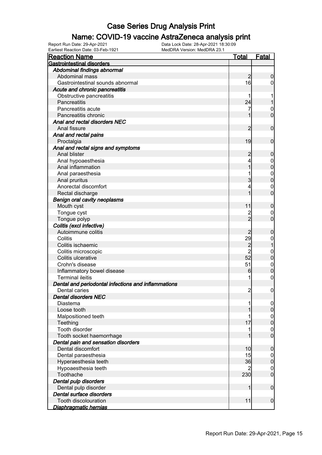#### Name: COVID-19 vaccine AstraZeneca analysis print

| Earliest Reaction Date: 03-Feb-1921                 | MedDRA Version: MedDRA 23.1 |                |                     |
|-----------------------------------------------------|-----------------------------|----------------|---------------------|
| <u>Reaction Name</u>                                |                             | <u>Total</u>   | <b>Fatal</b>        |
| <b>Gastrointestinal disorders</b>                   |                             |                |                     |
| Abdominal findings abnormal                         |                             |                |                     |
| Abdominal mass                                      |                             | $\overline{c}$ | $\boldsymbol{0}$    |
| Gastrointestinal sounds abnormal                    |                             | 16             | $\overline{0}$      |
| Acute and chronic pancreatitis                      |                             |                |                     |
| Obstructive pancreatitis                            |                             | 1              | 1                   |
| Pancreatitis                                        |                             | 24             | 1                   |
| Pancreatitis acute                                  |                             | 7              | $\mathbf{0}$        |
| Pancreatitis chronic                                |                             | 1              | $\mathbf 0$         |
| Anal and rectal disorders NEC                       |                             |                |                     |
| Anal fissure                                        |                             | 2              | $\boldsymbol{0}$    |
| Anal and rectal pains                               |                             |                |                     |
| Proctalgia                                          |                             | 19             | $\boldsymbol{0}$    |
| Anal and rectal signs and symptoms                  |                             |                |                     |
| Anal blister                                        |                             | $\overline{c}$ | $\boldsymbol{0}$    |
| Anal hypoaesthesia                                  |                             | 4              | $\mathbf 0$         |
| Anal inflammation                                   |                             | 1              | $\mathbf 0$         |
| Anal paraesthesia                                   |                             |                | $\boldsymbol{0}$    |
| Anal pruritus                                       |                             | 3              | $\mathbf 0$         |
| Anorectal discomfort                                |                             | 4              | $\mathbf{0}$        |
| Rectal discharge                                    |                             | 1              | $\overline{0}$      |
| <b>Benign oral cavity neoplasms</b>                 |                             |                |                     |
| Mouth cyst                                          |                             | 11             | $\boldsymbol{0}$    |
| Tongue cyst                                         |                             | $\overline{c}$ | $\overline{0}$      |
| Tongue polyp                                        |                             | $\overline{2}$ | $\boldsymbol{0}$    |
| Colitis (excl infective)                            |                             |                |                     |
| Autoimmune colitis                                  |                             | $\overline{c}$ | $\mathbf 0$         |
| Colitis                                             |                             | 29             | $\boldsymbol{0}$    |
| Colitis ischaemic                                   |                             |                | $\overline{1}$      |
| Colitis microscopic                                 |                             | 2<br>2         | $\mathbf{0}$        |
| Colitis ulcerative                                  |                             | 52             | $\mathbf 0$         |
| Crohn's disease                                     |                             | 51             | $\boldsymbol{0}$    |
| Inflammatory bowel disease                          |                             | 6              | $\mathbf 0$         |
| <b>Terminal ileitis</b>                             |                             | 1              | $\mathbf 0$         |
| Dental and periodontal infections and inflammations |                             |                |                     |
| Dental caries                                       |                             | っ              | $\overline{0}$      |
| <b>Dental disorders NEC</b>                         |                             |                |                     |
| Diastema                                            |                             |                | $\overline{0}$      |
| Loose tooth                                         |                             |                | $\boldsymbol{0}$    |
| Malpositioned teeth                                 |                             |                | $\overline{0}$      |
| Teething                                            |                             | 17             | $\boldsymbol{0}$    |
| Tooth disorder                                      |                             |                | 0                   |
| Tooth socket haemorrhage                            |                             |                | $\mathbf 0$         |
| Dental pain and sensation disorders                 |                             |                |                     |
| Dental discomfort                                   |                             | 10             | $\mathbf 0$         |
| Dental paraesthesia                                 |                             | 15             | $\overline{0}$      |
| Hyperaesthesia teeth                                |                             | 36             | $\mathsf{O}\xspace$ |
| Hypoaesthesia teeth                                 |                             |                | 0                   |
| Toothache                                           |                             | 230            | $\mathbf 0$         |
| Dental pulp disorders                               |                             |                |                     |
| Dental pulp disorder                                |                             | 1              | $\boldsymbol{0}$    |
| Dental surface disorders                            |                             |                |                     |
| Tooth discolouration                                |                             | 11             | $\mathbf 0$         |
| <u>Diaphragmatic hernias</u>                        |                             |                |                     |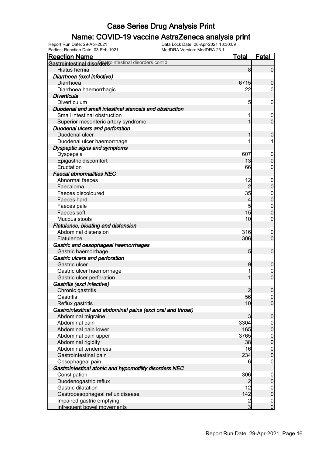#### Name: COVID-19 vaccine AstraZeneca analysis print

| <b>Reaction Name</b>                                        | <b>Total</b>    | <b>Fatal</b>     |
|-------------------------------------------------------------|-----------------|------------------|
| Gastrointestinal disordersointestinal disorders cont'd      |                 |                  |
| Hiatus hernia                                               | 8               | $\overline{0}$   |
| Diarrhoea (excl infective)                                  |                 |                  |
| Diarrhoea                                                   | 6715            | $\boldsymbol{0}$ |
| Diarrhoea haemorrhagic                                      | 22              | $\overline{0}$   |
| <b>Diverticula</b>                                          |                 |                  |
| Diverticulum                                                | 5               | $\mathbf 0$      |
| Duodenal and small intestinal stenosis and obstruction      |                 |                  |
| Small intestinal obstruction                                |                 | $\mathbf 0$      |
| Superior mesenteric artery syndrome                         | 1               | $\mathbf 0$      |
| Duodenal ulcers and perforation                             |                 |                  |
| Duodenal ulcer                                              |                 | 0                |
| Duodenal ulcer haemorrhage                                  |                 | 1                |
| Dyspeptic signs and symptoms                                |                 |                  |
| Dyspepsia                                                   | 607             | $\mathbf 0$      |
| Epigastric discomfort                                       | 13              | $\boldsymbol{0}$ |
| Eructation                                                  | 66              | 0                |
| <b>Faecal abnormalities NEC</b>                             |                 |                  |
| Abnormal faeces                                             | 12              | $\mathbf 0$      |
| Faecaloma                                                   | $\overline{2}$  | $\pmb{0}$        |
| Faeces discoloured                                          | 35              | $\mathbf{0}$     |
| Faeces hard                                                 | 4               | $\overline{0}$   |
| Faeces pale                                                 | 5               | $\mathbf{0}$     |
| Faeces soft                                                 | 15              | $\mathbf 0$      |
| Mucous stools                                               | 10              | $\mathbf 0$      |
| Flatulence, bloating and distension                         |                 |                  |
| Abdominal distension                                        | 316             | $\mathbf 0$      |
| Flatulence                                                  | 306             | $\mathbf 0$      |
| Gastric and oesophageal haemorrhages                        |                 |                  |
| Gastric haemorrhage                                         | $5\overline{)}$ | $\boldsymbol{0}$ |
| Gastric ulcers and perforation                              |                 |                  |
| Gastric ulcer                                               | 9               | $\boldsymbol{0}$ |
| Gastric ulcer haemorrhage                                   |                 | $\mathbf 0$      |
| Gastric ulcer perforation                                   | 1               | $\boldsymbol{0}$ |
| Gastritis (excl infective)                                  |                 |                  |
| Chronic gastritis                                           | $\overline{2}$  | $\boldsymbol{0}$ |
| Gastritis                                                   | 56              | 0                |
| Reflux gastritis                                            | 10              | $\overline{0}$   |
| Gastrointestinal and abdominal pains (excl oral and throat) |                 |                  |
| Abdominal migraine                                          | 3               | $\mathbf 0$      |
| Abdominal pain                                              | 3304            | $\overline{0}$   |
| Abdominal pain lower                                        | 165             | $\mathbf 0$      |
| Abdominal pain upper                                        | 3765            | $\boldsymbol{0}$ |
| Abdominal rigidity                                          | 38              | $\pmb{0}$        |
| Abdominal tenderness                                        | 16              | $\boldsymbol{0}$ |
| Gastrointestinal pain                                       | 234             | $\boldsymbol{0}$ |
| Oesophageal pain                                            | 6               | $\mathbf 0$      |
| Gastrointestinal atonic and hypomotility disorders NEC      |                 |                  |
| Constipation                                                | 306             | $\mathbf 0$      |
| Duodenogastric reflux                                       | $\overline{2}$  | $\pmb{0}$        |
| Gastric dilatation                                          | 12              | $\overline{0}$   |
| Gastrooesophageal reflux disease                            | 142             | $\pmb{0}$        |
| Impaired gastric emptying                                   |                 | $\overline{0}$   |
| Infrequent bowel movements                                  | $\frac{2}{3}$   | $\overline{0}$   |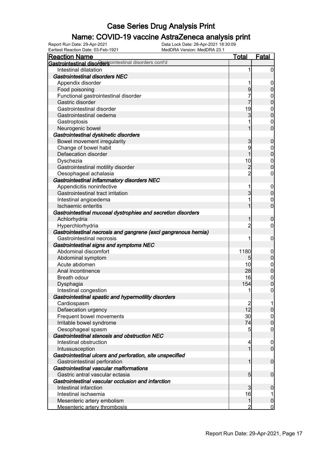#### Name: COVID-19 vaccine AstraZeneca analysis print

| <b>Reaction Name</b>                                            | <b>Total</b>    | <b>Fatal</b>     |
|-----------------------------------------------------------------|-----------------|------------------|
| Gastrointestinal disordersointestinal disorders cont'd          |                 |                  |
| Intestinal dilatation                                           | 1               | $\boldsymbol{0}$ |
| <b>Gastrointestinal disorders NEC</b>                           |                 |                  |
| Appendix disorder                                               |                 | $\mathbf 0$      |
| Food poisoning                                                  | 9               | $\boldsymbol{0}$ |
| Functional gastrointestinal disorder                            | 7               | 0                |
| Gastric disorder                                                | 7               | $\mathbf 0$      |
| Gastrointestinal disorder                                       | 19              | $\mathbf 0$      |
| Gastrointestinal oedema                                         | 3               | $\mathbf 0$      |
| Gastroptosis                                                    |                 | $\mathbf 0$      |
| Neurogenic bowel                                                |                 | $\mathbf 0$      |
| Gastrointestinal dyskinetic disorders                           |                 |                  |
| Bowel movement irregularity                                     | 3               | $\mathbf 0$      |
| Change of bowel habit                                           | 9               | $\mathbf 0$      |
| Defaecation disorder                                            | 1               | $\mathbf 0$      |
| Dyschezia                                                       | 10              | $\mathbf 0$      |
| Gastrointestinal motility disorder                              | $\overline{c}$  | $\mathbf 0$      |
| Oesophageal achalasia                                           | $\overline{2}$  | $\mathbf 0$      |
| Gastrointestinal inflammatory disorders NEC                     |                 |                  |
| Appendicitis noninfective                                       | 1               | $\mathbf 0$      |
| Gastrointestinal tract irritation                               | 3               | $\boldsymbol{0}$ |
| Intestinal angioedema                                           |                 | $\mathbf 0$      |
| Ischaemic enteritis                                             |                 | $\mathbf 0$      |
| Gastrointestinal mucosal dystrophies and secretion disorders    |                 |                  |
| Achlorhydria                                                    |                 | $\mathbf 0$      |
| Hyperchlorhydria                                                | 2               | 0                |
| Gastrointestinal necrosis and gangrene (excl gangrenous hernia) |                 |                  |
| Gastrointestinal necrosis                                       | 1               | $\mathbf 0$      |
| Gastrointestinal signs and symptoms NEC                         |                 |                  |
| Abdominal discomfort                                            | 1180            | $\mathbf 0$      |
| Abdominal symptom                                               | 5               | $\pmb{0}$        |
| Acute abdomen                                                   | 10              | $\mathbf 0$      |
| Anal incontinence                                               | 28              | $\mathbf 0$      |
| Breath odour                                                    | 16              | $\boldsymbol{0}$ |
| Dysphagia                                                       | 154             | $\overline{0}$   |
| Intestinal congestion                                           | 1               | $\boldsymbol{0}$ |
| Gastrointestinal spastic and hypermotility disorders            |                 |                  |
| Cardiospasm                                                     |                 |                  |
| Defaecation urgency                                             | $1\overline{2}$ | $\overline{0}$   |
| Frequent bowel movements                                        | 30              | $\overline{0}$   |
| Irritable bowel syndrome                                        | 74              | $\mathbf 0$      |
| Oesophageal spasm                                               | 5               | $\mathbf 0$      |
| Gastrointestinal stenosis and obstruction NEC                   |                 |                  |
| Intestinal obstruction                                          | 4               | $\mathbf 0$      |
| Intussusception                                                 | 1               | $\overline{0}$   |
| Gastrointestinal ulcers and perforation, site unspecified       |                 |                  |
| Gastrointestinal perforation                                    | 1               | $\boldsymbol{0}$ |
| Gastrointestinal vascular malformations                         |                 |                  |
| Gastric antral vascular ectasia                                 | 5               | $\boldsymbol{0}$ |
| Gastrointestinal vascular occlusion and infarction              |                 |                  |
| Intestinal infarction                                           | 3               | $\mathbf 0$      |
| Intestinal ischaemia                                            | 16              | 1                |
| Mesenteric artery embolism                                      | $\mathbf{1}$    | $\boldsymbol{0}$ |
| Mesenteric artery thrombosis                                    | 2               | $\overline{0}$   |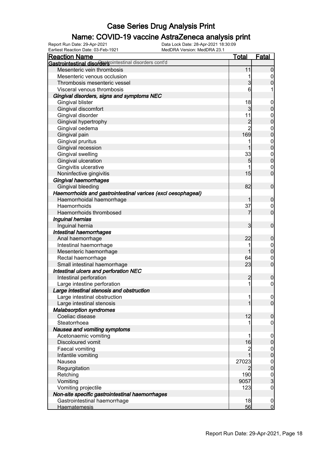#### Name: COVID-19 vaccine AstraZeneca analysis print

| Earliest Reaction Date: 03-Feb-1921<br>MedDRA Version: MedDRA 23.1 |                |                     |
|--------------------------------------------------------------------|----------------|---------------------|
| <b>Reaction Name</b>                                               | <u>Total</u>   | <b>Fatal</b>        |
| Gastrointestinal disordersointestinal disorders cont'd             |                |                     |
| Mesenteric vein thrombosis                                         | 11             | $\overline{0}$      |
| Mesenteric venous occlusion                                        | 1              | $\mathbf 0$         |
| Thrombosis mesenteric vessel                                       | $\overline{3}$ | $\mathbf 0$         |
| Visceral venous thrombosis                                         | 6              | 1                   |
| Gingival disorders, signs and symptoms NEC                         |                |                     |
| <b>Gingival blister</b>                                            | 18             | $\boldsymbol{0}$    |
| Gingival discomfort                                                | 3              | $\pmb{0}$           |
| Gingival disorder                                                  | 11             | $\boldsymbol{0}$    |
| Gingival hypertrophy                                               | $\overline{c}$ | $\mathbf 0$         |
| Gingival oedema                                                    | $\overline{2}$ | $\boldsymbol{0}$    |
| Gingival pain                                                      | 169            | $\overline{0}$      |
| Gingival pruritus                                                  | 1              | $\boldsymbol{0}$    |
| Gingival recession                                                 | 1              | $\overline{0}$      |
| Gingival swelling                                                  | 33             | $\boldsymbol{0}$    |
| Gingival ulceration                                                | 5              | $\mathbf 0$         |
| Gingivitis ulcerative                                              |                | $\boldsymbol{0}$    |
| Noninfective gingivitis                                            | 15             | $\mathbf 0$         |
| <b>Gingival haemorrhages</b>                                       |                |                     |
| Gingival bleeding                                                  | 82             | $\boldsymbol{0}$    |
| Haemorrhoids and gastrointestinal varices (excl oesophageal)       |                |                     |
| Haemorrhoidal haemorrhage                                          | 1              | $\mathbf 0$         |
| Haemorrhoids                                                       | 37             | $\overline{0}$      |
| Haemorrhoids thrombosed                                            | 7              | $\mathbf 0$         |
| Inguinal hernias                                                   |                |                     |
| Inguinal hernia                                                    | 3              | $\boldsymbol{0}$    |
| Intestinal haemorrhages                                            |                |                     |
| Anal haemorrhage                                                   | 22             | $\boldsymbol{0}$    |
| Intestinal haemorrhage                                             | 1              | $\mathbf 0$         |
| Mesenteric haemorrhage                                             | 1              | $\mathbf 0$         |
| Rectal haemorrhage                                                 | 64             | $\boldsymbol{0}$    |
| Small intestinal haemorrhage                                       | 23             | $\mathbf 0$         |
| Intestinal ulcers and perforation NEC                              |                |                     |
| Intestinal perforation                                             | $\overline{c}$ | $\boldsymbol{0}$    |
| Large intestine perforation                                        | 1              | $\boldsymbol{0}$    |
| Large intestinal stenosis and obstruction                          |                |                     |
| Large intestinal obstruction                                       | 1              | 0                   |
| Large intestinal stenosis                                          | 1              | $\overline{0}$      |
| <b>Malabsorption syndromes</b>                                     |                |                     |
| Coeliac disease                                                    | 12             | $\boldsymbol{0}$    |
| Steatorrhoea                                                       |                | $\overline{0}$      |
| Nausea and vomiting symptoms                                       |                |                     |
| Acetonaemic vomiting                                               |                | $\overline{0}$      |
| Discoloured vomit                                                  | 16             | $\mathsf{O}\xspace$ |
| Faecal vomiting                                                    |                | $\boldsymbol{0}$    |
| Infantile vomiting                                                 | 1              | $\overline{0}$      |
| Nausea                                                             | 27023          | $\boldsymbol{0}$    |
| Regurgitation                                                      | 2              | $\overline{0}$      |
| Retching                                                           | 190            |                     |
| Vomiting                                                           | 9057           | $\frac{0}{3}$       |
| Vomiting projectile                                                | 123            | $\mathsf{O}\xspace$ |
| Non-site specific gastrointestinal haemorrhages                    |                |                     |
| Gastrointestinal haemorrhage                                       | 18             | $\overline{0}$      |
| Haematemesis                                                       | 56             | $\overline{0}$      |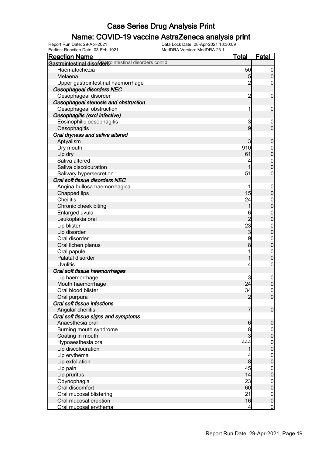#### Name: COVID-19 vaccine AstraZeneca analysis print

| Earliest Reaction Date: 03-Feb-1921                    | MedDRA Version: MedDRA 23.1 |                |                                    |
|--------------------------------------------------------|-----------------------------|----------------|------------------------------------|
| <u>Reaction Name</u>                                   |                             | <u>Total</u>   | <b>Fatal</b>                       |
| Gastrointestinal disordersointestinal disorders cont'd |                             |                |                                    |
| Haematochezia                                          |                             | 50             | $\overline{0}$                     |
| Melaena                                                |                             | 5              | $\boldsymbol{0}$                   |
| Upper gastrointestinal haemorrhage                     |                             | $\overline{2}$ | $\mathbf 0$                        |
| Oesophageal disorders NEC                              |                             |                |                                    |
| Oesophageal disorder                                   |                             | $\overline{c}$ | $\mathbf 0$                        |
| Oesophageal stenosis and obstruction                   |                             |                |                                    |
| Oesophageal obstruction                                |                             | 1              | $\mathbf 0$                        |
| Oesophagitis (excl infective)                          |                             |                |                                    |
| Eosinophilic oesophagitis                              |                             | 3              | $\mathbf 0$                        |
| Oesophagitis                                           |                             | 9              | $\boldsymbol{0}$                   |
| Oral dryness and saliva altered                        |                             |                |                                    |
| Aptyalism                                              |                             | 3              | $\boldsymbol{0}$                   |
| Dry mouth                                              |                             | 910            | $\boldsymbol{0}$                   |
| Lip dry                                                |                             | 61             | $\mathbf 0$                        |
| Saliva altered                                         |                             | 4              | $\boldsymbol{0}$                   |
| Saliva discolouration                                  |                             | 1              | $\overline{0}$                     |
| Salivary hypersecretion                                |                             | 51             | $\boldsymbol{0}$                   |
| Oral soft tissue disorders NEC                         |                             |                |                                    |
| Angina bullosa haemorrhagica                           |                             | 1              | $\boldsymbol{0}$                   |
| Chapped lips                                           |                             | 15             | $\mathbf 0$                        |
| <b>Cheilitis</b>                                       |                             | 24             | $\boldsymbol{0}$                   |
| Chronic cheek biting                                   |                             | 1              | $\mathbf 0$                        |
| Enlarged uvula                                         |                             | 6              | $\boldsymbol{0}$                   |
| Leukoplakia oral                                       |                             | $\overline{c}$ | $\mathbf 0$                        |
| Lip blister                                            |                             | 23             | $\boldsymbol{0}$                   |
| Lip disorder                                           |                             | $\mathbf{3}$   | $\mathbf 0$                        |
| Oral disorder                                          |                             | 9              | $\boldsymbol{0}$                   |
| Oral lichen planus                                     |                             | 8              | $\mathbf 0$                        |
| Oral papule                                            |                             | 1              | $\boldsymbol{0}$                   |
| Palatal disorder                                       |                             | 1              | $\mathbf 0$                        |
| <b>Uvulitis</b>                                        |                             | 4              | $\mathbf 0$                        |
| Oral soft tissue haemorrhages                          |                             |                |                                    |
| Lip haemorrhage                                        |                             | 3              |                                    |
| Mouth haemorrhage                                      |                             | 24             | $\boldsymbol{0}$<br>$\mathbf 0$    |
| Oral blood blister                                     |                             | 34             | $\overline{0}$                     |
| Oral purpura                                           |                             | $\overline{2}$ | 0                                  |
| Oral soft tissue infections                            |                             |                |                                    |
| Angular cheilitis                                      |                             | 7              | $\boldsymbol{0}$                   |
| Oral soft tissue signs and symptoms                    |                             |                |                                    |
| Anaesthesia oral                                       |                             | 6              |                                    |
| Burning mouth syndrome                                 |                             | 8              | $\mathbf 0$                        |
| Coating in mouth                                       |                             | 3              | $\overline{0}$<br>$\overline{0}$   |
| Hypoaesthesia oral                                     |                             | 444            |                                    |
| Lip discolouration                                     |                             | 1              | $\boldsymbol{0}$<br>$\overline{0}$ |
| Lip erythema                                           |                             | 4              |                                    |
| Lip exfoliation                                        |                             | 8              | $\boldsymbol{0}$<br>$\overline{0}$ |
|                                                        |                             | 45             |                                    |
| Lip pain                                               |                             | 14             | $\boldsymbol{0}$                   |
| Lip pruritus                                           |                             |                | $\overline{0}$                     |
| Odynophagia                                            |                             | 23             | $\mathbf 0$                        |
| Oral discomfort                                        |                             | 60             | $\overline{0}$                     |
| Oral mucosal blistering                                |                             | 21<br>16       | $\mathbf 0$                        |
| Oral mucosal eruption<br>Oral mucosal erythema         |                             | $\overline{4}$ | $\overline{0}$<br>$\overline{0}$   |
|                                                        |                             |                |                                    |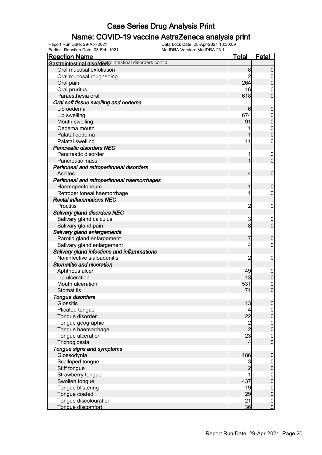#### Name: COVID-19 vaccine AstraZeneca analysis print

| <u>Total</u><br>Gastrointestinal disordersointestinal disorders cont'd<br>Oral mucosal exfoliation<br>8<br>$\boldsymbol{0}$<br>$\overline{c}$<br>Oral mucosal roughening<br>$\overline{0}$<br>$\pmb{0}$<br>264<br>Oral pain<br>Oral pruritus<br>16<br>$\mathbf 0$<br>$\overline{0}$<br>Paraesthesia oral<br>618<br>Oral soft tissue swelling and oedema<br>Lip oedema<br>6<br>$\mathbf 0$<br>Lip swelling<br>674<br>$\boldsymbol{0}$<br>$\mathbf 0$<br>91<br>Mouth swelling<br>Oedema mouth<br>$\boldsymbol{0}$<br>1<br>$\mathbf 0$<br>Palatal oedema<br>1<br>$\mathbf 0$<br>Palatal swelling<br>11<br><b>Pancreatic disorders NEC</b><br>Pancreatic disorder<br>1<br>$\mathbf 0$<br>$\overline{0}$<br>1<br>Pancreatic mass<br>Peritoneal and retroperitoneal disorders<br><b>Ascites</b><br>$\boldsymbol{0}$<br>$\overline{4}$<br>Peritoneal and retroperitoneal haemorrhages<br>Haemoperitoneum<br>1<br>$\mathbf 0$<br>Retroperitoneal haemorrhage<br>1<br>$\mathbf 0$<br><b>Rectal inflammations NEC</b><br><b>Proctitis</b><br>$\overline{c}$<br>$\mathbf 0$<br>Salivary gland disorders NEC<br>Salivary gland calculus<br>3<br>$\mathbf 0$<br>$\boldsymbol{0}$<br>8<br>Salivary gland pain<br>Salivary gland enlargements<br>Parotid gland enlargement<br>7<br>$\mathbf 0$<br>Salivary gland enlargement<br>$\mathbf 0$<br>4<br>Salivary gland infections and inflammations<br>Noninfective sialoadenitis<br>$\overline{c}$<br>$\mathbf 0$<br><b>Stomatitis and ulceration</b><br>49<br>Aphthous ulcer<br>$\mathbf 0$<br>$\pmb{0}$<br>Lip ulceration<br>13<br>$\boldsymbol{0}$<br>Mouth ulceration<br>531<br>$\Omega$<br>71<br><b>Stomatitis</b><br>Tongue disorders<br><b>Glossitis</b><br>13<br>$\overline{0}$<br>Plicated tongue<br>$\overline{0}$<br>4<br>$\mathbf 0$<br>22<br>Tongue disorder<br>$\frac{2}{2}$<br>Tongue geographic<br>$\boldsymbol{0}$<br>$\mathbf 0$<br>Tongue haemorrhage<br>23<br>Tongue ulceration<br>$\boldsymbol{0}$<br>$\mathbf 0$<br>Trichoglossia<br>4<br>Tongue signs and symptoms<br>Glossodynia<br>186<br>$\pmb{0}$<br>Scalloped tongue<br>3<br>$\boldsymbol{0}$<br>$\overline{2}$<br>$\mathbf 0$<br>Stiff tongue<br>Strawberry tongue<br>1<br>$\boldsymbol{0}$<br>$\mathbf 0$<br>437<br>Swollen tongue<br>Tongue blistering<br>19<br>$\boldsymbol{0}$<br>$\mathbf 0$<br>29<br>Tongue coated<br>Tongue discolouration<br>21<br>$\boldsymbol{0}$<br>$\overline{0}$ | Earliest Reaction Date: 03-Feb-1921 | MedDRA Version: MedDRA 23.1 |    |              |
|----------------------------------------------------------------------------------------------------------------------------------------------------------------------------------------------------------------------------------------------------------------------------------------------------------------------------------------------------------------------------------------------------------------------------------------------------------------------------------------------------------------------------------------------------------------------------------------------------------------------------------------------------------------------------------------------------------------------------------------------------------------------------------------------------------------------------------------------------------------------------------------------------------------------------------------------------------------------------------------------------------------------------------------------------------------------------------------------------------------------------------------------------------------------------------------------------------------------------------------------------------------------------------------------------------------------------------------------------------------------------------------------------------------------------------------------------------------------------------------------------------------------------------------------------------------------------------------------------------------------------------------------------------------------------------------------------------------------------------------------------------------------------------------------------------------------------------------------------------------------------------------------------------------------------------------------------------------------------------------------------------------------------------------------------------------------------------------------------------------------------------------------------------------------------------------------------------------------------------------------------------------------------------------------------------------------------------------------------------------------------------------------------------|-------------------------------------|-----------------------------|----|--------------|
|                                                                                                                                                                                                                                                                                                                                                                                                                                                                                                                                                                                                                                                                                                                                                                                                                                                                                                                                                                                                                                                                                                                                                                                                                                                                                                                                                                                                                                                                                                                                                                                                                                                                                                                                                                                                                                                                                                                                                                                                                                                                                                                                                                                                                                                                                                                                                                                                          | <u>Reaction Name</u>                |                             |    | <b>Fatal</b> |
|                                                                                                                                                                                                                                                                                                                                                                                                                                                                                                                                                                                                                                                                                                                                                                                                                                                                                                                                                                                                                                                                                                                                                                                                                                                                                                                                                                                                                                                                                                                                                                                                                                                                                                                                                                                                                                                                                                                                                                                                                                                                                                                                                                                                                                                                                                                                                                                                          |                                     |                             |    |              |
|                                                                                                                                                                                                                                                                                                                                                                                                                                                                                                                                                                                                                                                                                                                                                                                                                                                                                                                                                                                                                                                                                                                                                                                                                                                                                                                                                                                                                                                                                                                                                                                                                                                                                                                                                                                                                                                                                                                                                                                                                                                                                                                                                                                                                                                                                                                                                                                                          |                                     |                             |    |              |
|                                                                                                                                                                                                                                                                                                                                                                                                                                                                                                                                                                                                                                                                                                                                                                                                                                                                                                                                                                                                                                                                                                                                                                                                                                                                                                                                                                                                                                                                                                                                                                                                                                                                                                                                                                                                                                                                                                                                                                                                                                                                                                                                                                                                                                                                                                                                                                                                          |                                     |                             |    |              |
|                                                                                                                                                                                                                                                                                                                                                                                                                                                                                                                                                                                                                                                                                                                                                                                                                                                                                                                                                                                                                                                                                                                                                                                                                                                                                                                                                                                                                                                                                                                                                                                                                                                                                                                                                                                                                                                                                                                                                                                                                                                                                                                                                                                                                                                                                                                                                                                                          |                                     |                             |    |              |
|                                                                                                                                                                                                                                                                                                                                                                                                                                                                                                                                                                                                                                                                                                                                                                                                                                                                                                                                                                                                                                                                                                                                                                                                                                                                                                                                                                                                                                                                                                                                                                                                                                                                                                                                                                                                                                                                                                                                                                                                                                                                                                                                                                                                                                                                                                                                                                                                          |                                     |                             |    |              |
|                                                                                                                                                                                                                                                                                                                                                                                                                                                                                                                                                                                                                                                                                                                                                                                                                                                                                                                                                                                                                                                                                                                                                                                                                                                                                                                                                                                                                                                                                                                                                                                                                                                                                                                                                                                                                                                                                                                                                                                                                                                                                                                                                                                                                                                                                                                                                                                                          |                                     |                             |    |              |
|                                                                                                                                                                                                                                                                                                                                                                                                                                                                                                                                                                                                                                                                                                                                                                                                                                                                                                                                                                                                                                                                                                                                                                                                                                                                                                                                                                                                                                                                                                                                                                                                                                                                                                                                                                                                                                                                                                                                                                                                                                                                                                                                                                                                                                                                                                                                                                                                          |                                     |                             |    |              |
|                                                                                                                                                                                                                                                                                                                                                                                                                                                                                                                                                                                                                                                                                                                                                                                                                                                                                                                                                                                                                                                                                                                                                                                                                                                                                                                                                                                                                                                                                                                                                                                                                                                                                                                                                                                                                                                                                                                                                                                                                                                                                                                                                                                                                                                                                                                                                                                                          |                                     |                             |    |              |
|                                                                                                                                                                                                                                                                                                                                                                                                                                                                                                                                                                                                                                                                                                                                                                                                                                                                                                                                                                                                                                                                                                                                                                                                                                                                                                                                                                                                                                                                                                                                                                                                                                                                                                                                                                                                                                                                                                                                                                                                                                                                                                                                                                                                                                                                                                                                                                                                          |                                     |                             |    |              |
|                                                                                                                                                                                                                                                                                                                                                                                                                                                                                                                                                                                                                                                                                                                                                                                                                                                                                                                                                                                                                                                                                                                                                                                                                                                                                                                                                                                                                                                                                                                                                                                                                                                                                                                                                                                                                                                                                                                                                                                                                                                                                                                                                                                                                                                                                                                                                                                                          |                                     |                             |    |              |
|                                                                                                                                                                                                                                                                                                                                                                                                                                                                                                                                                                                                                                                                                                                                                                                                                                                                                                                                                                                                                                                                                                                                                                                                                                                                                                                                                                                                                                                                                                                                                                                                                                                                                                                                                                                                                                                                                                                                                                                                                                                                                                                                                                                                                                                                                                                                                                                                          |                                     |                             |    |              |
|                                                                                                                                                                                                                                                                                                                                                                                                                                                                                                                                                                                                                                                                                                                                                                                                                                                                                                                                                                                                                                                                                                                                                                                                                                                                                                                                                                                                                                                                                                                                                                                                                                                                                                                                                                                                                                                                                                                                                                                                                                                                                                                                                                                                                                                                                                                                                                                                          |                                     |                             |    |              |
|                                                                                                                                                                                                                                                                                                                                                                                                                                                                                                                                                                                                                                                                                                                                                                                                                                                                                                                                                                                                                                                                                                                                                                                                                                                                                                                                                                                                                                                                                                                                                                                                                                                                                                                                                                                                                                                                                                                                                                                                                                                                                                                                                                                                                                                                                                                                                                                                          |                                     |                             |    |              |
|                                                                                                                                                                                                                                                                                                                                                                                                                                                                                                                                                                                                                                                                                                                                                                                                                                                                                                                                                                                                                                                                                                                                                                                                                                                                                                                                                                                                                                                                                                                                                                                                                                                                                                                                                                                                                                                                                                                                                                                                                                                                                                                                                                                                                                                                                                                                                                                                          |                                     |                             |    |              |
|                                                                                                                                                                                                                                                                                                                                                                                                                                                                                                                                                                                                                                                                                                                                                                                                                                                                                                                                                                                                                                                                                                                                                                                                                                                                                                                                                                                                                                                                                                                                                                                                                                                                                                                                                                                                                                                                                                                                                                                                                                                                                                                                                                                                                                                                                                                                                                                                          |                                     |                             |    |              |
|                                                                                                                                                                                                                                                                                                                                                                                                                                                                                                                                                                                                                                                                                                                                                                                                                                                                                                                                                                                                                                                                                                                                                                                                                                                                                                                                                                                                                                                                                                                                                                                                                                                                                                                                                                                                                                                                                                                                                                                                                                                                                                                                                                                                                                                                                                                                                                                                          |                                     |                             |    |              |
|                                                                                                                                                                                                                                                                                                                                                                                                                                                                                                                                                                                                                                                                                                                                                                                                                                                                                                                                                                                                                                                                                                                                                                                                                                                                                                                                                                                                                                                                                                                                                                                                                                                                                                                                                                                                                                                                                                                                                                                                                                                                                                                                                                                                                                                                                                                                                                                                          |                                     |                             |    |              |
|                                                                                                                                                                                                                                                                                                                                                                                                                                                                                                                                                                                                                                                                                                                                                                                                                                                                                                                                                                                                                                                                                                                                                                                                                                                                                                                                                                                                                                                                                                                                                                                                                                                                                                                                                                                                                                                                                                                                                                                                                                                                                                                                                                                                                                                                                                                                                                                                          |                                     |                             |    |              |
|                                                                                                                                                                                                                                                                                                                                                                                                                                                                                                                                                                                                                                                                                                                                                                                                                                                                                                                                                                                                                                                                                                                                                                                                                                                                                                                                                                                                                                                                                                                                                                                                                                                                                                                                                                                                                                                                                                                                                                                                                                                                                                                                                                                                                                                                                                                                                                                                          |                                     |                             |    |              |
|                                                                                                                                                                                                                                                                                                                                                                                                                                                                                                                                                                                                                                                                                                                                                                                                                                                                                                                                                                                                                                                                                                                                                                                                                                                                                                                                                                                                                                                                                                                                                                                                                                                                                                                                                                                                                                                                                                                                                                                                                                                                                                                                                                                                                                                                                                                                                                                                          |                                     |                             |    |              |
|                                                                                                                                                                                                                                                                                                                                                                                                                                                                                                                                                                                                                                                                                                                                                                                                                                                                                                                                                                                                                                                                                                                                                                                                                                                                                                                                                                                                                                                                                                                                                                                                                                                                                                                                                                                                                                                                                                                                                                                                                                                                                                                                                                                                                                                                                                                                                                                                          |                                     |                             |    |              |
|                                                                                                                                                                                                                                                                                                                                                                                                                                                                                                                                                                                                                                                                                                                                                                                                                                                                                                                                                                                                                                                                                                                                                                                                                                                                                                                                                                                                                                                                                                                                                                                                                                                                                                                                                                                                                                                                                                                                                                                                                                                                                                                                                                                                                                                                                                                                                                                                          |                                     |                             |    |              |
|                                                                                                                                                                                                                                                                                                                                                                                                                                                                                                                                                                                                                                                                                                                                                                                                                                                                                                                                                                                                                                                                                                                                                                                                                                                                                                                                                                                                                                                                                                                                                                                                                                                                                                                                                                                                                                                                                                                                                                                                                                                                                                                                                                                                                                                                                                                                                                                                          |                                     |                             |    |              |
|                                                                                                                                                                                                                                                                                                                                                                                                                                                                                                                                                                                                                                                                                                                                                                                                                                                                                                                                                                                                                                                                                                                                                                                                                                                                                                                                                                                                                                                                                                                                                                                                                                                                                                                                                                                                                                                                                                                                                                                                                                                                                                                                                                                                                                                                                                                                                                                                          |                                     |                             |    |              |
|                                                                                                                                                                                                                                                                                                                                                                                                                                                                                                                                                                                                                                                                                                                                                                                                                                                                                                                                                                                                                                                                                                                                                                                                                                                                                                                                                                                                                                                                                                                                                                                                                                                                                                                                                                                                                                                                                                                                                                                                                                                                                                                                                                                                                                                                                                                                                                                                          |                                     |                             |    |              |
|                                                                                                                                                                                                                                                                                                                                                                                                                                                                                                                                                                                                                                                                                                                                                                                                                                                                                                                                                                                                                                                                                                                                                                                                                                                                                                                                                                                                                                                                                                                                                                                                                                                                                                                                                                                                                                                                                                                                                                                                                                                                                                                                                                                                                                                                                                                                                                                                          |                                     |                             |    |              |
|                                                                                                                                                                                                                                                                                                                                                                                                                                                                                                                                                                                                                                                                                                                                                                                                                                                                                                                                                                                                                                                                                                                                                                                                                                                                                                                                                                                                                                                                                                                                                                                                                                                                                                                                                                                                                                                                                                                                                                                                                                                                                                                                                                                                                                                                                                                                                                                                          |                                     |                             |    |              |
|                                                                                                                                                                                                                                                                                                                                                                                                                                                                                                                                                                                                                                                                                                                                                                                                                                                                                                                                                                                                                                                                                                                                                                                                                                                                                                                                                                                                                                                                                                                                                                                                                                                                                                                                                                                                                                                                                                                                                                                                                                                                                                                                                                                                                                                                                                                                                                                                          |                                     |                             |    |              |
|                                                                                                                                                                                                                                                                                                                                                                                                                                                                                                                                                                                                                                                                                                                                                                                                                                                                                                                                                                                                                                                                                                                                                                                                                                                                                                                                                                                                                                                                                                                                                                                                                                                                                                                                                                                                                                                                                                                                                                                                                                                                                                                                                                                                                                                                                                                                                                                                          |                                     |                             |    |              |
|                                                                                                                                                                                                                                                                                                                                                                                                                                                                                                                                                                                                                                                                                                                                                                                                                                                                                                                                                                                                                                                                                                                                                                                                                                                                                                                                                                                                                                                                                                                                                                                                                                                                                                                                                                                                                                                                                                                                                                                                                                                                                                                                                                                                                                                                                                                                                                                                          |                                     |                             |    |              |
|                                                                                                                                                                                                                                                                                                                                                                                                                                                                                                                                                                                                                                                                                                                                                                                                                                                                                                                                                                                                                                                                                                                                                                                                                                                                                                                                                                                                                                                                                                                                                                                                                                                                                                                                                                                                                                                                                                                                                                                                                                                                                                                                                                                                                                                                                                                                                                                                          |                                     |                             |    |              |
|                                                                                                                                                                                                                                                                                                                                                                                                                                                                                                                                                                                                                                                                                                                                                                                                                                                                                                                                                                                                                                                                                                                                                                                                                                                                                                                                                                                                                                                                                                                                                                                                                                                                                                                                                                                                                                                                                                                                                                                                                                                                                                                                                                                                                                                                                                                                                                                                          |                                     |                             |    |              |
|                                                                                                                                                                                                                                                                                                                                                                                                                                                                                                                                                                                                                                                                                                                                                                                                                                                                                                                                                                                                                                                                                                                                                                                                                                                                                                                                                                                                                                                                                                                                                                                                                                                                                                                                                                                                                                                                                                                                                                                                                                                                                                                                                                                                                                                                                                                                                                                                          |                                     |                             |    |              |
|                                                                                                                                                                                                                                                                                                                                                                                                                                                                                                                                                                                                                                                                                                                                                                                                                                                                                                                                                                                                                                                                                                                                                                                                                                                                                                                                                                                                                                                                                                                                                                                                                                                                                                                                                                                                                                                                                                                                                                                                                                                                                                                                                                                                                                                                                                                                                                                                          |                                     |                             |    |              |
|                                                                                                                                                                                                                                                                                                                                                                                                                                                                                                                                                                                                                                                                                                                                                                                                                                                                                                                                                                                                                                                                                                                                                                                                                                                                                                                                                                                                                                                                                                                                                                                                                                                                                                                                                                                                                                                                                                                                                                                                                                                                                                                                                                                                                                                                                                                                                                                                          |                                     |                             |    |              |
|                                                                                                                                                                                                                                                                                                                                                                                                                                                                                                                                                                                                                                                                                                                                                                                                                                                                                                                                                                                                                                                                                                                                                                                                                                                                                                                                                                                                                                                                                                                                                                                                                                                                                                                                                                                                                                                                                                                                                                                                                                                                                                                                                                                                                                                                                                                                                                                                          |                                     |                             |    |              |
|                                                                                                                                                                                                                                                                                                                                                                                                                                                                                                                                                                                                                                                                                                                                                                                                                                                                                                                                                                                                                                                                                                                                                                                                                                                                                                                                                                                                                                                                                                                                                                                                                                                                                                                                                                                                                                                                                                                                                                                                                                                                                                                                                                                                                                                                                                                                                                                                          |                                     |                             |    |              |
|                                                                                                                                                                                                                                                                                                                                                                                                                                                                                                                                                                                                                                                                                                                                                                                                                                                                                                                                                                                                                                                                                                                                                                                                                                                                                                                                                                                                                                                                                                                                                                                                                                                                                                                                                                                                                                                                                                                                                                                                                                                                                                                                                                                                                                                                                                                                                                                                          |                                     |                             |    |              |
|                                                                                                                                                                                                                                                                                                                                                                                                                                                                                                                                                                                                                                                                                                                                                                                                                                                                                                                                                                                                                                                                                                                                                                                                                                                                                                                                                                                                                                                                                                                                                                                                                                                                                                                                                                                                                                                                                                                                                                                                                                                                                                                                                                                                                                                                                                                                                                                                          |                                     |                             |    |              |
|                                                                                                                                                                                                                                                                                                                                                                                                                                                                                                                                                                                                                                                                                                                                                                                                                                                                                                                                                                                                                                                                                                                                                                                                                                                                                                                                                                                                                                                                                                                                                                                                                                                                                                                                                                                                                                                                                                                                                                                                                                                                                                                                                                                                                                                                                                                                                                                                          |                                     |                             |    |              |
|                                                                                                                                                                                                                                                                                                                                                                                                                                                                                                                                                                                                                                                                                                                                                                                                                                                                                                                                                                                                                                                                                                                                                                                                                                                                                                                                                                                                                                                                                                                                                                                                                                                                                                                                                                                                                                                                                                                                                                                                                                                                                                                                                                                                                                                                                                                                                                                                          |                                     |                             |    |              |
|                                                                                                                                                                                                                                                                                                                                                                                                                                                                                                                                                                                                                                                                                                                                                                                                                                                                                                                                                                                                                                                                                                                                                                                                                                                                                                                                                                                                                                                                                                                                                                                                                                                                                                                                                                                                                                                                                                                                                                                                                                                                                                                                                                                                                                                                                                                                                                                                          |                                     |                             |    |              |
|                                                                                                                                                                                                                                                                                                                                                                                                                                                                                                                                                                                                                                                                                                                                                                                                                                                                                                                                                                                                                                                                                                                                                                                                                                                                                                                                                                                                                                                                                                                                                                                                                                                                                                                                                                                                                                                                                                                                                                                                                                                                                                                                                                                                                                                                                                                                                                                                          |                                     |                             |    |              |
|                                                                                                                                                                                                                                                                                                                                                                                                                                                                                                                                                                                                                                                                                                                                                                                                                                                                                                                                                                                                                                                                                                                                                                                                                                                                                                                                                                                                                                                                                                                                                                                                                                                                                                                                                                                                                                                                                                                                                                                                                                                                                                                                                                                                                                                                                                                                                                                                          |                                     |                             |    |              |
|                                                                                                                                                                                                                                                                                                                                                                                                                                                                                                                                                                                                                                                                                                                                                                                                                                                                                                                                                                                                                                                                                                                                                                                                                                                                                                                                                                                                                                                                                                                                                                                                                                                                                                                                                                                                                                                                                                                                                                                                                                                                                                                                                                                                                                                                                                                                                                                                          |                                     |                             |    |              |
|                                                                                                                                                                                                                                                                                                                                                                                                                                                                                                                                                                                                                                                                                                                                                                                                                                                                                                                                                                                                                                                                                                                                                                                                                                                                                                                                                                                                                                                                                                                                                                                                                                                                                                                                                                                                                                                                                                                                                                                                                                                                                                                                                                                                                                                                                                                                                                                                          |                                     |                             |    |              |
|                                                                                                                                                                                                                                                                                                                                                                                                                                                                                                                                                                                                                                                                                                                                                                                                                                                                                                                                                                                                                                                                                                                                                                                                                                                                                                                                                                                                                                                                                                                                                                                                                                                                                                                                                                                                                                                                                                                                                                                                                                                                                                                                                                                                                                                                                                                                                                                                          |                                     |                             |    |              |
|                                                                                                                                                                                                                                                                                                                                                                                                                                                                                                                                                                                                                                                                                                                                                                                                                                                                                                                                                                                                                                                                                                                                                                                                                                                                                                                                                                                                                                                                                                                                                                                                                                                                                                                                                                                                                                                                                                                                                                                                                                                                                                                                                                                                                                                                                                                                                                                                          |                                     |                             |    |              |
|                                                                                                                                                                                                                                                                                                                                                                                                                                                                                                                                                                                                                                                                                                                                                                                                                                                                                                                                                                                                                                                                                                                                                                                                                                                                                                                                                                                                                                                                                                                                                                                                                                                                                                                                                                                                                                                                                                                                                                                                                                                                                                                                                                                                                                                                                                                                                                                                          |                                     |                             |    |              |
|                                                                                                                                                                                                                                                                                                                                                                                                                                                                                                                                                                                                                                                                                                                                                                                                                                                                                                                                                                                                                                                                                                                                                                                                                                                                                                                                                                                                                                                                                                                                                                                                                                                                                                                                                                                                                                                                                                                                                                                                                                                                                                                                                                                                                                                                                                                                                                                                          |                                     |                             |    |              |
|                                                                                                                                                                                                                                                                                                                                                                                                                                                                                                                                                                                                                                                                                                                                                                                                                                                                                                                                                                                                                                                                                                                                                                                                                                                                                                                                                                                                                                                                                                                                                                                                                                                                                                                                                                                                                                                                                                                                                                                                                                                                                                                                                                                                                                                                                                                                                                                                          |                                     |                             |    |              |
|                                                                                                                                                                                                                                                                                                                                                                                                                                                                                                                                                                                                                                                                                                                                                                                                                                                                                                                                                                                                                                                                                                                                                                                                                                                                                                                                                                                                                                                                                                                                                                                                                                                                                                                                                                                                                                                                                                                                                                                                                                                                                                                                                                                                                                                                                                                                                                                                          |                                     |                             |    |              |
|                                                                                                                                                                                                                                                                                                                                                                                                                                                                                                                                                                                                                                                                                                                                                                                                                                                                                                                                                                                                                                                                                                                                                                                                                                                                                                                                                                                                                                                                                                                                                                                                                                                                                                                                                                                                                                                                                                                                                                                                                                                                                                                                                                                                                                                                                                                                                                                                          |                                     |                             |    |              |
|                                                                                                                                                                                                                                                                                                                                                                                                                                                                                                                                                                                                                                                                                                                                                                                                                                                                                                                                                                                                                                                                                                                                                                                                                                                                                                                                                                                                                                                                                                                                                                                                                                                                                                                                                                                                                                                                                                                                                                                                                                                                                                                                                                                                                                                                                                                                                                                                          | Tongue discomfort                   |                             | 36 |              |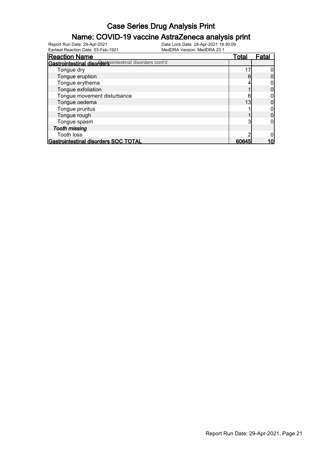#### Name: COVID-19 vaccine AstraZeneca analysis print

| <b>Reaction Name</b>                                   | Total | Fatal |
|--------------------------------------------------------|-------|-------|
| Gastrointestinal disordersointestinal disorders cont'd |       |       |
| Tongue dry                                             |       |       |
| Tongue eruption                                        | Ⴌ     |       |
| Tongue erythema                                        |       |       |
| Tongue exfoliation                                     |       |       |
| Tongue movement disturbance                            |       |       |
| Tongue oedema                                          | 13    |       |
| Tongue pruritus                                        |       |       |
| Tongue rough                                           |       |       |
| Tongue spasm                                           |       |       |
| <b>Tooth missing</b>                                   |       |       |
| <b>Tooth loss</b>                                      |       |       |
| Gastrointestinal disorders SOC TOTAL                   | 6064  |       |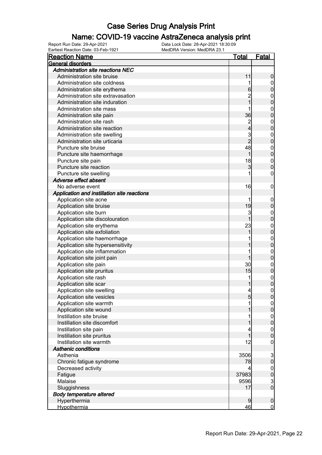#### Name: COVID-19 vaccine AstraZeneca analysis print

| <b>Reaction Name</b>                        | <u>Total</u>   | <b>Fatal</b>     |
|---------------------------------------------|----------------|------------------|
| General disorders                           |                |                  |
| <b>Administration site reactions NEC</b>    |                |                  |
| Administration site bruise                  | 11             | 0                |
| Administration site coldness                |                | 0                |
| Administration site erythema                | 6              | 0                |
| Administration site extravasation           |                | $\mathbf 0$      |
| Administration site induration              |                | 0                |
| Administration site mass                    |                | $\mathbf 0$      |
| Administration site pain                    | 36             | 0                |
| Administration site rash                    | $\overline{c}$ | $\mathbf 0$      |
| Administration site reaction                | 4              | 0                |
| Administration site swelling                | 3              | $\mathbf 0$      |
| Administration site urticaria               | $\overline{2}$ | 0                |
| Puncture site bruise                        | 48             | $\mathbf{0}$     |
| Puncture site haemorrhage                   |                | 0                |
| Puncture site pain                          | 18             | $\mathbf{0}$     |
| Puncture site reaction                      | 3              | 0                |
| Puncture site swelling                      |                | 0                |
| Adverse effect absent                       |                |                  |
| No adverse event                            | 16             | 0                |
| Application and instillation site reactions |                |                  |
| Application site acne                       |                | $\mathbf 0$      |
| Application site bruise                     | 19             | 0                |
| Application site burn                       | 3              | 0                |
| Application site discolouration             |                | 0                |
| Application site erythema                   | 23             | $\mathbf 0$      |
| Application site exfoliation                |                | 0                |
| Application site haemorrhage                |                | $\mathbf{0}$     |
| Application site hypersensitivity           |                | 0                |
| Application site inflammation               |                | $\mathbf 0$      |
| Application site joint pain                 |                | 0                |
| Application site pain                       | 30             | $\mathbf 0$      |
| Application site pruritus                   | 15             | 0                |
| Application site rash                       | 1              | $\mathbf{0}$     |
| Application site scar                       |                | 0                |
| Application site swelling                   | 4              | 0                |
| Application site vesicles                   | 5              | U                |
| Application site warmth                     |                | $\overline{0}$   |
| Application site wound                      |                | 0                |
| Instillation site bruise                    |                | 0                |
| Instillation site discomfort                |                | 0                |
| Instillation site pain                      |                | $\boldsymbol{0}$ |
| Instillation site pruritus                  |                | 0                |
| Instillation site warmth                    | 12             | 0                |
| <b>Asthenic conditions</b>                  |                |                  |
| Asthenia                                    | 3506           | 3                |
| Chronic fatigue syndrome                    | 78             | $\overline{0}$   |
| Decreased activity                          | 4              | $\boldsymbol{0}$ |
| Fatigue                                     | 37983          | $\overline{0}$   |
| Malaise                                     | 9596           | $\frac{3}{0}$    |
| Sluggishness                                | 17             |                  |
| <b>Body temperature altered</b>             |                |                  |
| Hyperthermia                                | 9              | $\mathbf 0$      |
| <b>Hypothermia</b>                          | 46             | $\overline{0}$   |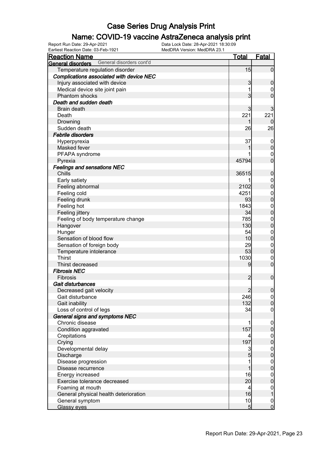#### Name: COVID-19 vaccine AstraZeneca analysis print

| Earliest Reaction Date: 03-Feb-1921           | MedDRA Version: MedDRA 23.1 |                 |                                    |
|-----------------------------------------------|-----------------------------|-----------------|------------------------------------|
| <b>Reaction Name</b>                          |                             | <b>Total</b>    | <b>Fatal</b>                       |
| General disorders cont'd<br>General disorders |                             |                 |                                    |
| Temperature regulation disorder               |                             | 15              | $\overline{0}$                     |
| Complications associated with device NEC      |                             |                 |                                    |
| Injury associated with device                 |                             | 3               | $\mathbf 0$                        |
| Medical device site joint pain                |                             | 1               | 0                                  |
| Phantom shocks                                |                             | $\overline{3}$  | $\mathbf 0$                        |
| Death and sudden death                        |                             |                 |                                    |
| <b>Brain death</b>                            |                             | $\overline{3}$  | 3                                  |
| Death                                         |                             | 221             | 221                                |
| Drowning                                      |                             | 1               | U                                  |
| Sudden death                                  |                             | 26              | 26                                 |
| <b>Febrile disorders</b>                      |                             |                 |                                    |
| Hyperpyrexia                                  |                             | 37              | $\mathbf 0$                        |
| Masked fever                                  |                             |                 | $\pmb{0}$                          |
| PFAPA syndrome                                |                             |                 | $\boldsymbol{0}$                   |
| Pyrexia                                       |                             | 45794           | $\overline{0}$                     |
| <b>Feelings and sensations NEC</b>            |                             |                 |                                    |
| Chills                                        |                             | 36515           | $\pmb{0}$                          |
| Early satiety                                 |                             |                 | $\boldsymbol{0}$                   |
| Feeling abnormal                              |                             | 2102            | $\mathbf 0$                        |
| Feeling cold                                  |                             | 4251            | $\boldsymbol{0}$                   |
| Feeling drunk                                 |                             | 93              | $\mathbf 0$                        |
| Feeling hot                                   |                             | 1843            | $\boldsymbol{0}$                   |
| Feeling jittery                               |                             | 34              | $\mathbf 0$                        |
| Feeling of body temperature change            |                             | 785             | $\boldsymbol{0}$                   |
| Hangover                                      |                             | 130             | $\mathbf 0$                        |
| Hunger                                        |                             | 54              | $\boldsymbol{0}$                   |
| Sensation of blood flow                       |                             | 10              | $\mathbf 0$                        |
| Sensation of foreign body                     |                             | 29              | $\boldsymbol{0}$                   |
| Temperature intolerance                       |                             | 53              | $\mathbf 0$                        |
| <b>Thirst</b>                                 |                             | 1030            | $\boldsymbol{0}$                   |
| Thirst decreased                              |                             | 9               | $\boldsymbol{0}$                   |
| <b>Fibrosis NEC</b>                           |                             |                 |                                    |
| Fibrosis                                      |                             | $\overline{c}$  | $\boldsymbol{0}$                   |
| Gait disturbances                             |                             |                 |                                    |
| Decreased gait velocity                       |                             | $\overline{2}$  | $\Omega$                           |
| Gait disturbance                              |                             | 246             | 0                                  |
| Gait inability                                |                             | 132             | $\overline{0}$                     |
| Loss of control of legs                       |                             | 34              | $\overline{0}$                     |
| General signs and symptoms NEC                |                             |                 |                                    |
| Chronic disease                               |                             | 1               | $\overline{0}$                     |
| Condition aggravated                          |                             | 157             | $\pmb{0}$                          |
| Crepitations                                  |                             |                 | $\boldsymbol{0}$                   |
| Crying                                        |                             | 197             | $\overline{0}$                     |
| Developmental delay                           |                             | 3               | $\boldsymbol{0}$                   |
| Discharge                                     |                             | $\overline{5}$  | $\mathbf 0$                        |
| Disease progression                           |                             | 1               |                                    |
| Disease recurrence                            |                             | 1               | $\boldsymbol{0}$<br>$\mathbf 0$    |
| Energy increased                              |                             | 16              |                                    |
| Exercise tolerance decreased                  |                             | 20              | $\boldsymbol{0}$<br>$\overline{0}$ |
|                                               |                             | $\overline{4}$  |                                    |
| Foaming at mouth                              |                             | 16              | $\boldsymbol{0}$<br>$\mathbf 1$    |
| General physical health deterioration         |                             |                 |                                    |
| General symptom                               |                             | 10              | $\boldsymbol{0}$<br>$\overline{0}$ |
| <b>Glassy eyes</b>                            |                             | $5\overline{)}$ |                                    |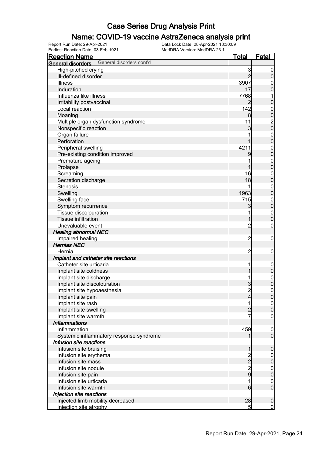#### Name: COVID-19 vaccine AstraZeneca analysis print

| <b>Reaction Name</b>                          | <u>Total</u>                                     | <b>Fatal</b>                                 |
|-----------------------------------------------|--------------------------------------------------|----------------------------------------------|
| General disorders cont'd<br>General disorders |                                                  |                                              |
| High-pitched crying                           | 3                                                | $\boldsymbol{0}$                             |
| III-defined disorder                          | $\overline{2}$                                   | $\mathbf 0$                                  |
| <b>Illness</b>                                | 3907                                             | $\mathbf{0}$                                 |
| Induration                                    | 17                                               | $\boldsymbol{0}$                             |
| Influenza like illness                        | 7768                                             | 1                                            |
| Irritability postvaccinal                     | $\overline{2}$                                   | $\mathbf 0$                                  |
| Local reaction                                | 142                                              |                                              |
| Moaning                                       | 8 <sup>1</sup>                                   |                                              |
| Multiple organ dysfunction syndrome           | 11                                               | $\begin{array}{c}\n0 \\ 0 \\ 0\n\end{array}$ |
| Nonspecific reaction                          | 3                                                |                                              |
| Organ failure                                 |                                                  |                                              |
| Perforation                                   | 1                                                | $\begin{matrix}0\\0\end{matrix}$             |
| Peripheral swelling                           | 4211                                             |                                              |
| Pre-existing condition improved               | 9                                                | $\begin{matrix}0\\0\end{matrix}$             |
| Premature ageing                              |                                                  |                                              |
| Prolapse                                      | 1                                                | $\begin{matrix}0\\0\end{matrix}$             |
| Screaming                                     | 16                                               |                                              |
| Secretion discharge                           | 18                                               | $\begin{matrix}0\\0\end{matrix}$             |
| <b>Stenosis</b>                               | 1                                                |                                              |
|                                               | 1963                                             | $\begin{matrix}0\\0\end{matrix}$             |
| Swelling                                      |                                                  |                                              |
| Swelling face                                 | 715                                              | $\begin{matrix}0\\0\end{matrix}$             |
| Symptom recurrence                            | 3                                                |                                              |
| Tissue discolouration                         | 1                                                | $\begin{matrix}0\\0\end{matrix}$             |
| <b>Tissue infiltration</b>                    | 1                                                |                                              |
| Unevaluable event                             | $\overline{2}$                                   | $\mathbf 0$                                  |
| <b>Healing abnormal NEC</b>                   |                                                  |                                              |
| Impaired healing                              | $\overline{2}$                                   | $\boldsymbol{0}$                             |
| <b>Hernias NEC</b>                            |                                                  |                                              |
| Hernia                                        | $\overline{2}$                                   | $\mathbf 0$                                  |
| Implant and catheter site reactions           |                                                  |                                              |
| Catheter site urticaria                       | 1                                                | $\boldsymbol{0}$                             |
| Implant site coldness                         | 1                                                | $\mathbf 0$                                  |
| Implant site discharge                        | 1                                                | $\begin{matrix}0\\0\end{matrix}$             |
| Implant site discolouration                   | 3                                                |                                              |
| Implant site hypoaesthesia                    | $\overline{2}$                                   | $\overline{0}$                               |
| Implant site pain                             | $\overline{4}$                                   | 0                                            |
| Implant site rash                             | 1                                                | $\overline{0}$                               |
| Implant site swelling                         | $\overline{c}$                                   | $\mathbf 0$                                  |
| Implant site warmth                           | 7                                                | $\mathbf 0$                                  |
| <b>Inflammations</b>                          |                                                  |                                              |
| Inflammation                                  | 459                                              | $\mathbf 0$                                  |
| Systemic inflammatory response syndrome       | 1                                                | $\overline{0}$                               |
| Infusion site reactions                       |                                                  |                                              |
| Infusion site bruising                        | 1                                                | $\mathbf 0$                                  |
| Infusion site erythema                        |                                                  | $\boldsymbol{0}$                             |
| Infusion site mass                            |                                                  | $\mathbf 0$                                  |
| Infusion site nodule                          |                                                  | $\boldsymbol{0}$                             |
| Infusion site pain                            | $\begin{array}{c}\n 2 \\  2 \\  9\n \end{array}$ | $\overline{0}$                               |
| Infusion site urticaria                       | 1                                                | $\mathbf{0}$                                 |
| Infusion site warmth                          | $6 \overline{6}$                                 | $\overline{0}$                               |
| Injection site reactions                      |                                                  |                                              |
| Injected limb mobility decreased              | 28                                               | $\mathbf 0$                                  |
| Injection site atrophy                        | 5 <sup>1</sup>                                   | $\overline{0}$                               |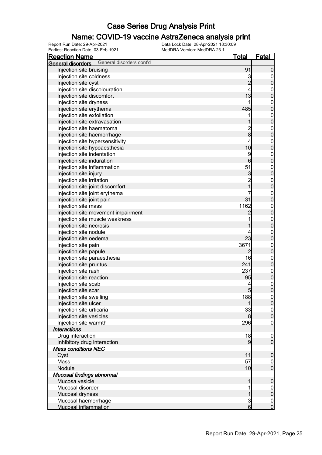#### Name: COVID-19 vaccine AstraZeneca analysis print

| <b>Reaction Name</b>                          | <u>Total</u>    | <u>Fatal</u>                         |
|-----------------------------------------------|-----------------|--------------------------------------|
| General disorders cont'd<br>General disorders |                 |                                      |
| Injection site bruising                       | 91              | $\boldsymbol{0}$                     |
| Injection site coldness                       | 3               | $\mathbf 0$                          |
| Injection site cyst                           | $\overline{2}$  | $\overline{0}$                       |
| Injection site discolouration                 | 4               |                                      |
| Injection site discomfort                     | 13              | $\begin{matrix} 0 \\ 0 \end{matrix}$ |
| Injection site dryness                        | 1               |                                      |
| Injection site erythema                       | 485             | $0\atop 0$                           |
| Injection site exfoliation                    | 1               |                                      |
| Injection site extravasation                  | 1               | $0\atop 0$                           |
| Injection site haematoma                      |                 |                                      |
| Injection site haemorrhage                    | $\frac{2}{8}$   | $0\atop 0$                           |
| Injection site hypersensitivity               | 4               |                                      |
| Injection site hypoaesthesia                  | 10              | $0\atop 0$                           |
| Injection site indentation                    | 9               |                                      |
| Injection site induration                     | 6               | $0\atop 0$                           |
|                                               | 51              |                                      |
| Injection site inflammation                   |                 | $0\atop 0$                           |
| Injection site injury                         | $\mathbf{3}$    |                                      |
| Injection site irritation                     | $\frac{2}{1}$   | $0\atop 0$                           |
| Injection site joint discomfort               |                 |                                      |
| Injection site joint erythema                 |                 | $\begin{matrix} 0 \\ 0 \end{matrix}$ |
| Injection site joint pain                     | 31              |                                      |
| Injection site mass                           | 1162            | $0\atop 0$                           |
| Injection site movement impairment            | 2               |                                      |
| Injection site muscle weakness                | 1               | $0\atop 0$                           |
| Injection site necrosis                       | 1               |                                      |
| Injection site nodule                         | 4               | $0\atop 0$                           |
| Injection site oedema                         | 23              |                                      |
| Injection site pain                           | 3671            | $0\atop 0$                           |
| Injection site papule                         | $\overline{c}$  |                                      |
| Injection site paraesthesia                   | 16              | $0\atop 0$                           |
| Injection site pruritus                       | 241             |                                      |
| Injection site rash                           | 237             | $\begin{matrix} 0 \\ 0 \end{matrix}$ |
| Injection site reaction                       | 95              |                                      |
| Injection site scab                           | 4               | $\begin{matrix} 0 \\ 0 \end{matrix}$ |
| Injection site scar                           | 5               |                                      |
| Injection site swelling                       | 188             | 0                                    |
| Injection site ulcer                          | 1               | 0                                    |
| Injection site urticaria                      | 33              | $\overline{0}$                       |
| Injection site vesicles                       | 8 <sup>1</sup>  | $\pmb{0}$                            |
| Injection site warmth                         | 296             | $\mathbf 0$                          |
| <b>Interactions</b>                           |                 |                                      |
| Drug interaction                              | 18              | $\overline{0}$                       |
| Inhibitory drug interaction                   | $\overline{9}$  | $\overline{0}$                       |
| <b>Mass conditions NEC</b>                    |                 |                                      |
| Cyst                                          | 11              | $\boldsymbol{0}$                     |
| Mass                                          | 57              | $\overline{0}$                       |
| Nodule                                        | 10              | $\boldsymbol{0}$                     |
| Mucosal findings abnormal                     |                 |                                      |
| Mucosa vesicle                                | 1               | $\boldsymbol{0}$                     |
| Mucosal disorder                              | 1               | $\overline{0}$                       |
| Mucosal dryness                               | $\mathbf{1}$    | $\pmb{0}$                            |
| Mucosal haemorrhage                           | $\mathbf{3}$    | $\overline{0}$                       |
| <b>Mucosal inflammation</b>                   | $6 \overline{}$ | $\overline{0}$                       |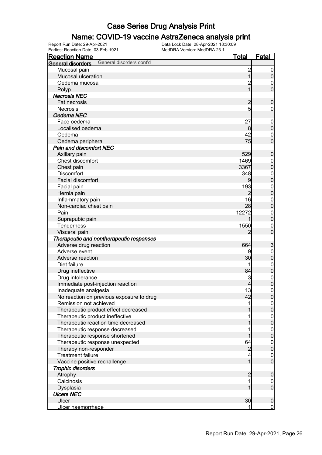#### Name: COVID-19 vaccine AstraZeneca analysis print

Earliest Reaction Date: 03-Feb-1921 MedDRA Version: MedDRA 23.1

| <b>Reaction Name</b>                          | <b>Total</b>            | <b>Fatal</b>                       |
|-----------------------------------------------|-------------------------|------------------------------------|
| General disorders cont'd<br>General disorders |                         |                                    |
| Mucosal pain                                  | $\overline{\mathbf{c}}$ | $\mathbf 0$                        |
| Mucosal ulceration                            | $\overline{1}$          | $\pmb{0}$                          |
| Oedema mucosal                                | $\overline{c}$          | $\overline{0}$                     |
| Polyp                                         | $\overline{1}$          | $\overline{0}$                     |
| <b>Necrosis NEC</b>                           |                         |                                    |
| Fat necrosis                                  | $\overline{c}$          | $\mathbf 0$                        |
| <b>Necrosis</b>                               | 5                       | $\mathbf 0$                        |
| Oedema NEC                                    |                         |                                    |
| Face oedema                                   | 27                      | $\boldsymbol{0}$                   |
| Localised oedema                              | 8                       | $\mathbf 0$                        |
| Oedema                                        | 42                      | $\boldsymbol{0}$                   |
| Oedema peripheral                             | 75                      | $\overline{0}$                     |
| <b>Pain and discomfort NEC</b>                |                         |                                    |
| Axillary pain                                 | 529                     | $\boldsymbol{0}$                   |
| Chest discomfort                              | 1469                    |                                    |
|                                               | 3367                    | $\boldsymbol{0}$<br>$\overline{0}$ |
| Chest pain<br><b>Discomfort</b>               | 348                     |                                    |
| Facial discomfort                             |                         | $\boldsymbol{0}$                   |
|                                               |                         | $\mathbf 0$                        |
| Facial pain                                   | 193                     | $\boldsymbol{0}$                   |
| Hernia pain                                   | $\overline{2}$          | $\mathbf 0$                        |
| Inflammatory pain                             | 16                      | $\mathbf{0}$                       |
| Non-cardiac chest pain                        | 28                      | $\overline{0}$                     |
| Pain                                          | 12272                   | $\boldsymbol{0}$                   |
| Suprapubic pain                               | 1                       | $\mathbf 0$                        |
| Tenderness                                    | 1550                    | $\mathbf{0}$                       |
| Visceral pain                                 | 2                       | $\overline{0}$                     |
| Therapeutic and nontherapeutic responses      |                         |                                    |
| Adverse drug reaction                         | 664                     | 3                                  |
| Adverse event                                 | 9                       | $\mathbf 0$                        |
| Adverse reaction                              | 30                      | $\mathbf 0$                        |
| Diet failure                                  | 1                       | $\boldsymbol{0}$                   |
| Drug ineffective                              | 84                      | $\mathbf 0$                        |
| Drug intolerance                              | 3                       | $\boldsymbol{0}$                   |
| Immediate post-injection reaction             | 4                       | $\overline{0}$                     |
| Inadequate analgesia                          | 13                      | $\mathbf 0$                        |
| No reaction on previous exposure to drug      | 42                      | 0                                  |
| Remission not achieved                        | 1                       | $\overline{0}$                     |
| Therapeutic product effect decreased          |                         | $\mathbf 0$                        |
| Therapeutic product ineffective               | 1                       | $\boldsymbol{0}$                   |
| Therapeutic reaction time decreased           | 1                       | $\mathbf 0$                        |
| Therapeutic response decreased                |                         | $\boldsymbol{0}$                   |
| Therapeutic response shortened                | 1                       | $\mathbf 0$                        |
| Therapeutic response unexpected               | 64                      | $\boldsymbol{0}$                   |
| Therapy non-responder                         | $\overline{2}$          | $\mathbf 0$                        |
| <b>Treatment failure</b>                      | 4                       | $\boldsymbol{0}$                   |
| Vaccine positive rechallenge                  | $\mathbf{1}$            | $\overline{0}$                     |
| <b>Trophic disorders</b>                      |                         |                                    |
| Atrophy                                       | $\overline{c}$          | $\boldsymbol{0}$                   |
| Calcinosis                                    | 1                       | $\overline{0}$                     |
| Dysplasia                                     | 1                       | $\mathbf 0$                        |
| <b>Ulcers NEC</b>                             |                         |                                    |
| Ulcer                                         | 30                      | $\boldsymbol{0}$                   |
| Ulcer haemorrhage                             | 1                       | $\overline{0}$                     |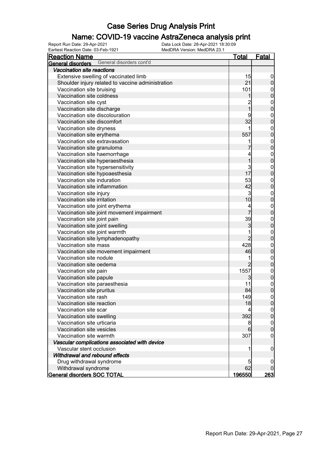#### Name: COVID-19 vaccine AstraZeneca analysis print

| <b>Reaction Name</b>                                 | <u>Total</u>            | Fatal                            |
|------------------------------------------------------|-------------------------|----------------------------------|
| General disorders cont'd<br><b>General disorders</b> |                         |                                  |
| Vaccination site reactions                           |                         |                                  |
| Extensive swelling of vaccinated limb                | 15                      | 0                                |
| Shoulder injury related to vaccine administration    | 21                      | 0                                |
| Vaccination site bruising                            | 101                     | $\mathbf 0$                      |
| Vaccination site coldness                            |                         | 0                                |
| Vaccination site cyst                                | $\overline{\mathbf{c}}$ | $\mathbf{0}$                     |
| Vaccination site discharge                           | 1                       | 0                                |
| Vaccination site discolouration                      | 9                       | $\mathbf{0}$                     |
| Vaccination site discomfort                          | 32                      | 0                                |
| Vaccination site dryness                             | 1                       | $\mathbf{0}$                     |
| Vaccination site erythema                            | 557                     | 0                                |
| Vaccination site extravasation                       |                         | $\mathbf{0}$                     |
| Vaccination site granuloma                           |                         | 0                                |
| Vaccination site haemorrhage                         | 4                       | $\mathbf{0}$                     |
| Vaccination site hyperaesthesia                      | 1                       | 0                                |
| Vaccination site hypersensitivity                    | 3                       | $\mathbf{0}$                     |
| Vaccination site hypoaesthesia                       | 17                      | 0                                |
| Vaccination site induration                          | 53                      | $\mathbf{0}$                     |
| Vaccination site inflammation                        | 42                      | 0                                |
| Vaccination site injury                              | 3                       | $\mathbf{0}$                     |
| Vaccination site irritation                          | 10                      | $\overline{0}$                   |
| Vaccination site joint erythema                      | 4                       | $\mathbf{0}$                     |
| Vaccination site joint movement impairment           | 7                       | 0                                |
| Vaccination site joint pain                          | 39                      | $\mathbf{0}$                     |
| Vaccination site joint swelling                      | 3                       | 0                                |
| Vaccination site joint warmth                        | 1                       | $\mathbf{0}$                     |
| Vaccination site lymphadenopathy                     | $\overline{2}$          | 0                                |
| Vaccination site mass                                | 428                     | $\mathbf{0}$                     |
| Vaccination site movement impairment                 | 46                      | 0                                |
| Vaccination site nodule                              | 1                       | $\mathbf{0}$                     |
| Vaccination site oedema                              | $\overline{2}$          | $\overline{0}$                   |
| Vaccination site pain                                | 1557                    | $\mathbf{0}$                     |
| Vaccination site papule                              | 3                       | $\overline{0}$                   |
| Vaccination site paraesthesia                        | 11                      |                                  |
| Vaccination site pruritus                            | 84                      | $\begin{matrix}0\\0\end{matrix}$ |
| Vaccination site rash                                | 149                     | <sup>o</sup>                     |
| Vaccination site reaction                            | 18                      | $\overline{0}$                   |
| Vaccination site scar                                | 4                       | $\boldsymbol{0}$                 |
| Vaccination site swelling                            | 392                     | $\overline{0}$                   |
| Vaccination site urticaria                           | 8                       | $\mathbf 0$                      |
| Vaccination site vesicles                            | 6                       | $\overline{0}$                   |
| Vaccination site warmth                              | 307                     | 0                                |
| Vascular complications associated with device        |                         |                                  |
| Vascular stent occlusion                             | 1                       | 0                                |
| Withdrawal and rebound effects                       |                         |                                  |
| Drug withdrawal syndrome                             | 5                       | 0                                |
| Withdrawal syndrome                                  | 62                      |                                  |
| <b>General disorders SOC TOTAL</b>                   | <u>196550</u>           | <u> 263 </u>                     |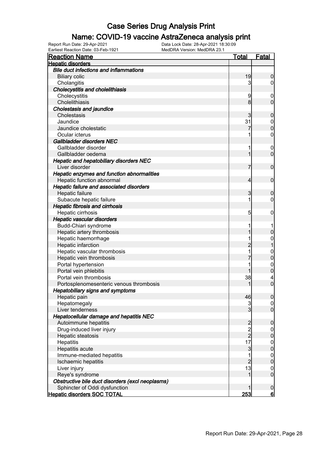#### Name: COVID-19 vaccine AstraZeneca analysis print

| <b>Reaction Name</b>                             | <u>Total</u>                               | <u>Fatal</u>     |
|--------------------------------------------------|--------------------------------------------|------------------|
| <b>Hepatic disorders</b>                         |                                            |                  |
| <b>Bile duct infections and inflammations</b>    |                                            |                  |
| <b>Biliary colic</b>                             | 19                                         | 0                |
| Cholangitis                                      | 3                                          | 0                |
| <b>Cholecystitis and cholelithiasis</b>          |                                            |                  |
| Cholecystitis                                    | 9                                          | $\mathbf 0$      |
| Cholelithiasis                                   | 8                                          | $\overline{0}$   |
| <b>Cholestasis and jaundice</b>                  |                                            |                  |
| Cholestasis                                      | 3                                          | 0                |
| Jaundice                                         | 31                                         | $\mathbf 0$      |
| Jaundice cholestatic                             |                                            | $\overline{0}$   |
| Ocular icterus                                   | 1                                          | $\mathbf 0$      |
| Gallbladder disorders NEC                        |                                            |                  |
| Gallbladder disorder                             | 1                                          | $\mathbf 0$      |
| Gallbladder oedema                               | 1                                          | $\mathbf 0$      |
| <b>Hepatic and hepatobiliary disorders NEC</b>   |                                            |                  |
| Liver disorder                                   | 7                                          | $\mathbf 0$      |
| Hepatic enzymes and function abnormalities       |                                            |                  |
| Hepatic function abnormal                        | 4                                          | $\mathbf 0$      |
| Hepatic failure and associated disorders         |                                            |                  |
| Hepatic failure                                  | 3                                          | 0                |
| Subacute hepatic failure                         | 1                                          | 0                |
|                                                  |                                            |                  |
| <b>Hepatic fibrosis and cirrhosis</b>            |                                            |                  |
| Hepatic cirrhosis                                | $\overline{5}$                             | 0                |
| Hepatic vascular disorders                       |                                            |                  |
| Budd-Chiari syndrome                             | 1                                          |                  |
| Hepatic artery thrombosis                        |                                            | 0                |
| Hepatic haemorrhage                              | 1                                          | 0                |
| Hepatic infarction                               | $\overline{c}$                             |                  |
| Hepatic vascular thrombosis                      | 1                                          | $\mathbf{0}$     |
| Hepatic vein thrombosis                          |                                            | $\mathbf 0$      |
| Portal hypertension                              |                                            | $\mathbf{0}$     |
| Portal vein phlebitis                            |                                            | $\overline{0}$   |
| Portal vein thrombosis                           | 38                                         | 4                |
| Portosplenomesenteric venous thrombosis          | 1                                          | $\overline{0}$   |
| <b>Hepatobiliary signs and symptoms</b>          |                                            |                  |
| Hepatic pain                                     | 46                                         | 0                |
| Hepatomegaly                                     | 3                                          | $\overline{0}$   |
| Liver tenderness                                 | $\overline{3}$                             | $\overline{0}$   |
| Hepatocellular damage and hepatitis NEC          |                                            |                  |
| Autoimmune hepatitis                             | $\begin{array}{c} 2 \\ 2 \\ 2 \end{array}$ | $\mathbf 0$      |
| Drug-induced liver injury                        |                                            | $\overline{0}$   |
| Hepatic steatosis                                |                                            | $\boldsymbol{0}$ |
| Hepatitis                                        | 17                                         | $\boldsymbol{0}$ |
| Hepatitis acute                                  | $\mathbf{3}$                               | $\mathbf 0$      |
| Immune-mediated hepatitis                        | 1                                          | $\boldsymbol{0}$ |
| Ischaemic hepatitis                              | $\overline{2}$                             | $\boldsymbol{0}$ |
| Liver injury                                     | 13                                         | $\mathbf 0$      |
| Reye's syndrome                                  | 1                                          | $\boldsymbol{0}$ |
| Obstructive bile duct disorders (excl neoplasms) |                                            |                  |
| Sphincter of Oddi dysfunction                    |                                            | $\mathbf 0$      |
| <b>Hepatic disorders SOC TOTAL</b>               | 253                                        | <u>6</u>         |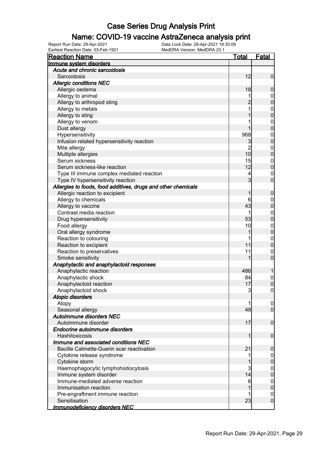#### Name: COVID-19 vaccine AstraZeneca analysis print

| Earliest Reaction Date: 03-Feb-1921<br>MedDRA Version: MedDRA 23.1 |                |                  |
|--------------------------------------------------------------------|----------------|------------------|
| <b>Reaction Name</b>                                               | <u>Total</u>   | <u>Fatal</u>     |
| Immune system disorders                                            |                |                  |
| Acute and chronic sarcoidosis                                      |                |                  |
| Sarcoidosis                                                        | 12             | $\mathbf 0$      |
| <b>Allergic conditions NEC</b>                                     |                |                  |
| Allergic oedema                                                    | 18             | $\mathbf 0$      |
| Allergy to animal                                                  | 1              | $\mathbf 0$      |
| Allergy to arthropod sting                                         | $\overline{2}$ | $\mathbf 0$      |
| Allergy to metals                                                  | 1              | $\boldsymbol{0}$ |
| Allergy to sting                                                   | 1              | $\mathbf 0$      |
| Allergy to venom                                                   |                | $\boldsymbol{0}$ |
| Dust allergy                                                       | 1              | $\overline{0}$   |
| Hypersensitivity                                                   | 968            | $\boldsymbol{0}$ |
| Infusion related hypersensitivity reaction                         | 3              | $\mathbf 0$      |
| Mite allergy                                                       | $\overline{2}$ | $\boldsymbol{0}$ |
| Multiple allergies                                                 | 10             | $\overline{0}$   |
| Serum sickness                                                     | 15             | $\boldsymbol{0}$ |
| Serum sickness-like reaction                                       | 12             | $\mathbf 0$      |
| Type III immune complex mediated reaction                          | 4              | $\boldsymbol{0}$ |
| Type IV hypersensitivity reaction                                  | 3 <sup>1</sup> | $\mathbf 0$      |
| Allergies to foods, food additives, drugs and other chemicals      |                |                  |
| Allergic reaction to excipient                                     | 1              | $\mathbf 0$      |
| Allergy to chemicals                                               | 6              | $\boldsymbol{0}$ |
| Allergy to vaccine                                                 | 43             | $\mathbf 0$      |
| Contrast media reaction                                            | 1              | $\boldsymbol{0}$ |
| Drug hypersensitivity                                              | 53             | $\mathbf 0$      |
| Food allergy                                                       | 10             | $\boldsymbol{0}$ |
| Oral allergy syndrome                                              | 1              | $\mathbf 0$      |
| Reaction to colouring                                              | 1              | $\boldsymbol{0}$ |
| Reaction to excipient                                              | 11             | $\mathbf 0$      |
| Reaction to preservatives                                          | 11             | $\boldsymbol{0}$ |
| Smoke sensitivity                                                  | 1              | $\boldsymbol{0}$ |
| Anaphylactic and anaphylactoid responses                           |                |                  |
| Anaphylactic reaction                                              | 486            | 1                |
| Anaphylactic shock                                                 | 84             | $\mathbf 0$      |
| Anaphylactoid reaction                                             | 17             | $\mathbf 0$      |
| Anaphylactoid shock                                                | ત્ર            | $\overline{0}$   |
| <b>Atopic disorders</b>                                            |                |                  |
| Atopy                                                              |                | $\overline{0}$   |
| Seasonal allergy                                                   | 49             | $\overline{0}$   |
| Autoimmune disorders NEC                                           |                |                  |
| Autoimmune disorder                                                | 17             | $\mathbf 0$      |
| Endocrine autoimmune disorders                                     |                |                  |
| Hashitoxicosis                                                     | 1              | $\mathbf 0$      |
| Immune and associated conditions NEC                               |                |                  |
| Bacille Calmette-Guerin scar reactivation                          | 21             | $\mathbf 0$      |
| Cytokine release syndrome                                          |                | $\overline{0}$   |
| Cytokine storm                                                     | 1              | $\pmb{0}$        |
| Haemophagocytic lymphohistiocytosis                                | 3              | $\mathbf{0}$     |
| Immune system disorder                                             | 14             | $\mathbf 0$      |
| Immune-mediated adverse reaction                                   | 6              | $\mathbf{0}$     |
| Immunisation reaction                                              |                | $\mathbf 0$      |
| Pre-engraftment immune reaction                                    |                | $\mathbf 0$      |
| Sensitisation                                                      | 23             | $\mathbf 0$      |
| <u>Immunodeficiency disorders NEC</u>                              |                |                  |
|                                                                    |                |                  |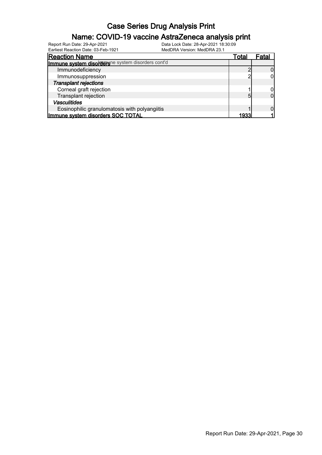#### Name: COVID-19 vaccine AstraZeneca analysis print

| Earliest Reaction Date: 03-Feb-1921               | MedDRA Version: MedDRA 23.1 |       |       |
|---------------------------------------------------|-----------------------------|-------|-------|
| <b>Reaction Name</b>                              |                             | Total | Fatal |
| Immune system disordersne system disorders cont'd |                             |       |       |
| Immunodeficiency                                  |                             |       |       |
| Immunosuppression                                 |                             |       |       |
| <b>Transplant rejections</b>                      |                             |       |       |
| Corneal graft rejection                           |                             |       |       |
| Transplant rejection                              |                             | 5     |       |
| <b>Vasculitides</b>                               |                             |       |       |
| Eosinophilic granulomatosis with polyangiitis     |                             |       |       |
| Immune system disorders SOC TOTAL                 |                             | 1933  |       |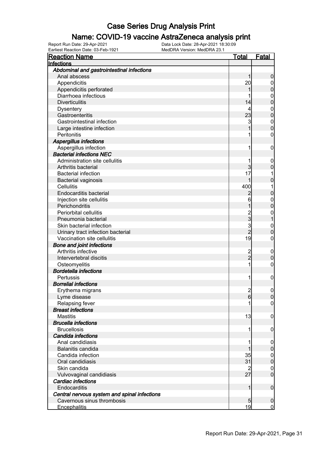#### Name: COVID-19 vaccine AstraZeneca analysis print

| <b>Reaction Name</b>                         | <u>Total</u>   | <b>Fatal</b>     |
|----------------------------------------------|----------------|------------------|
| Infections                                   |                |                  |
| Abdominal and gastrointestinal infections    |                |                  |
| Anal abscess                                 |                | 0                |
| Appendicitis                                 | 20             | 0                |
| Appendicitis perforated                      |                | 0                |
| Diarrhoea infectious                         |                | 0                |
| <b>Diverticulitis</b>                        | 14             | 0                |
| <b>Dysentery</b>                             | 4              | 0                |
| Gastroenteritis                              | 23             | 0                |
| Gastrointestinal infection                   | 3              | $\mathbf{0}$     |
| Large intestine infection                    |                | O                |
| Peritonitis                                  |                | 0                |
| Aspergillus infections                       |                |                  |
| Aspergillus infection                        | 1              | 0                |
| <b>Bacterial infections NEC</b>              |                |                  |
| Administration site cellulitis               |                | 0                |
| Arthritis bacterial                          | 3              | 0                |
| <b>Bacterial infection</b>                   | 17             |                  |
| <b>Bacterial vaginosis</b>                   |                | 0                |
| <b>Cellulitis</b>                            | 400            |                  |
| <b>Endocarditis bacterial</b>                |                | 0                |
| Injection site cellulitis                    | 6              | $\mathbf{0}$     |
| Perichondritis                               |                | 0                |
| Periorbital cellulitis                       |                | 0                |
| Pneumonia bacterial                          | 2<br>3         |                  |
| Skin bacterial infection                     | 3              | $\mathbf 0$      |
| Urinary tract infection bacterial            | $\overline{2}$ | 0                |
| Vaccination site cellulitis                  | 19             | 0                |
| <b>Bone and joint infections</b>             |                |                  |
| Arthritis infective                          |                | 0                |
| Intervertebral discitis                      | 2<br>2         | 0                |
| Osteomyelitis                                | 1              | 0                |
| <b>Bordetella infections</b>                 |                |                  |
| Pertussis                                    | 1              | 0                |
| <b>Borrelial infections</b>                  |                |                  |
| Erythema migrans                             | $\overline{c}$ | 0                |
| Lyme disease                                 | 6              | $\Omega$         |
| Relapsing fever                              | 1              | $\overline{0}$   |
| <b>Breast infections</b>                     |                |                  |
| <b>Mastitis</b>                              | 13             | 0                |
| <b>Brucella infections</b>                   |                |                  |
| <b>Brucellosis</b>                           | 1              | 0                |
| Candida infections                           |                |                  |
| Anal candidiasis                             |                | 0                |
| Balanitis candida                            |                | 0                |
| Candida infection                            | 35             | $\boldsymbol{0}$ |
| Oral candidiasis                             | 31             | 0                |
| Skin candida                                 |                | 0                |
| Vulvovaginal candidiasis                     | 27             | $\overline{0}$   |
| Cardiac infections                           |                |                  |
| Endocarditis                                 | 1              | $\boldsymbol{0}$ |
| Central nervous system and spinal infections |                |                  |
| Cavernous sinus thrombosis                   | 5              | 0                |
| <b>Encephalitis</b>                          | 19             | $\overline{0}$   |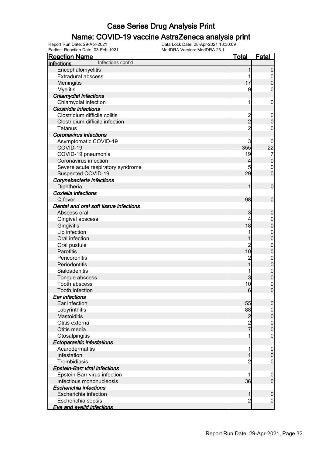#### Name: COVID-19 vaccine AstraZeneca analysis print

| Earliest Reaction Date: 03-Feb-1921                  | MedDRA Version: MedDRA 23.1 |                |                            |
|------------------------------------------------------|-----------------------------|----------------|----------------------------|
| <b>Reaction Name</b>                                 |                             | <u>Total</u>   | <b>Fatal</b>               |
| Infections cont'd<br>Infections                      |                             |                |                            |
| Encephalomyelitis                                    |                             | 1              | $\mathbf 0$                |
| Extradural abscess                                   |                             | 1              | $\overline{0}$             |
| Meningitis                                           |                             | 17             | $\pmb{0}$                  |
| <b>Myelitis</b>                                      |                             | 9              | $\mathbf 0$                |
| <b>Chlamydial infections</b>                         |                             |                |                            |
| Chlamydial infection                                 |                             | 1              | $\mathbf 0$                |
| Clostridia infections                                |                             |                |                            |
| Clostridium difficile colitis                        |                             |                | $\mathbf 0$                |
| Clostridium difficile infection                      |                             | 2<br>2         | $\mathbf 0$                |
| Tetanus                                              |                             | $\overline{2}$ | $\mathbf 0$                |
| <b>Coronavirus infections</b>                        |                             |                |                            |
| Asymptomatic COVID-19                                |                             | 3              | 0                          |
| COVID-19                                             |                             | 355            | 22                         |
| COVID-19 pneumonia                                   |                             | 19             | $\overline{7}$             |
| Coronavirus infection                                |                             | 4              | $\pmb{0}$                  |
| Severe acute respiratory syndrome                    |                             | 5              | $\boldsymbol{0}$           |
| Suspected COVID-19                                   |                             | 29             | $\mathbf 0$                |
| Corynebacteria infections                            |                             |                |                            |
| Diphtheria                                           |                             | 1              | $\boldsymbol{0}$           |
| Coxiella infections                                  |                             |                |                            |
| Q fever                                              |                             | 98             | $\boldsymbol{0}$           |
| Dental and oral soft tissue infections               |                             |                |                            |
| Abscess oral                                         |                             | 3              | $\boldsymbol{0}$           |
| Gingival abscess                                     |                             | 4              | $\boldsymbol{0}$           |
| Gingivitis                                           |                             | 18             | $\mathbf 0$                |
| Lip infection                                        |                             | 1              | $\boldsymbol{0}$           |
| Oral infection                                       |                             | 1              | $\mathbf 0$                |
| Oral pustule                                         |                             | $\overline{c}$ | $\mathbf{0}$               |
| Parotitis                                            |                             | 10             | $\overline{0}$             |
| Pericoronitis                                        |                             |                | $\boldsymbol{0}$           |
| Periodontitis                                        |                             | 2<br>1         | $\overline{0}$             |
| Sialoadenitis                                        |                             |                | $\mathbf{0}$               |
| Tongue abscess                                       |                             | 3              | $\mathbf 0$                |
| Tooth abscess                                        |                             | 10             | $\boldsymbol{0}$           |
| <b>Tooth infection</b>                               |                             | $\epsilon$     | $\Omega$                   |
| Ear infections                                       |                             |                |                            |
| Ear infection                                        |                             | 55             | $\boldsymbol{0}$           |
| Labyrinthitis                                        |                             | 88             | 0                          |
| <b>Mastoiditis</b>                                   |                             |                | $\boldsymbol{0}$           |
| Otitis externa                                       |                             | $\overline{c}$ | $\mathbf 0$                |
| Otitis media                                         |                             | $\frac{2}{7}$  | $\overline{0}$             |
|                                                      |                             |                | 0                          |
| Otosalpingitis                                       |                             |                |                            |
| <b>Ectoparasitic infestations</b><br>Acarodermatitis |                             |                |                            |
| Infestation                                          |                             |                | $\mathbf 0$<br>$\mathbf 0$ |
|                                                      |                             | 1              |                            |
| Trombidiasis                                         |                             | $\overline{c}$ | 0                          |
| <b>Epstein-Barr viral infections</b>                 |                             |                |                            |
| Epstein-Barr virus infection                         |                             |                | 0                          |
| Infectious mononucleosis                             |                             | 36             | $\overline{0}$             |
| Escherichia infections                               |                             |                |                            |
| Escherichia infection                                |                             | 1              | $\mathbf 0$                |
| Escherichia sepsis                                   |                             | $\overline{2}$ | 0                          |
| <b>Eye and eyelid infections</b>                     |                             |                |                            |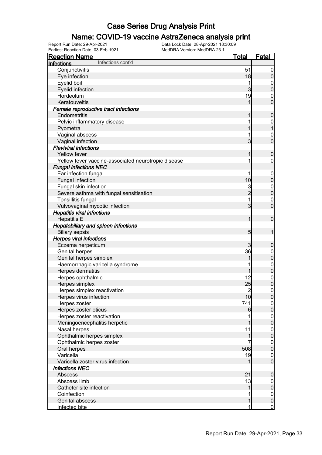#### Name: COVID-19 vaccine AstraZeneca analysis print

| Earliest Reaction Date: 03-Feb-1921<br>MedDRA Version: MedDRA 23.1 |                |                  |
|--------------------------------------------------------------------|----------------|------------------|
| <b>Reaction Name</b>                                               | <u>Total</u>   | <b>Fatal</b>     |
| Infections cont'd<br>Infections                                    |                |                  |
| Conjunctivitis                                                     | 51             | $\boldsymbol{0}$ |
| Eye infection                                                      | 18             | $\boldsymbol{0}$ |
| Eyelid boil                                                        | 1              | $\mathbf 0$      |
| Eyelid infection                                                   | 3              | $\mathbf 0$      |
| Hordeolum                                                          | 19             | $\mathbf{0}$     |
| Keratouveitis                                                      | 1              | $\mathbf 0$      |
| Female reproductive tract infections                               |                |                  |
| Endometritis                                                       | 1              | $\mathbf 0$      |
| Pelvic inflammatory disease                                        |                | $\boldsymbol{0}$ |
| Pyometra                                                           |                | $\mathbf{1}$     |
| Vaginal abscess                                                    | 1              | $\mathbf{0}$     |
| Vaginal infection                                                  | $\overline{3}$ | $\mathbf 0$      |
| <b>Flaviviral infections</b>                                       |                |                  |
| Yellow fever                                                       | 1              | $\mathbf 0$      |
| Yellow fever vaccine-associated neurotropic disease                | 1              | $\mathbf 0$      |
| <b>Fungal infections NEC</b>                                       |                |                  |
| Ear infection fungal                                               | 1              | $\mathbf 0$      |
| Fungal infection                                                   | 10             | $\pmb{0}$        |
| Fungal skin infection                                              | 3              | $\boldsymbol{0}$ |
| Severe asthma with fungal sensitisation                            | $\overline{c}$ | $\mathbf 0$      |
| Tonsillitis fungal                                                 | 1              | $\boldsymbol{0}$ |
| Vulvovaginal mycotic infection                                     | 3              | $\overline{0}$   |
| <b>Hepatitis viral infections</b>                                  |                |                  |
| <b>Hepatitis E</b>                                                 | 1              | $\boldsymbol{0}$ |
| <b>Hepatobiliary and spleen infections</b>                         |                |                  |
| <b>Biliary sepsis</b>                                              | 5              | 1                |
| <b>Herpes viral infections</b>                                     |                |                  |
| Eczema herpeticum                                                  | 3              | $\boldsymbol{0}$ |
| Genital herpes                                                     | 36             | $\boldsymbol{0}$ |
| Genital herpes simplex                                             | 1              | $\mathbf 0$      |
| Haemorrhagic varicella syndrome                                    |                | $\boldsymbol{0}$ |
| Herpes dermatitis                                                  | 1              | $\mathbf 0$      |
| Herpes ophthalmic                                                  | 12             | $\boldsymbol{0}$ |
| Herpes simplex                                                     | 25             | $\overline{0}$   |
| Herpes simplex reactivation                                        | 2              | $\mathbf 0$      |
| Herpes virus infection                                             | 10             | 0                |
| Herpes zoster                                                      | 741            | $\overline{0}$   |
| Herpes zoster oticus                                               | 6              | $\overline{0}$   |
| Herpes zoster reactivation                                         |                | $\mathbf 0$      |
| Meningoencephalitis herpetic                                       | 1              | $\overline{0}$   |
| Nasal herpes                                                       | 11             | $\boldsymbol{0}$ |
| Ophthalmic herpes simplex                                          | 1              | $\mathbf 0$      |
| Ophthalmic herpes zoster                                           |                | $\mathbf 0$      |
| Oral herpes                                                        | 508            | $\overline{0}$   |
| Varicella                                                          | 19             | $\mathbf 0$      |
| Varicella zoster virus infection                                   | 1              | $\overline{0}$   |
| <b>Infections NEC</b>                                              |                |                  |
|                                                                    | 21             |                  |
| Abscess<br>Abscess limb                                            |                | $\mathbf 0$      |
|                                                                    | 13             | $\overline{0}$   |
| Catheter site infection                                            | 1              | $\pmb{0}$        |
| Coinfection                                                        | 1              | $\boldsymbol{0}$ |
| Genital abscess                                                    | 1              | $\pmb{0}$        |
| Infected bite                                                      | 1              | <u>0</u>         |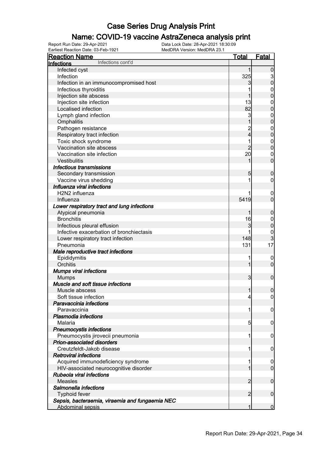#### Name: COVID-19 vaccine AstraZeneca analysis print

Earliest Reaction Date: 03-Feb-1921 MedDRA Version: MedDRA 23.1

| <b>Reaction Name</b>                            | <u>Total</u>   | <b>Fatal</b>                                   |
|-------------------------------------------------|----------------|------------------------------------------------|
| Infections cont'd<br>Infections                 |                |                                                |
| Infected cyst                                   | 1              | $\boldsymbol{0}$                               |
| Infection                                       | 325            |                                                |
| Infection in an immunocompromised host          | 3              | $\begin{smallmatrix} 3 \\ 0 \end{smallmatrix}$ |
| Infectious thyroiditis                          |                |                                                |
| Injection site abscess                          | 1              | $\begin{matrix}0\\0\end{matrix}$               |
| Injection site infection                        | 13             |                                                |
| Localised infection                             | 82             | $0\atop 0$                                     |
| Lymph gland infection                           | 3              |                                                |
| Omphalitis                                      | 1              | $0\atop 0$                                     |
| Pathogen resistance                             |                |                                                |
| Respiratory tract infection                     | 2<br>4         | $\begin{matrix}0\\0\end{matrix}$               |
| Toxic shock syndrome                            | 1              |                                                |
| Vaccination site abscess                        | $\overline{2}$ | $\begin{matrix}0\\0\end{matrix}$               |
| Vaccination site infection                      | 20             |                                                |
| Vestibulitis                                    | 1              | $\begin{matrix}0\\0\end{matrix}$               |
| <b>Infectious transmissions</b>                 |                |                                                |
| Secondary transmission                          | 5              | $\mathbf 0$                                    |
| Vaccine virus shedding                          | 1              | $\mathbf 0$                                    |
| Influenza viral infections                      |                |                                                |
| H2N2 influenza                                  |                | $\boldsymbol{0}$                               |
| Influenza                                       | 5419           | $\overline{0}$                                 |
| Lower respiratory tract and lung infections     |                |                                                |
| Atypical pneumonia                              | 1              | $\mathbf 0$                                    |
| <b>Bronchitis</b>                               | 16             |                                                |
| Infectious pleural effusion                     | 3              | $0\atop 0$                                     |
| Infective exacerbation of bronchiectasis        |                |                                                |
|                                                 | 148            | $\frac{0}{3}$                                  |
| Lower respiratory tract infection<br>Pneumonia  | 131            | 17                                             |
|                                                 |                |                                                |
| Male reproductive tract infections              | 1              |                                                |
| Epididymitis<br>Orchitis                        | $\mathbf{1}$   | $\mathbf 0$<br>$\overline{0}$                  |
|                                                 |                |                                                |
| <b>Mumps viral infections</b>                   |                |                                                |
| <b>Mumps</b>                                    | $\overline{3}$ | $\boldsymbol{0}$                               |
| Muscle and soft tissue infections               |                |                                                |
| Muscle abscess                                  | 1              | $\mathbf 0$                                    |
| Soft tissue infection                           | 4              | $\overline{0}$                                 |
| Paravaccinia infections                         |                |                                                |
| Paravaccinia                                    | 1              | 0                                              |
| <b>Plasmodia infections</b>                     |                |                                                |
| Malaria                                         | 5              | 0                                              |
| <b>Pneumocystis infections</b>                  |                |                                                |
| Pneumocystis jirovecii pneumonia                | 1              | $\mathbf 0$                                    |
| Prion-associated disorders                      |                |                                                |
| Creutzfeldt-Jakob disease                       | 1              | $\mathbf 0$                                    |
| <b>Retroviral infections</b>                    |                |                                                |
| Acquired immunodeficiency syndrome              | 1              | 0                                              |
| HIV-associated neurocognitive disorder          | 1              | $\overline{0}$                                 |
| Rubeola viral infections                        |                |                                                |
| <b>Measles</b>                                  | 2              | $\mathbf 0$                                    |
| Salmonella infections                           |                |                                                |
| <b>Typhoid fever</b>                            | $\overline{2}$ | $\mathbf 0$                                    |
| Sepsis, bacteraemia, viraemia and fungaemia NEC |                |                                                |
| <b>Abdominal sepsis</b>                         | 1              | $\overline{0}$                                 |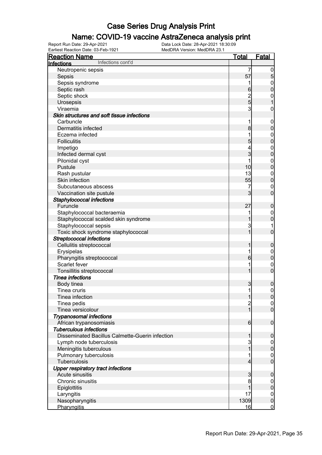#### Name: COVID-19 vaccine AstraZeneca analysis print

| <b>Reaction Name</b>                                         | <b>Total</b>        | <b>Fatal</b>                     |
|--------------------------------------------------------------|---------------------|----------------------------------|
| Infections cont'd<br>Infections                              |                     |                                  |
| Neutropenic sepsis                                           | 7                   | $\overline{0}$                   |
| Sepsis                                                       | 57                  | 5                                |
| Sepsis syndrome                                              | 1                   | $\mathbf 0$                      |
| Septic rash                                                  | 6                   | $\mathbf 0$                      |
| Septic shock                                                 |                     | $\mathbf 0$                      |
| Urosepsis                                                    | $\frac{2}{5}$       | 1                                |
| Viraemia                                                     | 3                   | $\boldsymbol{0}$                 |
| Skin structures and soft tissue infections                   |                     |                                  |
| Carbuncle                                                    | 1                   | $\boldsymbol{0}$                 |
| Dermatitis infected                                          | 8                   | $\boldsymbol{0}$                 |
| Eczema infected                                              |                     | $\mathbf 0$                      |
| <b>Folliculitis</b>                                          | 5                   | $\mathbf 0$                      |
| Impetigo                                                     | 4                   | $\boldsymbol{0}$                 |
| Infected dermal cyst                                         | 3                   | $\mathbf 0$                      |
| Pilonidal cyst                                               | 1                   | $\mathbf 0$                      |
| Pustule                                                      | 10                  | $\mathbf 0$                      |
| Rash pustular                                                | 13                  | $\mathbf 0$                      |
| Skin infection                                               | 55                  | $\mathbf 0$                      |
| Subcutaneous abscess                                         | 7                   | $\mathbf 0$                      |
| Vaccination site pustule                                     | 3                   | $\mathbf 0$                      |
| Staphylococcal infections                                    |                     |                                  |
| Furuncle                                                     | 27                  | $\mathbf 0$                      |
| Staphylococcal bacteraemia                                   |                     | $\mathbf 0$                      |
| Staphylococcal scalded skin syndrome                         |                     | $\mathbf 0$                      |
| Staphylococcal sepsis                                        | 3                   | 1                                |
| Toxic shock syndrome staphylococcal                          | 1                   | $\mathbf 0$                      |
| <b>Streptococcal infections</b>                              |                     |                                  |
| Cellulitis streptococcal                                     | 1                   | $\mathbf 0$                      |
| Erysipelas                                                   |                     |                                  |
| Pharyngitis streptococcal                                    | 6                   | $\mathbf 0$<br>$\mathbf 0$       |
| Scarlet fever                                                |                     |                                  |
| Tonsillitis streptococcal                                    | 1                   | $\mathbf 0$<br>$\mathbf 0$       |
| <b>Tinea infections</b>                                      |                     |                                  |
| Body tinea                                                   |                     |                                  |
| Tinea cruris                                                 | 3<br>$\mathbf{1}$   | $\mathbf 0$<br>$\boldsymbol{0}$  |
| Tinea infection                                              | $\mathbf{1}$        |                                  |
| Tinea pedis                                                  |                     | 0                                |
| Tinea versicolour                                            | $\overline{c}$<br>1 | $\overline{0}$<br>$\overline{0}$ |
|                                                              |                     |                                  |
| <b>Trypanosomal infections</b><br>African trypanosomiasis    | 6                   | $\boldsymbol{0}$                 |
| <b>Tuberculous infections</b>                                |                     |                                  |
| Disseminated Bacillus Calmette-Guerin infection              | 1                   |                                  |
| Lymph node tuberculosis                                      |                     | $\boldsymbol{0}$                 |
|                                                              | 3                   | $\overline{0}$                   |
| Meningitis tuberculous                                       |                     | $\pmb{0}$                        |
| Pulmonary tuberculosis<br>Tuberculosis                       | 4                   | $\overline{0}$<br>$\overline{0}$ |
|                                                              |                     |                                  |
| <b>Upper respiratory tract infections</b><br>Acute sinusitis |                     |                                  |
| Chronic sinusitis                                            | 3                   | $\boldsymbol{0}$                 |
|                                                              | 8<br>1              | $\overline{0}$                   |
| <b>Epiglottitis</b>                                          |                     | $\pmb{0}$                        |
| Laryngitis                                                   | 17                  | $\mathbf 0$                      |
| Nasopharyngitis                                              | 1309                | $\mathbf 0$                      |
| Pharyngitis                                                  | 16                  | $\overline{0}$                   |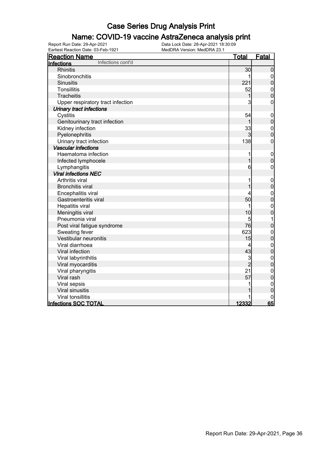#### Name: COVID-19 vaccine AstraZeneca analysis print

| <b>Reaction Name</b>              | <u>Total</u>   | Fatal                            |
|-----------------------------------|----------------|----------------------------------|
| Infections cont'd<br>Infections   |                |                                  |
| <b>Rhinitis</b>                   | 30             | $\mathbf 0$                      |
| Sinobronchitis                    | 1              | $\overline{0}$                   |
| <b>Sinusitis</b>                  | 221            | $\mathbf 0$                      |
| <b>Tonsillitis</b>                | 52             | $\boldsymbol{0}$                 |
| Tracheitis                        | 1              | $\overline{0}$                   |
| Upper respiratory tract infection | 3              | $\mathbf 0$                      |
| <b>Urinary tract infections</b>   |                |                                  |
| Cystitis                          | 54             | $\mathbf 0$                      |
| Genitourinary tract infection     | 1              | $\mathbf 0$                      |
| Kidney infection                  | 33             | $\begin{matrix}0\\0\end{matrix}$ |
| Pyelonephritis                    | 3              |                                  |
| Urinary tract infection           | 138            | $\mathbf 0$                      |
| <b>Vascular infections</b>        |                |                                  |
| Haematoma infection               |                | $\mathbf 0$                      |
| Infected lymphocele               | $\overline{1}$ | $\mathbf 0$                      |
| Lymphangitis                      | 6              | $\boldsymbol{0}$                 |
| <b>Viral infections NEC</b>       |                |                                  |
| Arthritis viral                   | 1              | $\mathbf 0$                      |
| <b>Bronchitis viral</b>           |                | $\mathbf 0$                      |
| Encephalitis viral                | 4              | $0\atop 0$                       |
| Gastroenteritis viral             | 50             |                                  |
| Hepatitis viral                   | 1              | $\mathbf{0}$                     |
| Meningitis viral                  | 10             | $\overline{0}$                   |
| Pneumonia viral                   | 5              | $\mathbf 1$                      |
| Post viral fatigue syndrome       | 76             | $\mathbf 0$                      |
| Sweating fever                    | 623            | $\mathbf{0}$                     |
| Vestibular neuronitis             | 15             | $\mathbf 0$                      |
| Viral diarrhoea                   | 4              | $\mathbf{0}$                     |
| Viral infection                   | 43             | $\overline{0}$                   |
| Viral labyrinthitis               | 3              | $\mathbf{0}$                     |
| Viral myocarditis                 | $\overline{2}$ | $\overline{0}$                   |
| Viral pharyngitis                 | 21             | $\begin{matrix}0\\0\end{matrix}$ |
| Viral rash                        | 57             |                                  |
| Viral sepsis                      |                | $\mathbf 0$                      |
| Viral sinusitis                   |                | $\overline{0}$                   |
| Viral tonsillitis                 |                |                                  |
| <b>Infections SOC TOTAL</b>       | 12332          | 65                               |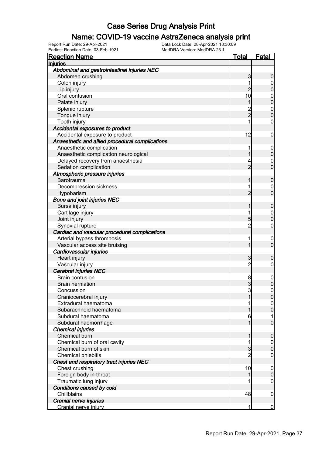### Name: COVID-19 vaccine AstraZeneca analysis print

Earliest Reaction Date: 03-Feb-1921 MedDRA Version: MedDRA 23.1

| <u>Reaction Name</u>                            | <u>Total</u>   | Fatal                                |
|-------------------------------------------------|----------------|--------------------------------------|
| <b>Injuries</b>                                 |                |                                      |
| Abdominal and gastrointestinal injuries NEC     |                |                                      |
| Abdomen crushing                                | 3              | 0                                    |
| Colon injury                                    |                | $\mathbf 0$                          |
| Lip injury                                      | $\overline{2}$ | $\overline{0}$                       |
| Oral contusion                                  | 10             |                                      |
| Palate injury                                   | 1              | $\begin{matrix} 0 \\ 0 \end{matrix}$ |
| Splenic rupture                                 |                |                                      |
| Tongue injury                                   | 2<br>2         | $\begin{matrix} 0 \\ 0 \end{matrix}$ |
| Tooth injury                                    |                | 0                                    |
| Accidental exposures to product                 |                |                                      |
| Accidental exposure to product                  | 12             | 0                                    |
| Anaesthetic and allied procedural complications |                |                                      |
| Anaesthetic complication                        |                | $\mathbf 0$                          |
| Anaesthetic complication neurological           | 1              | $\mathbf 0$                          |
| Delayed recovery from anaesthesia               | 4              | $\mathbf 0$                          |
| Sedation complication                           | $\overline{2}$ | $\overline{0}$                       |
| Atmospheric pressure injuries                   |                |                                      |
| <b>Barotrauma</b>                               |                | $\mathbf 0$                          |
| Decompression sickness                          |                | $\mathbf 0$                          |
| Hypobarism                                      | $\overline{2}$ | $\overline{0}$                       |
| <b>Bone and joint injuries NEC</b>              |                |                                      |
| Bursa injury                                    | 1              | $\boldsymbol{0}$                     |
|                                                 |                |                                      |
| Cartilage injury                                | 5              | $\begin{matrix} 0 \\ 0 \end{matrix}$ |
| Joint injury                                    | $\overline{2}$ |                                      |
| Synovial rupture                                |                | 0                                    |
| Cardiac and vascular procedural complications   |                |                                      |
| Arterial bypass thrombosis                      | 1              | $\mathbf 0$<br>$\overline{0}$        |
| Vascular access site bruising                   | 1              |                                      |
| Cardiovascular injuries                         |                |                                      |
| Heart injury                                    | 3              | 0                                    |
| Vascular injury                                 | $\overline{c}$ | 0                                    |
| Cerebral injuries NEC                           |                |                                      |
| <b>Brain contusion</b>                          | 8              | $\mathbf 0$                          |
| <b>Brain herniation</b>                         | 3              | $\mathbf 0$                          |
| Concussion                                      | 3              | $\mathbf{0}$                         |
| Craniocerebral injury                           |                |                                      |
| Extradural haematoma                            |                | 0                                    |
| Subarachnoid haematoma                          |                | 0                                    |
| Subdural haematoma                              | 6              |                                      |
| Subdural haemorrhage                            |                | $\overline{0}$                       |
| <b>Chemical injuries</b>                        |                |                                      |
| Chemical burn                                   |                | $\mathbf 0$                          |
| Chemical burn of oral cavity                    |                | $\mathbf 0$                          |
| Chemical burn of skin                           | $\overline{3}$ | $\overline{0}$                       |
| Chemical phlebitis                              |                | 0                                    |
| Chest and respiratory tract injuries NEC        |                |                                      |
| Chest crushing                                  | 10             | $\mathbf 0$                          |
| Foreign body in throat                          | 1              | $\mathbf 0$                          |
| Traumatic lung injury                           |                | 0                                    |
| Conditions caused by cold                       |                |                                      |
| Chillblains                                     | 48             | $\mathbf 0$                          |
| Cranial nerve injuries                          |                |                                      |
| Cranial nerve injury                            | 1              | $\overline{0}$                       |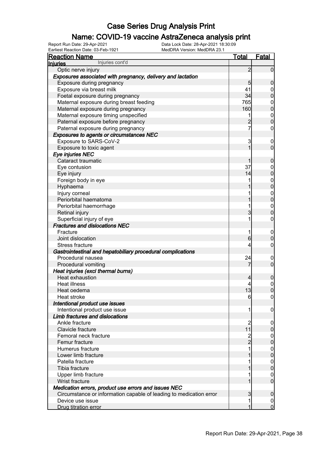### Name: COVID-19 vaccine AstraZeneca analysis print

| <u>Reaction Name</u>                                               | <b>Total</b>   | <b>Fatal</b>   |
|--------------------------------------------------------------------|----------------|----------------|
| Injuries cont'd<br>Injuries                                        |                |                |
| Optic nerve injury                                                 | 2              | $\mathbf 0$    |
| Exposures associated with pregnancy, delivery and lactation        |                |                |
| Exposure during pregnancy                                          | 5              | 0              |
| Exposure via breast milk                                           | 41             | $\mathbf 0$    |
| Foetal exposure during pregnancy                                   | 34             | 0              |
| Maternal exposure during breast feeding                            | 765            | $\mathbf{0}$   |
| Maternal exposure during pregnancy                                 | 160            | $\mathbf 0$    |
| Maternal exposure timing unspecified                               | 1              | $\mathbf{0}$   |
| Paternal exposure before pregnancy                                 |                | $\overline{0}$ |
| Paternal exposure during pregnancy                                 | 7              | 0              |
| Exposures to agents or circumstances NEC                           |                |                |
| Exposure to SARS-CoV-2                                             | 3              | $\overline{0}$ |
| Exposure to toxic agent                                            | 1              | $\overline{0}$ |
| Eye injuries NEC                                                   |                |                |
| Cataract traumatic                                                 |                | 0              |
| Eye contusion                                                      | 37             | $\mathbf 0$    |
| Eye injury                                                         | 14             | 0              |
| Foreign body in eye                                                |                | $\mathbf{0}$   |
| Hyphaema                                                           |                | $\mathbf 0$    |
| Injury corneal                                                     |                | $\mathbf{0}$   |
| Periorbital haematoma                                              |                | $\overline{0}$ |
| Periorbital haemorrhage                                            |                | $\mathbf{0}$   |
| Retinal injury                                                     | 3              | 0              |
| Superficial injury of eye                                          | 1              | 0              |
| <b>Fractures and dislocations NEC</b>                              |                |                |
| Fracture                                                           | 1              | $\mathbf 0$    |
| Joint dislocation                                                  | 6              | 0              |
| <b>Stress fracture</b>                                             | $\overline{4}$ | 0              |
| Gastrointestinal and hepatobiliary procedural complications        |                |                |
| Procedural nausea                                                  | 24             | $\overline{0}$ |
| Procedural vomiting                                                | 7              | $\mathbf 0$    |
| Heat injuries (excl thermal burns)                                 |                |                |
| Heat exhaustion                                                    | 4              | 0              |
| <b>Heat illness</b>                                                |                | $\mathbf 0$    |
| Heat oedema                                                        | 13             | 0              |
| Heat stroke                                                        | 6              | $\overline{0}$ |
| Intentional product use issues                                     |                |                |
| Intentional product use issue                                      | 1              | 0              |
| Limb fractures and dislocations                                    |                |                |
| Ankle fracture                                                     | 2              | 0              |
| Clavicle fracture                                                  | 11             | 0              |
| Femoral neck fracture                                              | $\overline{c}$ | $\mathbf 0$    |
| Femur fracture                                                     | $\overline{2}$ | 0              |
| Humerus fracture                                                   |                | $\mathbf 0$    |
| Lower limb fracture                                                |                | 0              |
| Patella fracture                                                   |                | $\mathbf 0$    |
| Tibia fracture                                                     |                | 0              |
| Upper limb fracture                                                |                | 0              |
| Wrist fracture                                                     |                | $\mathbf 0$    |
| Medication errors, product use errors and issues NEC               |                |                |
| Circumstance or information capable of leading to medication error | 3              | 0              |
| Device use issue                                                   |                | $\mathbf 0$    |
| Drug titration error                                               |                | $\overline{0}$ |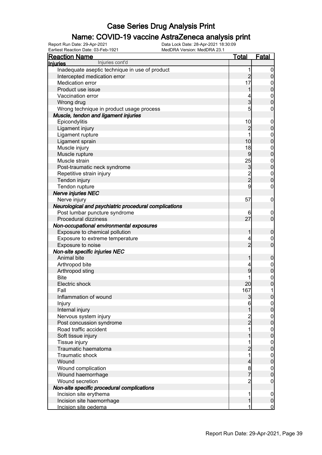### Name: COVID-19 vaccine AstraZeneca analysis print

| <b>Reaction Name</b>                                  | <u>Total</u>                            | <b>Fatal</b>                     |
|-------------------------------------------------------|-----------------------------------------|----------------------------------|
| Injuries cont'd<br><b>Injuries</b>                    |                                         |                                  |
| Inadequate aseptic technique in use of product        | 1                                       | $\overline{0}$                   |
| Intercepted medication error                          | $\overline{c}$                          | $\pmb{0}$                        |
| Medication error                                      | 17                                      |                                  |
| Product use issue                                     | 1                                       | $0$ 0                            |
| Vaccination error                                     | 4                                       |                                  |
| Wrong drug                                            | $\overline{3}$                          | $\begin{matrix}0\\0\end{matrix}$ |
| Wrong technique in product usage process              | 5                                       | $\pmb{0}$                        |
| Muscle, tendon and ligament injuries                  |                                         |                                  |
| Epicondylitis                                         | 10                                      | $\boldsymbol{0}$                 |
| Ligament injury                                       | $\overline{c}$                          | $\mathbf 0$                      |
| Ligament rupture                                      | 1                                       |                                  |
| Ligament sprain                                       | 10                                      | $0\atop 0$                       |
| Muscle injury                                         | 18                                      |                                  |
| Muscle rupture                                        | 9                                       | $0\atop 0$                       |
| Muscle strain                                         | 25                                      |                                  |
| Post-traumatic neck syndrome                          |                                         | $0$<br>0                         |
| Repetitive strain injury                              | $\begin{array}{c}\n3 \\ 2\n\end{array}$ |                                  |
| Tendon injury                                         |                                         | $0\atop 0$                       |
| Tendon rupture                                        | 9                                       | $\pmb{0}$                        |
| <b>Nerve injuries NEC</b>                             |                                         |                                  |
| Nerve injury                                          | 57                                      | $\boldsymbol{0}$                 |
| Neurological and psychiatric procedural complications |                                         |                                  |
| Post lumbar puncture syndrome                         | 6                                       | $\mathbf 0$                      |
| Procedural dizziness                                  | 27                                      | $\mathbf 0$                      |
| Non-occupational environmental exposures              |                                         |                                  |
| Exposure to chemical pollution                        | 1                                       | $\boldsymbol{0}$                 |
| Exposure to extreme temperature                       | 4                                       | $\boldsymbol{0}$                 |
| Exposure to noise                                     | $\overline{2}$                          | $\overline{0}$                   |
| Non-site specific injuries NEC                        |                                         |                                  |
| Animal bite                                           | 1                                       | $\boldsymbol{0}$                 |
| Arthropod bite                                        | 4                                       |                                  |
| Arthropod sting                                       | 9                                       | $0$ 0                            |
| <b>Bite</b>                                           |                                         | $\mathbf{0}$                     |
| Electric shock                                        | 20                                      | $\overline{0}$                   |
| Fall                                                  | 167                                     | 1                                |
| Inflammation of wound                                 | $\mathbf{3}$                            | 0                                |
| Injury                                                | 6                                       | $\mathsf{O}$                     |
| Internal injury                                       | 1                                       | $\mathbf 0$                      |
| Nervous system injury                                 |                                         |                                  |
| Post concussion syndrome                              | 2<br>2                                  | $0\atop 0$                       |
| Road traffic accident                                 | $\overline{1}$                          |                                  |
| Soft tissue injury                                    | 1                                       | $0\atop 0$                       |
| Tissue injury                                         | 1                                       |                                  |
| Traumatic haematoma                                   | $\overline{c}$                          | $0\atop 0$                       |
| Traumatic shock                                       | $\overline{1}$                          |                                  |
| Wound                                                 | $\overline{\mathcal{L}}$                | $0\atop 0$                       |
| Wound complication                                    | 8                                       |                                  |
| Wound haemorrhage                                     | $\overline{7}$                          | $0\atop 0$                       |
| Wound secretion                                       | $\overline{c}$                          | $\mathbf 0$                      |
| Non-site specific procedural complications            |                                         |                                  |
| Incision site erythema                                | 1                                       | $\boldsymbol{0}$                 |
| Incision site haemorrhage                             | $\mathbf{1}$                            | $\pmb{0}$                        |
| Incision site oedema                                  | 1                                       | $\overline{0}$                   |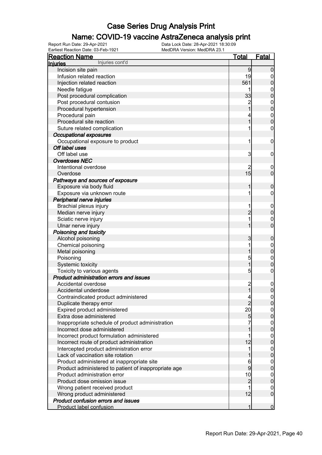### Name: COVID-19 vaccine AstraZeneca analysis print

| <b>Reaction Name</b>                                 | <b>Total</b>                            | <b>Fatal</b>                    |
|------------------------------------------------------|-----------------------------------------|---------------------------------|
| Injuries cont'd<br><b>Injuries</b>                   |                                         |                                 |
| Incision site pain                                   | 9                                       | $\boldsymbol{0}$                |
| Infusion related reaction                            | 19                                      | 0                               |
| Injection related reaction                           | 561                                     | $\boldsymbol{0}$                |
| Needle fatigue                                       |                                         | 0                               |
| Post procedural complication                         | 33                                      | $\mathbf 0$                     |
| Post procedural contusion                            | $\overline{c}$                          | $\boldsymbol{0}$                |
| Procedural hypertension                              |                                         | $\mathbf 0$                     |
| Procedural pain                                      |                                         | $\boldsymbol{0}$                |
| Procedural site reaction                             |                                         | $\mathbf 0$                     |
| Suture related complication                          |                                         | $\mathbf 0$                     |
| <b>Occupational exposures</b>                        |                                         |                                 |
| Occupational exposure to product                     | 1                                       | $\mathbf 0$                     |
| Off label uses                                       |                                         |                                 |
| Off label use                                        | 3                                       | $\mathbf 0$                     |
| <b>Overdoses NEC</b>                                 |                                         |                                 |
| Intentional overdose                                 | 2                                       | $\boldsymbol{0}$                |
| Overdose                                             | 15                                      | $\mathbf 0$                     |
| Pathways and sources of exposure                     |                                         |                                 |
| Exposure via body fluid                              | 1                                       | $\boldsymbol{0}$                |
| Exposure via unknown route                           |                                         | 0                               |
| Peripheral nerve injuries                            |                                         |                                 |
| Brachial plexus injury                               |                                         |                                 |
| Median nerve injury                                  | $\overline{c}$                          | $\boldsymbol{0}$<br>$\mathbf 0$ |
|                                                      |                                         |                                 |
| Sciatic nerve injury                                 |                                         | $\mathbf 0$<br>$\overline{0}$   |
| Ulnar nerve injury                                   |                                         |                                 |
| Poisoning and toxicity                               |                                         |                                 |
| Alcohol poisoning                                    | 3                                       | $\mathbf 0$                     |
| Chemical poisoning                                   |                                         | $\overline{0}$                  |
| Metal poisoning                                      |                                         | $\mathbf 0$                     |
| Poisoning                                            | 5                                       | $\mathbf 0$                     |
| Systemic toxicity                                    | 1                                       | $\mathbf 0$                     |
| Toxicity to various agents                           | 5                                       | $\mathbf 0$                     |
| Product administration errors and issues             |                                         |                                 |
| Accidental overdose                                  | $\begin{array}{c}\n2 \\ 1\n\end{array}$ | $\mathbf 0$                     |
| Accidental underdose                                 |                                         | $\mathbf 0$                     |
| Contraindicated product administered                 | $\overline{\mathcal{L}}$                | 0                               |
| Duplicate therapy error                              | $\overline{2}$                          | 0                               |
| Expired product administered                         | 20                                      | $\overline{0}$                  |
| Extra dose administered                              | 5                                       | $\pmb{0}$                       |
| Inappropriate schedule of product administration     |                                         | $\overline{0}$                  |
| Incorrect dose administered                          |                                         | $\pmb{0}$                       |
| Incorrect product formulation administered           | 1                                       | $\overline{0}$                  |
| Incorrect route of product administration            | 12                                      | $\pmb{0}$                       |
| Intercepted product administration error             | 1                                       | $\overline{0}$                  |
| Lack of vaccination site rotation                    |                                         | $\mathbf 0$                     |
| Product administered at inappropriate site           | 6                                       | $\overline{0}$                  |
| Product administered to patient of inappropriate age | 9                                       | $\mathbf 0$                     |
| Product administration error                         | 10                                      | $\overline{0}$                  |
| Product dose omission issue                          | $\overline{c}$                          | $\mathbf 0$                     |
| Wrong patient received product                       |                                         | $\overline{0}$                  |
| Wrong product administered                           | 12                                      | $\overline{0}$                  |
| Product confusion errors and issues                  |                                         |                                 |
| Product label confusion                              | 1                                       | $\overline{0}$                  |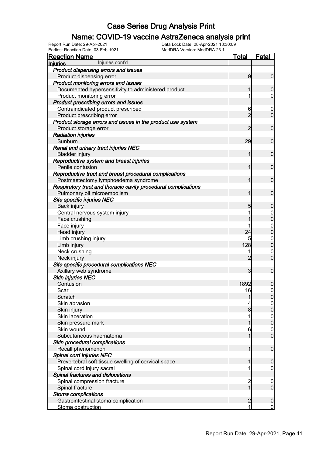### Name: COVID-19 vaccine AstraZeneca analysis print

Earliest Reaction Date: 03-Feb-1921 MedDRA Version: MedDRA 23.1

| <b>Reaction Name</b>                                           | <u>Total</u>   | <b>Fatal</b>                     |
|----------------------------------------------------------------|----------------|----------------------------------|
| Injuries cont'd<br><b>Injuries</b>                             |                |                                  |
| Product dispensing errors and issues                           |                |                                  |
| Product dispensing error                                       | 9              | $\mathbf 0$                      |
| Product monitoring errors and issues                           |                |                                  |
| Documented hypersensitivity to administered product            |                | 0                                |
| Product monitoring error                                       |                | 0                                |
| Product prescribing errors and issues                          |                |                                  |
| Contraindicated product prescribed                             | 6              | $\overline{0}$                   |
| Product prescribing error                                      | $\overline{2}$ | $\mathbf 0$                      |
| Product storage errors and issues in the product use system    |                |                                  |
| Product storage error                                          | $\overline{c}$ | $\mathbf 0$                      |
| <b>Radiation injuries</b>                                      |                |                                  |
| Sunburn                                                        | 29             | $\mathbf 0$                      |
| Renal and urinary tract injuries NEC                           |                |                                  |
| <b>Bladder injury</b>                                          | 1              | $\mathbf 0$                      |
| Reproductive system and breast injuries                        |                |                                  |
| Penile contusion                                               | 1              | $\mathbf 0$                      |
| Reproductive tract and breast procedural complications         |                |                                  |
| Postmastectomy lymphoedema syndrome                            |                | $\mathbf 0$                      |
| Respiratory tract and thoracic cavity procedural complications |                |                                  |
| Pulmonary oil microembolism                                    |                | $\mathbf 0$                      |
| Site specific injuries NEC                                     |                |                                  |
| Back injury                                                    | 5              | 0                                |
| Central nervous system injury                                  | 1              | $\mathbf 0$                      |
| Face crushing                                                  |                | $\overline{0}$                   |
| Face injury                                                    |                | $\mathbf{0}$                     |
| Head injury                                                    | 24             | $\overline{0}$                   |
| Limb crushing injury                                           | 5              | $\mathbf{0}$                     |
| Limb injury                                                    | 128            | $\overline{0}$                   |
| Neck crushing                                                  | 1              | $\mathbf{0}$                     |
| Neck injury                                                    | $\overline{2}$ | $\overline{0}$                   |
| Site specific procedural complications NEC                     |                | $\mathbf 0$                      |
| Axillary web syndrome                                          | 3              |                                  |
| <b>Skin injuries NEC</b><br>Contusion                          | 1892           |                                  |
| Scar                                                           | 16             | 0<br>$\boldsymbol{0}$            |
| Scratch                                                        |                |                                  |
| Skin abrasion                                                  | 4              | $\overline{0}$<br>$\overline{0}$ |
| Skin injury                                                    | 8              | 0                                |
| Skin laceration                                                |                | $\boldsymbol{0}$                 |
| Skin pressure mark                                             |                | $\mathbf 0$                      |
| Skin wound                                                     | 6              | $\mathbf 0$                      |
| Subcutaneous haematoma                                         | 1              | $\overline{0}$                   |
| Skin procedural complications                                  |                |                                  |
| Recall phenomenon                                              | 1              | $\boldsymbol{0}$                 |
| Spinal cord injuries NEC                                       |                |                                  |
| Prevertebral soft tissue swelling of cervical space            |                | 0                                |
| Spinal cord injury sacral                                      |                | 0                                |
| Spinal fractures and dislocations                              |                |                                  |
| Spinal compression fracture                                    | $\overline{c}$ | $\overline{0}$                   |
| Spinal fracture                                                | 1              | $\mathbf 0$                      |
| Stoma complications                                            |                |                                  |
| Gastrointestinal stoma complication                            | $\overline{c}$ | $\boldsymbol{0}$                 |
| Stoma obstruction                                              | 1              | $\overline{0}$                   |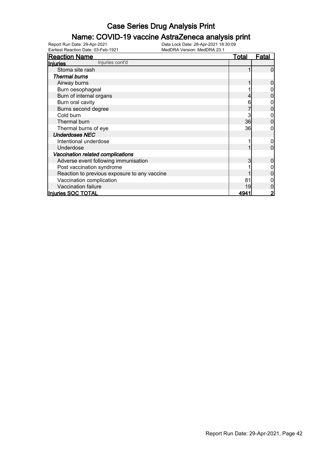#### Name: COVID-19 vaccine AstraZeneca analysis print

Earliest Reaction Date: 03-Feb-1921 MedDRA Version: MedDRA 23.1

| <b>Reaction Name</b>                         | <b>Total</b> | Fatal |
|----------------------------------------------|--------------|-------|
| Injuries cont'd<br>Injuries                  |              |       |
| Stoma site rash                              |              |       |
| <b>Thermal burns</b>                         |              |       |
| Airway burns                                 |              |       |
| Burn oesophageal                             |              |       |
| Burn of internal organs                      |              |       |
| Burn oral cavity                             |              |       |
| Burns second degree                          |              |       |
| Cold burn                                    |              |       |
| Thermal burn                                 | 36           |       |
| Thermal burns of eye                         | 36           |       |
| <b>Underdoses NEC</b>                        |              |       |
| Intentional underdose                        |              |       |
| Underdose                                    |              |       |
| Vaccination related complications            |              |       |
| Adverse event following immunisation         |              |       |
| Post vaccination syndrome                    |              |       |
| Reaction to previous exposure to any vaccine |              |       |
| Vaccination complication                     | 81           |       |
| Vaccination failure                          | 19           |       |
| Injuries SOC TOTAL                           | 494          |       |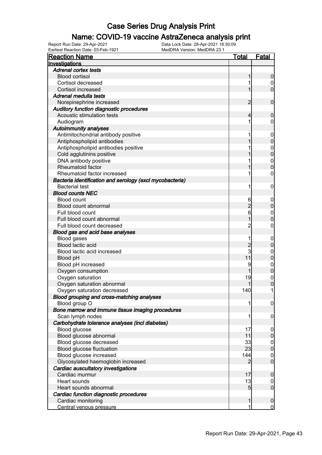### Name: COVID-19 vaccine AstraZeneca analysis print

| <b>Reaction Name</b>                                     | <b>Total</b>        | <b>Fatal</b>     |
|----------------------------------------------------------|---------------------|------------------|
| Investigations                                           |                     |                  |
| <b>Adrenal cortex tests</b>                              |                     |                  |
| <b>Blood cortisol</b>                                    | 1                   | $\boldsymbol{0}$ |
| Cortisol decreased                                       |                     | $\overline{0}$   |
| Cortisol increased                                       | 1                   | $\mathbf 0$      |
| Adrenal medulla tests                                    |                     |                  |
| Norepinephrine increased                                 | 2                   | $\mathbf 0$      |
| Auditory function diagnostic procedures                  |                     |                  |
| Acoustic stimulation tests                               | 4                   | $\mathbf 0$      |
| Audiogram                                                | 1                   | 0                |
| <b>Autoimmunity analyses</b>                             |                     |                  |
| Antimitochondrial antibody positive                      |                     | $\mathbf 0$      |
| Antiphospholipid antibodies                              |                     | $\mathbf 0$      |
| Antiphospholipid antibodies positive                     |                     | $\mathbf{0}$     |
| Cold agglutinins positive                                |                     | $\overline{0}$   |
| DNA antibody positive                                    |                     | $\boldsymbol{0}$ |
| Rheumatoid factor                                        |                     | $\overline{0}$   |
| Rheumatoid factor increased                              |                     | 0                |
| Bacteria identification and serology (excl mycobacteria) |                     |                  |
| <b>Bacterial test</b>                                    | 1                   | $\boldsymbol{0}$ |
| <b>Blood counts NEC</b>                                  |                     |                  |
| <b>Blood count</b>                                       |                     |                  |
| Blood count abnormal                                     | 6<br>$\overline{2}$ | $\mathbf 0$      |
|                                                          |                     | $\pmb{0}$        |
| Full blood count                                         | 6                   | $\mathbf{0}$     |
| Full blood count abnormal                                | 1                   | $\mathbf 0$      |
| Full blood count decreased                               | $\overline{c}$      | 0                |
| Blood gas and acid base analyses                         |                     |                  |
| <b>Blood gases</b>                                       |                     | $\mathbf 0$      |
| Blood lactic acid                                        | $\overline{2}$<br>3 | $\boldsymbol{0}$ |
| Blood lactic acid increased                              |                     | $\mathbf{0}$     |
| Blood pH                                                 | 11                  | $\mathbf 0$      |
| Blood pH increased                                       | 9                   | $\mathbf{0}$     |
| Oxygen consumption                                       |                     | $\mathbf 0$      |
| Oxygen saturation                                        | 19                  | $\mathbf{0}$     |
| Oxygen saturation abnormal                               |                     | $\overline{0}$   |
| Oxygen saturation decreased                              | 140                 | 1                |
| Blood grouping and cross-matching analyses               |                     |                  |
| Blood group O                                            | 1                   | $\overline{0}$   |
| Bone marrow and immune tissue imaging procedures         |                     |                  |
| Scan lymph nodes                                         | 1                   | $\boldsymbol{0}$ |
| Carbohydrate tolerance analyses (incl diabetes)          |                     |                  |
| Blood glucose                                            | 17                  | $\overline{0}$   |
| Blood glucose abnormal                                   | 11                  | $\pmb{0}$        |
| Blood glucose decreased                                  | 33                  | $\boldsymbol{0}$ |
| Blood glucose fluctuation                                | 23                  | $\mathbf 0$      |
| Blood glucose increased                                  | 144                 | $\boldsymbol{0}$ |
| Glycosylated haemoglobin increased                       | 2                   | $\mathbf 0$      |
| Cardiac auscultatory investigations                      |                     |                  |
| Cardiac murmur                                           | 17                  | $\mathbf 0$      |
| Heart sounds                                             | 13                  | $\overline{0}$   |
| Heart sounds abnormal                                    | $\overline{5}$      | $\boldsymbol{0}$ |
| Cardiac function diagnostic procedures                   |                     |                  |
| Cardiac monitoring                                       | 1                   | $\mathbf 0$      |
| Central venous pressure                                  | 1                   | $\overline{0}$   |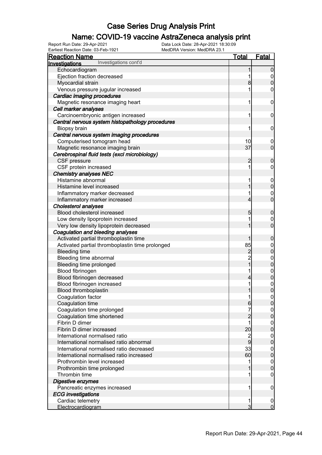### Name: COVID-19 vaccine AstraZeneca analysis print

| Earliest Reaction Date: 03-Feb-1921<br>MedDRA Version: MedDRA 23.1 |                          |                                      |
|--------------------------------------------------------------------|--------------------------|--------------------------------------|
| <b>Reaction Name</b>                                               | <u>Total</u>             | <b>Fatal</b>                         |
| Investigations cont'd<br>Investigations                            |                          |                                      |
| Echocardiogram                                                     |                          | $\mathbf 0$                          |
| Ejection fraction decreased                                        | 1                        | $\overline{0}$                       |
| Myocardial strain                                                  | 8                        | $\mathbf 0$                          |
| Venous pressure jugular increased                                  | 1                        | $\mathbf 0$                          |
| Cardiac imaging procedures                                         |                          |                                      |
| Magnetic resonance imaging heart                                   | 1                        | $\mathbf 0$                          |
| Cell marker analyses                                               |                          |                                      |
| Carcinoembryonic antigen increased                                 | 1                        | $\mathbf 0$                          |
| Central nervous system histopathology procedures                   |                          |                                      |
| Biopsy brain                                                       | 1                        | $\mathbf 0$                          |
| Central nervous system imaging procedures                          |                          |                                      |
| Computerised tomogram head                                         | 10                       | $\mathbf 0$                          |
| Magnetic resonance imaging brain                                   | 37                       | $\overline{0}$                       |
| Cerebrospinal fluid tests (excl microbiology)                      |                          |                                      |
| CSF pressure                                                       | $\overline{c}$           | $\boldsymbol{0}$                     |
| CSF protein increased                                              | 1                        | $\mathbf 0$                          |
| <b>Chemistry analyses NEC</b>                                      |                          |                                      |
| Histamine abnormal                                                 | 1                        | $\boldsymbol{0}$                     |
| Histamine level increased                                          | 1                        | $\mathbf 0$                          |
| Inflammatory marker decreased                                      | 1                        |                                      |
| Inflammatory marker increased                                      | $\overline{4}$           | $\begin{matrix} 0 \\ 0 \end{matrix}$ |
| <b>Cholesterol analyses</b>                                        |                          |                                      |
| Blood cholesterol increased                                        | 5                        | $\mathbf 0$                          |
| Low density lipoprotein increased                                  | 1                        | $\mathbf 0$                          |
| Very low density lipoprotein decreased                             | 1                        | $\mathbf 0$                          |
| Coagulation and bleeding analyses                                  |                          |                                      |
| Activated partial thromboplastin time                              | 1                        | $\boldsymbol{0}$                     |
| Activated partial thromboplastin time prolonged                    | 85                       | $\boldsymbol{0}$                     |
| <b>Bleeding time</b>                                               | $\overline{c}$           | $\mathbf 0$                          |
| Bleeding time abnormal                                             |                          |                                      |
| Bleeding time prolonged                                            | $\frac{2}{1}$            | $0\atop 0$                           |
| Blood fibrinogen                                                   | 1                        | $\boldsymbol{0}$                     |
| Blood fibrinogen decreased                                         | $\overline{\mathcal{L}}$ | $\mathbf 0$                          |
| Blood fibrinogen increased                                         | 1                        |                                      |
| Blood thromboplastin                                               | $\mathbf{1}$             | $\begin{matrix} 0 \\ 0 \end{matrix}$ |
| Coagulation factor                                                 | 1                        | $\overline{0}$                       |
| Coagulation time                                                   | 6                        | $\overline{0}$                       |
| Coagulation time prolonged                                         |                          | $\overline{0}$                       |
| Coagulation time shortened                                         | $\overline{2}$           | $\mathsf{O}\xspace$                  |
| Fibrin D dimer                                                     |                          | $\mathbf 0$                          |
| Fibrin D dimer increased                                           | 20                       | $\boldsymbol{0}$                     |
| International normalised ratio                                     |                          | $\overline{0}$                       |
| International normalised ratio abnormal                            | $\frac{2}{9}$            | $\mathsf{O}\xspace$                  |
| International normalised ratio decreased                           | 33                       | $\mathbf 0$                          |
| International normalised ratio increased                           | 60                       | $\pmb{0}$                            |
| Prothrombin level increased                                        | 1                        |                                      |
|                                                                    |                          | $\mathbf 0$<br>$\mathbf 0$           |
| Prothrombin time prolonged<br>Thrombin time                        |                          | 0                                    |
|                                                                    |                          |                                      |
| Digestive enzymes                                                  |                          |                                      |
| Pancreatic enzymes increased                                       | 1                        | $\boldsymbol{0}$                     |
| <b>ECG</b> investigations                                          |                          |                                      |
| Cardiac telemetry                                                  | 1                        | $\overline{0}$                       |
| Electrocardiogram                                                  | 3                        | $\overline{0}$                       |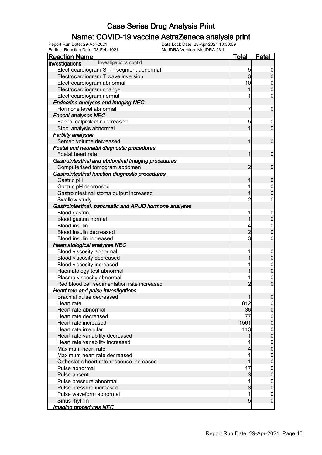### Name: COVID-19 vaccine AstraZeneca analysis print

| Earliest Reaction Date: 03-Feb-1921<br>MedDRA Version: MedDRA 23.1 |                     |                                      |
|--------------------------------------------------------------------|---------------------|--------------------------------------|
| <b>Reaction Name</b>                                               | <u>Total</u>        | <b>Fatal</b>                         |
| Investigations cont'd<br>Investigations                            |                     |                                      |
| Electrocardiogram ST-T segment abnormal                            | 5                   | $\overline{0}$                       |
| Electrocardiogram T wave inversion                                 | 3                   | $\boldsymbol{0}$                     |
| Electrocardiogram abnormal                                         | 10                  | $\begin{matrix} 0 \\ 0 \end{matrix}$ |
| Electrocardiogram change                                           | 1                   |                                      |
| Electrocardiogram normal                                           | 1                   | $\mathsf{O}\xspace$                  |
| <b>Endocrine analyses and imaging NEC</b>                          |                     |                                      |
| Hormone level abnormal                                             | 7                   | $\mathbf 0$                          |
| <b>Faecal analyses NEC</b>                                         |                     |                                      |
| Faecal calprotectin increased                                      | 5                   | $\mathbf 0$                          |
| Stool analysis abnormal                                            | 1                   | $\overline{0}$                       |
| <b>Fertility analyses</b>                                          |                     |                                      |
| Semen volume decreased                                             | 1                   | $\boldsymbol{0}$                     |
| Foetal and neonatal diagnostic procedures                          |                     |                                      |
| Foetal heart rate                                                  | 1                   | $\boldsymbol{0}$                     |
| Gastrointestinal and abdominal imaging procedures                  |                     |                                      |
| Computerised tomogram abdomen                                      | $\overline{2}$      | $\boldsymbol{0}$                     |
| Gastrointestinal function diagnostic procedures                    |                     |                                      |
| Gastric pH                                                         | 1                   | $\mathbf 0$                          |
| Gastric pH decreased                                               | 1                   | $\boldsymbol{0}$                     |
| Gastrointestinal stoma output increased                            | 1                   | $\overline{0}$                       |
| Swallow study                                                      | $\overline{2}$      | $\boldsymbol{0}$                     |
| Gastrointestinal, pancreatic and APUD hormone analyses             |                     |                                      |
| <b>Blood gastrin</b>                                               | 1                   | $\boldsymbol{0}$                     |
| Blood gastrin normal                                               | 1                   | $\mathbf 0$                          |
| <b>Blood insulin</b>                                               | 4                   |                                      |
| Blood insulin decreased                                            | $\overline{c}$      | $\begin{matrix} 0 \\ 0 \end{matrix}$ |
| Blood insulin increased                                            | $\mathbf{3}$        | $\mathbf 0$                          |
| <b>Haematological analyses NEC</b>                                 |                     |                                      |
| Blood viscosity abnormal                                           | 1                   | $\boldsymbol{0}$                     |
| Blood viscosity decreased                                          | 1                   | $\mathbf 0$                          |
| Blood viscosity increased                                          | 1                   |                                      |
| Haematology test abnormal                                          | 1                   | $0\atop 0$                           |
| Plasma viscosity abnormal                                          | 1                   |                                      |
| Red blood cell sedimentation rate increased                        | $\overline{c}$      | $\begin{matrix} 0 \\ 0 \end{matrix}$ |
| Heart rate and pulse investigations                                |                     |                                      |
| Brachial pulse decreased                                           | 1                   | 0                                    |
| Heart rate                                                         | 812                 | $\overline{0}$                       |
| Heart rate abnormal                                                | 36                  | $\mathsf{O}\xspace$                  |
| Heart rate decreased                                               | 77                  | $\mathbf 0$                          |
| Heart rate increased                                               | 1561                | $\overline{0}$                       |
| Heart rate irregular                                               | 113                 | $\mathbf 0$                          |
| Heart rate variability decreased                                   | 1                   | $\overline{0}$                       |
| Heart rate variability increased                                   |                     | $\boldsymbol{0}$                     |
| Maximum heart rate                                                 | 4                   | $\overline{0}$                       |
| Maximum heart rate decreased                                       | 1                   | $\mathbf 0$                          |
| Orthostatic heart rate response increased                          | 1                   | $\overline{0}$                       |
|                                                                    | 17                  |                                      |
| Pulse abnormal<br>Pulse absent                                     |                     | $\mathbf 0$                          |
|                                                                    | $\overline{3}$<br>1 | $\pmb{0}$                            |
| Pulse pressure abnormal                                            |                     | $\mathbf 0$                          |
| Pulse pressure increased                                           | 3<br>1              | $\mathbf 0$                          |
| Pulse waveform abnormal                                            |                     | $\mathbf 0$                          |
| Sinus rhythm                                                       | $\overline{5}$      | $\overline{0}$                       |
| <b>Imaging procedures NEC</b>                                      |                     |                                      |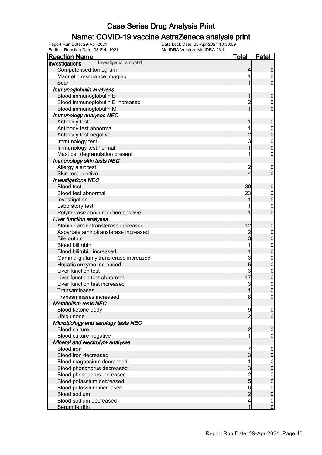### Name: COVID-19 vaccine AstraZeneca analysis print

| <b>Reaction Name</b>                    | <b>Total</b>    | <b>Fatal</b>     |
|-----------------------------------------|-----------------|------------------|
| Investigations cont'd<br>Investigations |                 |                  |
| Computerised tomogram                   | 4               | $\mathbf 0$      |
| Magnetic resonance imaging              |                 | 0                |
| Scan                                    |                 | $\overline{0}$   |
| Immunoglobulin analyses                 |                 |                  |
| Blood immunoglobulin E                  | 1               | $\pmb{0}$        |
| Blood immunoglobulin E increased        | $\overline{c}$  | $\overline{0}$   |
| Blood immunoglobulin M                  | 1               | $\overline{0}$   |
| <b>Immunology analyses NEC</b>          |                 |                  |
| Antibody test                           | 1               | $\boldsymbol{0}$ |
| Antibody test abnormal                  |                 |                  |
| Antibody test negative                  |                 | $0\atop 0$       |
| Immunology test                         | $\frac{2}{3}$   |                  |
| Immunology test normal                  | 1               | $0\atop 0$       |
| Mast cell degranulation present         |                 | 0                |
| Immunology skin tests NEC               |                 |                  |
| Allergy alert test                      | $\overline{c}$  | $\boldsymbol{0}$ |
| Skin test positive                      | 4               | $\overline{0}$   |
| <b>Investigations NEC</b>               |                 |                  |
| <b>Blood test</b>                       | 30              | $\boldsymbol{0}$ |
| Blood test abnormal                     | 23              | $\boldsymbol{0}$ |
| Investigation                           |                 | $\overline{0}$   |
| Laboratory test                         |                 | $\mathbf 0$      |
| Polymerase chain reaction positive      |                 | $\overline{0}$   |
| Liver function analyses                 |                 |                  |
| Alanine aminotransferase increased      | 12              | $\boldsymbol{0}$ |
| Aspartate aminotransferase increased    |                 | $\boldsymbol{0}$ |
| <b>Bile output</b>                      | 2<br>3          | $\overline{0}$   |
| <b>Blood bilirubin</b>                  |                 | $\overline{0}$   |
| Blood bilirubin increased               | 1               | $\overline{0}$   |
| Gamma-glutamyltransferase increased     |                 | $\mathbf{0}$     |
| Hepatic enzyme increased                | $\frac{3}{5}$   | $\overline{0}$   |
| Liver function test                     | 3               |                  |
| Liver function test abnormal            | 17 <sub>l</sub> | $0$ 0            |
| Liver function test increased           | 3               | $\mathbf{0}$     |
| Transaminases                           | $\mathbf{1}$    | $\overline{0}$   |
| Transaminases increased                 | 8               | 0                |
| <b>Metabolism tests NEC</b>             |                 |                  |
| Blood ketone body                       | 9               | $\mathbf 0$      |
| Ubiquinone                              | $\overline{2}$  | $\overline{0}$   |
| Microbiology and serology tests NEC     |                 |                  |
| <b>Blood culture</b>                    | $\overline{2}$  | $\boldsymbol{0}$ |
| Blood culture negative                  |                 | 0                |
| Mineral and electrolyte analyses        |                 |                  |
| <b>Blood iron</b>                       | 7               | $\mathbf 0$      |
| Blood iron decreased                    | 3               | $\mathbf 0$      |
| Blood magnesium decreased               |                 |                  |
| Blood phosphorus decreased              | 3               | $0\atop 0$       |
| Blood phosphorus increased              |                 |                  |
| Blood potassium decreased               | $\frac{2}{5}$   | $0\atop 0$       |
| Blood potassium increased               | 6               | $\boldsymbol{0}$ |
| <b>Blood sodium</b>                     | $\overline{2}$  | $\overline{0}$   |
| Blood sodium decreased                  | 4               | $\boldsymbol{0}$ |
| Serum ferritin                          | 1               | $\overline{0}$   |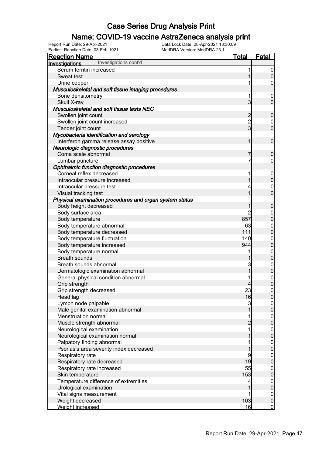### Name: COVID-19 vaccine AstraZeneca analysis print

Earliest Reaction Date: 03-Feb-1921 MedDRA Version: MedDRA 23.1

| <b>Reaction Name</b>                                    | <b>Total</b>   | <b>Fatal</b>     |
|---------------------------------------------------------|----------------|------------------|
| Investigations cont'd<br><b>Investigations</b>          |                |                  |
| Serum ferritin increased                                | 1              | $\overline{0}$   |
| Sweat test                                              | 1              | $\mathbf 0$      |
| Urine copper                                            | 1              | 0                |
| Musculoskeletal and soft tissue imaging procedures      |                |                  |
| Bone densitometry                                       | 1              | $\mathbf 0$      |
| Skull X-ray                                             | $\mathbf{3}$   | $\mathbf 0$      |
| Musculoskeletal and soft tissue tests NEC               |                |                  |
| Swollen joint count                                     | $\overline{c}$ | $\mathbf 0$      |
| Swollen joint count increased                           | $\frac{2}{3}$  | $\mathbf 0$      |
| Tender joint count                                      |                | $\mathbf 0$      |
| Mycobacteria identification and serology                |                |                  |
| Interferon gamma release assay positive                 | 1              | $\mathbf 0$      |
| Neurologic diagnostic procedures                        |                |                  |
| Coma scale abnormal                                     | 7              | $\mathbf 0$      |
| Lumbar puncture                                         | 7              | $\boldsymbol{0}$ |
| Ophthalmic function diagnostic procedures               |                |                  |
| Corneal reflex decreased                                | 1              | $\boldsymbol{0}$ |
| Intraocular pressure increased                          | 1              | $\overline{0}$   |
| Intraocular pressure test                               | 4              | $\boldsymbol{0}$ |
| Visual tracking test                                    | 1              | $\overline{0}$   |
| Physical examination procedures and organ system status |                |                  |
| Body height decreased                                   | 1              | $\boldsymbol{0}$ |
| Body surface area                                       | $\overline{c}$ | $\boldsymbol{0}$ |
| Body temperature                                        | 857            | $\overline{0}$   |
| Body temperature abnormal                               | 63             |                  |
| Body temperature decreased                              | 111            | $0\atop 0$       |
| Body temperature fluctuation                            | 140            |                  |
| Body temperature increased                              | 944            | $0\atop 0$       |
| Body temperature normal                                 |                |                  |
| <b>Breath sounds</b>                                    |                | $0\atop 0$       |
| Breath sounds abnormal                                  | 3              |                  |
| Dermatologic examination abnormal                       | 1              | $0$<br>0         |
| General physical condition abnormal                     |                |                  |
| Grip strength                                           | 4              | $0\atop 0$       |
| Grip strength decreased                                 | 23             | $\mathbf 0$      |
| Head lag                                                | 16             | 0                |
| Lymph node palpable                                     | 3              |                  |
| Male genital examination abnormal                       |                | $\mathbf 0$      |
| Menstruation normal                                     | 1              |                  |
| Muscle strength abnormal                                | $\overline{c}$ | $0\atop 0$       |
| Neurological examination                                | 1              |                  |
| Neurological examination normal                         |                | $0\atop 0$       |
| Palpatory finding abnormal                              |                |                  |
| Psoriasis area severity index decreased                 |                | $0$ 0            |
| Respiratory rate                                        | 9              | $\mathbf 0$      |
| Respiratory rate decreased                              | 19             | $\overline{0}$   |
| Respiratory rate increased                              | 55             | $\mathbf 0$      |
| Skin temperature                                        | 153            | $\mathbf 0$      |
| Temperature difference of extremities                   | 4              |                  |
| Urological examination                                  |                | $0$ 0            |
| Vital signs measurement                                 | 1              | $\boldsymbol{0}$ |
| Weight decreased                                        | 103            | $\pmb{0}$        |
| Weight increased                                        | 16             | $\overline{0}$   |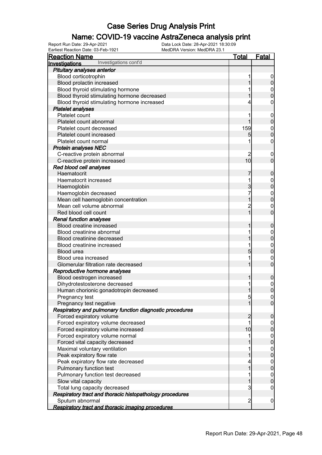### Name: COVID-19 vaccine AstraZeneca analysis print

| <b>Reaction Name</b>                                     | Total          | <b>Fatal</b>     |
|----------------------------------------------------------|----------------|------------------|
| Investigations cont'd<br>Investigations                  |                |                  |
| Pituitary analyses anterior                              |                |                  |
| Blood corticotrophin                                     |                |                  |
| Blood prolactin increased                                |                | $\pmb{0}$        |
| Blood thyroid stimulating hormone                        |                | $\boldsymbol{0}$ |
| Blood thyroid stimulating hormone decreased              |                | $\overline{0}$   |
| Blood thyroid stimulating hormone increased              |                | 0                |
| <b>Platelet analyses</b>                                 |                |                  |
| Platelet count                                           |                | $\mathbf 0$      |
| Platelet count abnormal                                  |                | $\mathbf 0$      |
| Platelet count decreased                                 | 159            | $\mathbf{0}$     |
| Platelet count increased                                 | 5              | $\mathbf 0$      |
| Platelet count normal                                    |                | $\boldsymbol{0}$ |
| <b>Protein analyses NEC</b>                              |                |                  |
| C-reactive protein abnormal                              | 2              | $\overline{0}$   |
| C-reactive protein increased                             | 10             | $\overline{0}$   |
| Red blood cell analyses                                  |                |                  |
| Haematocrit                                              | 7              | $\boldsymbol{0}$ |
| Haematocrit increased                                    |                | $\mathbf{0}$     |
| Haemoglobin                                              | 3              | $\overline{0}$   |
| Haemoglobin decreased                                    |                | $\mathbf{0}$     |
| Mean cell haemoglobin concentration                      |                | $\overline{0}$   |
| Mean cell volume abnormal                                | $\overline{c}$ | $\mathbf 0$      |
| Red blood cell count                                     | 1              | $\overline{0}$   |
| <b>Renal function analyses</b>                           |                |                  |
| Blood creatine increased                                 |                | $\boldsymbol{0}$ |
| Blood creatinine abnormal                                |                | $\mathbf{0}$     |
| Blood creatinine decreased                               |                | $\mathbf 0$      |
| Blood creatinine increased                               |                | $\mathbf{0}$     |
| Blood urea                                               | 5              | $\overline{0}$   |
| Blood urea increased                                     |                | $\mathbf{0}$     |
| Glomerular filtration rate decreased                     |                | $\overline{0}$   |
| Reproductive hormone analyses                            |                |                  |
| Blood oestrogen increased                                | 1              | $\boldsymbol{0}$ |
| Dihydrotestosterone decreased                            |                | $\mathbf{0}$     |
| Human chorionic gonadotropin decreased                   | 1              | $\overline{0}$   |
| Pregnancy test                                           | 5              | 0                |
| Pregnancy test negative                                  | 1              | $\overline{0}$   |
| Respiratory and pulmonary function diagnostic procedures |                |                  |
| Forced expiratory volume                                 | $\overline{c}$ | $\mathbf 0$      |
| Forced expiratory volume decreased                       | 1              | $\overline{0}$   |
| Forced expiratory volume increased                       | 10             | $\mathbf 0$      |
| Forced expiratory volume normal                          |                | $0$<br>0         |
| Forced vital capacity decreased                          |                |                  |
| Maximal voluntary ventilation                            |                | $\boldsymbol{0}$ |
| Peak expiratory flow rate                                |                | $\overline{0}$   |
| Peak expiratory flow rate decreased                      |                | $\boldsymbol{0}$ |
| Pulmonary function test                                  | 1              | $\mathbf 0$      |
| Pulmonary function test decreased                        | 1              | $\boldsymbol{0}$ |
| Slow vital capacity                                      | 1              | $\overline{0}$   |
| Total lung capacity decreased                            | 3              | $\mathbf 0$      |
| Respiratory tract and thoracic histopathology procedures |                |                  |
| Sputum abnormal                                          | $\overline{2}$ | $\mathbf 0$      |
| Respiratory tract and thoracic imaging procedures        |                |                  |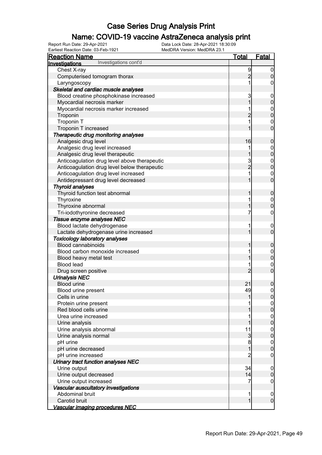### Name: COVID-19 vaccine AstraZeneca analysis print

| Earliest Reaction Date: 03-Feb-1921          | MedDRA Version: MedDRA 23.1 |                |                                      |
|----------------------------------------------|-----------------------------|----------------|--------------------------------------|
| <b>Reaction Name</b>                         |                             | <u>Total</u>   | <b>Fatal</b>                         |
| Investigations cont'd<br>Investigations      |                             |                |                                      |
| Chest X-ray                                  |                             | 9              | $\overline{0}$                       |
| Computerised tomogram thorax                 |                             | $\overline{2}$ | $\pmb{0}$                            |
| Laryngoscopy                                 |                             | 1              | $\boldsymbol{0}$                     |
| Skeletal and cardiac muscle analyses         |                             |                |                                      |
| Blood creatine phosphokinase increased       |                             | 3              | $\boldsymbol{0}$                     |
| Myocardial necrosis marker                   |                             | $\overline{1}$ | $\mathbf 0$                          |
| Myocardial necrosis marker increased         |                             | 1              | $0\atop 0$                           |
| Troponin                                     |                             | $\overline{c}$ |                                      |
| Troponin T                                   |                             | 1              | $\begin{matrix} 0 \\ 0 \end{matrix}$ |
| Troponin T increased                         |                             | 1              |                                      |
| Therapeutic drug monitoring analyses         |                             |                |                                      |
| Analgesic drug level                         |                             | 16             | $\pmb{0}$                            |
| Analgesic drug level increased               |                             | 1              | $0$<br>0                             |
| Analgesic drug level therapeutic             |                             | 1              |                                      |
| Anticoagulation drug level above therapeutic |                             | $\frac{3}{2}$  | $0\atop 0$                           |
| Anticoagulation drug level below therapeutic |                             |                |                                      |
| Anticoagulation drug level increased         |                             | 1              | $\begin{matrix} 0 \\ 0 \end{matrix}$ |
| Antidepressant drug level decreased          |                             | 1              |                                      |
| <b>Thyroid analyses</b>                      |                             |                |                                      |
| Thyroid function test abnormal               |                             | 1              | $\boldsymbol{0}$                     |
| Thyroxine                                    |                             | 1              | $\boldsymbol{0}$                     |
| Thyroxine abnormal                           |                             | 1              | $\overline{0}$                       |
| Tri-iodothyronine decreased                  |                             | 7              | $\mathbf 0$                          |
| Tissue enzyme analyses NEC                   |                             |                |                                      |
| Blood lactate dehydrogenase                  |                             | 1              | $\boldsymbol{0}$                     |
| Lactate dehydrogenase urine increased        |                             | 1              | $\mathbf 0$                          |
| <b>Toxicology laboratory analyses</b>        |                             |                |                                      |
| <b>Blood cannabinoids</b>                    |                             | 1              | $\mathbf 0$                          |
| Blood carbon monoxide increased              |                             | 1              | $\boldsymbol{0}$                     |
| Blood heavy metal test                       |                             | 1              | $\mathbf 0$                          |
| <b>Blood lead</b>                            |                             | 1              |                                      |
| Drug screen positive                         |                             | $\overline{2}$ | $\begin{matrix} 0 \\ 0 \end{matrix}$ |
| <b>Urinalysis NEC</b>                        |                             |                |                                      |
| <b>Blood urine</b>                           |                             | 21             | $\pmb{0}$                            |
| Blood urine present                          |                             | ⊿al            | $\overline{0}$                       |
| Cells in urine                               |                             | 1              | 0                                    |
| Protein urine present                        |                             |                | 0                                    |
| Red blood cells urine                        |                             |                | $\pmb{0}$                            |
| Urea urine increased                         |                             |                | $\mathbf 0$                          |
| Urine analysis                               |                             |                | $\overline{0}$                       |
| Urine analysis abnormal                      |                             | 11             | $\mathbf 0$                          |
| Urine analysis normal                        |                             | $\overline{3}$ | $\pmb{0}$                            |
| pH urine                                     |                             | 8              | $\mathbf{0}$                         |
| pH urine decreased                           |                             | 1              | $\mathbf 0$                          |
| pH urine increased                           |                             | $\overline{2}$ | $\mathbf 0$                          |
| Urinary tract function analyses NEC          |                             |                |                                      |
| Urine output                                 |                             | 34             | $\mathbf 0$                          |
| Urine output decreased                       |                             | 4              | $\mathbf 0$                          |
| Urine output increased                       |                             | 7              | $\boldsymbol{0}$                     |
| Vascular auscultatory investigations         |                             |                |                                      |
| Abdominal bruit                              |                             | 1              | $\mathbf 0$                          |
| Carotid bruit                                |                             | $\mathbf{1}$   | $\overline{0}$                       |
| Vascular imaging procedures NEC              |                             |                |                                      |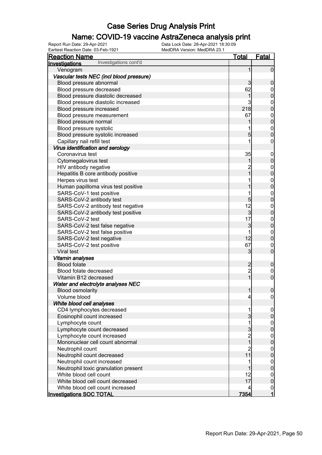### Name: COVID-19 vaccine AstraZeneca analysis print

| <b>Reaction Name</b>                     | <u>Total</u>                               | <u>Fatal</u>                         |
|------------------------------------------|--------------------------------------------|--------------------------------------|
| Investigations cont'd<br>Investigations  |                                            |                                      |
| Venogram                                 | 1                                          | $\overline{0}$                       |
| Vascular tests NEC (incl blood pressure) |                                            |                                      |
| Blood pressure abnormal                  | 3                                          | $\mathbf 0$                          |
| Blood pressure decreased                 | 62                                         |                                      |
| Blood pressure diastolic decreased       | 1                                          | $\begin{matrix}0\\0\end{matrix}$     |
| Blood pressure diastolic increased       | 3                                          |                                      |
| Blood pressure increased                 | 218                                        | $\begin{matrix}0\\0\end{matrix}$     |
| Blood pressure measurement               | 67                                         |                                      |
| Blood pressure normal                    | 1                                          | $0$ 0                                |
| Blood pressure systolic                  | 1                                          |                                      |
| Blood pressure systolic increased        | $\overline{5}$                             | $\begin{matrix}0\\0\end{matrix}$     |
| Capillary nail refill test               | 1                                          | 0                                    |
| Virus identification and serology        |                                            |                                      |
| Coronavirus test                         | 35                                         | $\boldsymbol{0}$                     |
| Cytomegalovirus test                     | 1                                          | $\mathbf 0$                          |
| HIV antibody negative                    | $\overline{2}$                             |                                      |
| Hepatitis B core antibody positive       | $\overline{1}$                             | $\begin{matrix}0\\0\end{matrix}$     |
| Herpes virus test                        | 1                                          |                                      |
| Human papilloma virus test positive      | 1                                          | $\begin{matrix}0\\0\end{matrix}$     |
| SARS-CoV-1 test positive                 | 1                                          |                                      |
| SARS-CoV-2 antibody test                 | 5                                          | $\begin{matrix} 0 \\ 0 \end{matrix}$ |
| SARS-CoV-2 antibody test negative        | 12                                         |                                      |
| SARS-CoV-2 antibody test positive        | $\overline{3}$                             | $\begin{matrix}0\\0\end{matrix}$     |
| SARS-CoV-2 test                          | 17                                         |                                      |
| SARS-CoV-2 test false negative           | 3                                          | $\begin{matrix}0\\0\end{matrix}$     |
| SARS-CoV-2 test false positive           | 1                                          |                                      |
| SARS-CoV-2 test negative                 | 12                                         | $\begin{matrix}0\\0\end{matrix}$     |
| SARS-CoV-2 test positive                 | 67                                         |                                      |
| Viral test                               | 3                                          | $\begin{matrix}0\\0\end{matrix}$     |
| Vitamin analyses                         |                                            |                                      |
| <b>Blood folate</b>                      |                                            | $\boldsymbol{0}$                     |
| Blood folate decreased                   | 2<br>2                                     |                                      |
| Vitamin B12 decreased                    | $\overline{1}$                             | $\begin{matrix} 0 \\ 0 \end{matrix}$ |
| Water and electrolyte analyses NEC       |                                            |                                      |
| <b>Blood osmolarity</b>                  | $\mathbf{1}$                               | $\mathbf 0$                          |
| Volume blood                             | $\vert 4 \vert$                            | 0                                    |
| White blood cell analyses                |                                            |                                      |
| CD4 lymphocytes decreased                | 1                                          | $\overline{0}$                       |
| Eosinophil count increased               | $\mathbf{3}$                               | $\boldsymbol{0}$                     |
| Lymphocyte count                         | 1                                          |                                      |
| Lymphocyte count decreased               |                                            | $0\atop 0$                           |
| Lymphocyte count increased               | $\begin{array}{c} 3 \\ 2 \\ 1 \end{array}$ |                                      |
| Mononuclear cell count abnormal          |                                            | $0\atop 0$                           |
| Neutrophil count                         | $\overline{2}$                             |                                      |
| Neutrophil count decreased               | 11                                         | $\begin{matrix} 0 \\ 0 \end{matrix}$ |
| Neutrophil count increased               | 1                                          | $\mathbf{0}$                         |
| Neutrophil toxic granulation present     |                                            | $\overline{0}$                       |
| White blood cell count                   | 12                                         | $\boldsymbol{0}$                     |
| White blood cell count decreased         | 17                                         | $\overline{0}$                       |
| White blood cell count increased         | 4                                          |                                      |
| <b>Investigations SOC TOTAL</b>          | 7354                                       | $\frac{0}{1}$                        |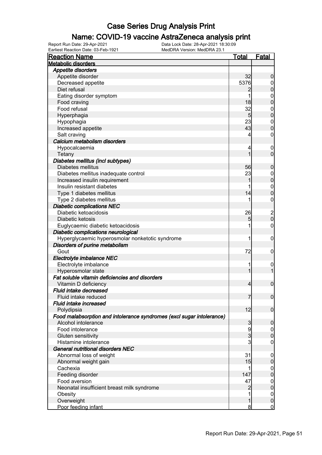### Name: COVID-19 vaccine AstraZeneca analysis print

| <b>Metabolic disorders</b><br><b>Appetite disorders</b><br>Appetite disorder<br>32<br>$\boldsymbol{0}$<br>5376<br>Decreased appetite<br>$\overline{0}$<br>$\pmb{0}$<br>Diet refusal<br>Eating disorder symptom<br>1<br>$\boldsymbol{0}$<br>$\mathbf 0$<br>18<br>Food craving<br>Food refusal<br>32<br>$\boldsymbol{0}$<br>$\mathbf 0$<br>$5\overline{)}$<br>Hyperphagia<br>23<br>$\boldsymbol{0}$<br>Hypophagia<br>$\mathbf 0$<br>43<br>Increased appetite<br>Salt craving<br>$\boldsymbol{0}$<br>Calcium metabolism disorders<br>Hypocalcaemia<br>4<br>$\mathbf 0$<br>$\overline{0}$<br>1<br>Tetany<br>Diabetes mellitus (incl subtypes)<br>Diabetes mellitus<br>56<br>$\mathbf 0$<br>Diabetes mellitus inadequate control<br>23<br>$\overline{0}$<br>$\mathbf 0$<br>Increased insulin requirement<br>1<br>Insulin resistant diabetes<br>$\boldsymbol{0}$<br>$\mathbf 0$<br>14<br>Type 1 diabetes mellitus<br>$\boldsymbol{0}$<br>Type 2 diabetes mellitus<br><b>Diabetic complications NEC</b><br>Diabetic ketoacidosis<br>26<br>$\begin{matrix} 2 \\ 0 \end{matrix}$<br>5<br>Diabetic ketosis<br>Euglycaemic diabetic ketoacidosis<br>$\mathbf 0$<br>1<br>Diabetic complications neurological<br>Hyperglycaemic hyperosmolar nonketotic syndrome<br>1<br>$\mathbf 0$<br>Disorders of purine metabolism<br>Gout<br>72<br>$\mathbf 0$<br>Electrolyte imbalance NEC<br>Electrolyte imbalance<br>1<br>$\mathbf 0$<br>$\mathbf{1}$<br>Hyperosmolar state<br>1<br>Fat soluble vitamin deficiencies and disorders<br>$\pmb{0}$<br>Vitamin D deficiency<br>$\overline{4}$<br>Fluid intake decreased<br>$\overline{0}$<br>7<br>Fluid intake reduced<br>Fluid intake increased<br>12<br>$\mathbf 0$<br>Polydipsia<br>Food malabsorption and intolerance syndromes (excl sugar intolerance)<br>Alcohol intolerance<br>3<br>$\mathbf 0$<br>Food intolerance<br>9<br>$\overline{0}$<br>3<br>$\boldsymbol{0}$<br>Gluten sensitivity<br>3<br>Histamine intolerance<br>$\mathbf 0$<br>General nutritional disorders NEC<br>31<br>Abnormal loss of weight<br>$\mathbf 0$<br>15<br>Abnormal weight gain<br>$\pmb{0}$<br>Cachexia<br>0<br>Feeding disorder<br>147<br>$\mathbf 0$<br>Food aversion<br>47<br>0<br>Neonatal insufficient breast milk syndrome<br>$\pmb{0}$<br>$\overline{c}$<br>1<br>Obesity<br>0<br>Overweight<br>1<br>0 | Earliest Reaction Date: 03-Feb-1921 | MedDRA Version: MedDRA 23.1 |              |
|------------------------------------------------------------------------------------------------------------------------------------------------------------------------------------------------------------------------------------------------------------------------------------------------------------------------------------------------------------------------------------------------------------------------------------------------------------------------------------------------------------------------------------------------------------------------------------------------------------------------------------------------------------------------------------------------------------------------------------------------------------------------------------------------------------------------------------------------------------------------------------------------------------------------------------------------------------------------------------------------------------------------------------------------------------------------------------------------------------------------------------------------------------------------------------------------------------------------------------------------------------------------------------------------------------------------------------------------------------------------------------------------------------------------------------------------------------------------------------------------------------------------------------------------------------------------------------------------------------------------------------------------------------------------------------------------------------------------------------------------------------------------------------------------------------------------------------------------------------------------------------------------------------------------------------------------------------------------------------------------------------------------------------------------------------------------------------------------------------------------------------------------------------------------------------------------------------------------------------------------------------------------------------------------------------------------|-------------------------------------|-----------------------------|--------------|
|                                                                                                                                                                                                                                                                                                                                                                                                                                                                                                                                                                                                                                                                                                                                                                                                                                                                                                                                                                                                                                                                                                                                                                                                                                                                                                                                                                                                                                                                                                                                                                                                                                                                                                                                                                                                                                                                                                                                                                                                                                                                                                                                                                                                                                                                                                                        | <b>Reaction Name</b>                | <u>Total</u>                | <u>Fatal</u> |
|                                                                                                                                                                                                                                                                                                                                                                                                                                                                                                                                                                                                                                                                                                                                                                                                                                                                                                                                                                                                                                                                                                                                                                                                                                                                                                                                                                                                                                                                                                                                                                                                                                                                                                                                                                                                                                                                                                                                                                                                                                                                                                                                                                                                                                                                                                                        |                                     |                             |              |
|                                                                                                                                                                                                                                                                                                                                                                                                                                                                                                                                                                                                                                                                                                                                                                                                                                                                                                                                                                                                                                                                                                                                                                                                                                                                                                                                                                                                                                                                                                                                                                                                                                                                                                                                                                                                                                                                                                                                                                                                                                                                                                                                                                                                                                                                                                                        |                                     |                             |              |
|                                                                                                                                                                                                                                                                                                                                                                                                                                                                                                                                                                                                                                                                                                                                                                                                                                                                                                                                                                                                                                                                                                                                                                                                                                                                                                                                                                                                                                                                                                                                                                                                                                                                                                                                                                                                                                                                                                                                                                                                                                                                                                                                                                                                                                                                                                                        |                                     |                             |              |
|                                                                                                                                                                                                                                                                                                                                                                                                                                                                                                                                                                                                                                                                                                                                                                                                                                                                                                                                                                                                                                                                                                                                                                                                                                                                                                                                                                                                                                                                                                                                                                                                                                                                                                                                                                                                                                                                                                                                                                                                                                                                                                                                                                                                                                                                                                                        |                                     |                             |              |
|                                                                                                                                                                                                                                                                                                                                                                                                                                                                                                                                                                                                                                                                                                                                                                                                                                                                                                                                                                                                                                                                                                                                                                                                                                                                                                                                                                                                                                                                                                                                                                                                                                                                                                                                                                                                                                                                                                                                                                                                                                                                                                                                                                                                                                                                                                                        |                                     |                             |              |
|                                                                                                                                                                                                                                                                                                                                                                                                                                                                                                                                                                                                                                                                                                                                                                                                                                                                                                                                                                                                                                                                                                                                                                                                                                                                                                                                                                                                                                                                                                                                                                                                                                                                                                                                                                                                                                                                                                                                                                                                                                                                                                                                                                                                                                                                                                                        |                                     |                             |              |
|                                                                                                                                                                                                                                                                                                                                                                                                                                                                                                                                                                                                                                                                                                                                                                                                                                                                                                                                                                                                                                                                                                                                                                                                                                                                                                                                                                                                                                                                                                                                                                                                                                                                                                                                                                                                                                                                                                                                                                                                                                                                                                                                                                                                                                                                                                                        |                                     |                             |              |
|                                                                                                                                                                                                                                                                                                                                                                                                                                                                                                                                                                                                                                                                                                                                                                                                                                                                                                                                                                                                                                                                                                                                                                                                                                                                                                                                                                                                                                                                                                                                                                                                                                                                                                                                                                                                                                                                                                                                                                                                                                                                                                                                                                                                                                                                                                                        |                                     |                             |              |
|                                                                                                                                                                                                                                                                                                                                                                                                                                                                                                                                                                                                                                                                                                                                                                                                                                                                                                                                                                                                                                                                                                                                                                                                                                                                                                                                                                                                                                                                                                                                                                                                                                                                                                                                                                                                                                                                                                                                                                                                                                                                                                                                                                                                                                                                                                                        |                                     |                             |              |
|                                                                                                                                                                                                                                                                                                                                                                                                                                                                                                                                                                                                                                                                                                                                                                                                                                                                                                                                                                                                                                                                                                                                                                                                                                                                                                                                                                                                                                                                                                                                                                                                                                                                                                                                                                                                                                                                                                                                                                                                                                                                                                                                                                                                                                                                                                                        |                                     |                             |              |
|                                                                                                                                                                                                                                                                                                                                                                                                                                                                                                                                                                                                                                                                                                                                                                                                                                                                                                                                                                                                                                                                                                                                                                                                                                                                                                                                                                                                                                                                                                                                                                                                                                                                                                                                                                                                                                                                                                                                                                                                                                                                                                                                                                                                                                                                                                                        |                                     |                             |              |
|                                                                                                                                                                                                                                                                                                                                                                                                                                                                                                                                                                                                                                                                                                                                                                                                                                                                                                                                                                                                                                                                                                                                                                                                                                                                                                                                                                                                                                                                                                                                                                                                                                                                                                                                                                                                                                                                                                                                                                                                                                                                                                                                                                                                                                                                                                                        |                                     |                             |              |
|                                                                                                                                                                                                                                                                                                                                                                                                                                                                                                                                                                                                                                                                                                                                                                                                                                                                                                                                                                                                                                                                                                                                                                                                                                                                                                                                                                                                                                                                                                                                                                                                                                                                                                                                                                                                                                                                                                                                                                                                                                                                                                                                                                                                                                                                                                                        |                                     |                             |              |
|                                                                                                                                                                                                                                                                                                                                                                                                                                                                                                                                                                                                                                                                                                                                                                                                                                                                                                                                                                                                                                                                                                                                                                                                                                                                                                                                                                                                                                                                                                                                                                                                                                                                                                                                                                                                                                                                                                                                                                                                                                                                                                                                                                                                                                                                                                                        |                                     |                             |              |
|                                                                                                                                                                                                                                                                                                                                                                                                                                                                                                                                                                                                                                                                                                                                                                                                                                                                                                                                                                                                                                                                                                                                                                                                                                                                                                                                                                                                                                                                                                                                                                                                                                                                                                                                                                                                                                                                                                                                                                                                                                                                                                                                                                                                                                                                                                                        |                                     |                             |              |
|                                                                                                                                                                                                                                                                                                                                                                                                                                                                                                                                                                                                                                                                                                                                                                                                                                                                                                                                                                                                                                                                                                                                                                                                                                                                                                                                                                                                                                                                                                                                                                                                                                                                                                                                                                                                                                                                                                                                                                                                                                                                                                                                                                                                                                                                                                                        |                                     |                             |              |
|                                                                                                                                                                                                                                                                                                                                                                                                                                                                                                                                                                                                                                                                                                                                                                                                                                                                                                                                                                                                                                                                                                                                                                                                                                                                                                                                                                                                                                                                                                                                                                                                                                                                                                                                                                                                                                                                                                                                                                                                                                                                                                                                                                                                                                                                                                                        |                                     |                             |              |
|                                                                                                                                                                                                                                                                                                                                                                                                                                                                                                                                                                                                                                                                                                                                                                                                                                                                                                                                                                                                                                                                                                                                                                                                                                                                                                                                                                                                                                                                                                                                                                                                                                                                                                                                                                                                                                                                                                                                                                                                                                                                                                                                                                                                                                                                                                                        |                                     |                             |              |
|                                                                                                                                                                                                                                                                                                                                                                                                                                                                                                                                                                                                                                                                                                                                                                                                                                                                                                                                                                                                                                                                                                                                                                                                                                                                                                                                                                                                                                                                                                                                                                                                                                                                                                                                                                                                                                                                                                                                                                                                                                                                                                                                                                                                                                                                                                                        |                                     |                             |              |
|                                                                                                                                                                                                                                                                                                                                                                                                                                                                                                                                                                                                                                                                                                                                                                                                                                                                                                                                                                                                                                                                                                                                                                                                                                                                                                                                                                                                                                                                                                                                                                                                                                                                                                                                                                                                                                                                                                                                                                                                                                                                                                                                                                                                                                                                                                                        |                                     |                             |              |
|                                                                                                                                                                                                                                                                                                                                                                                                                                                                                                                                                                                                                                                                                                                                                                                                                                                                                                                                                                                                                                                                                                                                                                                                                                                                                                                                                                                                                                                                                                                                                                                                                                                                                                                                                                                                                                                                                                                                                                                                                                                                                                                                                                                                                                                                                                                        |                                     |                             |              |
|                                                                                                                                                                                                                                                                                                                                                                                                                                                                                                                                                                                                                                                                                                                                                                                                                                                                                                                                                                                                                                                                                                                                                                                                                                                                                                                                                                                                                                                                                                                                                                                                                                                                                                                                                                                                                                                                                                                                                                                                                                                                                                                                                                                                                                                                                                                        |                                     |                             |              |
|                                                                                                                                                                                                                                                                                                                                                                                                                                                                                                                                                                                                                                                                                                                                                                                                                                                                                                                                                                                                                                                                                                                                                                                                                                                                                                                                                                                                                                                                                                                                                                                                                                                                                                                                                                                                                                                                                                                                                                                                                                                                                                                                                                                                                                                                                                                        |                                     |                             |              |
|                                                                                                                                                                                                                                                                                                                                                                                                                                                                                                                                                                                                                                                                                                                                                                                                                                                                                                                                                                                                                                                                                                                                                                                                                                                                                                                                                                                                                                                                                                                                                                                                                                                                                                                                                                                                                                                                                                                                                                                                                                                                                                                                                                                                                                                                                                                        |                                     |                             |              |
|                                                                                                                                                                                                                                                                                                                                                                                                                                                                                                                                                                                                                                                                                                                                                                                                                                                                                                                                                                                                                                                                                                                                                                                                                                                                                                                                                                                                                                                                                                                                                                                                                                                                                                                                                                                                                                                                                                                                                                                                                                                                                                                                                                                                                                                                                                                        |                                     |                             |              |
|                                                                                                                                                                                                                                                                                                                                                                                                                                                                                                                                                                                                                                                                                                                                                                                                                                                                                                                                                                                                                                                                                                                                                                                                                                                                                                                                                                                                                                                                                                                                                                                                                                                                                                                                                                                                                                                                                                                                                                                                                                                                                                                                                                                                                                                                                                                        |                                     |                             |              |
|                                                                                                                                                                                                                                                                                                                                                                                                                                                                                                                                                                                                                                                                                                                                                                                                                                                                                                                                                                                                                                                                                                                                                                                                                                                                                                                                                                                                                                                                                                                                                                                                                                                                                                                                                                                                                                                                                                                                                                                                                                                                                                                                                                                                                                                                                                                        |                                     |                             |              |
|                                                                                                                                                                                                                                                                                                                                                                                                                                                                                                                                                                                                                                                                                                                                                                                                                                                                                                                                                                                                                                                                                                                                                                                                                                                                                                                                                                                                                                                                                                                                                                                                                                                                                                                                                                                                                                                                                                                                                                                                                                                                                                                                                                                                                                                                                                                        |                                     |                             |              |
|                                                                                                                                                                                                                                                                                                                                                                                                                                                                                                                                                                                                                                                                                                                                                                                                                                                                                                                                                                                                                                                                                                                                                                                                                                                                                                                                                                                                                                                                                                                                                                                                                                                                                                                                                                                                                                                                                                                                                                                                                                                                                                                                                                                                                                                                                                                        |                                     |                             |              |
|                                                                                                                                                                                                                                                                                                                                                                                                                                                                                                                                                                                                                                                                                                                                                                                                                                                                                                                                                                                                                                                                                                                                                                                                                                                                                                                                                                                                                                                                                                                                                                                                                                                                                                                                                                                                                                                                                                                                                                                                                                                                                                                                                                                                                                                                                                                        |                                     |                             |              |
|                                                                                                                                                                                                                                                                                                                                                                                                                                                                                                                                                                                                                                                                                                                                                                                                                                                                                                                                                                                                                                                                                                                                                                                                                                                                                                                                                                                                                                                                                                                                                                                                                                                                                                                                                                                                                                                                                                                                                                                                                                                                                                                                                                                                                                                                                                                        |                                     |                             |              |
|                                                                                                                                                                                                                                                                                                                                                                                                                                                                                                                                                                                                                                                                                                                                                                                                                                                                                                                                                                                                                                                                                                                                                                                                                                                                                                                                                                                                                                                                                                                                                                                                                                                                                                                                                                                                                                                                                                                                                                                                                                                                                                                                                                                                                                                                                                                        |                                     |                             |              |
|                                                                                                                                                                                                                                                                                                                                                                                                                                                                                                                                                                                                                                                                                                                                                                                                                                                                                                                                                                                                                                                                                                                                                                                                                                                                                                                                                                                                                                                                                                                                                                                                                                                                                                                                                                                                                                                                                                                                                                                                                                                                                                                                                                                                                                                                                                                        |                                     |                             |              |
|                                                                                                                                                                                                                                                                                                                                                                                                                                                                                                                                                                                                                                                                                                                                                                                                                                                                                                                                                                                                                                                                                                                                                                                                                                                                                                                                                                                                                                                                                                                                                                                                                                                                                                                                                                                                                                                                                                                                                                                                                                                                                                                                                                                                                                                                                                                        |                                     |                             |              |
|                                                                                                                                                                                                                                                                                                                                                                                                                                                                                                                                                                                                                                                                                                                                                                                                                                                                                                                                                                                                                                                                                                                                                                                                                                                                                                                                                                                                                                                                                                                                                                                                                                                                                                                                                                                                                                                                                                                                                                                                                                                                                                                                                                                                                                                                                                                        |                                     |                             |              |
|                                                                                                                                                                                                                                                                                                                                                                                                                                                                                                                                                                                                                                                                                                                                                                                                                                                                                                                                                                                                                                                                                                                                                                                                                                                                                                                                                                                                                                                                                                                                                                                                                                                                                                                                                                                                                                                                                                                                                                                                                                                                                                                                                                                                                                                                                                                        |                                     |                             |              |
|                                                                                                                                                                                                                                                                                                                                                                                                                                                                                                                                                                                                                                                                                                                                                                                                                                                                                                                                                                                                                                                                                                                                                                                                                                                                                                                                                                                                                                                                                                                                                                                                                                                                                                                                                                                                                                                                                                                                                                                                                                                                                                                                                                                                                                                                                                                        |                                     |                             |              |
|                                                                                                                                                                                                                                                                                                                                                                                                                                                                                                                                                                                                                                                                                                                                                                                                                                                                                                                                                                                                                                                                                                                                                                                                                                                                                                                                                                                                                                                                                                                                                                                                                                                                                                                                                                                                                                                                                                                                                                                                                                                                                                                                                                                                                                                                                                                        |                                     |                             |              |
|                                                                                                                                                                                                                                                                                                                                                                                                                                                                                                                                                                                                                                                                                                                                                                                                                                                                                                                                                                                                                                                                                                                                                                                                                                                                                                                                                                                                                                                                                                                                                                                                                                                                                                                                                                                                                                                                                                                                                                                                                                                                                                                                                                                                                                                                                                                        |                                     |                             |              |
|                                                                                                                                                                                                                                                                                                                                                                                                                                                                                                                                                                                                                                                                                                                                                                                                                                                                                                                                                                                                                                                                                                                                                                                                                                                                                                                                                                                                                                                                                                                                                                                                                                                                                                                                                                                                                                                                                                                                                                                                                                                                                                                                                                                                                                                                                                                        |                                     |                             |              |
|                                                                                                                                                                                                                                                                                                                                                                                                                                                                                                                                                                                                                                                                                                                                                                                                                                                                                                                                                                                                                                                                                                                                                                                                                                                                                                                                                                                                                                                                                                                                                                                                                                                                                                                                                                                                                                                                                                                                                                                                                                                                                                                                                                                                                                                                                                                        |                                     |                             |              |
|                                                                                                                                                                                                                                                                                                                                                                                                                                                                                                                                                                                                                                                                                                                                                                                                                                                                                                                                                                                                                                                                                                                                                                                                                                                                                                                                                                                                                                                                                                                                                                                                                                                                                                                                                                                                                                                                                                                                                                                                                                                                                                                                                                                                                                                                                                                        |                                     |                             |              |
|                                                                                                                                                                                                                                                                                                                                                                                                                                                                                                                                                                                                                                                                                                                                                                                                                                                                                                                                                                                                                                                                                                                                                                                                                                                                                                                                                                                                                                                                                                                                                                                                                                                                                                                                                                                                                                                                                                                                                                                                                                                                                                                                                                                                                                                                                                                        |                                     |                             |              |
|                                                                                                                                                                                                                                                                                                                                                                                                                                                                                                                                                                                                                                                                                                                                                                                                                                                                                                                                                                                                                                                                                                                                                                                                                                                                                                                                                                                                                                                                                                                                                                                                                                                                                                                                                                                                                                                                                                                                                                                                                                                                                                                                                                                                                                                                                                                        |                                     |                             |              |
|                                                                                                                                                                                                                                                                                                                                                                                                                                                                                                                                                                                                                                                                                                                                                                                                                                                                                                                                                                                                                                                                                                                                                                                                                                                                                                                                                                                                                                                                                                                                                                                                                                                                                                                                                                                                                                                                                                                                                                                                                                                                                                                                                                                                                                                                                                                        |                                     |                             |              |
|                                                                                                                                                                                                                                                                                                                                                                                                                                                                                                                                                                                                                                                                                                                                                                                                                                                                                                                                                                                                                                                                                                                                                                                                                                                                                                                                                                                                                                                                                                                                                                                                                                                                                                                                                                                                                                                                                                                                                                                                                                                                                                                                                                                                                                                                                                                        |                                     |                             |              |
|                                                                                                                                                                                                                                                                                                                                                                                                                                                                                                                                                                                                                                                                                                                                                                                                                                                                                                                                                                                                                                                                                                                                                                                                                                                                                                                                                                                                                                                                                                                                                                                                                                                                                                                                                                                                                                                                                                                                                                                                                                                                                                                                                                                                                                                                                                                        |                                     |                             |              |
|                                                                                                                                                                                                                                                                                                                                                                                                                                                                                                                                                                                                                                                                                                                                                                                                                                                                                                                                                                                                                                                                                                                                                                                                                                                                                                                                                                                                                                                                                                                                                                                                                                                                                                                                                                                                                                                                                                                                                                                                                                                                                                                                                                                                                                                                                                                        |                                     |                             |              |
|                                                                                                                                                                                                                                                                                                                                                                                                                                                                                                                                                                                                                                                                                                                                                                                                                                                                                                                                                                                                                                                                                                                                                                                                                                                                                                                                                                                                                                                                                                                                                                                                                                                                                                                                                                                                                                                                                                                                                                                                                                                                                                                                                                                                                                                                                                                        |                                     |                             |              |
|                                                                                                                                                                                                                                                                                                                                                                                                                                                                                                                                                                                                                                                                                                                                                                                                                                                                                                                                                                                                                                                                                                                                                                                                                                                                                                                                                                                                                                                                                                                                                                                                                                                                                                                                                                                                                                                                                                                                                                                                                                                                                                                                                                                                                                                                                                                        |                                     |                             |              |
|                                                                                                                                                                                                                                                                                                                                                                                                                                                                                                                                                                                                                                                                                                                                                                                                                                                                                                                                                                                                                                                                                                                                                                                                                                                                                                                                                                                                                                                                                                                                                                                                                                                                                                                                                                                                                                                                                                                                                                                                                                                                                                                                                                                                                                                                                                                        |                                     |                             |              |
|                                                                                                                                                                                                                                                                                                                                                                                                                                                                                                                                                                                                                                                                                                                                                                                                                                                                                                                                                                                                                                                                                                                                                                                                                                                                                                                                                                                                                                                                                                                                                                                                                                                                                                                                                                                                                                                                                                                                                                                                                                                                                                                                                                                                                                                                                                                        |                                     |                             |              |
|                                                                                                                                                                                                                                                                                                                                                                                                                                                                                                                                                                                                                                                                                                                                                                                                                                                                                                                                                                                                                                                                                                                                                                                                                                                                                                                                                                                                                                                                                                                                                                                                                                                                                                                                                                                                                                                                                                                                                                                                                                                                                                                                                                                                                                                                                                                        |                                     |                             |              |
| 8<br>$\overline{0}$                                                                                                                                                                                                                                                                                                                                                                                                                                                                                                                                                                                                                                                                                                                                                                                                                                                                                                                                                                                                                                                                                                                                                                                                                                                                                                                                                                                                                                                                                                                                                                                                                                                                                                                                                                                                                                                                                                                                                                                                                                                                                                                                                                                                                                                                                                    | Poor feeding infant                 |                             |              |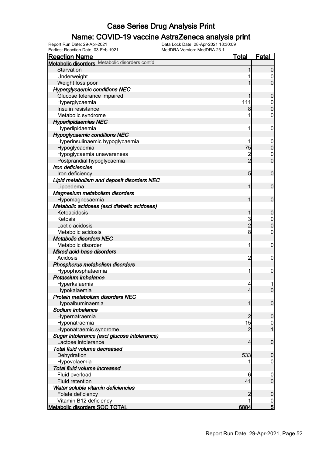### Name: COVID-19 vaccine AstraZeneca analysis print

Earliest Reaction Date: 03-Feb-1921 MedDRA Version: MedDRA 23.1

| <b>Reaction Name</b>                           | <b>Total</b>    | <b>Fatal</b>     |
|------------------------------------------------|-----------------|------------------|
| Metabolic disorders Metabolic disorders cont'd |                 |                  |
| Starvation                                     |                 | $\mathbf 0$      |
| Underweight                                    |                 | 0                |
| Weight loss poor                               |                 | $\overline{0}$   |
| <b>Hyperglycaemic conditions NEC</b>           |                 |                  |
| Glucose tolerance impaired                     |                 | $\boldsymbol{0}$ |
| Hyperglycaemia                                 | 111             | $\mathbf 0$      |
| Insulin resistance                             | 8               | $\overline{0}$   |
| Metabolic syndrome                             |                 | 0                |
| <b>Hyperlipidaemias NEC</b>                    |                 |                  |
| Hyperlipidaemia                                | 1               | $\mathbf 0$      |
| <b>Hypoglycaemic conditions NEC</b>            |                 |                  |
| Hyperinsulinaemic hypoglycaemia                |                 | $\mathbf 0$      |
| Hypoglycaemia                                  | 75              | $\mathbf 0$      |
| Hypoglycaemia unawareness                      | $\overline{c}$  | $\mathbf 0$      |
| Postprandial hypoglycaemia                     | $\overline{2}$  | $\overline{0}$   |
| Iron deficiencies                              |                 |                  |
| Iron deficiency                                | $5\overline{)}$ | $\mathbf 0$      |
| Lipid metabolism and deposit disorders NEC     |                 |                  |
| Lipoedema                                      | 1               | $\mathbf 0$      |
| Magnesium metabolism disorders                 |                 |                  |
| Hypomagnesaemia                                | 1               | $\mathbf 0$      |
| Metabolic acidoses (excl diabetic acidoses)    |                 |                  |
| Ketoacidosis                                   | 1               | $\boldsymbol{0}$ |
| Ketosis                                        | 3               | $\mathbf 0$      |
| Lactic acidosis                                | $\overline{2}$  | $\overline{0}$   |
| Metabolic acidosis                             | 8               | $\mathbf 0$      |
| <b>Metabolic disorders NEC</b>                 |                 |                  |
| Metabolic disorder                             | 1               | $\mathbf 0$      |
| Mixed acid-base disorders                      |                 |                  |
| Acidosis                                       | $\overline{2}$  | $\mathbf 0$      |
| Phosphorus metabolism disorders                |                 |                  |
| Hypophosphataemia                              | 1               | $\mathbf 0$      |
| Potassium imbalance                            |                 |                  |
| Hyperkalaemia                                  | 4               |                  |
| Hypokalaemia                                   | $\overline{4}$  | $\overline{0}$   |
| Protein metabolism disorders NEC               |                 |                  |
| Hypoalbuminaemia                               | 1               | $\overline{0}$   |
| Sodium imbalance                               |                 |                  |
| Hypernatraemia                                 | $\overline{2}$  | $\boldsymbol{0}$ |
| Hyponatraemia                                  | 15              | 0                |
| Hyponatraemic syndrome                         | $\overline{2}$  | $\overline{1}$   |
| Sugar intolerance (excl glucose intolerance)   |                 |                  |
| Lactose intolerance                            | 4               | $\mathbf 0$      |
| Total fluid volume decreased                   |                 |                  |
| Dehydration                                    | 533             | $\mathbf 0$      |
| Hypovolaemia                                   |                 | 0                |
| Total fluid volume increased                   |                 |                  |
| Fluid overload                                 | 6               | 0                |
| Fluid retention                                | 41              | $\mathbf 0$      |
| Water soluble vitamin deficiencies             |                 |                  |
| Folate deficiency                              | 2               | $\boldsymbol{0}$ |
| Vitamin B12 deficiency                         |                 |                  |
| Metabolic disorders SOC TOTAL                  | 6884            | $\frac{0}{5}$    |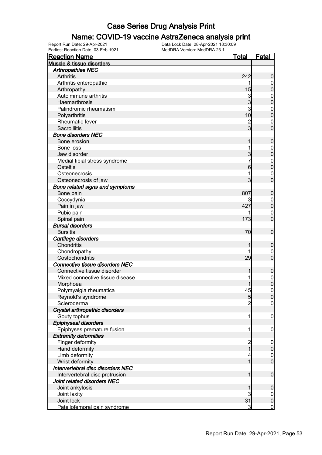#### Name: COVID-19 vaccine AstraZeneca analysis print

| Earliest Reaction Date: 03-Feb-1921                           | MedDRA Version: MedDRA 23.1 |                      |                             |
|---------------------------------------------------------------|-----------------------------|----------------------|-----------------------------|
| <b>Reaction Name</b>                                          |                             | <u>Total</u>         | <b>Fatal</b>                |
| Muscle & tissue disorders                                     |                             |                      |                             |
| <b>Arthropathies NEC</b>                                      |                             |                      |                             |
| <b>Arthritis</b>                                              |                             | 242                  | $\boldsymbol{0}$            |
| Arthritis enteropathic                                        |                             | 1                    | $\mathbf 0$                 |
| Arthropathy                                                   |                             | 15                   | $\mathbf 0$                 |
| Autoimmune arthritis                                          |                             | 3                    | $\boldsymbol{0}$            |
| Haemarthrosis                                                 |                             | 3                    | $\mathbf 0$                 |
| Palindromic rheumatism                                        |                             | 3                    | $\boldsymbol{0}$            |
| Polyarthritis                                                 |                             | 10                   | $\mathbf 0$                 |
| Rheumatic fever                                               |                             | $\frac{2}{3}$        | $\mathbf{0}$                |
| Sacroiliitis                                                  |                             |                      | $\overline{0}$              |
| <b>Bone disorders NEC</b>                                     |                             |                      |                             |
| Bone erosion                                                  |                             | 1                    | $\boldsymbol{0}$            |
| Bone loss                                                     |                             | 1                    | $\boldsymbol{0}$            |
| Jaw disorder                                                  |                             | 3                    | $\pmb{0}$                   |
| Medial tibial stress syndrome                                 |                             | 7                    | $\boldsymbol{0}$            |
| <b>Osteitis</b>                                               |                             | 6                    | $\mathbf 0$                 |
| Osteonecrosis                                                 |                             | 1                    | $\mathbf{0}$                |
| Osteonecrosis of jaw                                          |                             | 3                    | $\overline{0}$              |
| Bone related signs and symptoms                               |                             |                      |                             |
| Bone pain                                                     |                             | 807                  | $\mathbf 0$                 |
| Coccydynia                                                    |                             |                      | $\overline{0}$              |
| Pain in jaw                                                   |                             | 427                  | $\pmb{0}$                   |
| Pubic pain                                                    |                             |                      | $\boldsymbol{0}$            |
| Spinal pain                                                   |                             | 173                  | $\mathbf 0$                 |
| <b>Bursal disorders</b>                                       |                             |                      |                             |
| <b>Bursitis</b>                                               |                             | 70                   | $\boldsymbol{0}$            |
| Cartilage disorders                                           |                             |                      |                             |
| Chondritis                                                    |                             |                      | $\mathbf 0$                 |
| Chondropathy                                                  |                             |                      | $\overline{0}$              |
| Costochondritis                                               |                             | 29                   | $\boldsymbol{0}$            |
| Connective tissue disorders NEC                               |                             |                      |                             |
| Connective tissue disorder                                    |                             |                      | $\boldsymbol{0}$            |
| Mixed connective tissue disease                               |                             |                      | $\boldsymbol{0}$            |
| Morphoea                                                      |                             | 1                    | $\overline{0}$              |
| Polymyalgia rheumatica                                        |                             | 45                   | $\overline{0}$              |
| Reynold's syndrome                                            |                             | $\overline{5}$       | $\overline{0}$              |
| Scleroderma                                                   |                             | $\overline{2}$       | $\overline{0}$              |
| Crystal arthropathic disorders                                |                             |                      |                             |
| Gouty tophus                                                  |                             | 1                    | $\mathbf 0$                 |
| Epiphyseal disorders                                          |                             |                      |                             |
| Epiphyses premature fusion                                    |                             | 1                    | $\boldsymbol{0}$            |
| <b>Extremity deformities</b>                                  |                             |                      |                             |
| Finger deformity                                              |                             | $\overline{c}$       | $\overline{0}$              |
| Hand deformity                                                |                             | $\overline{1}$       | $\pmb{0}$                   |
| Limb deformity                                                |                             | 4                    | $\mathbf 0$                 |
| Wrist deformity                                               |                             | 1                    | $\mathbf 0$                 |
| Intervertebral disc disorders NEC                             |                             |                      |                             |
|                                                               |                             | 1                    | $\mathbf 0$                 |
| Intervertebral disc protrusion<br>Joint related disorders NEC |                             |                      |                             |
|                                                               |                             |                      |                             |
| Joint ankylosis                                               |                             |                      | $\mathbf 0$                 |
| Joint laxity                                                  |                             | 3                    | $\overline{0}$              |
| Joint lock                                                    |                             | 31<br>$\overline{3}$ | $\pmb{0}$<br>$\overline{0}$ |
| Patellofemoral pain syndrome                                  |                             |                      |                             |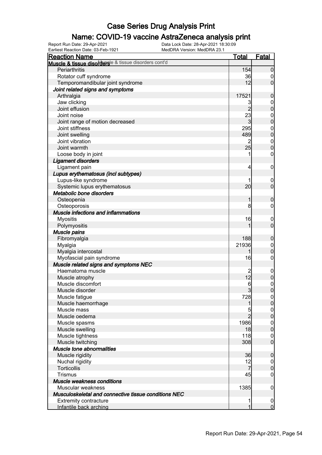### Name: COVID-19 vaccine AstraZeneca analysis print

Earliest Reaction Date: 03-Feb-1921 MedDRA Version: MedDRA 23.1

| <b>Reaction Name</b>                                  | <b>Total</b>         | <b>Fatal</b>                     |
|-------------------------------------------------------|----------------------|----------------------------------|
| Muscle & tissue disordersle & tissue disorders cont'd |                      |                                  |
| Periarthritis                                         | 154                  | $\mathbf 0$                      |
| Rotator cuff syndrome                                 | 36                   | 0                                |
| Temporomandibular joint syndrome                      | 12                   | $\mathbf 0$                      |
| Joint related signs and symptoms                      |                      |                                  |
| Arthralgia                                            | 17521                | $\mathbf 0$                      |
| Jaw clicking                                          | 3                    | $\mathbf 0$                      |
| Joint effusion                                        | $\overline{2}$       | $\mathbf 0$                      |
| Joint noise                                           | 23                   | $\boldsymbol{0}$                 |
| Joint range of motion decreased                       | 3                    | $\mathbf 0$                      |
| Joint stiffness                                       | 295                  | $\boldsymbol{0}$                 |
| Joint swelling                                        | 489                  | $\mathbf 0$                      |
| Joint vibration                                       |                      | $\boldsymbol{0}$                 |
| Joint warmth                                          | 25                   | $\mathbf 0$                      |
| Loose body in joint                                   | 1                    | $\boldsymbol{0}$                 |
| <b>Ligament disorders</b>                             |                      |                                  |
| Ligament pain                                         | 4                    | $\mathbf 0$                      |
| Lupus erythematosus (incl subtypes)                   |                      |                                  |
| Lupus-like syndrome                                   |                      | $\overline{0}$                   |
| Systemic lupus erythematosus                          | 20                   | $\mathbf 0$                      |
| Metabolic bone disorders                              |                      |                                  |
| Osteopenia                                            | 1                    | $\mathbf 0$                      |
| Osteoporosis                                          | 8                    | 0                                |
| <b>Muscle infections and inflammations</b>            |                      |                                  |
| <b>Myositis</b>                                       | 16                   | $\mathbf 0$                      |
| Polymyositis                                          |                      | $\mathbf 0$                      |
| Muscle pains                                          |                      |                                  |
| Fibromyalgia                                          | 188                  | $\mathbf 0$                      |
| Myalgia                                               | 21936                | $\mathbf 0$                      |
| Myalgia intercostal                                   |                      | $\mathbf 0$                      |
| Myofascial pain syndrome                              | 16                   | $\boldsymbol{0}$                 |
| Muscle related signs and symptoms NEC                 |                      |                                  |
| Haematoma muscle                                      |                      |                                  |
| Muscle atrophy                                        | 12                   | $\mathbf 0$<br>$\pmb{0}$         |
| Muscle discomfort                                     |                      |                                  |
| Muscle disorder                                       | 6<br>$\overline{3}$  | $\begin{matrix}0\\0\end{matrix}$ |
|                                                       |                      |                                  |
| Muscle fatigue                                        | 728                  | 0 <br>$\overline{0}$             |
| Muscle haemorrhage<br>Muscle mass                     |                      |                                  |
| Muscle oedema                                         | 5<br>$\overline{2}$  | $\overline{0}$                   |
|                                                       |                      | $\mathbf 0$                      |
| Muscle spasms                                         | 1986                 | $\overline{0}$                   |
| Muscle swelling                                       | 18                   | $\pmb{0}$                        |
| Muscle tightness                                      | 118                  | $\mathbf 0$                      |
| Muscle twitching                                      | 308                  | $\overline{0}$                   |
| Muscle tone abnormalities                             |                      |                                  |
| Muscle rigidity                                       | 36                   | $\boldsymbol{0}$                 |
| Nuchal rigidity                                       | 12<br>$\overline{7}$ | $\overline{0}$                   |
| Torticollis                                           |                      | $\pmb{0}$                        |
| <b>Trismus</b>                                        | 45                   | $\boldsymbol{0}$                 |
| Muscle weakness conditions                            |                      |                                  |
| Muscular weakness                                     | 1385                 | $\mathbf 0$                      |
| Musculoskeletal and connective tissue conditions NEC  |                      |                                  |
| <b>Extremity contracture</b>                          | 1<br>1               | $\boldsymbol{0}$                 |
| Infantile back arching                                |                      | $\overline{0}$                   |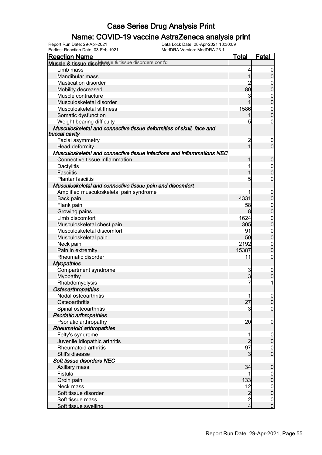### Name: COVID-19 vaccine AstraZeneca analysis print

| <b>Reaction Name</b>                                                                  | <b>Total</b>   | <b>Fatal</b>     |
|---------------------------------------------------------------------------------------|----------------|------------------|
| Muscle & tissue disordersle & tissue disorders cont'd                                 |                |                  |
| Limb mass                                                                             | 4              | 0                |
| Mandibular mass                                                                       | 1              | $\overline{0}$   |
| <b>Mastication disorder</b>                                                           | 2              | 0                |
| Mobility decreased                                                                    | 80             | $\boldsymbol{0}$ |
| Muscle contracture                                                                    | 3              | 0                |
| Musculoskeletal disorder                                                              |                | $\mathbf 0$      |
| Musculoskeletal stiffness                                                             | 1586           | $\mathbf 0$      |
| Somatic dysfunction                                                                   | 1              | $\mathbf 0$      |
| Weight bearing difficulty                                                             | 5              | 0                |
| Musculoskeletal and connective tissue deformities of skull, face and<br>buccal cavity |                |                  |
| Facial asymmetry                                                                      | $\overline{c}$ | $\overline{0}$   |
| Head deformity                                                                        |                | $\overline{0}$   |
| Musculoskeletal and connective tissue infections and inflammations NEC                |                |                  |
| Connective tissue inflammation                                                        |                | 0                |
| Dactylitis                                                                            |                | $\boldsymbol{0}$ |
| <b>Fasciitis</b>                                                                      |                | 0                |
| Plantar fasciitis                                                                     | 5              | 0                |
| Musculoskeletal and connective tissue pain and discomfort                             |                |                  |
| Amplified musculoskeletal pain syndrome                                               |                |                  |
|                                                                                       | 4331           | 0<br>0           |
| Back pain                                                                             |                |                  |
| Flank pain                                                                            | 58             | 0                |
| Growing pains                                                                         | 8              | 0                |
| Limb discomfort                                                                       | 1624           | $\mathbf 0$      |
| Musculoskeletal chest pain                                                            | 305            | 0                |
| Musculoskeletal discomfort                                                            | 91             | $\mathbf 0$      |
| Musculoskeletal pain                                                                  | 50             | 0                |
| Neck pain                                                                             | 2192           | $\mathbf 0$      |
| Pain in extremity                                                                     | 15387          | O                |
| Rheumatic disorder                                                                    | 11             | 0                |
| <b>Myopathies</b>                                                                     |                |                  |
| Compartment syndrome                                                                  | 3              | 0                |
| Myopathy                                                                              | 3              | 0                |
| Rhabdomyolysis                                                                        | 7              | 1                |
| Osteoarthropathies                                                                    |                |                  |
| Nodal osteoarthritis                                                                  | 1              | $\overline{0}$   |
| Osteoarthritis                                                                        | 27             | $\overline{0}$   |
| Spinal osteoarthritis                                                                 | 3              | 0                |
| <b>Psoriatic arthropathies</b>                                                        |                |                  |
| Psoriatic arthropathy                                                                 | 20             | $\mathbf 0$      |
| <b>Rheumatoid arthropathies</b>                                                       |                |                  |
| Felty's syndrome                                                                      |                | $\mathbf 0$      |
| Juvenile idiopathic arthritis                                                         |                | $\mathbf 0$      |
| <b>Rheumatoid arthritis</b>                                                           | 97             | $\mathbf 0$      |
| Still's disease                                                                       | 3              | $\overline{0}$   |
| Soft tissue disorders NEC                                                             |                |                  |
| Axillary mass                                                                         | 34             | $\mathbf 0$      |
| Fistula                                                                               | 1              | 0                |
| Groin pain                                                                            | 133            | $\boldsymbol{0}$ |
| Neck mass                                                                             | 12             | $\mathbf{0}$     |
| Soft tissue disorder                                                                  | $\overline{2}$ | $\overline{0}$   |
| Soft tissue mass                                                                      | $\overline{c}$ | $\boldsymbol{0}$ |
| Soft tissue swelling                                                                  | $\overline{4}$ | $\overline{0}$   |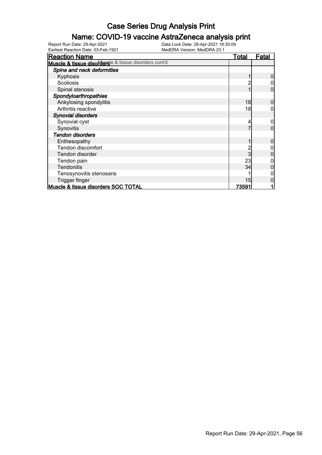### Name: COVID-19 vaccine AstraZeneca analysis print

| <b>Reaction Name</b>                                  | <b>Total</b> | <u>Fatal</u> |
|-------------------------------------------------------|--------------|--------------|
| Muscle & tissue disordersle & tissue disorders cont'd |              |              |
| Spine and neck deformities                            |              |              |
| Kyphosis                                              |              |              |
| Scoliosis                                             |              |              |
| Spinal stenosis                                       |              |              |
| Spondyloarthropathies                                 |              |              |
| Ankylosing spondylitis                                | 18           |              |
| Arthritis reactive                                    | 18           |              |
| <b>Synovial disorders</b>                             |              |              |
| Synovial cyst                                         |              |              |
| Synovitis                                             |              |              |
| <b>Tendon disorders</b>                               |              |              |
| Enthesopathy                                          |              |              |
| Tendon discomfort                                     |              |              |
| Tendon disorder                                       |              |              |
| Tendon pain                                           | 23           |              |
| Tendonitis                                            | 34           |              |
| Tenosynovitis stenosans                               |              |              |
| Trigger finger                                        | 15           |              |
| Muscle & tissue disorders SOC TOTAL                   | <u>73591</u> |              |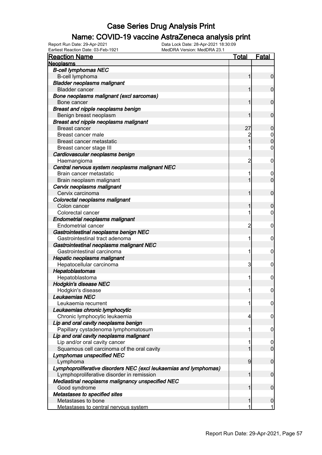### Name: COVID-19 vaccine AstraZeneca analysis print

| <b>Reaction Name</b>                                              | <b>Total</b>   | <b>Fatal</b>     |
|-------------------------------------------------------------------|----------------|------------------|
| <b>Neoplasms</b>                                                  |                |                  |
| <b>B-cell lymphomas NEC</b>                                       |                |                  |
| B-cell lymphoma                                                   |                | $\mathbf 0$      |
| <b>Bladder neoplasms malignant</b>                                |                |                  |
| <b>Bladder cancer</b>                                             |                | $\mathbf 0$      |
| Bone neoplasms malignant (excl sarcomas)                          |                |                  |
| Bone cancer                                                       |                | $\mathbf 0$      |
| Breast and nipple neoplasms benign                                |                |                  |
| Benign breast neoplasm                                            |                | $\mathbf 0$      |
| <b>Breast and nipple neoplasms malignant</b>                      |                |                  |
| <b>Breast cancer</b>                                              | 27             | $\mathbf 0$      |
| Breast cancer male                                                |                | $\boldsymbol{0}$ |
| Breast cancer metastatic                                          |                | $\mathbf 0$      |
| Breast cancer stage III                                           |                | $\mathbf 0$      |
| Cardiovascular neoplasms benign                                   |                |                  |
| Haemangioma                                                       | 2              | $\mathbf 0$      |
| Central nervous system neoplasms malignant NEC                    |                |                  |
| Brain cancer metastatic                                           |                | $\mathbf 0$      |
| Brain neoplasm malignant                                          |                | $\mathbf 0$      |
| Cervix neoplasms malignant                                        |                |                  |
| Cervix carcinoma                                                  |                | $\mathbf 0$      |
| Colorectal neoplasms malignant                                    |                |                  |
| Colon cancer                                                      |                | $\mathbf 0$      |
| Colorectal cancer                                                 |                | 0                |
| <b>Endometrial neoplasms malignant</b>                            |                |                  |
| Endometrial cancer                                                | $\overline{c}$ | $\mathbf 0$      |
| Gastrointestinal neoplasms benign NEC                             |                |                  |
| Gastrointestinal tract adenoma                                    | 1              | $\mathbf 0$      |
| Gastrointestinal neoplasms malignant NEC                          |                |                  |
| Gastrointestinal carcinoma                                        | 1              | $\mathbf 0$      |
| Hepatic neoplasms malignant                                       |                |                  |
| Hepatocellular carcinoma                                          | 3              | 0                |
| Hepatoblastomas                                                   |                |                  |
| Hepatoblastoma                                                    | 1              | 0                |
| <b>Hodgkin's disease NEC</b>                                      |                |                  |
| Hodgkin's disease                                                 | 11             | $\mathbf 0$      |
| Leukaemias NEC                                                    |                |                  |
| Leukaemia recurrent                                               | 1              | $\overline{0}$   |
| Leukaemias chronic lymphocytic                                    |                |                  |
| Chronic lymphocytic leukaemia                                     | 4              | 0                |
| Lip and oral cavity neoplasms benign                              |                |                  |
| Papillary cystadenoma lymphomatosum                               | 1              | $\mathbf 0$      |
| Lip and oral cavity neoplasms malignant                           |                |                  |
| Lip and/or oral cavity cancer                                     |                | $\mathbf 0$      |
| Squamous cell carcinoma of the oral cavity                        |                | $\mathbf 0$      |
| Lymphomas unspecified NEC                                         |                |                  |
| Lymphoma                                                          | 9              | $\boldsymbol{0}$ |
| Lymphoproliferative disorders NEC (excl leukaemias and lymphomas) |                |                  |
| Lymphoproliferative disorder in remission                         | 1              | $\boldsymbol{0}$ |
| Mediastinal neoplasms malignancy unspecified NEC                  |                |                  |
| Good syndrome                                                     |                | $\boldsymbol{0}$ |
| Metastases to specified sites                                     |                |                  |
| Metastases to bone                                                |                | $\boldsymbol{0}$ |
| Metastases to central nervous system                              |                | 1                |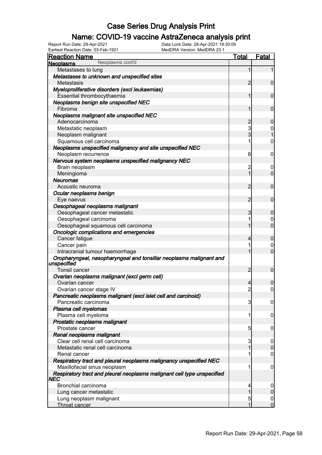### Name: COVID-19 vaccine AstraZeneca analysis print

Earliest Reaction Date: 03-Feb-1921 MedDRA Version: MedDRA 23.1

| <b>Reaction Name</b>                                                               | <b>Total</b>   | <b>Fatal</b>     |
|------------------------------------------------------------------------------------|----------------|------------------|
| Neoplasms cont'd<br><b>Neoplasms</b>                                               |                |                  |
| Metastases to lung                                                                 | 1              | 1                |
| Metastases to unknown and unspecified sites                                        |                |                  |
| Metastasis                                                                         | 2              | $\mathbf 0$      |
| Myeloproliferative disorders (excl leukaemias)                                     |                |                  |
| Essential thrombocythaemia                                                         | 1              | $\mathbf 0$      |
| Neoplasms benign site unspecified NEC                                              |                |                  |
| Fibroma                                                                            | 1              | $\mathbf 0$      |
| Neoplasms malignant site unspecified NEC                                           |                |                  |
| Adenocarcinoma                                                                     | $\overline{c}$ | $\mathbf 0$      |
| Metastatic neoplasm                                                                | 3              | 0                |
| Neoplasm malignant                                                                 | 3              | $\overline{1}$   |
| Squamous cell carcinoma                                                            | 1              | $\mathbf 0$      |
| Neoplasms unspecified malignancy and site unspecified NEC                          |                |                  |
| Neoplasm recurrence                                                                | 6              | $\mathbf 0$      |
| Nervous system neoplasms unspecified malignancy NEC                                |                |                  |
| Brain neoplasm                                                                     | $\overline{c}$ | 0                |
| Meningioma                                                                         | 1              | $\mathbf 0$      |
| <b>Neuromas</b>                                                                    |                |                  |
| Acoustic neuroma                                                                   | $\overline{2}$ | $\mathbf 0$      |
| Ocular neoplasms benign                                                            |                |                  |
| Eye naevus                                                                         | $\overline{2}$ | $\mathbf 0$      |
| Oesophageal neoplasms malignant                                                    |                |                  |
| Oesophageal cancer metastatic                                                      | 3              | $\mathbf 0$      |
| Oesophageal carcinoma                                                              | 1              | 0                |
| Oesophageal squamous cell carcinoma                                                | 1              | $\overline{0}$   |
| <b>Oncologic complications and emergencies</b>                                     |                |                  |
| Cancer fatigue                                                                     | 4              | $\mathbf 0$      |
| Cancer pain                                                                        | 1              | 0                |
| Intracranial tumour haemorrhage                                                    | 1              | $\overline{0}$   |
| Oropharyngeal, nasopharyngeal and tonsillar neoplasms malignant and<br>unspecified |                |                  |
| <b>Tonsil cancer</b>                                                               | $\overline{2}$ | $\mathbf 0$      |
| Ovarian neoplasms malignant (excl germ cell)                                       |                |                  |
| Ovarian cancer                                                                     | 4              | 0                |
| Ovarian cancer stage IV                                                            | $\overline{2}$ | $\overline{0}$   |
| Pancreatic neoplasms malignant (excl islet cell and carcinoid)                     |                |                  |
| Pancreatic carcinoma                                                               | 3              | $\boldsymbol{0}$ |
| Plasma cell myelomas                                                               |                |                  |
| Plasma cell myeloma                                                                | 1              | 0                |
| Prostatic neoplasms malignant                                                      |                |                  |
| Prostate cancer                                                                    | 5              | 0                |
| Renal neoplasms malignant                                                          |                |                  |
| Clear cell renal cell carcinoma                                                    | 3              | 0                |
| Metastatic renal cell carcinoma                                                    |                | 0                |
| Renal cancer                                                                       | 1              | 0                |
| Respiratory tract and pleural neoplasms malignancy unspecified NEC                 |                |                  |
| Maxillofacial sinus neoplasm                                                       | 1              | 0                |
| Respiratory tract and pleural neoplasms malignant cell type unspecified<br>NEC     |                |                  |
| Bronchial carcinoma                                                                | 4              |                  |
| Lung cancer metastatic                                                             | 1              | $\boldsymbol{0}$ |
| Lung neoplasm malignant                                                            | 5              | $\mathbf 0$      |
| Throat cancer                                                                      | 1              | $\overline{0}$   |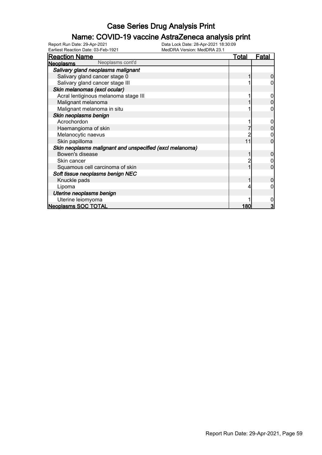### Name: COVID-19 vaccine AstraZeneca analysis print

| Earliest Reaction Date: 03-Feb-1921                      | MedDRA Version: MedDRA 23.1 |              |
|----------------------------------------------------------|-----------------------------|--------------|
| <b>Reaction Name</b>                                     | Total                       | <u>Fatal</u> |
| Neoplasms cont'd<br><b>Neoplasms</b>                     |                             |              |
| Salivary gland neoplasms malignant                       |                             |              |
| Salivary gland cancer stage 0                            |                             | 0            |
| Salivary gland cancer stage III                          |                             |              |
| Skin melanomas (excl ocular)                             |                             |              |
| Acral lentiginous melanoma stage III                     |                             |              |
| Malignant melanoma                                       |                             | 0            |
| Malignant melanoma in situ                               |                             | 0            |
| Skin neoplasms benign                                    |                             |              |
| Acrochordon                                              |                             |              |
| Haemangioma of skin                                      |                             |              |
| Melanocytic naevus                                       |                             |              |
| Skin papilloma                                           | 11                          | 0            |
| Skin neoplasms malignant and unspecified (excl melanoma) |                             |              |
| Bowen's disease                                          |                             | 0            |
| Skin cancer                                              |                             |              |
| Squamous cell carcinoma of skin                          |                             | 0            |
| Soft tissue neoplasms benign NEC                         |                             |              |
| Knuckle pads                                             |                             | 0            |
| Lipoma                                                   |                             |              |
| Uterine neoplasms benign                                 |                             |              |
| Uterine leiomyoma                                        |                             |              |
| <b>Neoplasms SOC TOTAL</b>                               | 180                         | 3            |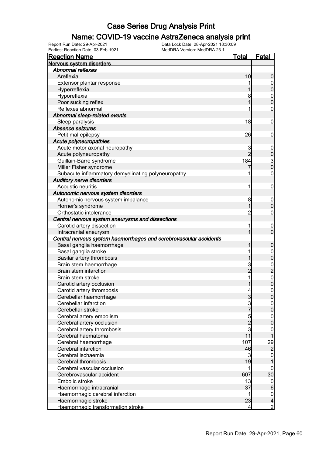#### Name: COVID-19 vaccine AstraZeneca analysis print

| <b>Reaction Name</b>                                              | <b>Total</b>    | <b>Fatal</b>                               |
|-------------------------------------------------------------------|-----------------|--------------------------------------------|
| Nervous system disorders                                          |                 |                                            |
| <b>Abnormal reflexes</b>                                          |                 |                                            |
| Areflexia                                                         | 10              | $\boldsymbol{0}$                           |
| Extensor plantar response                                         |                 | $\mathbf 0$                                |
| Hyperreflexia                                                     |                 | $\overline{0}$                             |
| Hyporeflexia                                                      | 8               |                                            |
| Poor sucking reflex                                               | 1               | $0\atop 0$                                 |
| Reflexes abnormal                                                 |                 | $\pmb{0}$                                  |
| Abnormal sleep-related events                                     |                 |                                            |
| Sleep paralysis                                                   | 18              | $\mathbf 0$                                |
| Absence seizures                                                  |                 |                                            |
| Petit mal epilepsy                                                | 26              | $\mathbf 0$                                |
| Acute polyneuropathies                                            |                 |                                            |
| Acute motor axonal neuropathy                                     | 3               | $\mathbf 0$                                |
| Acute polyneuropathy                                              | $\overline{2}$  |                                            |
| Guillain-Barre syndrome                                           | 184             | $\begin{array}{c} 0 \\ 3 \\ 0 \end{array}$ |
| Miller Fisher syndrome                                            |                 |                                            |
|                                                                   |                 | $\pmb{0}$                                  |
| Subacute inflammatory demyelinating polyneuropathy                |                 |                                            |
| <b>Auditory nerve disorders</b><br>Acoustic neuritis              | 1               |                                            |
|                                                                   |                 | $\mathbf 0$                                |
| Autonomic nervous system disorders                                |                 |                                            |
| Autonomic nervous system imbalance                                | 8               | $\mathbf 0$                                |
| Horner's syndrome                                                 | 1               | $\mathbf 0$                                |
| Orthostatic intolerance                                           | $\overline{c}$  | $\boldsymbol{0}$                           |
| Central nervous system aneurysms and dissections                  |                 |                                            |
| Carotid artery dissection                                         | 1               | $\boldsymbol{0}$                           |
| Intracranial aneurysm                                             | 1               | $\mathbf 0$                                |
| Central nervous system haemorrhages and cerebrovascular accidents |                 |                                            |
| Basal ganglia haemorrhage                                         | 1               | $\boldsymbol{0}$                           |
| Basal ganglia stroke                                              |                 | $\mathbf{0}$                               |
| Basilar artery thrombosis                                         | 1               | $\mathbf 0$                                |
| Brain stem haemorrhage                                            | $\frac{3}{2}$   | 0<br>0<br>0<br>0                           |
| Brain stem infarction                                             |                 |                                            |
| Brain stem stroke                                                 | 1               |                                            |
| Carotid artery occlusion                                          |                 |                                            |
| Carotid artery thrombosis                                         | $\vert 4 \vert$ | $\mathbf 0$                                |
| Cerebellar haemorrhage                                            | $\mathbf{3}$    | 0                                          |
| Cerebellar infarction                                             | 3               | $\overline{0}$                             |
| Cerebellar stroke                                                 | $\overline{7}$  | $\pmb{0}$                                  |
| Cerebral artery embolism                                          | $\frac{5}{3}$   | $\boldsymbol{0}$                           |
| Cerebral artery occlusion                                         |                 | $\mathbf 0$                                |
| Cerebral artery thrombosis                                        |                 | $\mathbf 0$                                |
| Cerebral haematoma                                                | 11              | 1                                          |
| Cerebral haemorrhage                                              | 107             | $\frac{29}{2}$                             |
| Cerebral infarction                                               | 46              |                                            |
| Cerebral ischaemia                                                | 3               | $\mathbf{0}$                               |
| Cerebral thrombosis                                               | 19              | 1                                          |
| Cerebral vascular occlusion                                       | 1               | $\boldsymbol{0}$                           |
| Cerebrovascular accident                                          | 607             | 30                                         |
| Embolic stroke                                                    | 13              | $\overline{0}$                             |
| Haemorrhage intracranial                                          | 37              | $\boldsymbol{6}$                           |
| Haemorrhagic cerebral infarction                                  | 1               | $\mathbf 0$                                |
| Haemorrhagic stroke                                               | 23              | $\overline{\mathcal{L}}$                   |
| Haemorrhagic transformation stroke                                | 4               | $\overline{2}$                             |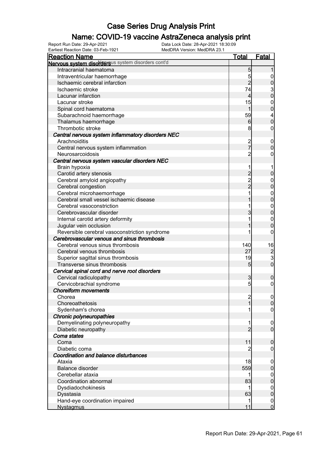### Name: COVID-19 vaccine AstraZeneca analysis print

| <b>Reaction Name</b>                                                 | <b>Total</b>                               | <b>Fatal</b>                               |
|----------------------------------------------------------------------|--------------------------------------------|--------------------------------------------|
| Nervous system disordersus system disorders cont'd                   |                                            |                                            |
| Intracranial haematoma                                               | 5                                          |                                            |
| Intraventricular haemorrhage                                         | 5                                          | $\overline{0}$                             |
| Ischaemic cerebral infarction                                        | $\overline{2}$                             | $\bf{0}$                                   |
| Ischaemic stroke                                                     | 74                                         |                                            |
| Lacunar infarction                                                   | $\overline{4}$                             | $\frac{3}{0}$                              |
| Lacunar stroke                                                       | 15                                         | $\mathbf{0}$                               |
| Spinal cord haematoma                                                | $\mathbf{1}$                               | $\mathbf 0$                                |
| Subarachnoid haemorrhage                                             | 59                                         | 4                                          |
| Thalamus haemorrhage                                                 | 6                                          | $\overline{0}$                             |
| Thrombotic stroke                                                    | 8                                          | $\boldsymbol{0}$                           |
| Central nervous system inflammatory disorders NEC                    |                                            |                                            |
| Arachnoiditis                                                        |                                            | $\mathbf 0$                                |
| Central nervous system inflammation                                  | 2<br>7                                     | $\mathbf 0$                                |
| Neurosarcoidosis                                                     | 2                                          | $\boldsymbol{0}$                           |
| Central nervous system vascular disorders NEC                        |                                            |                                            |
|                                                                      |                                            |                                            |
| Brain hypoxia<br>Carotid artery stenosis                             |                                            | $\mathbf 0$                                |
|                                                                      |                                            |                                            |
| Cerebral amyloid angiopathy                                          | $\begin{array}{c} 2 \\ 2 \\ 2 \end{array}$ | $0\atop 0$                                 |
| Cerebral congestion                                                  |                                            |                                            |
| Cerebral microhaemorrhage<br>Cerebral small vessel ischaemic disease |                                            | $0\atop 0$                                 |
|                                                                      |                                            |                                            |
| Cerebral vasoconstriction                                            |                                            | $\begin{matrix}0\\0\end{matrix}$           |
| Cerebrovascular disorder                                             | 3                                          |                                            |
| Internal carotid artery deformity                                    |                                            | $0\atop 0$                                 |
| Jugular vein occlusion                                               |                                            |                                            |
| Reversible cerebral vasoconstriction syndrome                        |                                            | $\mathbf 0$                                |
| Cerebrovascular venous and sinus thrombosis                          |                                            |                                            |
| Cerebral venous sinus thrombosis                                     | 140                                        | 16                                         |
| Cerebral venous thrombosis                                           | 27                                         | $\begin{array}{c} 2 \\ 3 \\ 0 \end{array}$ |
| Superior sagittal sinus thrombosis                                   | 19                                         |                                            |
| Transverse sinus thrombosis                                          | $5\overline{)}$                            |                                            |
| Cervical spinal cord and nerve root disorders                        |                                            |                                            |
| Cervical radiculopathy                                               | 3                                          | $\boldsymbol{0}$                           |
| Cervicobrachial syndrome                                             | 5                                          | $\boldsymbol{0}$                           |
| <b>Choreiform movements</b>                                          |                                            |                                            |
| Chorea                                                               | $\overline{c}$                             | 0                                          |
| Choreoathetosis                                                      | 1                                          | $\overline{0}$                             |
| Sydenham's chorea                                                    |                                            | $\boldsymbol{0}$                           |
| Chronic polyneuropathies                                             |                                            |                                            |
| Demyelinating polyneuropathy                                         | 1                                          | $\mathbf 0$                                |
| Diabetic neuropathy                                                  | $\overline{2}$                             | $\overline{0}$                             |
| Coma states                                                          |                                            |                                            |
| Coma                                                                 | 11                                         | $\boldsymbol{0}$                           |
| Diabetic coma                                                        |                                            | $\boldsymbol{0}$                           |
| Coordination and balance disturbances                                |                                            |                                            |
| Ataxia                                                               | 18                                         | $\mathbf 0$                                |
| <b>Balance disorder</b>                                              | 559                                        | $\pmb{0}$                                  |
| Cerebellar ataxia                                                    | 1                                          | $\mathbf 0$                                |
| Coordination abnormal                                                | 83                                         | $\pmb{0}$                                  |
| Dysdiadochokinesis                                                   | 1                                          | $\mathbf 0$                                |
| Dysstasia                                                            | 63                                         | $\pmb{0}$                                  |
| Hand-eye coordination impaired                                       | 1                                          | $\mathbf 0$                                |
| <b>Nystagmus</b>                                                     | 11                                         | $\mathbf 0$                                |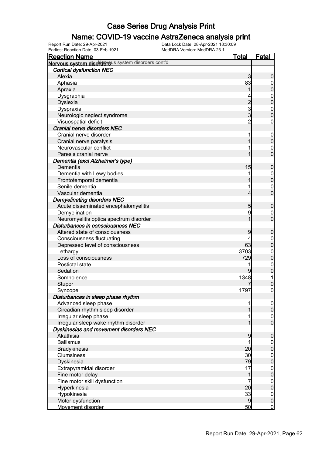### Name: COVID-19 vaccine AstraZeneca analysis print

Earliest Reaction Date: 03-Feb-1921 MedDRA Version: MedDRA 23.1

| <b>Reaction Name</b>                                          | <u>Total</u>   | <b>Fatal</b>                     |
|---------------------------------------------------------------|----------------|----------------------------------|
| Nervous system disordersus system disorders cont'd            |                |                                  |
| <b>Cortical dysfunction NEC</b>                               |                |                                  |
| Alexia                                                        | 3              | 0                                |
| Aphasia                                                       | 83             | $\mathbf 0$                      |
| Apraxia                                                       |                | 0                                |
| Dysgraphia                                                    |                | $\mathbf 0$                      |
| <b>Dyslexia</b>                                               | $\overline{c}$ | $\overline{0}$                   |
| Dyspraxia                                                     | 3              | $\mathbf 0$                      |
| Neurologic neglect syndrome                                   | 3              | $\overline{0}$                   |
| Visuospatial deficit                                          | $\overline{c}$ | $\mathbf 0$                      |
| Cranial nerve disorders NEC                                   |                |                                  |
| Cranial nerve disorder                                        | 1              | $\mathbf 0$                      |
| Cranial nerve paralysis                                       |                | 0                                |
| Neurovascular conflict                                        |                | $\mathbf 0$                      |
| Paresis cranial nerve                                         |                | $\overline{0}$                   |
| Dementia (excl Alzheimer's type)                              |                |                                  |
| Dementia                                                      | 15             | $\mathbf 0$                      |
| Dementia with Lewy bodies                                     |                | $\mathbf 0$                      |
| Frontotemporal dementia                                       |                | $\mathbf 0$                      |
| Senile dementia                                               |                | $\mathbf 0$                      |
| Vascular dementia                                             | 4              | $\overline{0}$                   |
| <b>Demyelinating disorders NEC</b>                            |                |                                  |
| Acute disseminated encephalomyelitis                          | 5              | $\mathbf 0$                      |
| Demyelination                                                 | 9              | $\mathbf 0$                      |
| Neuromyelitis optica spectrum disorder                        |                | $\overline{0}$                   |
| Disturbances in consciousness NEC                             |                |                                  |
| Altered state of consciousness                                | 9              | $\mathbf 0$                      |
| <b>Consciousness fluctuating</b>                              |                | $\mathbf 0$                      |
| Depressed level of consciousness                              | 63             | $\mathbf{0}$                     |
| Lethargy                                                      | 3703           | $\mathbf{0}$                     |
| Loss of consciousness                                         | 729            | $\mathbf 0$                      |
| Postictal state                                               | 1              | $\mathbf 0$                      |
| Sedation                                                      | 9              | $\mathbf 0$                      |
| Somnolence                                                    | 1348           | 1                                |
| Stupor                                                        |                | 0                                |
|                                                               | 1797           | $\overline{0}$                   |
| Syncope                                                       |                |                                  |
| Disturbances in sleep phase rhythm                            | 1              |                                  |
| Advanced sleep phase<br>Circadian rhythm sleep disorder       |                | $\overline{0}$<br>$\overline{0}$ |
|                                                               |                |                                  |
| Irregular sleep phase<br>Irregular sleep wake rhythm disorder |                | $\mathbf 0$<br>$\overline{0}$    |
| Dyskinesias and movement disorders NEC                        |                |                                  |
| Akathisia                                                     |                |                                  |
|                                                               | 9              | 0                                |
| <b>Ballismus</b>                                              |                | $\mathbf 0$                      |
| Bradykinesia                                                  | 20             | $\boldsymbol{0}$                 |
| <b>Clumsiness</b>                                             | 30             | $\boldsymbol{0}$                 |
| Dyskinesia                                                    | 79             | $\mathbf 0$                      |
| Extrapyramidal disorder                                       | 17             | $\boldsymbol{0}$                 |
| Fine motor delay                                              | 1              | $\mathbf 0$                      |
| Fine motor skill dysfunction                                  | 7              | $\mathbf 0$                      |
| Hyperkinesia                                                  | 20             | $\mathbf 0$                      |
| Hypokinesia                                                   | 33             | $\mathbf 0$                      |
| Motor dysfunction                                             | 9              | $\mathbf 0$                      |
| Movement disorder                                             | 50             | $\mathbf 0$                      |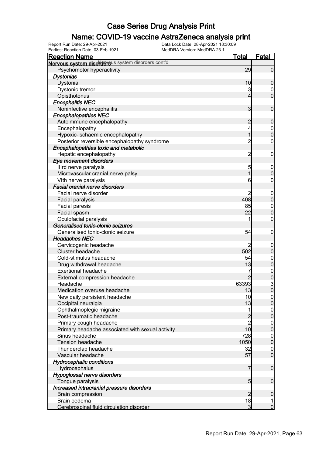### Name: COVID-19 vaccine AstraZeneca analysis print

Earliest Reaction Date: 03-Feb-1921 MedDRA Version: MedDRA 23.1

| <b>Reaction Name</b>                               | <b>Total</b>   | <b>Fatal</b>                           |
|----------------------------------------------------|----------------|----------------------------------------|
| Nervous system disordersus system disorders cont'd |                |                                        |
| Psychomotor hyperactivity                          | 29             | $\overline{0}$                         |
| <b>Dystonias</b>                                   |                |                                        |
| Dystonia                                           | 10             | $\mathbf 0$                            |
| Dystonic tremor                                    | 3              | $\boldsymbol{0}$                       |
| Opisthotonus                                       | 4              | $\overline{0}$                         |
| <b>Encephalitis NEC</b>                            |                |                                        |
| Noninfective encephalitis                          | 3              | $\mathbf 0$                            |
| <b>Encephalopathies NEC</b>                        |                |                                        |
| Autoimmune encephalopathy                          | $\overline{c}$ | $\mathbf 0$                            |
| Encephalopathy                                     | 4              |                                        |
| Hypoxic-ischaemic encephalopathy                   | $\overline{1}$ | $\begin{matrix}0\\0\end{matrix}$       |
| Posterior reversible encephalopathy syndrome       | $\overline{2}$ | $\mathbf 0$                            |
| Encephalopathies toxic and metabolic               |                |                                        |
| Hepatic encephalopathy                             | $\overline{2}$ | $\boldsymbol{0}$                       |
| Eye movement disorders                             |                |                                        |
| Illrd nerve paralysis                              | 5              | $\boldsymbol{0}$                       |
| Microvascular cranial nerve palsy                  | 1              | $\mathbf 0$                            |
| VIth nerve paralysis                               | 6              | 0                                      |
| <b>Facial cranial nerve disorders</b>              |                |                                        |
| Facial nerve disorder                              | 2              |                                        |
| Facial paralysis                                   | 408            | $0\atop 0$                             |
| <b>Facial paresis</b>                              | 85             |                                        |
| Facial spasm                                       | 22             | $\begin{matrix}0\\0\end{matrix}$       |
| Oculofacial paralysis                              | 1              | $\mathbf 0$                            |
| Generalised tonic-clonic seizures                  |                |                                        |
| Generalised tonic-clonic seizure                   | 54             | $\boldsymbol{0}$                       |
| <b>Headaches NEC</b>                               |                |                                        |
| Cervicogenic headache                              |                | $\boldsymbol{0}$                       |
| Cluster headache                                   | 502            | $\overline{0}$                         |
| Cold-stimulus headache                             | 54             |                                        |
| Drug withdrawal headache                           | 13             | $0$<br>0                               |
| <b>Exertional headache</b>                         | 7              |                                        |
| External compression headache                      |                | $\begin{matrix}0\\0\\3\\0\end{matrix}$ |
| Headache                                           | 63393          |                                        |
| Medication overuse headache                        | 13             |                                        |
| New daily persistent headache                      | 10             | 0                                      |
| Occipital neuralgia                                | 13             | $\mathbf 0$                            |
| Ophthalmoplegic migraine                           | 1              |                                        |
| Post-traumatic headache                            |                | $\begin{matrix} 0 \\ 0 \end{matrix}$   |
| Primary cough headache                             | $\frac{2}{2}$  |                                        |
| Primary headache associated with sexual activity   | 10             | $0\atop 0$                             |
| Sinus headache                                     | 728            |                                        |
| Tension headache                                   | 1050           | $\begin{matrix} 0 \\ 0 \end{matrix}$   |
| Thunderclap headache                               | 32             |                                        |
| Vascular headache                                  | 57             | $\begin{matrix} 0 \\ 0 \end{matrix}$   |
| <b>Hydrocephalic conditions</b>                    |                |                                        |
| Hydrocephalus                                      | $\overline{7}$ | $\mathbf 0$                            |
| Hypoglossal nerve disorders                        |                |                                        |
| Tongue paralysis                                   | 5 <sub>5</sub> | $\boldsymbol{0}$                       |
| Increased intracranial pressure disorders          |                |                                        |
| <b>Brain compression</b>                           | $\overline{2}$ | $\boldsymbol{0}$                       |
| Brain oedema                                       | 18             | $\mathbf{1}$                           |
| Cerebrospinal fluid circulation disorder           | $\overline{3}$ | $\overline{0}$                         |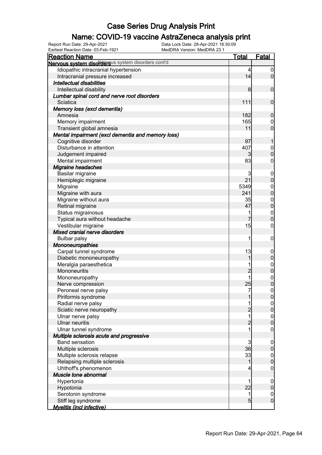### Name: COVID-19 vaccine AstraZeneca analysis print

| Earliest Reaction Date: 03-Feb-1921                | MedDRA Version: MedDRA 23.1 |                 |                  |
|----------------------------------------------------|-----------------------------|-----------------|------------------|
| <b>Reaction Name</b>                               |                             | <u>Total</u>    | <b>Fatal</b>     |
| Nervous system disordersus system disorders cont'd |                             |                 |                  |
| Idiopathic intracranial hypertension               |                             | 4               | $\overline{0}$   |
| Intracranial pressure increased                    |                             | 14              | $\overline{0}$   |
| <b>Intellectual disabilities</b>                   |                             |                 |                  |
| Intellectual disability                            |                             | 8               | $\boldsymbol{0}$ |
| Lumbar spinal cord and nerve root disorders        |                             |                 |                  |
| Sciatica                                           |                             | 111             | $\boldsymbol{0}$ |
| Memory loss (excl dementia)                        |                             |                 |                  |
| Amnesia                                            |                             | 182             | $\boldsymbol{0}$ |
| Memory impairment                                  |                             | 165             | $\boldsymbol{0}$ |
| Transient global amnesia                           |                             | 11              | $\mathbf 0$      |
| Mental impairment (excl dementia and memory loss)  |                             |                 |                  |
| Cognitive disorder                                 |                             | 97              | 1                |
| Disturbance in attention                           |                             | 407             | $0\atop 0$       |
| Judgement impaired                                 |                             | $\mathbf{3}$    |                  |
| Mental impairment                                  |                             | 83              | $\mathbf 0$      |
| Migraine headaches                                 |                             |                 |                  |
| Basilar migraine                                   |                             | 3               | $\boldsymbol{0}$ |
| Hemiplegic migraine                                |                             | 21              | $\mathbf 0$      |
| Migraine                                           |                             | 5349            |                  |
| Migraine with aura                                 |                             | 241             | $0\atop 0$       |
| Migraine without aura                              |                             | 35              |                  |
| Retinal migraine                                   |                             | 47              | $0\atop 0$       |
| Status migrainosus                                 |                             | 1               | $\boldsymbol{0}$ |
| Typical aura without headache                      |                             | 7               | $\overline{0}$   |
| Vestibular migraine                                |                             | 15              | $\boldsymbol{0}$ |
| Mixed cranial nerve disorders                      |                             |                 |                  |
| <b>Bulbar palsy</b>                                |                             | 1               | $\mathbf 0$      |
| Mononeuropathies                                   |                             |                 |                  |
| Carpal tunnel syndrome                             |                             | 13              | $\boldsymbol{0}$ |
| Diabetic mononeuropathy                            |                             | 1               | $\mathbf 0$      |
| Meralgia paraesthetica                             |                             | 1               |                  |
| Mononeuritis                                       |                             | $\overline{c}$  | $0\atop 0$       |
| Mononeuropathy                                     |                             | 1               |                  |
| Nerve compression                                  |                             | 25              | $0\atop 0$       |
| Peroneal nerve palsy                               |                             | 7               | $\Omega$         |
| Piriformis syndrome                                |                             | 1               | 0                |
| Radial nerve palsy                                 |                             |                 | $\overline{0}$   |
| Sciatic nerve neuropathy                           |                             | $\overline{c}$  | $\mathbf 0$      |
| Ulnar nerve palsy                                  |                             | 1               | $\boldsymbol{0}$ |
| <b>Ulnar neuritis</b>                              |                             | $\overline{c}$  | $\mathbf 0$      |
| Ulnar tunnel syndrome                              |                             | 1               | $\overline{0}$   |
| Multiple sclerosis acute and progressive           |                             |                 |                  |
| <b>Band sensation</b>                              |                             | 3               | $\mathbf 0$      |
| Multiple sclerosis                                 |                             | 36              | $\pmb{0}$        |
| Multiple sclerosis relapse                         |                             | 33              | $\mathbf 0$      |
| Relapsing multiple sclerosis                       |                             | 1               | $\mathbf 0$      |
| Uhthoff's phenomenon                               |                             | 4               | $\mathbf 0$      |
| Muscle tone abnormal                               |                             |                 |                  |
| Hypertonia                                         |                             | 1               | $\boldsymbol{0}$ |
| Hypotonia                                          |                             | 22              | $\pmb{0}$        |
| Serotonin syndrome                                 |                             | 1               | $\boldsymbol{0}$ |
| Stiff leg syndrome                                 |                             | $5\overline{)}$ | $\boldsymbol{0}$ |
| <b>Myelitis (incl infective)</b>                   |                             |                 |                  |
|                                                    |                             |                 |                  |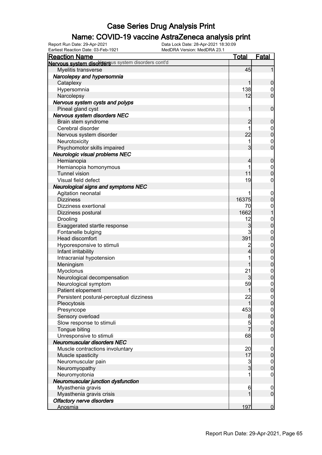### Name: COVID-19 vaccine AstraZeneca analysis print

Earliest Reaction Date: 03-Feb-1921 MedDRA Version: MedDRA 23.1

| <b>Reaction Name</b>                               | <u>Total</u>   | <b>Fatal</b>                         |
|----------------------------------------------------|----------------|--------------------------------------|
| Nervous system disordersus system disorders cont'd |                |                                      |
| Myelitis transverse                                | 45             | 1                                    |
| Narcolepsy and hypersomnia                         |                |                                      |
| Cataplexy                                          | 1              | $\mathbf 0$                          |
| Hypersomnia                                        | 138            | $\mathbf 0$                          |
| Narcolepsy                                         | 12             | $\overline{0}$                       |
| Nervous system cysts and polyps                    |                |                                      |
| Pineal gland cyst                                  | $\mathbf{1}$   | $\boldsymbol{0}$                     |
| Nervous system disorders NEC                       |                |                                      |
| Brain stem syndrome                                | $\overline{c}$ | $\boldsymbol{0}$                     |
| Cerebral disorder                                  | 1              | $0\atop 0$                           |
| Nervous system disorder                            | 22             |                                      |
| Neurotoxicity                                      | 1              | $\begin{matrix} 0 \\ 0 \end{matrix}$ |
| Psychomotor skills impaired                        | 3              |                                      |
| Neurologic visual problems NEC                     |                |                                      |
| Hemianopia                                         | 4              | $\boldsymbol{0}$                     |
| Hemianopia homonymous                              | 1              | $0$<br>0                             |
| <b>Tunnel vision</b>                               | 11             |                                      |
| Visual field defect                                | 19             | $\boldsymbol{0}$                     |
| <b>Neurological signs and symptoms NEC</b>         |                |                                      |
| Agitation neonatal                                 | 1              | $\boldsymbol{0}$                     |
| <b>Dizziness</b>                                   | 16375          | $\pmb{0}$                            |
| Dizziness exertional                               | 70             | $\mathbf{0}$                         |
| Dizziness postural                                 | 1662           | $\overline{1}$                       |
| Drooling                                           | 12             | $0\atop 0$                           |
| Exaggerated startle response                       | 3              |                                      |
| Fontanelle bulging                                 | $\mathsf{3}$   | $0\atop 0$                           |
| Head discomfort                                    | 391            |                                      |
| Hyporesponsive to stimuli                          | $\overline{c}$ | $0\atop 0$                           |
| Infant irritability                                | $\overline{4}$ |                                      |
| Intracranial hypotension                           | 1              | $0\atop 0$                           |
| Meningism                                          | 1              |                                      |
| Myoclonus                                          | 21             | $0$<br>0                             |
| Neurological decompensation                        | 3              |                                      |
| Neurological symptom                               | 59             | $\begin{matrix}0\\0\end{matrix}$     |
| Patient elopement                                  | 1              |                                      |
| Persistent postural-perceptual dizziness           | 22             | 0                                    |
| Pleocytosis                                        | 1              | $\overline{0}$                       |
| Presyncope                                         | 453            | $\boldsymbol{0}$                     |
| Sensory overload                                   | 8              | $\mathbf 0$                          |
| Slow response to stimuli                           | 5              | $\boldsymbol{0}$                     |
| Tongue biting                                      | $\overline{7}$ | $\overline{0}$                       |
| Unresponsive to stimuli                            | 68             | $\mathbf 0$                          |
| Neuromuscular disorders NEC                        |                |                                      |
| Muscle contractions involuntary                    | 20             | $\boldsymbol{0}$                     |
| Muscle spasticity                                  | 17             | $\mathbf 0$                          |
| Neuromuscular pain                                 | $\frac{3}{3}$  | $\boldsymbol{0}$                     |
| Neuromyopathy                                      |                | $\mathbf 0$                          |
| Neuromyotonia                                      | 1              | $\mathbf 0$                          |
| Neuromuscular junction dysfunction                 |                |                                      |
| Myasthenia gravis                                  | 6<br>1         | $\mathbf 0$<br>$\boldsymbol{0}$      |
| Myasthenia gravis crisis                           |                |                                      |
| <b>Olfactory nerve disorders</b><br>Anosmia        | 197            | $\mathbf 0$                          |
|                                                    |                |                                      |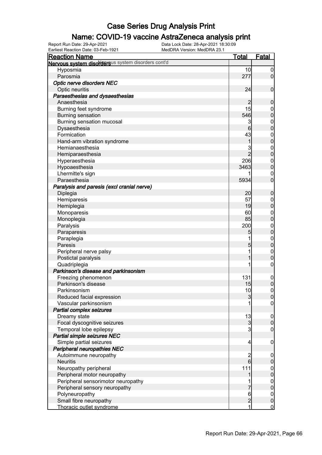### Name: COVID-19 vaccine AstraZeneca analysis print

Earliest Reaction Date: 03-Feb-1921 MedDRA Version: MedDRA 23.1

| <b>Reaction Name</b>                               | <u>Total</u>             | <b>Fatal</b>                     |
|----------------------------------------------------|--------------------------|----------------------------------|
| Nervous system disordersus system disorders cont'd |                          |                                  |
| Hyposmia                                           | 10                       | $\boldsymbol{0}$                 |
| Parosmia                                           | 277                      | $\overline{0}$                   |
| Optic nerve disorders NEC                          |                          |                                  |
| Optic neuritis                                     | 24                       | $\boldsymbol{0}$                 |
| Paraesthesias and dysaesthesias                    |                          |                                  |
| Anaesthesia                                        | 2                        | $\mathbf 0$                      |
| Burning feet syndrome                              | 15                       | $\boldsymbol{0}$                 |
| <b>Burning sensation</b>                           | 546                      | $\overline{0}$                   |
| Burning sensation mucosal                          | 3                        |                                  |
| Dysaesthesia                                       | 6                        | $0$<br>0                         |
| Formication                                        | 43                       |                                  |
| Hand-arm vibration syndrome                        | 1                        | $0\atop 0$                       |
| Hemianaesthesia                                    | 3                        |                                  |
| Hemiparaesthesia                                   | $\overline{2}$           | $0\atop 0$                       |
| Hyperaesthesia                                     | 206                      |                                  |
| Hypoaesthesia                                      | 3463                     | $\begin{matrix}0\\0\end{matrix}$ |
| Lhermitte's sign                                   |                          | $\mathbf{0}$                     |
| Paraesthesia                                       | 5934                     | $\overline{0}$                   |
| Paralysis and paresis (excl cranial nerve)         |                          |                                  |
| Diplegia                                           | 20                       | $\pmb{0}$                        |
| Hemiparesis                                        | 57                       | $\boldsymbol{0}$                 |
| Hemiplegia                                         | 19                       | $\overline{0}$                   |
| Monoparesis                                        | 60                       |                                  |
| Monoplegia                                         | 85                       | $0$<br>0                         |
| Paralysis                                          | 200                      |                                  |
| Paraparesis                                        | 5                        | $0\atop 0$                       |
| Paraplegia                                         | 1                        |                                  |
| Paresis                                            | 5                        | $0\atop 0$                       |
|                                                    | 1                        |                                  |
| Peripheral nerve palsy                             | 1                        | $\mathbf{0}$<br>$\overline{0}$   |
| Postictal paralysis                                | 1                        |                                  |
| Quadriplegia                                       |                          | $\pmb{0}$                        |
| Parkinson's disease and parkinsonism               |                          |                                  |
| Freezing phenomenon                                | 131                      | $\boldsymbol{0}$                 |
| Parkinson's disease                                | 15                       | $\mathbf 0$                      |
| Parkinsonism                                       | 10                       | $\mathsf{O}\xspace$              |
| Reduced facial expression                          | $\mathbf{3}$             | 0                                |
| Vascular parkinsonism                              |                          | 0                                |
| Partial complex seizures                           |                          |                                  |
| Dreamy state                                       | 13                       | $\overline{0}$                   |
| Focal dyscognitive seizures                        | 3                        | $\mathbf 0$                      |
| Temporal lobe epilepsy                             | $\overline{3}$           | $\mathbf 0$                      |
| Partial simple seizures NEC                        |                          |                                  |
| Simple partial seizures                            | $\overline{\mathcal{L}}$ | $\mathbf 0$                      |
| Peripheral neuropathies NEC                        |                          |                                  |
| Autoimmune neuropathy                              | $\frac{2}{6}$            | $\boldsymbol{0}$                 |
| <b>Neuritis</b>                                    |                          | $\pmb{0}$                        |
| Neuropathy peripheral                              | 111                      | $0$ 0                            |
| Peripheral motor neuropathy                        | 1                        |                                  |
| Peripheral sensorimotor neuropathy                 |                          | $0$<br>0                         |
| Peripheral sensory neuropathy                      | 7                        |                                  |
| Polyneuropathy                                     | 6                        | $\boldsymbol{0}$                 |
| Small fibre neuropathy                             | $\overline{c}$           | $\bf{0}$                         |
| Thoracic outlet syndrome                           | $\mathbf{1}$             | $\overline{0}$                   |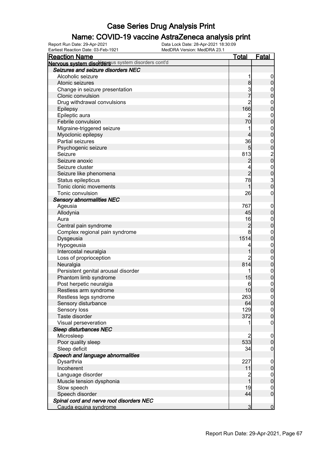### Name: COVID-19 vaccine AstraZeneca analysis print

| <u>Reaction Name</u>                               | <u>Total</u>   | <u>Fatal</u>                    |
|----------------------------------------------------|----------------|---------------------------------|
| Nervous system disordersus system disorders cont'd |                |                                 |
| Seizures and seizure disorders NEC                 |                |                                 |
| Alcoholic seizure                                  |                | 0                               |
| Atonic seizures                                    | 8              | 0                               |
| Change in seizure presentation                     | 3              | 0                               |
| Clonic convulsion                                  |                | 0                               |
| Drug withdrawal convulsions                        | 2              | $\mathbf 0$                     |
| Epilepsy                                           | 166            | $\overline{0}$                  |
| Epileptic aura                                     |                | $\mathbf{0}$                    |
| Febrile convulsion                                 | 70             | 0                               |
| Migraine-triggered seizure                         | 1              | $\mathbf 0$                     |
| Myoclonic epilepsy                                 | 4              | $\overline{0}$                  |
| Partial seizures                                   | 36             | $\mathbf{0}$                    |
| Psychogenic seizure                                | 5              | $\overline{0}$                  |
| Seizure                                            | 813            | $\frac{2}{0}$                   |
| Seizure anoxic                                     | 2              |                                 |
| Seizure cluster                                    | 4              | $0\atop 0$                      |
| Seizure like phenomena                             | $\overline{2}$ |                                 |
| Status epilepticus                                 | 78             | $\frac{3}{0}$                   |
| Tonic clonic movements                             |                |                                 |
| Tonic convulsion                                   | 26             | 0                               |
| <b>Sensory abnormalities NEC</b>                   |                |                                 |
| Ageusia                                            | 767            | $\mathbf 0$                     |
| Allodynia                                          | 45             | $\mathbf 0$                     |
| Aura                                               | 16             | $\mathbf{0}$                    |
| Central pain syndrome                              | 2              | 0                               |
| Complex regional pain syndrome                     | 8              | $\mathbf{0}$                    |
| Dysgeusia                                          | 1514           | $\overline{0}$                  |
| Hypogeusia                                         | 4              | $\mathbf{0}$                    |
| Intercostal neuralgia                              |                | 0                               |
| Loss of proprioception                             | 2              | $\mathbf{0}$                    |
| Neuralgia                                          | 814            | 0                               |
| Persistent genital arousal disorder                | 1              | $\mathbf 0$                     |
| Phantom limb syndrome                              | 15             | $\overline{0}$                  |
| Post herpetic neuralgia                            | 6              | $\mathbf{0}$                    |
| Restless arm syndrome                              | 10             | $\overline{0}$                  |
| Restless legs syndrome                             | 263            | $\mathsf{O}$                    |
| Sensory disturbance                                | 64             | $\overline{0}$                  |
| Sensory loss                                       | 129            | $0$<br>0                        |
| Taste disorder                                     | 372            |                                 |
| Visual perseveration                               |                | 0                               |
| <b>Sleep disturbances NEC</b>                      |                |                                 |
| Microsleep                                         | 2              | $\mathbf 0$                     |
| Poor quality sleep                                 | 533            | 0                               |
| Sleep deficit                                      | 34             | 0                               |
| Speech and language abnormalities                  |                |                                 |
| Dysarthria<br>Incoherent                           | 227<br>11      | $\overline{0}$                  |
|                                                    |                | 0                               |
| Language disorder                                  | 2              | $\boldsymbol{0}$<br>$\mathbf 0$ |
| Muscle tension dysphonia<br>Slow speech            | 19             |                                 |
| Speech disorder                                    | 44             | $\mathbf 0$<br>$\overline{0}$   |
| Spinal cord and nerve root disorders NEC           |                |                                 |
| Cauda equina syndrome                              | 3              | $\overline{0}$                  |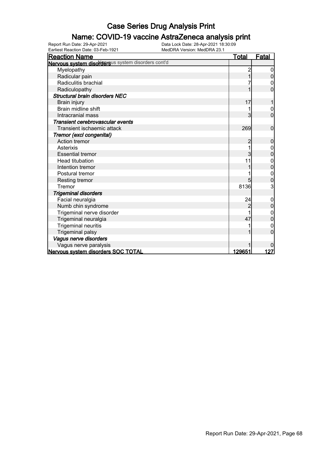### Name: COVID-19 vaccine AstraZeneca analysis print

Earliest Reaction Date: 03-Feb-1921 MedDRA Version: MedDRA 23.1

| <b>Reaction Name</b>                               | <u>Total</u> | <u>Fatal</u>     |
|----------------------------------------------------|--------------|------------------|
| Nervous system disordersus system disorders cont'd |              |                  |
| Myelopathy                                         |              |                  |
| Radicular pain                                     |              | $\Omega$         |
| Radiculitis brachial                               |              | 0                |
| Radiculopathy                                      |              | 0                |
| <b>Structural brain disorders NEC</b>              |              |                  |
| Brain injury                                       | 17           |                  |
| <b>Brain midline shift</b>                         |              | $\mathbf 0$      |
| Intracranial mass                                  | 3            | $\overline{0}$   |
| Transient cerebrovascular events                   |              |                  |
| Transient ischaemic attack                         | 269          | $\mathbf 0$      |
| Tremor (excl congenital)                           |              |                  |
| Action tremor                                      | 2            | $\mathbf 0$      |
| Asterixis                                          |              |                  |
| <b>Essential tremor</b>                            | 3            | $\overline{0}$   |
| <b>Head titubation</b>                             | 11           |                  |
| Intention tremor                                   |              | 0                |
| Postural tremor                                    |              | $\boldsymbol{0}$ |
| <b>Resting tremor</b>                              |              | 0                |
| Tremor                                             | 8136         | 3                |
| <b>Trigeminal disorders</b>                        |              |                  |
| Facial neuralgia                                   | 24           | $\mathbf 0$      |
| Numb chin syndrome                                 | 2            | $\mathbf 0$      |
| Trigeminal nerve disorder                          |              |                  |
| Trigeminal neuralgia                               | 47           | 0                |
| <b>Trigeminal neuritis</b>                         |              |                  |
| <b>Trigeminal palsy</b>                            |              | 0                |
| Vagus nerve disorders                              |              |                  |
| Vagus nerve paralysis                              |              |                  |
| Nervous system disorders SOC TOTAL                 | 129651       | <u>127</u>       |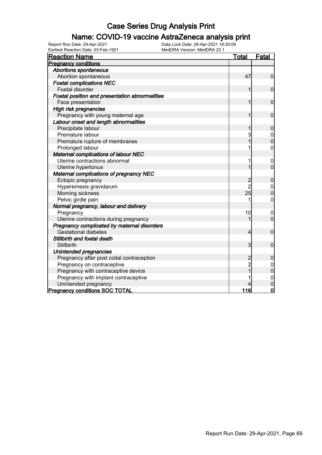### Name: COVID-19 vaccine AstraZeneca analysis print

| Earliest Reaction Date: 03-Feb-1921<br>MedDRA Version: MedDRA 23.1 |                |                  |
|--------------------------------------------------------------------|----------------|------------------|
| <b>Reaction Name</b>                                               | Total          | Fatal            |
| <b>Pregnancy conditions</b>                                        |                |                  |
| <b>Abortions spontaneous</b>                                       |                |                  |
| Abortion spontaneous                                               | 47             | $\mathbf 0$      |
| <b>Foetal complications NEC</b>                                    |                |                  |
| Foetal disorder                                                    | 1              | $\mathbf 0$      |
| Foetal position and presentation abnormalities                     |                |                  |
| Face presentation                                                  | 1              | $\mathbf 0$      |
| High risk pregnancies                                              |                |                  |
| Pregnancy with young maternal age                                  | 1              | $\mathbf 0$      |
| Labour onset and length abnormalities                              |                |                  |
| Precipitate labour                                                 |                | 0                |
| Premature labour                                                   | 3              | $\mathbf 0$      |
| Premature rupture of membranes                                     |                | $\overline{0}$   |
| Prolonged labour                                                   |                | 0                |
| Maternal complications of labour NEC                               |                |                  |
| Uterine contractions abnormal                                      | 1              | $\boldsymbol{0}$ |
| Uterine hypertonus                                                 | 1              | $\overline{0}$   |
| <b>Maternal complications of pregnancy NEC</b>                     |                |                  |
| Ectopic pregnancy                                                  | $\overline{c}$ | $\mathbf 0$      |
| Hyperemesis gravidarum                                             | $\overline{2}$ | $\boldsymbol{0}$ |
| Morning sickness                                                   | 25             | $\overline{0}$   |
| Pelvic girdle pain                                                 |                | 0                |
| Normal pregnancy, labour and delivery                              |                |                  |
| Pregnancy                                                          | 10             | 0                |
| Uterine contractions during pregnancy                              |                | $\overline{0}$   |
| Pregnancy complicated by maternal disorders                        |                |                  |
| <b>Gestational diabetes</b>                                        | 4              | $\mathbf 0$      |
| Stillbirth and foetal death                                        |                |                  |
| Stillbirth                                                         | $\overline{3}$ | $\mathbf 0$      |
| Unintended pregnancies                                             |                |                  |
| Pregnancy after post coital contraception                          | $\overline{c}$ | $\mathbf 0$      |
| Pregnancy on contraceptive                                         | $\overline{c}$ | $\mathbf 0$      |
| Pregnancy with contraceptive device                                |                | $\overline{0}$   |
| Pregnancy with implant contraceptive                               |                | $\mathbf 0$      |
| Unintended pregnancy                                               |                | $\mathbf 0$      |
| <b>Pregnancy conditions SOC TOTAL</b>                              | 116            | $\mathbf 0$      |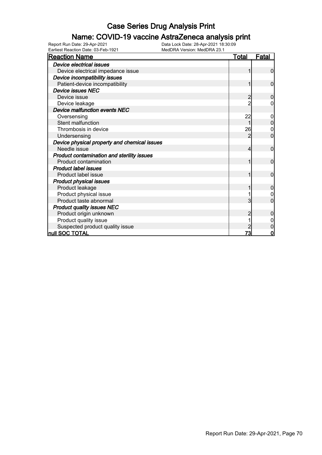### Name: COVID-19 vaccine AstraZeneca analysis print

| <b>Reaction Name</b>                         | <u>Total</u>   | <u>Fatal</u>   |
|----------------------------------------------|----------------|----------------|
| <b>Device electrical issues</b>              |                |                |
| Device electrical impedance issue            |                | $\mathbf 0$    |
| Device incompatibility issues                |                |                |
| Patient-device incompatibility               | 1              | $\overline{0}$ |
| <b>Device issues NEC</b>                     |                |                |
| Device issue                                 |                | 0              |
| Device leakage                               | $\overline{2}$ | 0              |
| Device malfunction events NEC                |                |                |
| Oversensing                                  | 22             | 0              |
| Stent malfunction                            | 1              | $\overline{0}$ |
| Thrombosis in device                         | 26             | 0              |
| Undersensing                                 | $\mathcal{P}$  | $\overline{0}$ |
| Device physical property and chemical issues |                |                |
| Needle issue                                 | 4              | $\mathbf 0$    |
| Product contamination and sterility issues   |                |                |
| Product contamination                        | 1              | 0              |
| <b>Product label issues</b>                  |                |                |
| Product label issue                          | 1              | 0              |
| <b>Product physical issues</b>               |                |                |
| Product leakage                              |                | $\mathbf 0$    |
| Product physical issue                       |                |                |
| Product taste abnormal                       | 3              | 0              |
| <b>Product quality issues NEC</b>            |                |                |
| Product origin unknown                       | $\overline{2}$ | $\overline{0}$ |
| Product quality issue                        |                | 0              |
| Suspected product quality issue              |                | 0              |
| null SOC TOTAL                               | 73             | $\mathbf 0$    |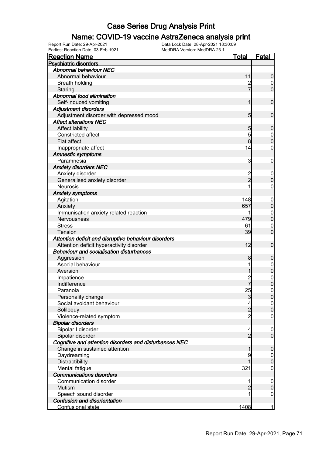### Name: COVID-19 vaccine AstraZeneca analysis print

| <b>Reaction Name</b>                                   | <u>Total</u>   | <b>Fatal</b>                    |
|--------------------------------------------------------|----------------|---------------------------------|
| <b>Psychiatric disorders</b>                           |                |                                 |
| <b>Abnormal behaviour NEC</b>                          |                |                                 |
| Abnormal behaviour                                     | 11             | $\boldsymbol{0}$                |
| <b>Breath holding</b>                                  |                | $\overline{0}$                  |
| Staring                                                | 7              | $\overline{0}$                  |
| Abnormal food elimination                              |                |                                 |
| Self-induced vomiting                                  | 1              | $\mathbf 0$                     |
| <b>Adjustment disorders</b>                            |                |                                 |
| Adjustment disorder with depressed mood                | 5 <sub>5</sub> | $\mathbf 0$                     |
| <b>Affect alterations NEC</b>                          |                |                                 |
| <b>Affect lability</b>                                 | 5              | $\boldsymbol{0}$                |
| Constricted affect                                     | 5              | $\mathbf 0$                     |
| <b>Flat affect</b>                                     | 8              | $\overline{0}$                  |
| Inappropriate affect                                   | 14             | 0                               |
| <b>Amnestic symptoms</b>                               |                |                                 |
| Paramnesia                                             | 3              | $\mathbf 0$                     |
| <b>Anxiety disorders NEC</b>                           |                |                                 |
| Anxiety disorder                                       | $\overline{c}$ | $\mathbf 0$                     |
| Generalised anxiety disorder                           | $\overline{2}$ | $\overline{0}$                  |
| <b>Neurosis</b>                                        |                | 0                               |
| <b>Anxiety symptoms</b>                                |                |                                 |
|                                                        | 148            |                                 |
| Agitation                                              | 657            | $\mathbf 0$<br>$\boldsymbol{0}$ |
| Anxiety                                                |                |                                 |
| Immunisation anxiety related reaction                  |                | $\mathbf 0$                     |
| Nervousness                                            | 479            | $\overline{0}$                  |
| <b>Stress</b>                                          | 61             | $\mathbf 0$                     |
| Tension                                                | 39             | $\overline{0}$                  |
| Attention deficit and disruptive behaviour disorders   |                |                                 |
| Attention deficit hyperactivity disorder               | 12             | $\mathbf 0$                     |
| Behaviour and socialisation disturbances               |                |                                 |
| Aggression                                             | 8              | 0                               |
| Asocial behaviour                                      | 1              | $\mathbf 0$                     |
| Aversion                                               |                | $\overline{0}$                  |
| Impatience                                             | $\overline{c}$ | $\boldsymbol{0}$                |
| Indifference                                           |                | $\overline{0}$                  |
| Paranoia                                               | 25             | $\overline{0}$                  |
| Personality change                                     | $\mathbf{3}$   | $\overline{0}$                  |
| Social avoidant behaviour                              | $\overline{4}$ | $\overline{0}$                  |
| Soliloquy                                              | $\overline{2}$ | $\overline{0}$                  |
| Violence-related symptom                               | $\overline{2}$ | 0                               |
| <b>Bipolar disorders</b>                               |                |                                 |
| Bipolar I disorder                                     | $\overline{4}$ | $\mathbf 0$                     |
| Bipolar disorder                                       | $\overline{2}$ | $\overline{0}$                  |
| Cognitive and attention disorders and disturbances NEC |                |                                 |
| Change in sustained attention                          |                | 0                               |
| Daydreaming                                            | 9              | $\boldsymbol{0}$                |
| Distractibility                                        |                | $\overline{0}$                  |
| Mental fatigue                                         | 321            | 0                               |
| <b>Communications disorders</b>                        |                |                                 |
| Communication disorder                                 |                | $\mathbf 0$                     |
| <b>Mutism</b>                                          | $\overline{2}$ | $\mathbf 0$                     |
| Speech sound disorder                                  |                | $\mathbf 0$                     |
| <b>Confusion and disorientation</b>                    |                |                                 |
| <b>Confusional state</b>                               | 1408           | $\mathbf{1}$                    |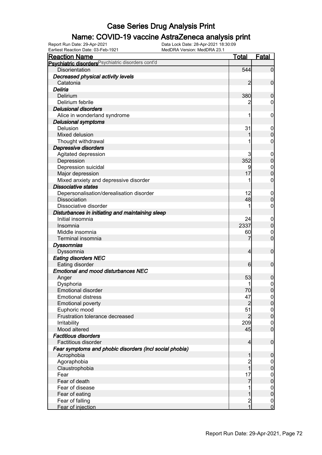### Name: COVID-19 vaccine AstraZeneca analysis print

Earliest Reaction Date: 03-Feb-1921 MedDRA Version: MedDRA 23.1

| <b>Reaction Name</b>                                    | <b>Total</b>   | <b>Fatal</b>                         |
|---------------------------------------------------------|----------------|--------------------------------------|
| Psychiatric disorders Psychiatric disorders cont'd      |                |                                      |
| <b>Disorientation</b>                                   | 544            | $\overline{0}$                       |
| Decreased physical activity levels                      |                |                                      |
| Catatonia                                               | $\overline{2}$ | $\mathbf 0$                          |
| Deliria                                                 |                |                                      |
| Delirium                                                | 380            | $\mathbf 0$                          |
| Delirium febrile                                        |                | $\mathbf 0$                          |
| <b>Delusional disorders</b>                             |                |                                      |
| Alice in wonderland syndrome                            | 1              | $\mathbf 0$                          |
| <b>Delusional symptoms</b>                              |                |                                      |
| Delusion                                                | 31             | $\boldsymbol{0}$                     |
| Mixed delusion                                          |                | $\mathbf 0$                          |
| Thought withdrawal                                      |                | $\mathbf 0$                          |
| Depressive disorders                                    |                |                                      |
| Agitated depression                                     | 3              | $\mathbf 0$                          |
| Depression                                              | 352            | $\pmb{0}$                            |
| Depression suicidal                                     | 9              | $\mathbf{0}$                         |
| Major depression                                        | 17             | $\mathbf 0$                          |
| Mixed anxiety and depressive disorder                   | 1              | $\boldsymbol{0}$                     |
| <b>Dissociative states</b>                              |                |                                      |
| Depersonalisation/derealisation disorder                | 12             | $\mathbf 0$                          |
| Dissociation                                            | 48             | $\mathbf 0$                          |
| Dissociative disorder                                   | 1              | $\mathbf 0$                          |
| Disturbances in initiating and maintaining sleep        |                |                                      |
| Initial insomnia                                        | 24             | $\mathbf 0$                          |
| Insomnia                                                | 2337           | $\pmb{0}$                            |
| Middle insomnia                                         | 60             | $\mathbf 0$                          |
| Terminal insomnia                                       |                | $\overline{0}$                       |
| <b>Dyssomnias</b>                                       |                |                                      |
| Dyssomnia                                               | $\overline{4}$ | $\mathbf 0$                          |
| <b>Eating disorders NEC</b>                             |                |                                      |
| Eating disorder                                         | 6              | $\mathbf 0$                          |
| <b>Emotional and mood disturbances NEC</b>              |                |                                      |
| Anger                                                   | 53             | $\boldsymbol{0}$                     |
| Dysphoria                                               |                |                                      |
| <b>Emotional disorder</b>                               | 70             | $\begin{matrix} 0 \\ 0 \end{matrix}$ |
| <b>Emotional distress</b>                               | 47             | $\Omega$                             |
| <b>Emotional poverty</b>                                | $\overline{2}$ | $\overline{0}$                       |
| Euphoric mood                                           | 51             | $\overline{0}$                       |
| Frustration tolerance decreased                         | $\overline{2}$ | $\pmb{0}$                            |
| Irritability                                            | 209            | $\boldsymbol{0}$                     |
| Mood altered                                            | 45             | $\overline{0}$                       |
| <b>Factitious disorders</b>                             |                |                                      |
| Factitious disorder                                     | $\overline{4}$ | $\boldsymbol{0}$                     |
| Fear symptoms and phobic disorders (incl social phobia) |                |                                      |
| Acrophobia                                              | 1              | $\mathbf 0$                          |
| Agoraphobia                                             |                | $\overline{0}$                       |
| Claustrophobia                                          | 2<br>1         | $\pmb{0}$                            |
| Fear                                                    | 17             | $\boldsymbol{0}$                     |
| Fear of death                                           | 7              | $\mathbf 0$                          |
| Fear of disease                                         |                | $\boldsymbol{0}$                     |
| Fear of eating                                          | 1              | $\pmb{0}$                            |
| Fear of falling                                         |                | $\boldsymbol{0}$                     |
| Fear of injection                                       | $\frac{2}{1}$  | $\overline{0}$                       |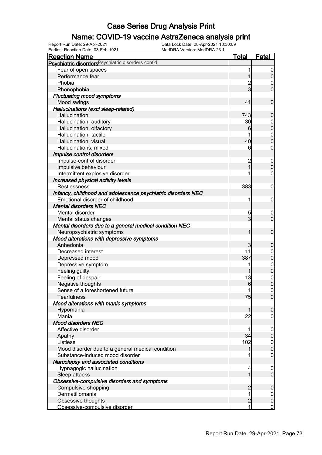#### Name: COVID-19 vaccine AstraZeneca analysis print

Earliest Reaction Date: 03-Feb-1921 MedDRA Version: MedDRA 23.1

| <b>Reaction Name</b>                                          | <u>Total</u>   | <b>Fatal</b>     |
|---------------------------------------------------------------|----------------|------------------|
| Psychiatric disorders <sup>Psychiatric disorders cont'd</sup> |                |                  |
| Fear of open spaces                                           | 1              | $\boldsymbol{0}$ |
| Performance fear                                              |                | $\pmb{0}$        |
| Phobia                                                        |                | $\mathbf 0$      |
| Phonophobia                                                   | 3              | $\mathbf 0$      |
| <b>Fluctuating mood symptoms</b>                              |                |                  |
| Mood swings                                                   | 41             | $\mathbf 0$      |
| Hallucinations (excl sleep-related)                           |                |                  |
| Hallucination                                                 | 743            | $\boldsymbol{0}$ |
| Hallucination, auditory                                       | 30             | $\mathbf 0$      |
| Hallucination, olfactory                                      | 6              | $\mathbf 0$      |
| Hallucination, tactile                                        |                | $\mathbf{0}$     |
| Hallucination, visual                                         | 40             | $\overline{0}$   |
| Hallucinations, mixed                                         | 6              | $\mathbf 0$      |
| Impulse control disorders                                     |                |                  |
| Impulse-control disorder                                      | $\overline{c}$ | $\mathbf 0$      |
| Impulsive behaviour                                           | 1              | $\mathbf 0$      |
| Intermittent explosive disorder                               |                | $\mathbf 0$      |
| Increased physical activity levels                            |                |                  |
| <b>Restlessness</b>                                           | 383            | $\mathbf 0$      |
| Infancy, childhood and adolescence psychiatric disorders NEC  |                |                  |
| Emotional disorder of childhood                               | 1              | $\mathbf 0$      |
| <b>Mental disorders NEC</b>                                   |                |                  |
| Mental disorder                                               | 5              | $\mathbf 0$      |
| Mental status changes                                         | 3              | $\mathbf 0$      |
| Mental disorders due to a general medical condition NEC       |                |                  |
| Neuropsychiatric symptoms                                     | 1              | $\mathbf 0$      |
| Mood alterations with depressive symptoms                     |                |                  |
| Anhedonia                                                     | 3              | $\boldsymbol{0}$ |
| Decreased interest                                            | 11             | $\boldsymbol{0}$ |
| Depressed mood                                                | 387            | $\mathbf 0$      |
| Depressive symptom                                            | 1              | $0\atop 0$       |
| Feeling guilty                                                | 1              |                  |
| Feeling of despair                                            | 13             | $0\atop 0$       |
| Negative thoughts                                             | 6              |                  |
| Sense of a foreshortened future                               | 1              | $\mathbf 0$      |
| <b>Tearfulness</b>                                            | 75             | $\overline{0}$   |
| Mood alterations with manic symptoms                          |                |                  |
| Hypomania                                                     | 1              | $\mathbf 0$      |
| Mania                                                         | 22             | $\boldsymbol{0}$ |
| <b>Mood disorders NEC</b>                                     |                |                  |
| Affective disorder                                            |                | $\boldsymbol{0}$ |
| Apathy                                                        | 34             | $\pmb{0}$        |
| Listless                                                      | 102            | $\overline{0}$   |
| Mood disorder due to a general medical condition              | 1              | $\mathbf 0$      |
| Substance-induced mood disorder                               |                | $\mathbf 0$      |
| Narcolepsy and associated conditions                          |                |                  |
| Hypnagogic hallucination                                      | 4              | $\boldsymbol{0}$ |
| Sleep attacks                                                 | 1              | $\mathbf 0$      |
| Obsessive-compulsive disorders and symptoms                   |                |                  |
| Compulsive shopping                                           | $\overline{c}$ | $\boldsymbol{0}$ |
| Dermatillomania                                               | 1              | $\overline{0}$   |
| Obsessive thoughts                                            | $\overline{c}$ | $\mathbf 0$      |
| Obsessive-compulsive disorder                                 | 1              | $\overline{0}$   |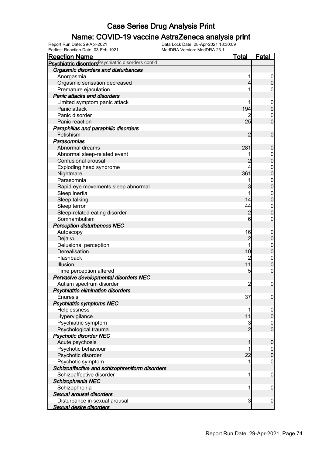#### Name: COVID-19 vaccine AstraZeneca analysis print

| <u>Reaction Name</u>                                          | <b>Total</b>        | <b>Fatal</b>                     |
|---------------------------------------------------------------|---------------------|----------------------------------|
| Psychiatric disorders <sup>Psychiatric disorders cont'd</sup> |                     |                                  |
| Orgasmic disorders and disturbances                           |                     |                                  |
| Anorgasmia                                                    |                     | $\mathbf 0$                      |
| Orgasmic sensation decreased                                  | 4                   | $\mathbf 0$                      |
| Premature ejaculation                                         |                     | 0                                |
| <b>Panic attacks and disorders</b>                            |                     |                                  |
| Limited symptom panic attack                                  |                     | $\mathbf 0$                      |
| Panic attack                                                  | 194                 | $\pmb{0}$                        |
| Panic disorder                                                |                     | $\boldsymbol{0}$                 |
| Panic reaction                                                | 25                  | $\mathbf 0$                      |
| Paraphilias and paraphilic disorders                          |                     |                                  |
| Fetishism                                                     | $\overline{2}$      | $\mathbf 0$                      |
| Parasomnias                                                   |                     |                                  |
| Abnormal dreams                                               | 281                 | $\mathbf 0$                      |
| Abnormal sleep-related event                                  |                     | $\boldsymbol{0}$                 |
| Confusional arousal                                           | $\overline{c}$      | $\mathbf 0$                      |
| Exploding head syndrome                                       |                     | $\mathbf{0}$                     |
| Nightmare                                                     | 361                 | $\mathbf 0$                      |
| Parasomnia                                                    |                     | $\mathbf{0}$                     |
| Rapid eye movements sleep abnormal                            | 3                   | $\overline{0}$                   |
| Sleep inertia                                                 |                     | $\mathbf{0}$                     |
| Sleep talking                                                 | 14                  | $\overline{0}$                   |
| Sleep terror                                                  | 44                  | $\mathbf 0$                      |
| Sleep-related eating disorder                                 | $\overline{2}$      | $\mathbf 0$                      |
| Somnambulism                                                  | 6                   | 0                                |
| <b>Perception disturbances NEC</b>                            |                     |                                  |
| Autoscopy                                                     | 16                  | $\mathbf 0$                      |
| Deja vu                                                       | $\overline{c}$      | $\pmb{0}$                        |
| Delusional perception                                         |                     | $\mathbf{0}$                     |
| Derealisation                                                 | 10                  | $\mathbf 0$                      |
| Flashback                                                     | 2                   | $\mathbf 0$                      |
| Illusion                                                      | 11                  | $\mathbf 0$                      |
| Time perception altered                                       | 5                   | $\boldsymbol{0}$                 |
| Pervasive developmental disorders NEC                         |                     |                                  |
| Autism spectrum disorder                                      | $\overline{c}$      | $\mathbf 0$                      |
| Psychiatric elimination disorders                             |                     |                                  |
| <b>Enuresis</b>                                               | 37                  |                                  |
|                                                               |                     | $\overline{0}$                   |
| <b>Psychiatric symptoms NEC</b>                               |                     |                                  |
| Helplessness                                                  | 11                  | $\boldsymbol{0}$                 |
| Hypervigilance                                                |                     | $\pmb{0}$                        |
| Psychiatric symptom                                           | 3<br>$\overline{2}$ | $\overline{0}$<br>$\overline{0}$ |
| Psychological trauma                                          |                     |                                  |
| <b>Psychotic disorder NEC</b>                                 |                     |                                  |
| Acute psychosis                                               | 1                   | $\boldsymbol{0}$                 |
| Psychotic behaviour                                           |                     | $\mathbf 0$                      |
| Psychotic disorder                                            | 22                  | $\mathbf 0$                      |
| Psychotic symptom                                             |                     | $\boldsymbol{0}$                 |
| Schizoaffective and schizophreniform disorders                |                     |                                  |
| Schizoaffective disorder                                      | 1                   | $\mathbf 0$                      |
| Schizophrenia NEC                                             |                     |                                  |
| Schizophrenia                                                 | 1                   | $\mathbf 0$                      |
| Sexual arousal disorders                                      |                     |                                  |
| Disturbance in sexual arousal                                 | 3                   | $\mathbf 0$                      |
| <b>Sexual desire disorders</b>                                |                     |                                  |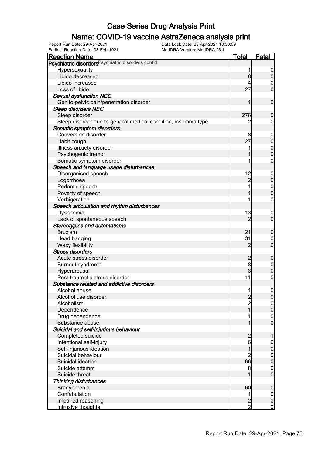### Name: COVID-19 vaccine AstraZeneca analysis print

Earliest Reaction Date: 03-Feb-1921 MedDRA Version: MedDRA 23.1

| <b>Reaction Name</b>                                           | <b>Total</b>   | <b>Fatal</b>     |
|----------------------------------------------------------------|----------------|------------------|
| Psychiatric disorders Psychiatric disorders cont'd             |                |                  |
| Hypersexuality                                                 | 1              | $\boldsymbol{0}$ |
| Libido decreased                                               | 8              | $\boldsymbol{0}$ |
| Libido increased                                               |                | 0                |
| Loss of libido                                                 | 27             | $\overline{0}$   |
| <b>Sexual dysfunction NEC</b>                                  |                |                  |
| Genito-pelvic pain/penetration disorder                        | 1              | $\mathbf 0$      |
| <b>Sleep disorders NEC</b>                                     |                |                  |
| Sleep disorder                                                 | 276            | $\mathbf 0$      |
| Sleep disorder due to general medical condition, insomnia type | 2              | 0                |
| Somatic symptom disorders                                      |                |                  |
| <b>Conversion disorder</b>                                     | 8              | $\boldsymbol{0}$ |
| Habit cough                                                    | 27             | $\mathbf 0$      |
| Illness anxiety disorder                                       |                | $\boldsymbol{0}$ |
| Psychogenic tremor                                             |                | $\mathbf 0$      |
| Somatic symptom disorder                                       |                | $\mathbf 0$      |
| Speech and language usage disturbances                         |                |                  |
| Disorganised speech                                            | 12             | $\boldsymbol{0}$ |
| Logorrhoea                                                     | $\overline{c}$ | $\mathbf 0$      |
| Pedantic speech                                                |                | $\boldsymbol{0}$ |
| Poverty of speech                                              |                | $\mathbf 0$      |
| Verbigeration                                                  |                | 0                |
| Speech articulation and rhythm disturbances                    |                |                  |
| Dysphemia                                                      | 13             | $\overline{0}$   |
| Lack of spontaneous speech                                     | $\overline{2}$ | $\mathbf 0$      |
| <b>Stereotypies and automatisms</b>                            |                |                  |
| <b>Bruxism</b>                                                 | 21             | $\mathbf 0$      |
| Head banging                                                   | 31             | 0                |
| Waxy flexibility                                               | 2              | $\mathbf 0$      |
| <b>Stress disorders</b>                                        |                |                  |
| Acute stress disorder                                          | $\overline{c}$ | $\boldsymbol{0}$ |
| <b>Burnout syndrome</b>                                        | 8              | $\mathbf 0$      |
| Hyperarousal                                                   | 3              | $\mathbf 0$      |
| Post-traumatic stress disorder                                 | 11             | $\boldsymbol{0}$ |
| Substance related and addictive disorders                      |                |                  |
| Alcohol abuse                                                  | 11             | $\boldsymbol{0}$ |
| Alcohol use disorder                                           |                | $\overline{0}$   |
| Alcoholism                                                     | $\frac{2}{2}$  | $\overline{0}$   |
| Dependence                                                     | 1              | $\pmb{0}$        |
| Drug dependence                                                |                | $\overline{0}$   |
| Substance abuse                                                | 1              | $\overline{0}$   |
| Suicidal and self-injurious behaviour                          |                |                  |
| Completed suicide                                              | $\overline{c}$ | 1                |
| Intentional self-injury                                        | 6              | $\boldsymbol{0}$ |
| Self-injurious ideation                                        | 1              | $\pmb{0}$        |
| Suicidal behaviour                                             | $\overline{c}$ | $\overline{0}$   |
| Suicidal ideation                                              | 66             | $\mathbf 0$      |
| Suicide attempt                                                | 8              | $\mathbf 0$      |
| Suicide threat                                                 |                | $\mathbf 0$      |
| <b>Thinking disturbances</b>                                   |                |                  |
| Bradyphrenia                                                   | 60             | $\boldsymbol{0}$ |
| Confabulation                                                  | 1              | $\overline{0}$   |
| Impaired reasoning                                             | $\overline{c}$ | $\pmb{0}$        |
| Intrusive thoughts                                             | $\overline{2}$ | $\mathbf 0$      |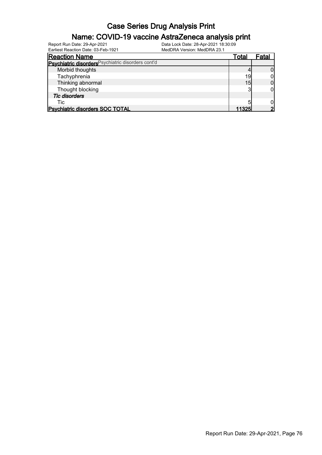#### Name: COVID-19 vaccine AstraZeneca analysis print

| Earliest Reaction Date: 03-Feb-1921                | MedDRA Version: MedDRA 23.1 |       |       |
|----------------------------------------------------|-----------------------------|-------|-------|
| <b>Reaction Name</b>                               |                             | Total | Fatal |
| Psychiatric disorders Psychiatric disorders cont'd |                             |       |       |
| Morbid thoughts                                    |                             |       |       |
| Tachyphrenia                                       |                             | 19    |       |
| Thinking abnormal                                  |                             | 15    |       |
| Thought blocking                                   |                             | າ     |       |
| <b>Tic disorders</b>                               |                             |       |       |
| Tic                                                |                             |       |       |
| <b>Psychiatric disorders SOC TOTAL</b>             |                             | 11325 |       |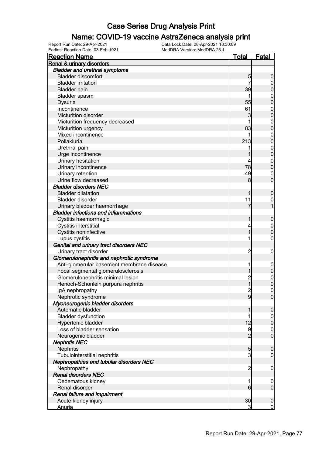### Name: COVID-19 vaccine AstraZeneca analysis print

| <b>Reaction Name</b>                        | <u>Total</u>    | <b>Fatal</b>     |
|---------------------------------------------|-----------------|------------------|
| Renal & urinary disorders                   |                 |                  |
| <b>Bladder and urethral symptoms</b>        |                 |                  |
| <b>Bladder discomfort</b>                   | 5               | 0                |
| <b>Bladder irritation</b>                   | 7               | 0                |
| <b>Bladder pain</b>                         | 39              | 0                |
| Bladder spasm                               |                 | $\boldsymbol{0}$ |
| Dysuria                                     | 55              | $\mathbf{0}$     |
| Incontinence                                | 61              | $\mathbf{0}$     |
| <b>Micturition disorder</b>                 | 3               | $\mathbf 0$      |
| Micturition frequency decreased             |                 | $\boldsymbol{0}$ |
| Micturition urgency                         | 83              | $\overline{0}$   |
| Mixed incontinence                          | 1               | $\mathbf{0}$     |
| Pollakiuria                                 | 213             | $\mathbf 0$      |
| Urethral pain                               |                 | $\boldsymbol{0}$ |
| Urge incontinence                           |                 | $\mathbf 0$      |
| Urinary hesitation                          | 4               | $\boldsymbol{0}$ |
| Urinary incontinence                        | 78              | $\overline{0}$   |
| Urinary retention                           | 49              | $\mathbf 0$      |
| Urine flow decreased                        | 8               | $\overline{0}$   |
| <b>Bladder disorders NEC</b>                |                 |                  |
| <b>Bladder dilatation</b>                   |                 | 0                |
| <b>Bladder disorder</b>                     | 11              | $\mathbf{0}$     |
| Urinary bladder haemorrhage                 | 7               |                  |
| <b>Bladder infections and inflammations</b> |                 |                  |
| Cystitis haemorrhagic                       |                 | $\boldsymbol{0}$ |
| Cystitis interstitial                       | 4               | $\boldsymbol{0}$ |
| Cystitis noninfective                       | 1               | $\overline{0}$   |
| Lupus cystitis                              | 1               | $\mathbf 0$      |
| Genital and urinary tract disorders NEC     |                 |                  |
| Urinary tract disorder                      | $\overline{c}$  | $\mathbf 0$      |
| Glomerulonephritis and nephrotic syndrome   |                 |                  |
| Anti-glomerular basement membrane disease   | 1               | $\mathbf 0$      |
| Focal segmental glomerulosclerosis          | 1               | $\mathbf 0$      |
| Glomerulonephritis minimal lesion           | $\overline{c}$  | $\boldsymbol{0}$ |
| Henoch-Schonlein purpura nephritis          | 1               | $\mathbf 0$      |
| IgA nephropathy                             | $\overline{c}$  | $\overline{0}$   |
| Nephrotic syndrome                          | $\overline{9}$  | $\overline{0}$   |
| Myoneurogenic bladder disorders             |                 |                  |
| Automatic bladder                           |                 | $\boldsymbol{0}$ |
| <b>Bladder dysfunction</b>                  |                 | $\mathbf 0$      |
| Hypertonic bladder                          | 12              | $\boldsymbol{0}$ |
| Loss of bladder sensation                   | 9               | $\mathbf 0$      |
| Neurogenic bladder                          | $\overline{2}$  | $\overline{0}$   |
| <b>Nephritis NEC</b>                        |                 |                  |
| Nephritis                                   | 5               | 0                |
| Tubulointerstitial nephritis                | $\overline{3}$  | $\mathbf 0$      |
| Nephropathies and tubular disorders NEC     |                 |                  |
| Nephropathy                                 | $\overline{c}$  | 0                |
| <b>Renal disorders NEC</b>                  |                 |                  |
| Oedematous kidney                           | 1               | $\mathbf 0$      |
| Renal disorder                              | $6 \overline{}$ | $\mathbf 0$      |
| Renal failure and impairment                |                 |                  |
| Acute kidney injury                         | 30              | $\boldsymbol{0}$ |
| <b>Anuria</b>                               | 3               | $\mathbf 0$      |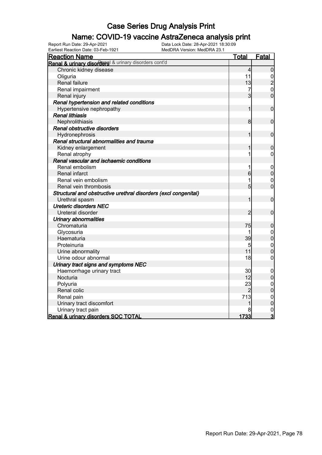### Name: COVID-19 vaccine AstraZeneca analysis print

| <b>Reaction Name</b>                                            | <u>Total</u>   | <b>Fatal</b>                         |
|-----------------------------------------------------------------|----------------|--------------------------------------|
| Renal & urinary disorders & urinary disorders cont'd            |                |                                      |
| Chronic kidney disease                                          | 4              | $\overline{0}$                       |
| Oliguria                                                        | 11             |                                      |
| Renal failure                                                   | 13             | $\frac{0}{2}$                        |
| Renal impairment                                                | 7              | $\overline{0}$                       |
| Renal injury                                                    | 3              | $\overline{0}$                       |
| Renal hypertension and related conditions                       |                |                                      |
| Hypertensive nephropathy                                        | 1              | $\mathbf 0$                          |
| <b>Renal lithiasis</b>                                          |                |                                      |
| Nephrolithiasis                                                 | 8              | $\boldsymbol{0}$                     |
| Renal obstructive disorders                                     |                |                                      |
| Hydronephrosis                                                  | 1              | $\mathbf 0$                          |
| Renal structural abnormalities and trauma                       |                |                                      |
| Kidney enlargement                                              | 1              | $\mathbf 0$                          |
| Renal atrophy                                                   | 1              | $\mathbf 0$                          |
| Renal vascular and ischaemic conditions                         |                |                                      |
| Renal embolism                                                  | 1              | $\mathbf 0$                          |
| Renal infarct                                                   | 6              | $\mathbf 0$                          |
| Renal vein embolism                                             |                | $\mathbf 0$                          |
| Renal vein thrombosis                                           | 5              | $\overline{0}$                       |
| Structural and obstructive urethral disorders (excl congenital) |                |                                      |
| Urethral spasm                                                  | 1              | $\mathbf 0$                          |
| <b>Ureteric disorders NEC</b>                                   |                |                                      |
| Ureteral disorder                                               | $\overline{2}$ | $\overline{0}$                       |
| <b>Urinary abnormalities</b>                                    |                |                                      |
| Chromaturia                                                     | 75             | $\mathbf 0$                          |
| Glycosuria                                                      | 1              | $\mathbf{0}$                         |
| Haematuria                                                      | 39             | $\overline{0}$                       |
| Proteinuria                                                     | 5              | $\mathbf{0}$                         |
| Urine abnormality                                               | 11             | $\overline{0}$                       |
| Urine odour abnormal                                            | 18             | $\overline{0}$                       |
| Urinary tract signs and symptoms NEC                            |                |                                      |
| Haemorrhage urinary tract                                       | 30             | 0                                    |
| Nocturia                                                        | 12             | $\mathbf 0$                          |
| Polyuria                                                        | 23             | $\mathbf 0$                          |
| Renal colic                                                     | $\overline{2}$ | $\overline{0}$                       |
| Renal pain                                                      | 713            |                                      |
| Urinary tract discomfort                                        | 1              | $\begin{matrix} 0 \\ 0 \end{matrix}$ |
| Urinary tract pain                                              |                | $\mathbf{0}$                         |
| Renal & urinary disorders SOC TOTAL                             | 1733           | $\overline{3}$                       |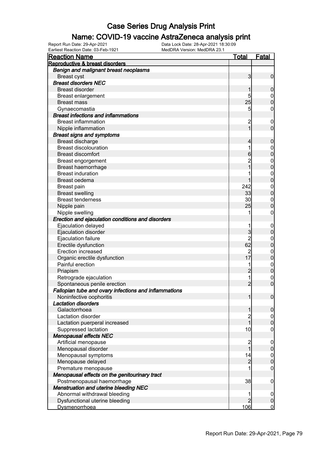#### Name: COVID-19 vaccine AstraZeneca analysis print

| <b>Reaction Name</b>                                  | <u>Total</u>    | <b>Fatal</b>     |
|-------------------------------------------------------|-----------------|------------------|
| Reproductive & breast disorders                       |                 |                  |
| Benign and malignant breast neoplasms                 |                 |                  |
| <b>Breast cyst</b>                                    | 3               | $\mathbf 0$      |
| <b>Breast disorders NEC</b>                           |                 |                  |
| <b>Breast disorder</b>                                | 1               | $\mathbf 0$      |
| Breast enlargement                                    | 5               | $\mathbf 0$      |
| <b>Breast mass</b>                                    | 25              | $\boldsymbol{0}$ |
| Gynaecomastia                                         | 5               | 0                |
| <b>Breast infections and inflammations</b>            |                 |                  |
| <b>Breast inflammation</b>                            | $\overline{c}$  | $\mathbf 0$      |
| Nipple inflammation                                   | 1               | $\mathbf 0$      |
| <b>Breast signs and symptoms</b>                      |                 |                  |
| Breast discharge                                      | 4               | $\mathbf 0$      |
| <b>Breast discolouration</b>                          | 1               | $\mathbf 0$      |
| <b>Breast discomfort</b>                              | 6               | $\mathbf 0$      |
| Breast engorgement                                    | $\overline{c}$  | $\mathbf 0$      |
| Breast haemorrhage                                    |                 | $\mathbf 0$      |
| <b>Breast induration</b>                              |                 | $\mathbf 0$      |
| Breast oedema                                         |                 | $\mathbf 0$      |
| <b>Breast pain</b>                                    | 242             | $\mathbf 0$      |
| <b>Breast swelling</b>                                | 33              | $\mathbf 0$      |
| <b>Breast tenderness</b>                              | 30              | $\mathbf 0$      |
| Nipple pain                                           | 25              | $\mathbf 0$      |
| Nipple swelling                                       |                 | 0                |
| Erection and ejaculation conditions and disorders     |                 |                  |
| Ejaculation delayed                                   |                 | $\mathbf 0$      |
| Ejaculation disorder                                  | 3               | $\mathbf 0$      |
| Ejaculation failure                                   | $\overline{c}$  | $\mathbf 0$      |
| Erectile dysfunction                                  | 62              | $\mathbf 0$      |
| <b>Erection increased</b>                             | $\overline{c}$  | $\mathbf 0$      |
| Organic erectile dysfunction                          | $\overline{17}$ | $\mathbf 0$      |
| Painful erection                                      |                 | $\boldsymbol{0}$ |
| Priapism                                              | $\overline{c}$  | $\mathbf 0$      |
| Retrograde ejaculation                                | 1               | $\mathbf 0$      |
| Spontaneous penile erection                           | $\overline{2}$  | $\mathbf 0$      |
| Fallopian tube and ovary infections and inflammations |                 |                  |
| Noninfective oophoritis                               | 1               | $\overline{0}$   |
| <b>Lactation disorders</b>                            |                 |                  |
| Galactorrhoea                                         | 1               | $\boldsymbol{0}$ |
| Lactation disorder                                    |                 | $\overline{0}$   |
| Lactation puerperal increased                         | 2<br>1          | $\mathbf 0$      |
| Suppressed lactation                                  | 10              | $\mathbf 0$      |
| <b>Menopausal effects NEC</b>                         |                 |                  |
| Artificial menopause                                  |                 | $\mathbf 0$      |
| Menopausal disorder                                   | 2<br>1          | $\pmb{0}$        |
| Menopausal symptoms                                   | 14              |                  |
| Menopause delayed                                     | $\overline{c}$  | 0                |
| Premature menopause                                   |                 | $\mathbf 0$      |
| Menopausal effects on the genitourinary tract         |                 |                  |
| Postmenopausal haemorrhage                            | 38              | $\mathbf 0$      |
| <b>Menstruation and uterine bleeding NEC</b>          |                 |                  |
| Abnormal withdrawal bleeding                          | 1               | $\mathbf 0$      |
| Dysfunctional uterine bleeding                        | $\overline{2}$  | $\pmb{0}$        |
| <b>Dysmenorrhoea</b>                                  | 106             | $\overline{0}$   |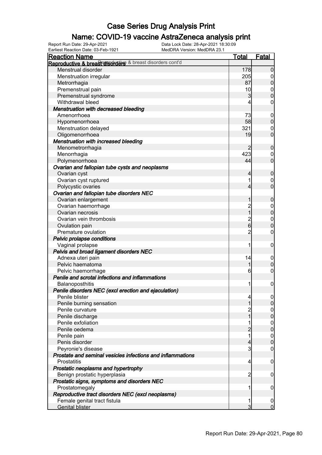### Name: COVID-19 vaccine AstraZeneca analysis print

| <b>Reaction Name</b><br>Reproductive & breast disorders & breast disorders cont'd | <u>Total</u>   | <b>Fatal</b>        |
|-----------------------------------------------------------------------------------|----------------|---------------------|
|                                                                                   |                |                     |
| Menstrual disorder                                                                | 178            | $\overline{0}$      |
| Menstruation irregular                                                            | 205            | $\overline{0}$      |
| Metrorrhagia                                                                      | 87             | $\mathbf 0$         |
| Premenstrual pain                                                                 | 10             | $\boldsymbol{0}$    |
| Premenstrual syndrome                                                             | 3              | $\mathbf 0$         |
| Withdrawal bleed                                                                  | 4              | $\mathsf{O}\xspace$ |
| Menstruation with decreased bleeding                                              |                |                     |
| Amenorrhoea                                                                       | 73             | $\mathbf 0$         |
| Hypomenorrhoea                                                                    | 58             | $\pmb{0}$           |
| Menstruation delayed                                                              | 321            | $\boldsymbol{0}$    |
| Oligomenorrhoea                                                                   | 19             | $\mathbf 0$         |
| Menstruation with increased bleeding                                              |                |                     |
| Menometrorrhagia                                                                  | 2              | $\boldsymbol{0}$    |
| Menorrhagia                                                                       | 423            | $\overline{0}$      |
| Polymenorrhoea                                                                    | 44             | $\boldsymbol{0}$    |
| Ovarian and fallopian tube cysts and neoplasms                                    |                |                     |
| Ovarian cyst                                                                      | 4              | $\mathbf 0$         |
| Ovarian cyst ruptured                                                             | 1              | $\overline{0}$      |
| Polycystic ovaries                                                                | $\overline{4}$ | $\boldsymbol{0}$    |
| Ovarian and fallopian tube disorders NEC                                          |                |                     |
| Ovarian enlargement                                                               | 1              | $\boldsymbol{0}$    |
| Ovarian haemorrhage                                                               | $\frac{2}{1}$  | $\boldsymbol{0}$    |
| Ovarian necrosis                                                                  |                | $\mathbf 0$         |
| Ovarian vein thrombosis                                                           | $\frac{2}{6}$  | $\boldsymbol{0}$    |
| Ovulation pain                                                                    |                | $\mathbf 0$         |
| Premature ovulation                                                               | $\overline{2}$ | $\boldsymbol{0}$    |
| Pelvic prolapse conditions                                                        |                |                     |
| Vaginal prolapse                                                                  | 1              | $\mathbf 0$         |
| Pelvis and broad ligament disorders NEC                                           |                |                     |
| Adnexa uteri pain                                                                 | 14             | $\mathbf 0$         |
| Pelvic haematoma                                                                  | 1              | $\pmb{0}$           |
| Pelvic haemorrhage                                                                | 6              | $\mathbf 0$         |
| Penile and scrotal infections and inflammations                                   |                |                     |
| Balanoposthitis                                                                   | 1              | $\mathbf 0$         |
| Penile disorders NEC (excl erection and ejaculation)                              |                |                     |
| Penile blister                                                                    | 4              | $\overline{0}$      |
| Penile burning sensation                                                          | 1              | $\overline{0}$      |
| Penile curvature                                                                  | $\overline{c}$ | 0                   |
| Penile discharge                                                                  | 1              | $\mathsf{O}\xspace$ |
| Penile exfoliation                                                                | 1              | $\mathbf 0$         |
| Penile oedema                                                                     | $\overline{2}$ | $\boldsymbol{0}$    |
| Penile pain                                                                       | 1              | $\mathbf 0$         |
| Penis disorder                                                                    | 4              | $\mathbf 0$         |
| Peyronie's disease                                                                | 3              | $\overline{0}$      |
| Prostate and seminal vesicles infections and inflammations                        |                |                     |
| Prostatitis                                                                       | $\overline{4}$ | $\mathbf 0$         |
| Prostatic neoplasms and hypertrophy                                               |                |                     |
| Benign prostatic hyperplasia                                                      | $\overline{c}$ | $\boldsymbol{0}$    |
| Prostatic signs, symptoms and disorders NEC                                       |                |                     |
| Prostatomegaly                                                                    | 1              | $\boldsymbol{0}$    |
| Reproductive tract disorders NEC (excl neoplasms)                                 |                |                     |
| Female genital tract fistula                                                      | 1              | $\overline{0}$      |
| <b>Genital blister</b>                                                            | $\overline{3}$ | $\overline{0}$      |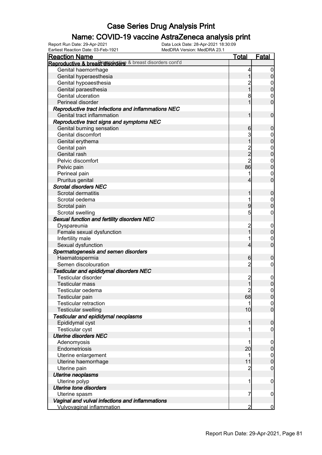### Name: COVID-19 vaccine AstraZeneca analysis print

Earliest Reaction Date: 03-Feb-1921 MedDRA Version: MedDRA 23.1

| <b>Reaction Name</b>                                      | <b>Total</b>                     | <b>Fatal</b>                |
|-----------------------------------------------------------|----------------------------------|-----------------------------|
| Reproductive & breasterisoruers & breast disorders cont'd |                                  |                             |
| Genital haemorrhage                                       | 4                                | $\boldsymbol{0}$            |
| Genital hyperaesthesia                                    | 1                                | $\pmb{0}$                   |
| Genital hypoaesthesia                                     |                                  | $\mathbf 0$                 |
| Genital paraesthesia                                      | $\overline{1}$                   | $\mathbf 0$                 |
| Genital ulceration                                        | 8                                | $\mathbf 0$                 |
| Perineal disorder                                         | 1                                | $\overline{0}$              |
| Reproductive tract infections and inflammations NEC       |                                  |                             |
| Genital tract inflammation                                | 1                                | $\mathbf 0$                 |
| Reproductive tract signs and symptoms NEC                 |                                  |                             |
| Genital burning sensation                                 | 6                                | $\mathbf 0$                 |
| Genital discomfort                                        | 3                                | $\boldsymbol{0}$            |
| Genital erythema                                          | 1                                | $\mathbf 0$                 |
| Genital pain                                              |                                  | $\mathbf{0}$                |
| Genital rash                                              | 2<br>2<br>2                      | $\overline{0}$              |
| Pelvic discomfort                                         |                                  | $\mathbf{0}$                |
| Pelvic pain                                               | 86                               | $\overline{0}$              |
| Perineal pain                                             | 1                                | $\mathbf 0$                 |
| Pruritus genital                                          | 4                                | $\overline{0}$              |
| <b>Scrotal disorders NEC</b>                              |                                  |                             |
| Scrotal dermatitis                                        | 1                                |                             |
| Scrotal oedema                                            | 1                                | $\boldsymbol{0}$            |
|                                                           |                                  | $\mathbf{0}$<br>$\mathbf 0$ |
| Scrotal pain                                              | 9                                |                             |
| Scrotal swelling                                          | 5                                | $\mathbf 0$                 |
| Sexual function and fertility disorders NEC               |                                  |                             |
| Dyspareunia                                               | $\overline{c}$<br>$\overline{1}$ | $\mathbf 0$                 |
| Female sexual dysfunction                                 |                                  | $\pmb{0}$                   |
| Infertility male                                          | 1                                | $\mathbf 0$                 |
| Sexual dysfunction                                        | 4                                | $\overline{0}$              |
| Spermatogenesis and semen disorders                       |                                  |                             |
| Haematospermia                                            | 6                                | $\mathbf 0$                 |
| Semen discolouration                                      | $\overline{2}$                   | $\mathbf 0$                 |
| Testicular and epididymal disorders NEC                   |                                  |                             |
| Testicular disorder                                       | $\overline{c}$                   | $\boldsymbol{0}$            |
| <b>Testicular mass</b>                                    | $\overline{1}$                   | $\mathbf 0$                 |
| Testicular oedema                                         | $\overline{c}$                   | $\mathbf 0$                 |
| Testicular pain                                           | 68                               | 0                           |
| <b>Testicular retraction</b>                              | 1                                | $\overline{0}$              |
| <b>Testicular swelling</b>                                | 10                               | $\overline{0}$              |
| Testicular and epididymal neoplasms                       |                                  |                             |
| Epididymal cyst                                           | 1                                | $\boldsymbol{0}$            |
| <b>Testicular cyst</b>                                    | 1                                | $\mathbf 0$                 |
| <b>Uterine disorders NEC</b>                              |                                  |                             |
| Adenomyosis                                               | 1                                | $\mathbf 0$                 |
| Endometriosis                                             | 20                               | $\pmb{0}$                   |
| Uterine enlargement                                       | 1                                | $\boldsymbol{0}$            |
| Uterine haemorrhage                                       | 11                               | $\mathbf 0$                 |
| Uterine pain                                              | 2                                | $\mathbf 0$                 |
| Uterine neoplasms                                         |                                  |                             |
| Uterine polyp                                             | 1                                | $\mathbf 0$                 |
| <b>Uterine tone disorders</b>                             |                                  |                             |
| Uterine spasm                                             | 7                                | $\mathbf 0$                 |
| Vaginal and vulval infections and inflammations           |                                  |                             |
| <b>Vulvovaginal inflammation</b>                          | 2                                | $\overline{0}$              |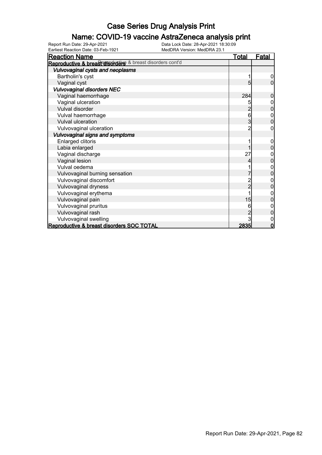#### Name: COVID-19 vaccine AstraZeneca analysis print

Earliest Reaction Date: 03-Feb-1921 MedDRA Version: MedDRA 23.1

| <b>Reaction Name</b>                                       | <u>Total</u> | <u>Fatal</u> |
|------------------------------------------------------------|--------------|--------------|
| Reproductive & breasterisoruting & breast disorders cont'd |              |              |
| Vulvovaginal cysts and neoplasms                           |              |              |
| Bartholin's cyst                                           |              | 0            |
| Vaginal cyst                                               | 5            | 0            |
| <b>Vulvovaginal disorders NEC</b>                          |              |              |
| Vaginal haemorrhage                                        | 284          | 0            |
| Vaginal ulceration                                         | 5            |              |
| Vulval disorder                                            |              | 0            |
| Vulval haemorrhage                                         | 6            | 0            |
| <b>Vulval ulceration</b>                                   | 3            | 0            |
| Vulvovaginal ulceration                                    |              |              |
| Vulvovaginal signs and symptoms                            |              |              |
| Enlarged clitoris                                          |              | 0            |
| Labia enlarged                                             |              | 0            |
| Vaginal discharge                                          | 27           |              |
| Vaginal lesion                                             |              | 0            |
| Vulval oedema                                              |              | 0            |
| Vulvovaginal burning sensation                             |              |              |
| Vulvovaginal discomfort                                    |              |              |
| Vulvovaginal dryness                                       | 2            | 0            |
| Vulvovaginal erythema                                      |              | 0            |
| Vulvovaginal pain                                          | 15           |              |
| Vulvovaginal pruritus                                      |              |              |
| Vulvovaginal rash                                          |              | 0            |
| Vulvovaginal swelling                                      |              |              |
| Reproductive & breast disorders SOC TOTAL                  | 2835         | $\mathbf 0$  |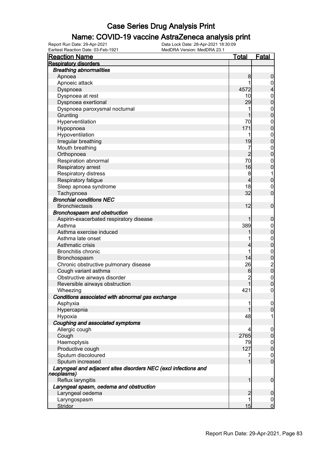### Name: COVID-19 vaccine AstraZeneca analysis print

| <u>Reaction Name</u>                                                          | Total           | <b>Fatal</b>                               |
|-------------------------------------------------------------------------------|-----------------|--------------------------------------------|
| <b>Respiratory disorders</b>                                                  |                 |                                            |
| <b>Breathing abnormalities</b>                                                |                 |                                            |
| Apnoea                                                                        | 8               | $\boldsymbol{0}$                           |
| Apnoeic attack                                                                |                 | $\overline{0}$                             |
| Dyspnoea                                                                      | 4572            | $\overline{\mathcal{L}}$                   |
| Dyspnoea at rest                                                              | 10              | $\mathbf{0}$                               |
| Dyspnoea exertional                                                           | 29              | $\overline{0}$                             |
| Dyspnoea paroxysmal nocturnal                                                 | 1               | $\mathbf{0}$                               |
| Grunting                                                                      | 1               | $\overline{0}$                             |
| Hyperventilation                                                              | 70              | $\mathbf{0}$                               |
| Hypopnoea                                                                     | 171             | $\overline{0}$                             |
| Hypoventilation                                                               |                 |                                            |
| Irregular breathing                                                           | 19              | $0\atop 0$                                 |
| Mouth breathing                                                               | 7               |                                            |
| Orthopnoea                                                                    | $\overline{2}$  | $0\atop 0$                                 |
| Respiration abnormal                                                          | 70              | $\mathbf{0}$                               |
| Respiratory arrest                                                            | 16              | $\overline{0}$                             |
| Respiratory distress                                                          | 8               | 1                                          |
| Respiratory fatigue                                                           | 4               | $\mathbf 0$                                |
| Sleep apnoea syndrome                                                         | 18              | $\mathbf 0$                                |
| Tachypnoea                                                                    | 32              | $\overline{0}$                             |
| <b>Bronchial conditions NEC</b>                                               |                 |                                            |
| <b>Bronchiectasis</b>                                                         | 12              | $\boldsymbol{0}$                           |
|                                                                               |                 |                                            |
| Bronchospasm and obstruction                                                  |                 |                                            |
| Aspirin-exacerbated respiratory disease                                       |                 | $\boldsymbol{0}$                           |
| Asthma                                                                        | 389             | $\boldsymbol{0}$                           |
| Asthma exercise induced                                                       |                 | $\mathbf 0$                                |
| Asthma late onset                                                             |                 | $\mathbf{0}$                               |
| Asthmatic crisis                                                              | 4               | $\overline{0}$                             |
| <b>Bronchitis chronic</b>                                                     | 1               | $\mathbf{0}$                               |
| Bronchospasm                                                                  | 14              | $\begin{array}{c} 0 \\ 2 \\ 0 \end{array}$ |
| Chronic obstructive pulmonary disease                                         | 26              |                                            |
| Cough variant asthma                                                          | $6\phantom{.0}$ |                                            |
| Obstructive airways disorder                                                  | $\overline{2}$  | $0\atop 0$                                 |
| Reversible airways obstruction                                                | 1               |                                            |
| Wheezing                                                                      | 421             | $\mathbf 0$                                |
| Conditions associated with abnormal gas exchange                              |                 |                                            |
| Asphyxia                                                                      |                 | $\overline{0}$                             |
| Hypercapnia                                                                   |                 | $\boldsymbol{0}$                           |
| Hypoxia                                                                       | 48              | 1                                          |
| Coughing and associated symptoms                                              |                 |                                            |
| Allergic cough                                                                | 4               | $\boldsymbol{0}$                           |
| Cough                                                                         | 2765            | $\pmb{0}$                                  |
| Haemoptysis                                                                   | 79              | $\mathbf 0$                                |
| Productive cough                                                              | 127             | $\pmb{0}$                                  |
| Sputum discoloured                                                            | 7               | $\mathbf 0$                                |
| Sputum increased                                                              | 1               | $\overline{0}$                             |
| Laryngeal and adjacent sites disorders NEC (excl infections and<br>neoplasms) |                 |                                            |
| Reflux laryngitis                                                             | 1               | $\boldsymbol{0}$                           |
| Laryngeal spasm, oedema and obstruction                                       |                 |                                            |
| Laryngeal oedema                                                              | 2               | $\mathbf 0$                                |
| Laryngospasm                                                                  | 1               | $\mathbf 0$                                |
| Stridor                                                                       | 15              | $\overline{0}$                             |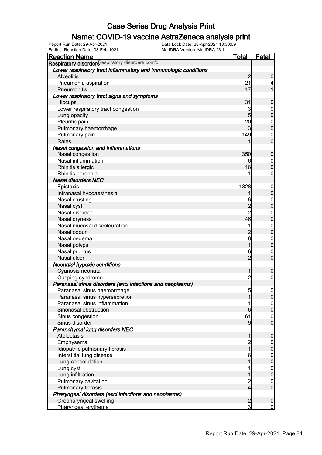### Name: COVID-19 vaccine AstraZeneca analysis print

| <b>Reaction Name</b>                                            | <b>Total</b>            | <b>Fatal</b>     |
|-----------------------------------------------------------------|-------------------------|------------------|
| Respiratory disorders espiratory disorders cont'd               |                         |                  |
| Lower respiratory tract inflammatory and immunologic conditions |                         |                  |
| <b>Alveolitis</b>                                               | $\overline{2}$          | $\boldsymbol{0}$ |
| Pneumonia aspiration                                            | 21                      | 4                |
| Pneumonitis                                                     | 17                      | 1                |
| Lower respiratory tract signs and symptoms                      |                         |                  |
| Hiccups                                                         | 31                      | $\mathbf 0$      |
| Lower respiratory tract congestion                              | 3                       | $\mathbf 0$      |
| Lung opacity                                                    | $5\overline{)}$         | $\pmb{0}$        |
| Pleuritic pain                                                  | 20                      | $\boldsymbol{0}$ |
| Pulmonary haemorrhage                                           | $\mathbf{3}$            | $\mathbf 0$      |
| Pulmonary pain                                                  | 149                     | $\mathbf 0$      |
| Rales                                                           |                         | $\mathbf 0$      |
| <b>Nasal congestion and inflammations</b>                       |                         |                  |
| Nasal congestion                                                | 350                     | $\mathbf 0$      |
| Nasal inflammation                                              | 6                       | $\mathbf 0$      |
| Rhinitis allergic                                               | 16                      | $\mathbf 0$      |
| Rhinitis perennial                                              |                         | $\mathbf 0$      |
| <b>Nasal disorders NEC</b>                                      |                         |                  |
| Epistaxis                                                       | 1328                    | $\mathbf 0$      |
| Intranasal hypoaesthesia                                        | 1                       | $\pmb{0}$        |
| Nasal crusting                                                  | 6                       | $\boldsymbol{0}$ |
| Nasal cyst                                                      | $\overline{c}$          | $\mathbf 0$      |
| Nasal disorder                                                  | $\overline{2}$          | $\mathbf 0$      |
| Nasal dryness                                                   | 46                      | $\mathbf 0$      |
| Nasal mucosal discolouration                                    | 1                       | $\mathbf{0}$     |
| Nasal odour                                                     | $\overline{c}$          | $\pmb{0}$        |
| Nasal oedema                                                    | 8                       | $\boldsymbol{0}$ |
| Nasal polyps                                                    | $\overline{1}$          | $\mathbf 0$      |
| Nasal pruritus                                                  | 6                       | $\boldsymbol{0}$ |
| Nasal ulcer                                                     | $\overline{2}$          | $\mathbf 0$      |
| <b>Neonatal hypoxic conditions</b>                              |                         |                  |
| Cyanosis neonatal                                               | 1                       | $\mathbf 0$      |
| Gasping syndrome                                                | $\overline{c}$          | $\boldsymbol{0}$ |
| Paranasal sinus disorders (excl infections and neoplasms)       |                         |                  |
| Paranasal sinus haemorrhage                                     | 5 <sub>l</sub>          | $\boldsymbol{0}$ |
| Paranasal sinus hypersecretion                                  |                         | 0                |
| Paranasal sinus inflammation                                    |                         | $\overline{0}$   |
| Sinonasal obstruction                                           | 6                       | $\overline{0}$   |
| Sinus congestion                                                | 61                      | $\mathbf 0$      |
| Sinus disorder                                                  | 9                       | $\overline{0}$   |
| Parenchymal lung disorders NEC                                  |                         |                  |
| Atelectasis                                                     | 1                       | $\mathbf 0$      |
| Emphysema                                                       | 2<br>1                  | $\overline{0}$   |
| Idiopathic pulmonary fibrosis                                   |                         | $\pmb{0}$        |
| Interstitial lung disease                                       | 6                       | $\boldsymbol{0}$ |
| Lung consolidation                                              |                         | $\mathbf 0$      |
| Lung cyst                                                       |                         | $\boldsymbol{0}$ |
| Lung infiltration                                               |                         | $\mathbf 0$      |
| Pulmonary cavitation                                            | $\overline{\mathbf{c}}$ | $\overline{0}$   |
| Pulmonary fibrosis                                              | $\overline{4}$          | $\boldsymbol{0}$ |
| Pharyngeal disorders (excl infections and neoplasms)            |                         |                  |
| Oropharyngeal swelling                                          | $\overline{2}$          | $\mathbf 0$      |
| Pharyngeal erythema                                             | $\overline{3}$          | $\overline{0}$   |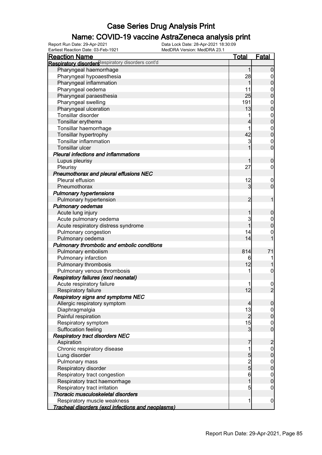### Name: COVID-19 vaccine AstraZeneca analysis print

Earliest Reaction Date: 03-Feb-1921 MedDRA Version: MedDRA 23.1

| <b>Reaction Name</b>                                       | <b>Total</b>   | <b>Fatal</b>                         |
|------------------------------------------------------------|----------------|--------------------------------------|
| Respiratory disordersespiratory disorders cont'd           |                |                                      |
| Pharyngeal haemorrhage                                     | 1              | $\mathbf 0$                          |
| Pharyngeal hypoaesthesia                                   | 28             | $\overline{0}$                       |
| Pharyngeal inflammation                                    | 1              | $\pmb{0}$                            |
| Pharyngeal oedema                                          | 11             | $\boldsymbol{0}$                     |
| Pharyngeal paraesthesia                                    | 25             | $\overline{0}$                       |
| Pharyngeal swelling                                        | 191            | $\boldsymbol{0}$                     |
| Pharyngeal ulceration                                      | 13             | $\overline{0}$                       |
| Tonsillar disorder                                         | 1              |                                      |
| Tonsillar erythema                                         | 4              | $0\atop 0$                           |
| Tonsillar haemorrhage                                      | 1              |                                      |
| Tonsillar hypertrophy                                      | 42             | $0\atop 0$                           |
| <b>Tonsillar inflammation</b>                              | 3              | $\boldsymbol{0}$                     |
| Tonsillar ulcer                                            |                | $\overline{0}$                       |
| <b>Pleural infections and inflammations</b>                |                |                                      |
| Lupus pleurisy                                             | 1              | $\boldsymbol{0}$                     |
| Pleurisy                                                   | 27             | $\mathbf 0$                          |
|                                                            |                |                                      |
| Pneumothorax and pleural effusions NEC<br>Pleural effusion |                |                                      |
|                                                            | 12             | $\mathbf 0$                          |
| Pneumothorax                                               | 3              | $\mathbf 0$                          |
| <b>Pulmonary hypertensions</b>                             |                |                                      |
| Pulmonary hypertension                                     | 2              | 1                                    |
| <b>Pulmonary oedemas</b>                                   |                |                                      |
| Acute lung injury                                          | 1              | $\mathbf 0$                          |
| Acute pulmonary oedema                                     | 3              | $\boldsymbol{0}$                     |
| Acute respiratory distress syndrome                        | 1              | $\overline{0}$                       |
| Pulmonary congestion                                       | 14             | 0                                    |
| Pulmonary oedema                                           | 14             | $\overline{1}$                       |
| Pulmonary thrombotic and embolic conditions                |                |                                      |
| Pulmonary embolism                                         | 814            | 71                                   |
| Pulmonary infarction                                       | 6              |                                      |
| Pulmonary thrombosis                                       | 12             |                                      |
| Pulmonary venous thrombosis                                | 1              | $\boldsymbol{0}$                     |
| <b>Respiratory failures (excl neonatal)</b>                |                |                                      |
| Acute respiratory failure                                  |                | $\frac{0}{2}$                        |
| Respiratory failure                                        | 12             |                                      |
| <b>Respiratory signs and symptoms NEC</b>                  |                |                                      |
| Allergic respiratory symptom                               | 4              | $\overline{0}$                       |
| Diaphragmalgia                                             | 13             | $\overline{0}$                       |
| Painful respiration                                        | $\overline{c}$ | $\overline{0}$                       |
| Respiratory symptom                                        | 15             | $\begin{matrix} 0 \\ 0 \end{matrix}$ |
| Suffocation feeling                                        | $\overline{3}$ |                                      |
| <b>Respiratory tract disorders NEC</b>                     |                |                                      |
| Aspiration                                                 | 7              | $\overline{c}$                       |
| Chronic respiratory disease                                | 1              | $\boldsymbol{0}$                     |
| Lung disorder                                              | 5              | $\pmb{0}$                            |
| Pulmonary mass                                             |                | $\boldsymbol{0}$                     |
| Respiratory disorder                                       | $\frac{2}{5}$  | $\mathbf 0$                          |
| Respiratory tract congestion                               | 6              | $\boldsymbol{0}$                     |
| Respiratory tract haemorrhage                              | 1              | $\overline{0}$                       |
| Respiratory tract irritation                               | 5              | $\mathbf 0$                          |
| Thoracic musculoskeletal disorders                         |                |                                      |
| Respiratory muscle weakness                                | 1              | $\mathbf 0$                          |
| Tracheal disorders (excl infections and neoplasms)         |                |                                      |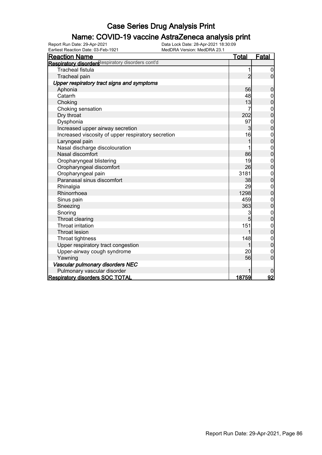### Name: COVID-19 vaccine AstraZeneca analysis print

Earliest Reaction Date: 03-Feb-1921 MedDRA Version: MedDRA 23.1

| <b>Reaction Name</b>                                          | <b>Total</b>   | <b>Fatal</b>                     |
|---------------------------------------------------------------|----------------|----------------------------------|
| Respiratory disorders <sup>Respiratory disorders cont'd</sup> |                |                                  |
| <b>Tracheal fistula</b>                                       | 1              | $\overline{0}$                   |
| Tracheal pain                                                 | $\overline{2}$ | $\overline{0}$                   |
| Upper respiratory tract signs and symptoms                    |                |                                  |
| Aphonia                                                       | 56             | 0                                |
| Catarrh                                                       | 48             | 0                                |
| Choking                                                       | 13             | $\overline{0}$                   |
| Choking sensation                                             | 7              | $0\atop 0$                       |
| Dry throat                                                    | 202            |                                  |
| Dysphonia                                                     | 97             | $\boldsymbol{0}$                 |
| Increased upper airway secretion                              | $\mathbf{3}$   | $\overline{0}$                   |
| Increased viscosity of upper respiratory secretion            | 16             | $\begin{matrix}0\\0\end{matrix}$ |
| Laryngeal pain                                                | 1              |                                  |
| Nasal discharge discolouration                                |                | $\begin{matrix}0\\0\end{matrix}$ |
| Nasal discomfort                                              | 86             |                                  |
| Oropharyngeal blistering                                      | 19             | $\begin{matrix}0\\0\end{matrix}$ |
| Oropharyngeal discomfort                                      | 26             |                                  |
| Oropharyngeal pain                                            | 3181           | $0\atop 0$                       |
| Paranasal sinus discomfort                                    | 38             |                                  |
| Rhinalgia                                                     | 29             | $\mathbf{0}$                     |
| Rhinorrhoea                                                   | 1298           | $\overline{0}$                   |
| Sinus pain                                                    | 459            | $\begin{matrix}0\\0\end{matrix}$ |
| Sneezing                                                      | 363            |                                  |
| Snoring                                                       | 3              | $\mathbf{0}$                     |
| Throat clearing                                               | 5              | $\overline{0}$                   |
| Throat irritation                                             | 151            | $0\atop 0$                       |
| <b>Throat lesion</b>                                          | 1              |                                  |
| Throat tightness                                              | 148            | $0\atop 0$                       |
| Upper respiratory tract congestion                            |                |                                  |
| Upper-airway cough syndrome                                   | 20             | $\mathbf 0$                      |
| Yawning                                                       | 56             | $\overline{0}$                   |
| Vascular pulmonary disorders NEC                              |                |                                  |
| Pulmonary vascular disorder                                   |                |                                  |
| <b>Respiratory disorders SOC TOTAL</b>                        | 18759          | 92                               |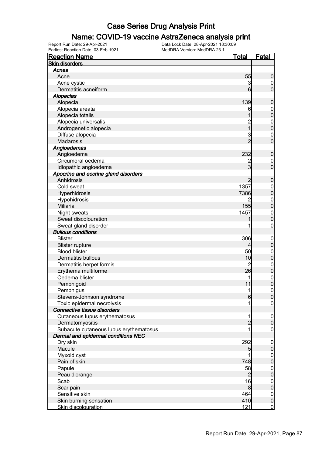#### Name: COVID-19 vaccine AstraZeneca analysis print

| <b>Reaction Name</b>                              | <b>Total</b>    | <b>Fatal</b>                   |
|---------------------------------------------------|-----------------|--------------------------------|
| <b>Skin disorders</b>                             |                 |                                |
| Acnes                                             |                 |                                |
| Acne                                              | 55              | $\boldsymbol{0}$               |
| Acne cystic                                       | 3               | $\overline{0}$                 |
| Dermatitis acneiform                              | $6 \overline{}$ | $\overline{0}$                 |
| <b>Alopecias</b>                                  |                 |                                |
| Alopecia                                          | 139             | $\boldsymbol{0}$               |
| Alopecia areata                                   | 6               | $\boldsymbol{0}$               |
| Alopecia totalis                                  | 1               | $\mathbf 0$                    |
| Alopecia universalis                              |                 | $\mathbf{0}$                   |
| Androgenetic alopecia                             | 2<br>1          | $\overline{0}$                 |
| Diffuse alopecia                                  | 3               | $\mathbf 0$                    |
| <b>Madarosis</b>                                  | $\overline{2}$  | $\overline{0}$                 |
| Angioedemas                                       |                 |                                |
| Angioedema                                        | 232             | $\boldsymbol{0}$               |
| Circumoral oedema                                 |                 | $\mathbf 0$                    |
| Idiopathic angioedema                             | $\overline{3}$  | $\overline{0}$                 |
| Apocrine and eccrine gland disorders              |                 |                                |
| Anhidrosis                                        | $\overline{c}$  | $\boldsymbol{0}$               |
| Cold sweat                                        | 1357            | $\boldsymbol{0}$               |
| Hyperhidrosis                                     | 7386            | $\mathbf 0$                    |
| Hypohidrosis                                      | 2               |                                |
| Miliaria                                          | 155             | $\mathbf{0}$<br>$\overline{0}$ |
| Night sweats                                      | 1457            |                                |
| Sweat discolouration                              |                 | $\mathbf{0}$<br>$\overline{0}$ |
|                                                   |                 |                                |
| Sweat gland disorder<br><b>Bullous conditions</b> |                 | 0                              |
|                                                   |                 |                                |
| <b>Blister</b>                                    | 306             | $\mathbf 0$                    |
| <b>Blister rupture</b>                            |                 | $\pmb{0}$                      |
| <b>Blood blister</b>                              | 50              | $\boldsymbol{0}$               |
| <b>Dermatitis bullous</b>                         | 10              | $\mathbf 0$                    |
| Dermatitis herpetiformis                          | $\overline{c}$  | $\mathbf{0}$                   |
| Erythema multiforme                               | 26              | $\overline{0}$                 |
| Oedema blister                                    | 1               | $\mathbf{0}$                   |
| Pemphigoid                                        | 11              | $\mathbf{0}$                   |
| Pemphigus                                         | 1               | $\mathbf 0$                    |
| Stevens-Johnson syndrome                          | 6               | 0                              |
| Toxic epidermal necrolysis                        |                 | $\overline{0}$                 |
| Connective tissue disorders                       |                 |                                |
| Cutaneous lupus erythematosus                     | 1               | $\mathbf 0$                    |
| Dermatomyositis                                   | $\overline{c}$  | $\pmb{0}$                      |
| Subacute cutaneous lupus erythematosus            |                 | $\mathbf 0$                    |
| Dermal and epidermal conditions NEC               |                 |                                |
| Dry skin                                          | 292             | $\mathbf 0$                    |
| Macule                                            | 5               | $\pmb{0}$                      |
| Myxoid cyst                                       |                 | $\boldsymbol{0}$               |
| Pain of skin                                      | 748             | $\mathbf 0$                    |
| Papule                                            | 58              | $\boldsymbol{0}$               |
| Peau d'orange                                     | $\overline{c}$  | $\mathbf 0$                    |
| Scab                                              | 16              | $\boldsymbol{0}$               |
| Scar pain                                         | 8               | $\mathbf 0$                    |
| Sensitive skin                                    | 464             | $\boldsymbol{0}$               |
| Skin burning sensation                            | 410             | $\pmb{0}$                      |
| Skin discolouration                               | 121             | $\overline{0}$                 |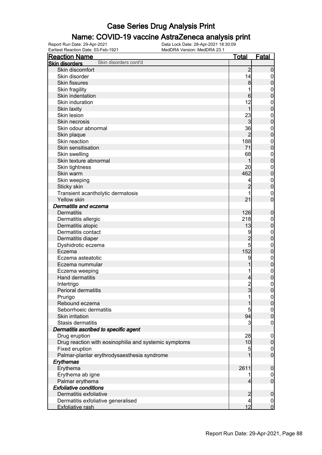#### Name: COVID-19 vaccine AstraZeneca analysis print

Earliest Reaction Date: 03-Feb-1921 MedDRA Version: MedDRA 23.1

| <b>Reaction Name</b>                                  | <b>Total</b>   | <b>Fatal</b>                         |
|-------------------------------------------------------|----------------|--------------------------------------|
| Skin disorders cont'd<br><b>Skin disorders</b>        |                |                                      |
| Skin discomfort                                       | $\overline{2}$ | $\mathbf 0$                          |
| Skin disorder                                         | 14             | $\mathbf 0$                          |
| <b>Skin fissures</b>                                  | 8              | $\mathbf 0$                          |
| Skin fragility                                        | 1              | $\mathbf{0}$                         |
| Skin indentation                                      | 6              | $\mathbf 0$                          |
| Skin induration                                       | 12             | $\mathbf{0}$                         |
| Skin laxity                                           | 1              | $\overline{0}$                       |
| Skin lesion                                           | 23             | $\mathbf{0}$                         |
| Skin necrosis                                         | 3              | $\overline{0}$                       |
| Skin odour abnormal                                   | 36             | $\mathbf{0}$                         |
| Skin plaque                                           | $\overline{2}$ | $\overline{0}$                       |
| Skin reaction                                         | 188            | $\mathbf{0}$                         |
| Skin sensitisation                                    | 71             | $\overline{0}$                       |
| Skin swelling                                         | 68             | $\mathbf{0}$                         |
| Skin texture abnormal                                 | 1              | $\overline{0}$                       |
| Skin tightness                                        | 20             |                                      |
| Skin warm                                             | 462            | $\mathbf{0}$                         |
|                                                       |                | $\overline{0}$                       |
| Skin weeping                                          | 4              | $\mathbf{0}$                         |
| Sticky skin                                           | $\overline{2}$ | $\overline{0}$                       |
| Transient acantholytic dermatosis                     |                | $\mathbf{0}$                         |
| Yellow skin                                           | 21             | $\overline{0}$                       |
| Dermatitis and eczema                                 |                |                                      |
| <b>Dermatitis</b>                                     | 126            | $\boldsymbol{0}$                     |
| Dermatitis allergic                                   | 218            | $\mathbf{0}$                         |
| Dermatitis atopic                                     | 13             | $\bf{0}$                             |
| Dermatitis contact                                    | 9              | $\mathbf{0}$                         |
| Dermatitis diaper                                     | $\overline{c}$ | $\overline{0}$                       |
| Dyshidrotic eczema                                    | 5              | $\mathbf{0}$                         |
| Eczema                                                | 152            | $\overline{0}$                       |
| Eczema asteatotic                                     | 9              | $\mathbf{0}$                         |
| Eczema nummular                                       | 1              | $\bf{0}$                             |
| Eczema weeping                                        | 1              | $\mathbf{0}$                         |
| Hand dermatitis                                       | $\overline{4}$ | $\bf{0}$                             |
| Intertrigo                                            | $\frac{2}{3}$  | $\mathbf{0}$                         |
| Perioral dermatitis                                   |                | $\overline{0}$                       |
| Prurigo                                               | 1              | 0                                    |
| Rebound eczema                                        | 1              | 0                                    |
| Seborrhoeic dermatitis                                | 5              |                                      |
| Skin irritation                                       | 94             | $\begin{matrix} 0 \\ 0 \end{matrix}$ |
| Stasis dermatitis                                     | 3              | $\mathbf 0$                          |
| Dermatitis ascribed to specific agent                 |                |                                      |
| Drug eruption                                         | 28             | $\mathbf 0$                          |
| Drug reaction with eosinophilia and systemic symptoms | 10             | $\pmb{0}$                            |
| Fixed eruption                                        | 5              | $\boldsymbol{0}$                     |
| Palmar-plantar erythrodysaesthesia syndrome           | 1              | $\overline{0}$                       |
| Erythemas                                             |                |                                      |
| Erythema                                              | 2611           | $\boldsymbol{0}$                     |
| Erythema ab igne                                      | 1              | $\mathbf 0$                          |
| Palmar erythema                                       | $\overline{4}$ | $\mathbf 0$                          |
| <b>Exfoliative conditions</b>                         |                |                                      |
| Dermatitis exfoliative                                | $\overline{c}$ | $\mathbf 0$                          |
| Dermatitis exfoliative generalised                    | $\overline{4}$ | $\mathbf 0$                          |
| Exfoliative rash                                      | 12             | $\overline{0}$                       |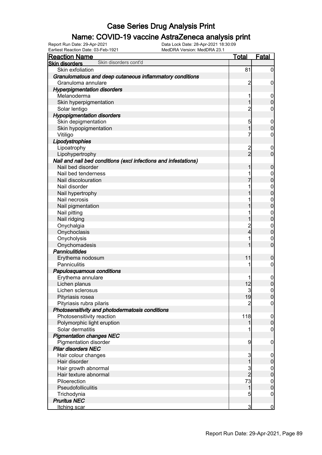### Name: COVID-19 vaccine AstraZeneca analysis print

Earliest Reaction Date: 03-Feb-1921 MedDRA Version: MedDRA 23.1

| <b>Reaction Name</b>                                            | Total          | <b>Fatal</b>     |
|-----------------------------------------------------------------|----------------|------------------|
| Skin disorders cont'd<br><b>Skin disorders</b>                  |                |                  |
| Skin exfoliation                                                | 81             | 0                |
| Granulomatous and deep cutaneous inflammatory conditions        |                |                  |
| Granuloma annulare                                              | $\overline{2}$ | 0                |
| <b>Hyperpigmentation disorders</b>                              |                |                  |
| Melanoderma                                                     | 1              | $\overline{0}$   |
| Skin hyperpigmentation                                          |                | $\overline{0}$   |
| Solar lentigo                                                   | $\overline{c}$ | 0                |
| <b>Hypopigmentation disorders</b>                               |                |                  |
| Skin depigmentation                                             | 5              | $\overline{0}$   |
| Skin hypopigmentation                                           | 1              | $\overline{0}$   |
| Vitiligo                                                        | 7              | 0                |
| Lipodystrophies                                                 |                |                  |
| Lipoatrophy                                                     | $\overline{c}$ | $\overline{0}$   |
| Lipohypertrophy                                                 | $\overline{2}$ | $\overline{0}$   |
| Nail and nail bed conditions (excl infections and infestations) |                |                  |
| Nail bed disorder                                               |                | 0                |
| Nail bed tenderness                                             |                | 0                |
| Nail discolouration                                             |                | $\mathbf{0}$     |
| Nail disorder                                                   |                | $\mathbf{0}$     |
| Nail hypertrophy                                                |                | $\overline{0}$   |
| Nail necrosis                                                   |                | $\mathbf{0}$     |
| Nail pigmentation                                               |                | $\overline{0}$   |
| Nail pitting                                                    |                | $\mathbf{0}$     |
| Nail ridging                                                    |                | $\overline{0}$   |
| Onychalgia                                                      | 2              | $\mathbf 0$      |
| Onychoclasis                                                    | 4              | $\overline{0}$   |
| Onycholysis                                                     | 1              | $\mathbf{0}$     |
| Onychomadesis                                                   |                | $\overline{0}$   |
| <b>Panniculitides</b>                                           |                |                  |
| Erythema nodosum                                                | 11             | 0                |
| <b>Panniculitis</b>                                             | 1              | 0                |
| Papulosquamous conditions                                       |                |                  |
| Erythema annulare                                               |                | $\overline{0}$   |
| Lichen planus                                                   | 12             | 0                |
| Lichen sclerosus                                                | 3              | $\mathbf{0}$     |
| Pityriasis rosea                                                | 19             | <sup>0</sup>     |
| Pityriasis rubra pilaris                                        | 2              | $\overline{0}$   |
| Photosensitivity and photodermatosis conditions                 |                |                  |
| Photosensitivity reaction                                       | 118            | $\mathbf 0$      |
| Polymorphic light eruption                                      | 1              | $\overline{0}$   |
| Solar dermatitis                                                |                | $\mathbf 0$      |
| <b>Pigmentation changes NEC</b>                                 |                |                  |
| Pigmentation disorder                                           | 9              | $\mathbf 0$      |
| <b>Pilar disorders NEC</b>                                      |                |                  |
| Hair colour changes                                             | 3              | $\mathbf 0$      |
| Hair disorder                                                   | $\overline{1}$ | 0                |
| Hair growth abnormal                                            | $\mathbf{3}$   | $\boldsymbol{0}$ |
| Hair texture abnormal                                           | $\overline{2}$ | $\mathbf 0$      |
| Piloerection                                                    | 73             | $\mathbf 0$      |
| Pseudofolliculitis                                              | 1              | $\mathbf 0$      |
| Trichodynia                                                     | $\overline{5}$ | $\boldsymbol{0}$ |
| <b>Pruritus NEC</b>                                             |                |                  |
| Itching scar                                                    | $\overline{3}$ | $\overline{0}$   |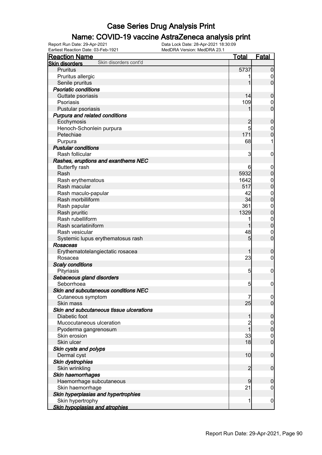#### Name: COVID-19 vaccine AstraZeneca analysis print

Earliest Reaction Date: 03-Feb-1921 MedDRA Version: MedDRA 23.1

| <b>Reaction Name</b>                           | <u>Total</u>   | <b>Fatal</b>                   |
|------------------------------------------------|----------------|--------------------------------|
| Skin disorders cont'd<br><b>Skin disorders</b> |                |                                |
| <b>Pruritus</b>                                | 5737           | $\mathbf 0$                    |
| Pruritus allergic                              |                | $\boldsymbol{0}$               |
| Senile pruritus                                | 1              | $\mathbf 0$                    |
| <b>Psoriatic conditions</b>                    |                |                                |
| Guttate psoriasis                              | 14             | $\mathbf 0$                    |
| Psoriasis                                      | 109            | $\mathbf 0$                    |
| Pustular psoriasis                             | 1              | $\mathbf 0$                    |
| Purpura and related conditions                 |                |                                |
| Ecchymosis                                     | $\overline{c}$ | $\mathbf 0$                    |
| Henoch-Schonlein purpura                       | 5              | $\mathbf 0$                    |
| Petechiae                                      | 171            | $\mathbf 0$                    |
| Purpura                                        | 68             | 1                              |
| <b>Pustular conditions</b>                     |                |                                |
| Rash follicular                                | 3              | $\mathbf 0$                    |
| Rashes, eruptions and exanthems NEC            |                |                                |
| <b>Butterfly rash</b>                          | 6              | $\mathbf 0$                    |
| Rash                                           | 5932           | $\mathbf 0$                    |
| Rash erythematous                              | 1642           |                                |
| Rash macular                                   | 517            | $\mathbf{0}$<br>$\mathbf 0$    |
| Rash maculo-papular                            | 42             |                                |
| Rash morbilliform                              | 34             | $\mathbf{0}$<br>$\overline{0}$ |
|                                                | 361            |                                |
| Rash papular                                   | 1329           | $\mathbf{0}$                   |
| Rash pruritic<br>Rash rubelliform              |                | $\mathbf 0$                    |
|                                                | 1              | $\mathbf{0}$                   |
| Rash scarlatiniform                            |                | $\overline{0}$                 |
| Rash vesicular                                 | 48             | $\mathbf 0$                    |
| Systemic lupus erythematosus rash              | 5              | $\mathbf 0$                    |
| Rosaceas                                       |                |                                |
| Erythematotelangiectatic rosacea               | 1              | $\boldsymbol{0}$               |
| Rosacea                                        | 23             | $\mathbf 0$                    |
| <b>Scaly conditions</b>                        |                |                                |
| Pityriasis                                     | $\overline{5}$ | $\mathbf 0$                    |
| Sebaceous gland disorders                      |                |                                |
| Seborrhoea                                     | 5              | $\boldsymbol{0}$               |
| Skin and subcutaneous conditions NEC           |                |                                |
| Cutaneous symptom                              | 7              | $\overline{0}$                 |
| Skin mass                                      | 25             | $\overline{0}$                 |
| Skin and subcutaneous tissue ulcerations       |                |                                |
| Diabetic foot                                  | 1              | $\boldsymbol{0}$               |
| Mucocutaneous ulceration                       | $\overline{c}$ | $\overline{0}$                 |
| Pyoderma gangrenosum                           | $\overline{1}$ | $\mathbf 0$                    |
| Skin erosion                                   | 33             | $\boldsymbol{0}$               |
| Skin ulcer                                     | 18             | $\boldsymbol{0}$               |
| Skin cysts and polyps                          |                |                                |
| Dermal cyst                                    | 10             | $\boldsymbol{0}$               |
| Skin dystrophies                               |                |                                |
| Skin wrinkling                                 | $\overline{2}$ | $\boldsymbol{0}$               |
| Skin haemorrhages                              |                |                                |
| Haemorrhage subcutaneous                       | 9              | $\mathbf 0$                    |
| Skin haemorrhage                               | 21             | $\boldsymbol{0}$               |
| Skin hyperplasias and hypertrophies            |                |                                |
| Skin hypertrophy                               | 1              | $\mathbf 0$                    |
| <b>Skin hypoplasias and atrophies</b>          |                |                                |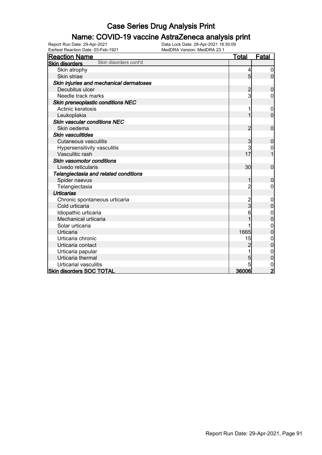### Name: COVID-19 vaccine AstraZeneca analysis print

| Earliest Reaction Date: 03-Feb-1921            | MedDRA Version: MedDRA 23.1 |                |                  |
|------------------------------------------------|-----------------------------|----------------|------------------|
| <b>Reaction Name</b>                           |                             | <u>Total</u>   | <b>Fatal</b>     |
| Skin disorders cont'd<br><b>Skin disorders</b> |                             |                |                  |
| Skin atrophy                                   |                             | 4              | 0                |
| Skin striae                                    |                             | 5              | 0                |
| Skin injuries and mechanical dermatoses        |                             |                |                  |
| Decubitus ulcer                                |                             | 2              | 0                |
| Needle track marks                             |                             | 3              | 0                |
| Skin preneoplastic conditions NEC              |                             |                |                  |
| Actinic keratosis                              |                             |                | 0                |
| Leukoplakia                                    |                             |                | $\overline{0}$   |
| Skin vascular conditions NEC                   |                             |                |                  |
| Skin oedema                                    |                             | 2              | 0                |
| <b>Skin vasculitides</b>                       |                             |                |                  |
| <b>Cutaneous vasculitis</b>                    |                             | 3              | 0                |
| Hypersensitivity vasculitis                    |                             | 3              | 0                |
| Vasculitic rash                                |                             | 17             | 1                |
| Skin vasomotor conditions                      |                             |                |                  |
| Livedo reticularis                             |                             | 30             | 0                |
| Telangiectasia and related conditions          |                             |                |                  |
| Spider naevus                                  |                             |                | 0                |
| Telangiectasia                                 |                             | $\overline{2}$ | 0                |
| <b>Urticarias</b>                              |                             |                |                  |
| Chronic spontaneous urticaria                  |                             |                | 0                |
| Cold urticaria                                 |                             | 3              | $\overline{0}$   |
| Idiopathic urticaria                           |                             |                | 0                |
| Mechanical urticaria                           |                             |                | 0                |
| Solar urticaria                                |                             |                | $\mathbf{0}$     |
| Urticaria                                      |                             | 1665           | 0                |
| Urticaria chronic                              |                             | 15             | 0                |
| Urticaria contact                              |                             | 2              | $\mathbf 0$      |
| Urticaria papular                              |                             |                | $\boldsymbol{0}$ |
| Urticaria thermal                              |                             | 5              | $\mathbf 0$      |
| Urticarial vasculitis                          |                             |                | 0                |
| <b>Skin disorders SOC TOTAL</b>                |                             | 36006          | $\overline{2}$   |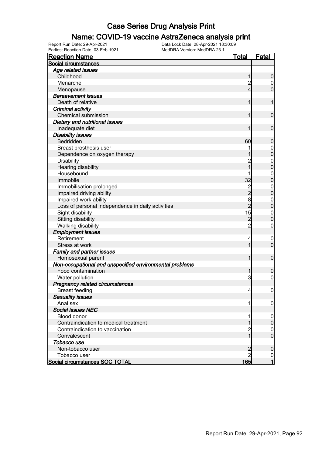#### Name: COVID-19 vaccine AstraZeneca analysis print

| Social circumstances<br>Age related issues<br>Childhood | 1<br>$\overline{c}$<br>$\overline{4}$               | $\boldsymbol{0}$ |
|---------------------------------------------------------|-----------------------------------------------------|------------------|
|                                                         |                                                     |                  |
|                                                         |                                                     |                  |
|                                                         |                                                     |                  |
| Menarche                                                |                                                     | $\boldsymbol{0}$ |
| Menopause                                               |                                                     | $\mathbf 0$      |
| <b>Bereavement issues</b>                               |                                                     |                  |
| Death of relative                                       | 1                                                   | 1                |
| Criminal activity                                       |                                                     |                  |
| <b>Chemical submission</b>                              | 1                                                   | $\mathbf 0$      |
| Dietary and nutritional issues                          |                                                     |                  |
| Inadequate diet                                         | 1                                                   | $\mathbf 0$      |
| <b>Disability issues</b>                                |                                                     |                  |
| Bedridden                                               | 60                                                  | $\boldsymbol{0}$ |
| Breast prosthesis user                                  |                                                     | $\mathbf 0$      |
| Dependence on oxygen therapy                            |                                                     | $\overline{0}$   |
| <b>Disability</b>                                       | $\overline{c}$                                      | $\mathbf{0}$     |
| Hearing disability                                      | $\overline{1}$                                      | $\overline{0}$   |
| Housebound                                              |                                                     | $\mathbf{0}$     |
| Immobile                                                | 32                                                  | $\overline{0}$   |
| Immobilisation prolonged                                |                                                     | $\mathbf{0}$     |
| Impaired driving ability                                | $\begin{array}{c}\n 2 \\ 2 \\ 8 \\ 2\n \end{array}$ | $\mathbf 0$      |
| Impaired work ability                                   |                                                     | $\overline{0}$   |
| Loss of personal independence in daily activities       |                                                     | $\overline{0}$   |
| Sight disability                                        | 15                                                  | $\mathbf{0}$     |
| Sitting disability                                      |                                                     | $\mathbf 0$      |
| Walking disability                                      | $\frac{2}{2}$                                       | $\mathbf 0$      |
| <b>Employment issues</b>                                |                                                     |                  |
| Retirement                                              | 4                                                   | $\mathbf 0$      |
| Stress at work                                          | 1                                                   | $\mathbf 0$      |
| <b>Family and partner issues</b>                        |                                                     |                  |
| Homosexual parent                                       | 1                                                   | $\boldsymbol{0}$ |
| Non-occupational and unspecified environmental problems |                                                     |                  |
| Food contamination                                      | 1                                                   | $\boldsymbol{0}$ |
| Water pollution                                         | 3                                                   | $\mathbf 0$      |
| Pregnancy related circumstances                         |                                                     |                  |
| <b>Breast feeding</b>                                   | $\vert 4 \vert$                                     | $\boldsymbol{0}$ |
| <b>Sexuality issues</b>                                 |                                                     |                  |
| Anal sex                                                | 1                                                   | $\overline{0}$   |
| <b>Social issues NEC</b>                                |                                                     |                  |
| <b>Blood donor</b>                                      |                                                     | $\boldsymbol{0}$ |
| Contraindication to medical treatment                   |                                                     | $\pmb{0}$        |
| Contraindication to vaccination                         | 2                                                   | $\overline{0}$   |
| Convalescent                                            | 1                                                   | $\overline{0}$   |
| Tobacco use                                             |                                                     |                  |
| Non-tobacco user                                        |                                                     | $\mathbf 0$      |
| Tobacco user                                            | $\overline{c}$<br>$\overline{2}$                    | $\overline{0}$   |
| Social circumstances SOC TOTAL                          | <u>165</u>                                          | $\mathbf{1}$     |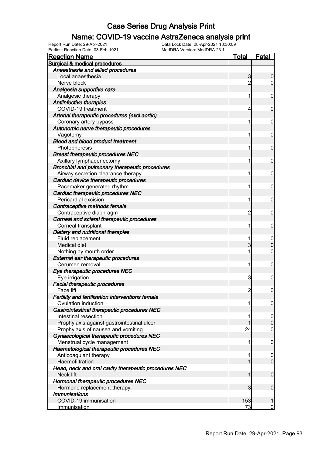### Name: COVID-19 vaccine AstraZeneca analysis print

Earliest Reaction Date: 03-Feb-1921 MedDRA Version: MedDRA 23.1

| <b>Reaction Name</b>                                                    | <u>Total</u>   | <u>Fatal</u>                  |
|-------------------------------------------------------------------------|----------------|-------------------------------|
| Surgical & medical procedures                                           |                |                               |
| Anaesthesia and allied procedures                                       |                |                               |
| Local anaesthesia                                                       | 3              | 0                             |
| Nerve block                                                             | $\overline{2}$ | 0                             |
| Analgesia supportive care                                               |                |                               |
| Analgesic therapy                                                       | 1              | 0                             |
| <b>Antiinfective therapies</b>                                          |                |                               |
| COVID-19 treatment                                                      | 4              | 0                             |
| Arterial therapeutic procedures (excl aortic)                           |                |                               |
| Coronary artery bypass                                                  | 1              | 0                             |
| Autonomic nerve therapeutic procedures                                  |                |                               |
| Vagotomy                                                                | 1              | 0                             |
| <b>Blood and blood product treatment</b>                                |                |                               |
| Photopheresis                                                           | 1              | 0                             |
| <b>Breast therapeutic procedures NEC</b>                                |                |                               |
| Axillary lymphadenectomy                                                | 1              | 0                             |
| Bronchial and pulmonary therapeutic procedures                          |                |                               |
| Airway secretion clearance therapy                                      | 1              | 0                             |
| Cardiac device therapeutic procedures                                   |                |                               |
| Pacemaker generated rhythm                                              | 1              | 0                             |
| Cardiac therapeutic procedures NEC                                      |                |                               |
| Pericardial excision                                                    | 1              | 0                             |
| Contraceptive methods female                                            |                |                               |
| Contraceptive diaphragm                                                 | $\overline{c}$ | 0                             |
| Corneal and scleral therapeutic procedures                              |                |                               |
| Corneal transplant                                                      | 1              | 0                             |
| Dietary and nutritional therapies                                       |                |                               |
| Fluid replacement                                                       | 1              | $\mathbf 0$                   |
| Medical diet                                                            | 3              | 0                             |
| Nothing by mouth order                                                  | 1              | 0                             |
| <b>External ear therapeutic procedures</b>                              |                |                               |
| Cerumen removal                                                         | 1              | $\mathbf 0$                   |
| Eye therapeutic procedures NEC                                          |                |                               |
| Eye irrigation                                                          | 3              | 0                             |
| <b>Facial therapeutic procedures</b><br>Face lift                       |                |                               |
|                                                                         | 2              | $\mathbf 0$                   |
| Fertility and fertilisation interventions female<br>Ovulation induction |                |                               |
|                                                                         | 1              | $\boldsymbol{0}$              |
| Gastrointestinal therapeutic procedures NEC<br>Intestinal resection     | 1              |                               |
| Prophylaxis against gastrointestinal ulcer                              |                | $\overline{0}$<br>$\mathbf 0$ |
| Prophylaxis of nausea and vomiting                                      | 24             | $\mathbf 0$                   |
| Gynaecological therapeutic procedures NEC                               |                |                               |
| Menstrual cycle management                                              | 1              | $\mathbf 0$                   |
| Haematological therapeutic procedures NEC                               |                |                               |
| Anticoagulant therapy                                                   | 1              | $\mathbf 0$                   |
| Haemofiltration                                                         | 1              | $\overline{0}$                |
| Head, neck and oral cavity therapeutic procedures NEC                   |                |                               |
| Neck lift                                                               | 1              | $\mathbf 0$                   |
| Hormonal therapeutic procedures NEC                                     |                |                               |
| Hormone replacement therapy                                             | 3              | $\mathbf 0$                   |
| <b>Immunisations</b>                                                    |                |                               |
| COVID-19 immunisation                                                   | 153            | 1                             |
| Immunisation                                                            | 73             | $\overline{0}$                |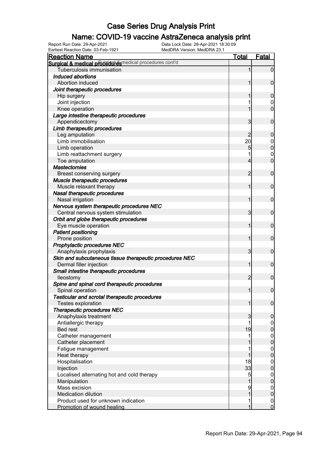### Name: COVID-19 vaccine AstraZeneca analysis print

| <b>Reaction Name</b>                                     | <b>Total</b>   | <b>Fatal</b>     |
|----------------------------------------------------------|----------------|------------------|
| Surgical & medical procedual esmedical procedures cont'd |                |                  |
| Tuberculosis immunisation                                | 1              | $\mathbf 0$      |
| Induced abortions                                        |                |                  |
| Abortion induced                                         |                | $\mathbf 0$      |
| Joint therapeutic procedures                             |                |                  |
| Hip surgery                                              |                | $\boldsymbol{0}$ |
| Joint injection                                          |                | 0                |
| Knee operation                                           |                | $\overline{0}$   |
| Large intestine therapeutic procedures                   |                |                  |
| Appendicectomy                                           | 3              | $\mathbf 0$      |
| Limb therapeutic procedures                              |                |                  |
| Leg amputation                                           | 2              | $\boldsymbol{0}$ |
| Limb immobilisation                                      | 20             | $\mathbf 0$      |
| Limb operation                                           | 5              | $\mathbf 0$      |
| Limb reattachment surgery                                |                | $\mathbf 0$      |
| Toe amputation                                           | 4              | $\overline{0}$   |
| <b>Mastectomies</b>                                      |                |                  |
| Breast conserving surgery                                | 2              | $\mathbf 0$      |
| Muscle therapeutic procedures                            |                |                  |
| Muscle relaxant therapy                                  | 1              | $\mathbf 0$      |
| Nasal therapeutic procedures                             |                |                  |
| Nasal irrigation                                         | 1              | $\mathbf 0$      |
| Nervous system therapeutic procedures NEC                |                |                  |
| Central nervous system stimulation                       | 3              | $\mathbf 0$      |
| Orbit and globe therapeutic procedures                   |                |                  |
| Eye muscle operation                                     | 1              | $\mathbf 0$      |
| <b>Patient positioning</b>                               |                |                  |
| Prone position                                           | 1              | $\mathbf 0$      |
| Prophylactic procedures NEC                              |                |                  |
| Anaphylaxis prophylaxis                                  | 3              | $\mathbf 0$      |
| Skin and subcutaneous tissue therapeutic procedures NEC  |                |                  |
| Dermal filler injection                                  | 1              | $\mathbf 0$      |
| Small intestine therapeutic procedures                   |                |                  |
| lleostomy                                                | $\overline{2}$ | $\mathbf 0$      |
| Spine and spinal cord therapeutic procedures             |                |                  |
| Spinal operation                                         | $\mathbf{1}$   | $\boldsymbol{0}$ |
| Testicular and scrotal therapeutic procedures            |                |                  |
| Testes exploration                                       | 1              | $\mathbf 0$      |
| Therapeutic procedures NEC                               |                |                  |
| Anaphylaxis treatment                                    | 3              | $\mathbf 0$      |
| Antiallergic therapy                                     | 1              | $\overline{0}$   |
| <b>Bed rest</b>                                          | 19             | $\pmb{0}$        |
| Catheter management                                      |                | $\boldsymbol{0}$ |
| Catheter placement                                       |                | $\mathbf 0$      |
| Fatigue management                                       |                | $\boldsymbol{0}$ |
| Heat therapy                                             | 1              | $\mathbf 0$      |
| Hospitalisation                                          | 18             | $\overline{0}$   |
| Injection                                                | 33             | $\pmb{0}$        |
| Localised alternating hot and cold therapy               | 5              | $\overline{0}$   |
| Manipulation                                             | 1              | $\pmb{0}$        |
| Mass excision                                            | 9              | $\boldsymbol{0}$ |
| <b>Medication dilution</b>                               | 1              | $\mathbf 0$      |
| Product used for unknown indication                      |                | $\overline{0}$   |
| Promotion of wound healing                               | 1              | $\overline{0}$   |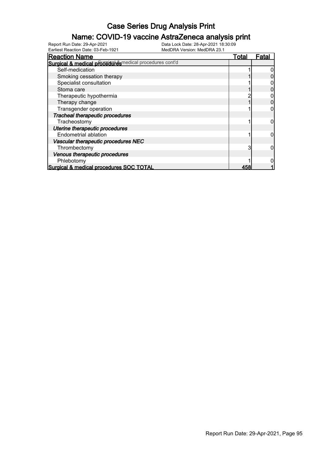### Name: COVID-19 vaccine AstraZeneca analysis print

Earliest Reaction Date: 03-Feb-1921 MedDRA Version: MedDRA 23.1

| <b>Reaction Name</b>                                   | Total | Fata |
|--------------------------------------------------------|-------|------|
| Surgical & medical proceed exercical procedures cont'd |       |      |
| Self-medication                                        |       |      |
| Smoking cessation therapy                              |       |      |
| Specialist consultation                                |       |      |
| Stoma care                                             |       |      |
| Therapeutic hypothermia                                |       |      |
| Therapy change                                         |       |      |
| Transgender operation                                  |       |      |
| Tracheal therapeutic procedures                        |       |      |
| Tracheostomy                                           |       |      |
| Uterine therapeutic procedures                         |       |      |
| <b>Endometrial ablation</b>                            |       |      |
| Vascular therapeutic procedures NEC                    |       |      |
| Thrombectomy                                           | 3     |      |
| Venous therapeutic procedures                          |       |      |
| Phlebotomy                                             |       |      |
| Surgical & medical procedures SOC TOTAL                | 458   |      |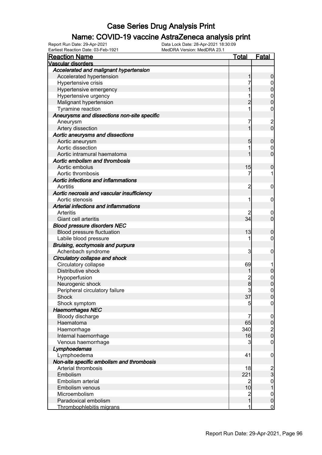#### Name: COVID-19 vaccine AstraZeneca analysis print

| <b>Reaction Name</b>                        | <u>Total</u>   | <b>Fatal</b>     |
|---------------------------------------------|----------------|------------------|
| Vascular disorders                          |                |                  |
| Accelerated and malignant hypertension      |                |                  |
| Accelerated hypertension                    |                | 0                |
| Hypertensive crisis                         |                | 0                |
| Hypertensive emergency                      |                | 0                |
| Hypertensive urgency                        |                | 0                |
| Malignant hypertension                      |                | $\Omega$         |
| Tyramine reaction                           | 1              | 0                |
| Aneurysms and dissections non-site specific |                |                  |
| Aneurysm                                    | 7              |                  |
| Artery dissection                           |                | 2<br>0           |
| Aortic aneurysms and dissections            |                |                  |
| Aortic aneurysm                             | 5              | 0                |
| Aortic dissection                           |                | 0                |
| Aortic intramural haematoma                 |                | 0                |
| Aortic embolism and thrombosis              |                |                  |
| Aortic embolus                              | 15             | 0                |
| Aortic thrombosis                           | 7              |                  |
| Aortic infections and inflammations         |                |                  |
| Aortitis                                    | 2              | 0                |
| Aortic necrosis and vascular insufficiency  |                |                  |
| Aortic stenosis                             | 1              | 0                |
| Arterial infections and inflammations       |                |                  |
| Arteritis                                   |                | 0                |
| Giant cell arteritis                        | 34             | 0                |
| <b>Blood pressure disorders NEC</b>         |                |                  |
| Blood pressure fluctuation                  | 13             | 0                |
| Labile blood pressure                       | 1              | 0                |
| Bruising, ecchymosis and purpura            |                |                  |
| Achenbach syndrome                          | 3              | 0                |
| Circulatory collapse and shock              |                |                  |
| Circulatory collapse                        | 69             |                  |
| Distributive shock                          |                | 0                |
| Hypoperfusion                               |                | $\mathbf 0$      |
| Neurogenic shock                            | 2<br>8         | 0                |
| Peripheral circulatory failure              | 3              | 0                |
| Shock                                       | 37             | U                |
| Shock symptom                               | 5              | $\overline{0}$   |
| <b>Haemorrhages NEC</b>                     |                |                  |
| Bloody discharge                            | 7              | $\boldsymbol{0}$ |
| Haematoma                                   | 65             | $\pmb{0}$        |
| Haemorrhage                                 | 340            | $\frac{2}{0}$    |
| Internal haemorrhage                        | 16             |                  |
| Venous haemorrhage                          | 3              | 0                |
| Lymphoedemas                                |                |                  |
| Lymphoedema                                 | 41             | $\mathbf 0$      |
| Non-site specific embolism and thrombosis   |                |                  |
| Arterial thrombosis                         | 18             |                  |
| Embolism                                    | 221            | $\frac{2}{3}$    |
| Embolism arterial                           | 2              | $\boldsymbol{0}$ |
| Embolism venous                             | 10             | 1                |
| Microembolism                               | $\overline{c}$ | $\boldsymbol{0}$ |
| Paradoxical embolism                        | 1              | $\mathbf 0$      |
| Thrombophlebitis migrans                    | 1              | $\mathbf 0$      |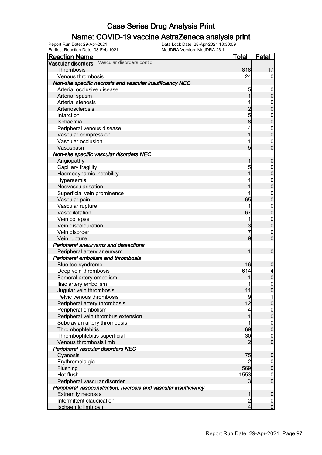### Name: COVID-19 vaccine AstraZeneca analysis print

Earliest Reaction Date: 03-Feb-1921 MedDRA Version: MedDRA 23.1

| <b>Reaction Name</b>                                             | <u>Total</u>            | <b>Fatal</b>                       |
|------------------------------------------------------------------|-------------------------|------------------------------------|
| Vascular disorders cont'd<br>Vascular disorders                  |                         |                                    |
| Thrombosis                                                       | 818                     | 17                                 |
| Venous thrombosis                                                | 24                      | 0                                  |
| Non-site specific necrosis and vascular insufficiency NEC        |                         |                                    |
| Arterial occlusive disease                                       | 5                       | $\boldsymbol{0}$                   |
| Arterial spasm                                                   |                         | 0                                  |
| Arterial stenosis                                                |                         | $\mathbf 0$                        |
| Arteriosclerosis                                                 | $\overline{2}$          | 0                                  |
| Infarction                                                       | 5                       | $\mathbf{0}$                       |
| Ischaemia                                                        | 8                       | 0                                  |
| Peripheral venous disease                                        | 4                       | $\mathbf{0}$                       |
| Vascular compression                                             |                         | 0                                  |
| Vascular occlusion                                               | 1                       | $\mathbf{0}$                       |
| Vasospasm                                                        | 5                       | 0                                  |
| Non-site specific vascular disorders NEC                         |                         |                                    |
| Angiopathy                                                       |                         | 0                                  |
| Capillary fragility                                              | 5                       | $\mathbf 0$                        |
| Haemodynamic instability                                         |                         | 0                                  |
| Hyperaemia                                                       |                         | $\mathbf{0}$                       |
| Neovascularisation                                               |                         | 0                                  |
| Superficial vein prominence                                      | 1                       | $\mathbf{0}$                       |
| Vascular pain                                                    | 65                      | 0                                  |
| Vascular rupture                                                 | 1                       | $\mathbf{0}$                       |
| Vasodilatation                                                   | 67                      | 0                                  |
| Vein collapse                                                    | 1                       | $\mathbf{0}$                       |
| Vein discolouration                                              | 3                       | $\overline{0}$                     |
| Vein disorder                                                    | 7                       | $\mathbf{0}$                       |
| Vein rupture                                                     | 9                       | $\overline{0}$                     |
| Peripheral aneurysms and dissections                             |                         |                                    |
| Peripheral artery aneurysm                                       |                         | $\mathbf 0$                        |
| Peripheral embolism and thrombosis                               |                         |                                    |
| Blue toe syndrome                                                | 16                      | 0                                  |
| Deep vein thrombosis                                             | 614                     | 4                                  |
| Femoral artery embolism                                          |                         | $\overline{0}$                     |
| Iliac artery embolism                                            |                         | $\boldsymbol{0}$                   |
| Jugular vein thrombosis                                          | 11                      | $\overline{0}$                     |
| Pelvic venous thrombosis                                         | 9                       |                                    |
| Peripheral artery thrombosis                                     | 12                      | $\overline{0}$                     |
| Peripheral embolism                                              | 4                       | 0                                  |
| Peripheral vein thrombus extension                               |                         | $\overline{0}$                     |
| Subclavian artery thrombosis                                     | 1                       | $\boldsymbol{0}$<br>$\overline{0}$ |
| Thrombophlebitis                                                 | 69                      |                                    |
| Thrombophlebitis superficial<br>Venous thrombosis limb           | 30                      | $\mathbf 0$<br>$\overline{0}$      |
|                                                                  | 2                       |                                    |
| Peripheral vascular disorders NEC                                |                         |                                    |
| Cyanosis                                                         | 75                      | 0                                  |
| Erythromelalgia                                                  | 2<br>569                | 0<br>$\mathbf 0$                   |
| Flushing<br>Hot flush                                            | 1553                    |                                    |
| Peripheral vascular disorder                                     | 3                       | $\mathbf 0$<br>$\overline{0}$      |
| Peripheral vasoconstriction, necrosis and vascular insufficiency |                         |                                    |
| <b>Extremity necrosis</b>                                        | 1                       | 0                                  |
| Intermittent claudication                                        | $\overline{\mathbf{c}}$ | $\mathbf 0$                        |
| Ischaemic limb pain                                              | 4                       | $\overline{0}$                     |